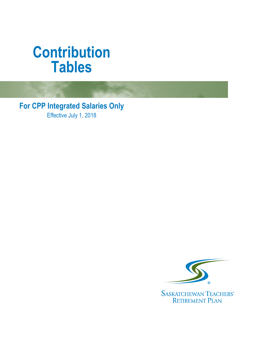# **Contribution Tables**

**For CPP Integrated Salaries Only** Effective July 1, 2018



SASKATCHEWAN TEACHERS' RETIREMENT PLAN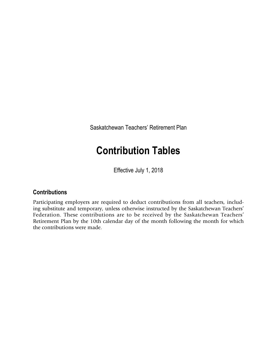Saskatchewan Teachers' Retirement Plan

## **Contribution Tables**

Effective July 1, 2018

#### **Contributions**

Participating employers are required to deduct contributions from all teachers, including substitute and temporary, unless otherwise instructed by the Saskatchewan Teachers' Federation. These contributions are to be received by the Saskatchewan Teachers' Retirement Plan by the 10th calendar day of the month following the month for which the contributions were made.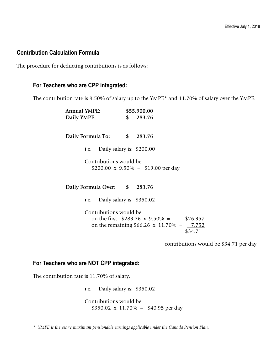#### **Contribution Calculation Formula**

The procedure for deducting contributions is as follows:

#### **For Teachers who are CPP integrated:**

The contribution rate is 9.50% of salary up to the YMPE\* and 11.70% of salary over the YMPE.

| <b>Annual YMPE:</b>               |               | \$55,900.00                                                                                |                                        |
|-----------------------------------|---------------|--------------------------------------------------------------------------------------------|----------------------------------------|
| Daily YMPE:                       | \$            | 283.76                                                                                     |                                        |
|                                   |               |                                                                                            |                                        |
| Daily Formula To:                 | $\frac{1}{2}$ | 283.76                                                                                     |                                        |
| Daily salary is: \$200.00<br>i.e. |               |                                                                                            |                                        |
| Contributions would be:           |               | $$200.00 \times 9.50\% = $19.00 \text{ per day}$                                           |                                        |
| Daily Formula Over: \$283.76      |               |                                                                                            |                                        |
| Daily salary is \$350.02<br>i.e.  |               |                                                                                            |                                        |
| Contributions would be:           |               | on the first $$283.76 \times 9.50\% =$<br>on the remaining $$66.26 \times 11.70\% = 7.752$ | \$26.957<br>\$34.71                    |
|                                   |               |                                                                                            | contributions would be \$34.71 per day |

#### **For Teachers who are NOT CPP integrated:**

The contribution rate is 11.70% of salary.

i.e. Daily salary is: \$350.02

 Contributions would be: \$350.02 x 11.70% = \$40.95 per day

*\* YMPE is the year's maximum pensionable earnings applicable under the Canada Pension Plan.*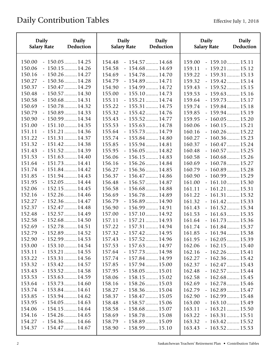| <b>Daily</b>                                                                                                                                       | <b>Daily</b>                                                                                                                                                                                                                                                                              | Daily                                                                                                                                              | <b>Daily</b>                                                                                                                                                                                                                                                                                    | Daily                                                                                                                                    | <b>Daily</b>                                                                                                                                                                                                                                                                                    |
|----------------------------------------------------------------------------------------------------------------------------------------------------|-------------------------------------------------------------------------------------------------------------------------------------------------------------------------------------------------------------------------------------------------------------------------------------------|----------------------------------------------------------------------------------------------------------------------------------------------------|-------------------------------------------------------------------------------------------------------------------------------------------------------------------------------------------------------------------------------------------------------------------------------------------------|------------------------------------------------------------------------------------------------------------------------------------------|-------------------------------------------------------------------------------------------------------------------------------------------------------------------------------------------------------------------------------------------------------------------------------------------------|
| <b>Salary Rate</b>                                                                                                                                 | Deduction                                                                                                                                                                                                                                                                                 | <b>Salary Rate</b>                                                                                                                                 | Deduction                                                                                                                                                                                                                                                                                       | <b>Salary Rate</b>                                                                                                                       | Deduction                                                                                                                                                                                                                                                                                       |
| 150.00                                                                                                                                             | $-150.05$ 14.25                                                                                                                                                                                                                                                                           | 154.48                                                                                                                                             | $-154.57$ 14.68                                                                                                                                                                                                                                                                                 | 159.00                                                                                                                                   | $-159.10$ 15.11                                                                                                                                                                                                                                                                                 |
| 150.06                                                                                                                                             | $-150.15$ 14.26                                                                                                                                                                                                                                                                           | 154.58                                                                                                                                             | $-154.68$ 14.69                                                                                                                                                                                                                                                                                 | 159.11                                                                                                                                   | $-159.21$ 15.12                                                                                                                                                                                                                                                                                 |
| 150.16                                                                                                                                             | $-150.26$ 14.27                                                                                                                                                                                                                                                                           | 154.69                                                                                                                                             | $-154.78$ 14.70                                                                                                                                                                                                                                                                                 | 159.22                                                                                                                                   | $-159.31$ 15.13                                                                                                                                                                                                                                                                                 |
| 150.27                                                                                                                                             | $-150.36$ 14.28                                                                                                                                                                                                                                                                           | 154.79                                                                                                                                             | $-154.89$ 14.71                                                                                                                                                                                                                                                                                 | 159.32                                                                                                                                   | $-159.42$ 15.14                                                                                                                                                                                                                                                                                 |
| 150.37                                                                                                                                             | $-150.47$ 14.29                                                                                                                                                                                                                                                                           | 154.90                                                                                                                                             | $-154.99$ 14.72                                                                                                                                                                                                                                                                                 | 159.43                                                                                                                                   | $-159.52$ 15.15                                                                                                                                                                                                                                                                                 |
| 150.48                                                                                                                                             | $-150.57$ 14.30                                                                                                                                                                                                                                                                           | 155.00                                                                                                                                             | $-155.10$ 14.73                                                                                                                                                                                                                                                                                 | 159.53                                                                                                                                   | $-159.63$ 15.16                                                                                                                                                                                                                                                                                 |
| 150.58                                                                                                                                             | $-150.68$ 14.31                                                                                                                                                                                                                                                                           | 155.11                                                                                                                                             | $-155.21$ 14.74                                                                                                                                                                                                                                                                                 | 159.64                                                                                                                                   | $-159.73$ 15.17                                                                                                                                                                                                                                                                                 |
| 150.69                                                                                                                                             | $-150.78$ 14.32                                                                                                                                                                                                                                                                           | 155.22                                                                                                                                             | $-155.31$ 14.75                                                                                                                                                                                                                                                                                 | 159.74                                                                                                                                   | $-159.84$ 15.18                                                                                                                                                                                                                                                                                 |
| 150.79                                                                                                                                             | $-150.89$ 14.33                                                                                                                                                                                                                                                                           | 155.32                                                                                                                                             | $-155.42$ 14.76                                                                                                                                                                                                                                                                                 | 159.85                                                                                                                                   | $-159.94 \dots 15.19$                                                                                                                                                                                                                                                                           |
| 150.90                                                                                                                                             | $-150.99$ 14.34                                                                                                                                                                                                                                                                           | 155.43                                                                                                                                             | $-155.52$ 14.77                                                                                                                                                                                                                                                                                 | 159.95                                                                                                                                   | $-160.05$ 15.20                                                                                                                                                                                                                                                                                 |
| 151.00                                                                                                                                             | $-151.10$ 14.35                                                                                                                                                                                                                                                                           | 155.53                                                                                                                                             | $-155.63$ 14.78                                                                                                                                                                                                                                                                                 | 160.06                                                                                                                                   | $-160.15$ 15.21                                                                                                                                                                                                                                                                                 |
| 151.11                                                                                                                                             | $-151.21$ 14.36                                                                                                                                                                                                                                                                           | 155.64                                                                                                                                             | $-155.73$ 14.79                                                                                                                                                                                                                                                                                 | 160.16                                                                                                                                   | $-160.26$ 15.22                                                                                                                                                                                                                                                                                 |
| 151.22                                                                                                                                             | $-151.31$ 14.37                                                                                                                                                                                                                                                                           | 155.74                                                                                                                                             | $-155.84$ 14.80                                                                                                                                                                                                                                                                                 | 160.27                                                                                                                                   | $-160.36$ 15.23                                                                                                                                                                                                                                                                                 |
| 151.32                                                                                                                                             | $-151.42$ 14.38                                                                                                                                                                                                                                                                           | 155.85                                                                                                                                             | $-155.94$ 14.81                                                                                                                                                                                                                                                                                 | 160.37                                                                                                                                   | $-160.47$ 15.24                                                                                                                                                                                                                                                                                 |
| 151.43                                                                                                                                             | $-151.52$ 14.39                                                                                                                                                                                                                                                                           | 155.95                                                                                                                                             | $-156.05$ 14.82                                                                                                                                                                                                                                                                                 | 160.48                                                                                                                                   | $-160.57$ 15.25                                                                                                                                                                                                                                                                                 |
| 151.53                                                                                                                                             | $-151.63$ 14.40                                                                                                                                                                                                                                                                           | 156.06                                                                                                                                             | $-156.15$ 14.83                                                                                                                                                                                                                                                                                 | 160.58                                                                                                                                   | $-160.68$ 15.26                                                                                                                                                                                                                                                                                 |
| 151.64<br>151.74<br>151.85<br>151.95<br>152.06<br>152.16<br>152.27<br>152.37<br>152.48<br>152.58<br>152.69<br>152.79<br>152.90<br>153.00<br>153.11 | $-151.73$ 14.41<br>$-151.84$ 14.42<br>$-151.94$ 14.43<br>$-152.05$ 14.44<br>$-152.15$ 14.45<br>$-152.26$ 14.46<br>$-152.36$ 14.47<br>$-152.47$ 14.48<br>$-152.57$ 14.49<br>$-152.68$ 14.50<br>$-152.78$ 14.51<br>$-152.89$ 14.52<br>$-152.99$ 14.53<br>$-153.10$ 14.54<br>$-153.21$ 14.55 | 156.16<br>156.27<br>156.37<br>156.48<br>156.58<br>156.69<br>156.79<br>156.90<br>157.00<br>157.11<br>157.22<br>157.32<br>157.43<br>157.53<br>157.64 | $-156.26$ 14.84<br>$-156.36$ 14.85<br>$-156.47$ 14.86<br>$-156.57$ 14.87<br>$-156.68$ 14.88<br>$-156.78 \dots 14.89$<br>$-156.89$ 14.90<br>$-156.99$ 14.91<br>$-157.10$ 14.92<br>$-157.21$ 14.93<br>$-157.31$ 14.94<br>$-157.42$ 14.95<br>$-157.52$ 14.96<br>$-157.63$ 14.97<br>$-157.73$ 14.98 | 160.69<br>160.79<br>160.90<br>161.00<br>161.11<br>161.22<br>161.32<br>161.43<br>161.53<br>161.64<br>161.74<br>161.85<br>161.95<br>162.06 | $-160.78$ 15.27<br>$-160.89 \dots 15.28$<br>$-160.99$ 15.29<br>$-161.10$ 15.30<br>$-161.21$ 15.31<br>$-161.31$ 15.32<br>$-161.42$ 15.33<br>$-161.52$ 15.34<br>$-161.63$ 15.35<br>$-161.73$ 15.36<br>$-161.84$ 15.37<br>$-161.94$ 15.38<br>$-162.05$ 15.39<br>$-162.15$ 15.40<br>$-162.26$ 15.41 |
| 153.22<br>153.32<br>153.43<br>153.53<br>153.64<br>153.74<br>153.85<br>153.95<br>154.06<br>154.16<br>154.27<br>154.37                               | $-153.31$ 14.56<br>$-153.42$ 14.57<br>$-153.52$ 14.58<br>$-153.63$ 14.59<br>$-153.73$ 14.60<br>$-153.84$ 14.61<br>$-153.94$ 14.62<br>$-154.05$ 14.63<br>$-154.15$ 14.64<br>$-154.26$ 14.65<br>$-154.36$ 14.66<br>$-154.47$ 14.67                                                          | 157.74<br>157.85<br>157.95<br>158.06<br>158.16<br>158.27<br>158.37<br>158.48<br>158.58<br>158.69<br>158.79<br>158.90                               | $-157.84$ 14.99<br>$-157.94$ 15.00<br>$-158.05$ 15.01<br>$-158.15$ 15.02<br>$-158.26$ 15.03<br>$-158.36$ 15.04<br>$-158.47$ 15.05<br>$-158.57$ 15.06<br>$-158.68$ 15.07<br>$-158.78$ 15.08<br>$-158.89$ 15.09<br>$-158.99$ 15.10                                                                | 162.16<br>162.27<br>162.37<br>162.48<br>162.58<br>162.69<br>162.79<br>162.90<br>163.00<br>163.11<br>163.22<br>163.32<br>163.43           | $-162.36$ 15.42<br>$-162.47$ 15.43<br>$-162.57$ 15.44<br>$-162.68$ 15.45<br>$-162.78$ 15.46<br>$-162.89$ 15.47<br>$-162.99 \dots 15.48$<br>$-163.10$ 15.49<br>$-163.21$ 15.50<br>$-163.31$ 15.51<br>$-163.42$ 15.52<br>$-163.52$ 15.53                                                          |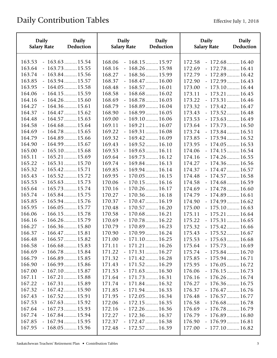| <b>Daily</b>       | <b>Daily</b>          | <b>Daily</b>       | <b>Daily</b>          | <b>Daily</b>       | <b>Daily</b>          |
|--------------------|-----------------------|--------------------|-----------------------|--------------------|-----------------------|
| <b>Salary Rate</b> | Deduction             | <b>Salary Rate</b> | Deduction             | <b>Salary Rate</b> | <b>Deduction</b>      |
| 163.53             | $-163.63$ 15.54       | 168.06             | $-168.15$ 15.97       | 172.58             | $-172.68$ 16.40       |
| 163.64             | $-163.73$ 15.55       | 168.16             | $-168.26$ 15.98       | 172.69             | $-172.78$ 16.41       |
| 163.74             | $-163.84$ 15.56       | 168.27             | $-168.36$ 15.99       | 172.79             | $-172.89$ 16.42       |
| 163.85             | $-163.94$ 15.57       | 168.37             | $-168.47$ 16.00       | 172.90             | $-172.99$ 16.43       |
| 163.95             | $-164.05$ 15.58       | 168.48             | $-168.57$ 16.01       | 173.00             | $-173.10$ 16.44       |
| 164.06             | $-164.15$ 15.59       | 168.58             | $-168.68$ 16.02       | 173.11             | $-173.21$ 16.45       |
| 164.16             | $-164.26$ 15.60       | 168.69             | $-168.78 \dots 16.03$ | 173.22             | $-173.31$ 16.46       |
| 164.27             | $-164.36$ 15.61       | 168.79             | $-168.89 \dots 16.04$ | 173.32             | $-173.42$ 16.47       |
| 164.37             | $-164.47$ 15.62       | 168.90             | $-168.99 \dots 16.05$ | 173.43             | $-173.52$ 16.48       |
| 164.48             | $-164.57$ 15.63       | 169.00             | $-169.10$ 16.06       | 173.53             | $-173.63$ 16.49       |
| 164.58             | $-164.68$ 15.64       | 169.11             | $-169.21$ 16.07       | 173.64             | $-173.73$ 16.50       |
| 164.69             | $-164.78 \dots 15.65$ | 169.22             | $-169.31$ 16.08       | 173.74             | $-173.84$ 16.51       |
| 164.79             | $-164.89$ 15.66       | 169.32             | $-169.42$ 16.09       | 173.85             | $-173.94$ 16.52       |
| 164.90             | $-164.99 \dots 15.67$ | 169.43             | $-169.52$ 16.10       | 173.95             | $-174.05$ 16.53       |
| 165.00             | $-165.10$ 15.68       | 169.53             | $-169.63$ 16.11       | 174.06             | $-174.15$ 16.54       |
| 165.11             | $-165.21$ 15.69       | 169.64             | $-169.73$ 16.12       | 174.16             | $-174.26$ 16.55       |
| 165.22             | $-165.31$ 15.70       | 169.74             | $-169.84$ 16.13       | 174.27             | $-174.36$ 16.56       |
| 165.32             | $-165.42$ 15.71       | 169.85             | $-169.94$ 16.14       | 174.37             | $-174.47$ 16.57       |
| 165.43             | $-165.52$ 15.72       | 169.95             | $-170.05$ 16.15       | 174.48             | $-174.57$ 16.58       |
| 165.53             | $-165.63$ 15.73       | 170.06             | $-170.15$ 16.16       | 174.58             | $-174.68$ 16.59       |
| 165.64             | $-165.73$ 15.74       | 170.16             | $-170.26$ 16.17       | 174.69             | $-174.78 \dots 16.60$ |
| 165.74             | $-165.84$ 15.75       | 170.27             | $-170.36$ 16.18       | 174.79             | $-174.89$ 16.61       |
| 165.85             | $-165.94 \dots 15.76$ | 170.37             | $-170.47$ 16.19       | 174.90             | $-174.99 \dots 16.62$ |
| 165.95             | $-166.05$ 15.77       | 170.48             | $-170.57$ 16.20       | 175.00             | $-175.10$ 16.63       |
| 166.06             | $-166.15$ 15.78       | 170.58             | $-170.68$ 16.21       | 175.11             | $-175.21$ 16.64       |
| 166.16             | $-166.26$ 15.79       | 170.69             | $-170.78$ 16.22       | 175.22             | $-175.31$ 16.65       |
| 166.27             | $-166.36$ 15.80       | 170.79             | $-170.89$ 16.23       | 175.32             | $-175.42$ 16.66       |
| 166.37             | $-166.47$ 15.81       | 170.90             | $-170.99$ 16.24       | 175.43             | $-175.52$ 16.67       |
| 166.48             | $-166.57$ 15.82       | 171.00             | $-171.10$ 16.25       | 175.53             | $-175.63$ 16.68       |
| 166.58             | $-166.68$ 15.83       | 171.11             | $-171.21$ 16.26       | 175.64             | $-175.73$ 16.69       |
| 166.69             | $-166.78 \dots 15.84$ | 171.22             | $-171.31$ 16.27       | 175.74             | $-175.84$ 16.70       |
| 166.79             | $-166.89 \dots 15.85$ | 171.32             | $-171.42$ 16.28       | 175.85             | $-175.94$ 16.71       |
| 166.90             | $-166.99$ 15.86       | 171.43             | $-171.52$ 16.29       | 175.95             | $-176.05$ 16.72       |
| 167.00             | $-167.10$ 15.87       | 171.53             | $-171.63$ 16.30       | 176.06             | $-176.15$ 16.73       |
| 167.11             | $-167.21$ 15.88       | 171.64             | $-171.73$ 16.31       | 176.16             | $-176.26$ 16.74       |
| 167.22             | $-167.31$ 15.89       | 171.74             | $-171.84$ 16.32       | 176.27             | $-176.36$ 16.75       |
| 167.32             | $-167.42$ 15.90       | 171.85             | $-171.94$ 16.33       | 176.37             | $-176.47$ 16.76       |
| 167.43             | $-167.52$ 15.91       | 171.95             | $-172.05$ 16.34       | 176.48             | $-176.57$ 16.77       |
| 167.53             | $-167.63$ 15.92       | 172.06             | $-172.15$ 16.35       | 176.58             | $-176.68$ 16.78       |
| 167.64             | $-167.73$ 15.93       | 172.16             | $-172.26$ 16.36       | 176.69             | $-176.78$ 16.79       |
| 167.74             | $-167.84$ 15.94       | 172.27             | $-172.36$ 16.37       | 176.79             | $-176.89 \dots 16.80$ |
| 167.85             | $-167.94$ 15.95       | 172.37             | $-172.47$ 16.38       | 176.90             | $-176.99$ 16.81       |
| 167.95             | $-168.05$ 15.96       | 172.48             | $-172.57$ 16.39       | 177.00             | $-177.10$ 16.82       |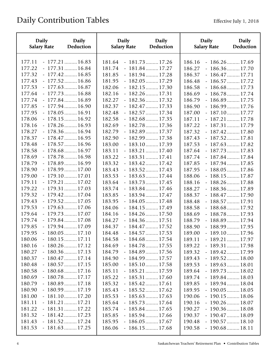| <b>Daily</b>       | <b>Daily</b>          | <b>Daily</b>       | <b>Daily</b>          | <b>Daily</b>       | <b>Daily</b>          |
|--------------------|-----------------------|--------------------|-----------------------|--------------------|-----------------------|
| <b>Salary Rate</b> | Deduction             | <b>Salary Rate</b> | Deduction             | <b>Salary Rate</b> | Deduction             |
| 177.11             | $-177.21$ 16.83       | 181.64             | $-181.73$ 17.26       | 186.16             | $-186.26$ 17.69       |
| 177.22             | $-177.31$ 16.84       | 181.74             | $-181.84$ 17.27       | 186.27             | $-186.36$ 17.70       |
| 177.32             | $-177.42$ 16.85       | 181.85             | $-181.94 \dots 17.28$ | 186.37             | $-186.47$ 17.71       |
| 177.43             | $-177.52$ 16.86       | 181.95             | $-182.05$ 17.29       | 186.48             | $-186.57$ 17.72       |
| 177.53             | $-177.63$ 16.87       | 182.06             | $-182.15$ 17.30       | 186.58             | $-186.68$ 17.73       |
| 177.64             | $-177.73$ 16.88       | 182.16             | $-182.26$ 17.31       | 186.69             | $-186.78 \dots 17.74$ |
| 177.74             | $-177.84$ 16.89       | 182.27             | $-182.36$ 17.32       | 186.79             | $-186.89$ 17.75       |
| 177.85             | $-177.94$ 16.90       | 182.37             | $-182.47$ 17.33       | 186.90             | $-186.99 \dots 17.76$ |
| 177.95             | $-178.05$ 16.91       | 182.48             | $-182.57$ 17.34       | 187.00             | $-187.10$ 17.77       |
| 178.06             | $-178.15$ 16.92       | 182.58             | $-182.68$ 17.35       | 187.11             | $-187.21$ 17.78       |
| 178.16             | $-178.26$ 16.93       | 182.69             | $-182.78$ 17.36       | 187.22             | $-187.31$ 17.79       |
| 178.27             | $-178.36$ 16.94       | 182.79             | $-182.89 \dots 17.37$ | 187.32             | $-187.42$ 17.80       |
| 178.37             | $-178.47$ 16.95       | 182.90             | $-182.99 \dots 17.38$ | 187.43             | $-187.52$ 17.81       |
| 178.48             | $-178.57$ 16.96       | 183.00             | $-183.10$ 17.39       | 187.53             | $-187.63$ 17.82       |
| 178.58             | $-178.68$ 16.97       | 183.11             | $-183.21$ 17.40       | 187.64             | $-187.73$ 17.83       |
| 178.69             | $-178.78$ 16.98       | 183.22             | $-183.31$ 17.41       | 187.74             | $-187.84$ 17.84       |
| 178.79             | $-178.89$ 16.99       | 183.32             | $-183.42$ 17.42       | 187.85             | $-187.94 \dots 17.85$ |
| 178.90             | $-178.99$ 17.00       | 183.43             | $-183.52$ 17.43       | 187.95             | $-188.05$ 17.86       |
| 179.00             | $-179.10$ 17.01       | 183.53             | $-183.63$ 17.44       | 188.06             | $-188.15$ 17.87       |
| 179.11             | $-179.21$ 17.02       | 183.64             | $-183.73$ 17.45       | 188.16             | $-188.26 \dots 17.88$ |
| 179.22             | $-179.31$ 17.03       | 183.74             | $-183.84$ 17.46       | 188.27             | $-188.36$ 17.89       |
| 179.32             | $-179.42$ 17.04       | 183.85             | $-183.94$ 17.47       | 188.37             | $-188.47$ 17.90       |
| 179.43             | $-179.52$ 17.05       | 183.95             | $-184.05 \dots 17.48$ | 188.48             | $-188.57$ 17.91       |
| 179.53             | $-179.63$ 17.06       | 184.06             | $-184.15$ 17.49       | 188.58             | $-188.68$ 17.92       |
| 179.64             | $-179.73$ 17.07       | 184.16             | $-184.26$ 17.50       | 188.69             | $-188.78$ 17.93       |
| 179.74             | $-179.84$ 17.08       | 184.27             | $-184.36$ 17.51       | 188.79             | $-188.89$ 17.94       |
| 179.85             | $-179.94$ 17.09       | 184.37             | $-184.47 \dots 17.52$ | 188.90             | $-188.99$ 17.95       |
| 179.95             | $-180.05$ 17.10       | 184.48             | $-184.57$ 17.53       | 189.00             | $-189.10$ 17.96       |
| 180.06             | $-180.15$ 17.11       | 184.58             | $-184.68$ 17.54       | 189.11             | $-189.21$ 17.97       |
| 180.16             | $-180.26$ 17.12       | 184.69             | $-184.78 \dots 17.55$ | 189.22             | $-189.31$ 17.98       |
| 180.27             | $-180.36$ 17.13       | 184.79             | $-184.89$ 17.56       | 189.32             | $-189.42$ 17.99       |
| 180.37             | $-180.47$ 17.14       | 184.90             | $-184.99$ 17.57       | 189.43             | $-189.52$ 18.00       |
| 180.48             | $-180.57$ 17.15       | 185.00             | $-185.10$ 17.58       | 189.53             | $-189.63$ 18.01       |
| 180.58             | $-180.68$ 17.16       | 185.11             | $-185.21$ 17.59       | 189.64             | $-189.73$ 18.02       |
| 180.69             | $-180.78 \dots 17.17$ | 185.22             | $-185.31$ 17.60       | 189.74             | $-189.84$ 18.03       |
| 180.79             | $-180.89$ 17.18       | 185.32             | $-185.42$ 17.61       | 189.85             | $-189.94$ 18.04       |
| 180.90             | $-180.99$ 17.19       | 185.43             | $-185.52$ 17.62       | 189.95             | $-190.05$ 18.05       |
| 181.00             | $-181.10$ 17.20       | 185.53             | $-185.63$ 17.63       | 190.06             | $-190.15$ 18.06       |
| 181.11             | $-181.21$ 17.21       | 185.64             | $-185.73$ 17.64       | 190.16             | $-190.26$ 18.07       |
| 181.22             | $-181.31$ 17.22       | 185.74             | $-185.84$ 17.65       | 190.27             | $-190.36$ 18.08       |
| 181.32             | $-181.42$ 17.23       | 185.85             | $-185.94$ 17.66       | 190.37             | $-190.47$ 18.09       |
| 181.43             | $-181.52$ 17.24       | 185.95             | $-186.05 \dots 17.67$ | 190.48             | $-190.57$ 18.10       |
| 181.53             | $-181.63$ 17.25       | 186.06             | $-186.15$ 17.68       | 190.58             | $-190.68$ 18.11       |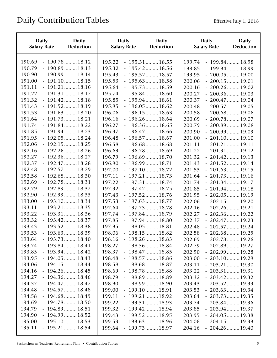| Deduction<br><b>Salary Rate</b>                                                                                                                                                                               | <b>Salary Rate</b>                                                 | Deduction                                                                                                                         | <b>Daily</b><br><b>Salary Rate</b>                                 | Daily<br>Deduction                                                                                                                |
|---------------------------------------------------------------------------------------------------------------------------------------------------------------------------------------------------------------|--------------------------------------------------------------------|-----------------------------------------------------------------------------------------------------------------------------------|--------------------------------------------------------------------|-----------------------------------------------------------------------------------------------------------------------------------|
| $-190.78$ 18.12<br>190.69<br>190.79<br>$-190.89$ 18.13<br>$-190.99$ 18.14<br>190.90<br>191.00<br>$-191.10$ 18.15                                                                                              | 195.22<br>195.32<br>195.43<br>195.53                               | $-195.31$ 18.55<br>$-195.42$ 18.56<br>$-195.52$ 18.57<br>$-195.63$ 18.58                                                          | 199.74<br>199.85<br>199.95<br>200.06                               | $-199.84$ 18.98<br>$-199.94$ 18.99<br>$-200.05$ 19.00<br>$-200.15$ 19.01                                                          |
| $-191.21$ 18.16<br>191.11<br>191.22<br>$-191.31$ 18.17<br>191.32<br>$-191.42$ 18.18<br>$-191.52$ 18.19<br>191.43<br>191.53<br>$-191.63$ 18.20                                                                 | 195.64<br>195.74<br>195.85<br>195.95<br>196.06                     | $-195.73$ 18.59<br>$-195.84$ 18.60<br>$-195.94$ 18.61<br>$-196.05$ 18.62<br>$-196.15$ 18.63                                       | 200.16<br>200.27<br>200.37<br>200.48<br>200.58                     | $-200.26$ 19.02<br>$-200.36$ 19.03<br>$-200.47$ 19.04<br>$-200.57$ 19.05<br>$-200.68$ 19.06                                       |
| 191.64<br>$-191.73$ 18.21<br>191.74<br>$-191.84$ 18.22<br>191.85<br>$-191.94$ 18.23<br>191.95<br>$-192.05$ 18.24<br>$-192.15$ 18.25<br>192.06<br>192.16                                                       | 196.16<br>196.27<br>196.37<br>196.48<br>196.58                     | $-196.26$ 18.64<br>$-196.36$ 18.65<br>$-196.47$ 18.66<br>$-196.57$ 18.67<br>$-196.68$ 18.68<br>$-196.78$ 18.69                    | 200.69<br>200.79<br>200.90<br>201.00<br>201.11                     | $-200.78$ 19.07<br>$-200.89$ 19.08<br>$-200.99$ 19.09<br>$-201.10$ 19.10<br>$-201.21$ 19.11                                       |
| $-192.26$ 18.26<br>$-192.36$ 18.27<br>192.27<br>$-192.47$ 18.28<br>192.37<br>192.48<br>$-192.57$ 18.29<br>192.58<br>$-192.68$ 18.30<br>192.69<br>$-192.78$ 18.31                                              | 196.69<br>196.79<br>196.90<br>197.00<br>197.11<br>197.22           | $-196.89$ 18.70<br>$-196.99$ 18.71<br>$-197.10$ 18.72<br>$-197.21$ 18.73<br>$-197.31$ 18.74                                       | 201.22<br>201.32<br>201.43<br>201.53<br>201.64<br>201.74           | $-201.31$ 19.12<br>$-201.42$ 19.13<br>$-201.52$ 19.14<br>$-201.63$ 19.15<br>$-201.73$ 19.16<br>$-201.84$ 19.17                    |
| 192.79<br>$-192.89$ 18.32<br>192.90<br>$-192.99$ 18.33<br>$-193.10$ 18.34<br>193.00<br>193.11<br>$-193.21$ 18.35<br>193.22<br>$-193.31$ 18.36                                                                 | 197.32<br>197.43<br>197.53<br>197.64<br>197.74                     | $-197.42$ 18.75<br>$-197.52$ 18.76<br>$-197.63$ 18.77<br>$-197.73$ 18.78<br>$-197.84$ 18.79                                       | 201.85<br>201.95<br>202.06<br>202.16<br>202.27                     | $-201.94$ 19.18<br>$-202.05$ 19.19<br>$-202.15$ 19.20<br>$-202.26$ 19.21<br>$-202.36$ 19.22                                       |
| 193.32<br>$-193.42$ 18.37<br>193.43<br>$-193.52$ 18.38<br>$-193.63$ 18.39<br>193.53<br>193.64<br>$-193.73$ 18.40<br>$-193.84$ 18.41<br>193.74<br>$-193.94$ 18.42<br>193.85                                    | 197.85<br>197.95<br>198.06<br>198.16<br>198.27<br>198.37           | $-197.94$ 18.80<br>$-198.05$ 18.81<br>$-198.15$ 18.82<br>$-198.26$ 18.83<br>$-198.36$ 18.84<br>$-198.47$ 18.85                    | 202.37<br>202.48<br>202.58<br>202.69<br>202.79<br>202.90           | $-202.47$ 19.23<br>$-202.57$ 19.24<br>$-202.68$ 19.25<br>$-202.78$ 19.26<br>$-202.89$ 19.27<br>$-202.99$ 19.28                    |
| 193.95<br>$-194.05$ 18.43<br>$-194.15$ 18.44<br>194.06<br>$-194.26 \dots 18.45$<br>194.16<br>$-194.36$ 18.46<br>194.27<br>$-194.47$ 18.47<br>194.37                                                           | 198.48<br>198.58<br>198.69<br>198.79<br>198.90                     | $-198.57$ 18.86<br>$-198.68$ 18.87<br>$-198.78$ 18.88<br>$-198.89$ 18.89<br>$-198.99$ 18.90                                       | 203.00<br>203.11<br>203.22<br>203.32<br>203.43                     | $-203.10$ 19.29<br>$-203.21$ 19.30<br>$-203.31$ 19.31<br>$-203.42$ 19.32<br>$-203.52$ 19.33                                       |
| $-194.57 \dots 18.48$<br>194.48<br>$-194.68$ 18.49<br>194.58<br>$-194.78$ 18.50<br>194.69<br>$-194.89$ 18.51<br>194.79<br>$-194.99$ 18.52<br>194.90<br>$-195.10$ 18.53<br>195.00<br>$-195.21$ 18.54<br>195.11 | 199.00<br>199.11<br>199.22<br>199.32<br>199.43<br>199.53<br>199.64 | $-199.10$ 18.91<br>$-199.21$ 18.92<br>$-199.31$ 18.93<br>$-199.42$ 18.94<br>$-199.52$ 18.95<br>$-199.63$ 18.96<br>$-199.73$ 18.97 | 203.53<br>203.64<br>203.74<br>203.85<br>203.95<br>204.06<br>204.16 | $-203.63$ 19.34<br>$-203.73$ 19.35<br>$-203.84$ 19.36<br>$-203.94$ 19.37<br>$-204.05$ 19.38<br>$-204.15$ 19.39<br>$-204.26$ 19.40 |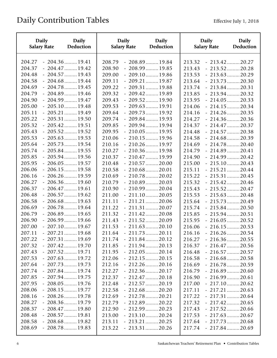| <b>Daily</b>                                             | <b>Daily</b>                                                                                | <b>Daily</b>                                             | <b>Daily</b>                                                                                                   | <b>Daily</b>                                             | <b>Daily</b>                                                                                                   |
|----------------------------------------------------------|---------------------------------------------------------------------------------------------|----------------------------------------------------------|----------------------------------------------------------------------------------------------------------------|----------------------------------------------------------|----------------------------------------------------------------------------------------------------------------|
| <b>Salary Rate</b>                                       | Deduction                                                                                   | <b>Salary Rate</b>                                       | Deduction                                                                                                      | <b>Salary Rate</b>                                       | Deduction                                                                                                      |
| 204.27<br>204.37<br>204.48<br>204.58                     | $-204.36$ 19.41<br>$-204.47$ 19.42<br>$-204.57$ 19.43<br>$-204.68$ 19.44<br>$-204.78$ 19.45 | 208.79<br>208.90<br>209.00<br>209.11                     | $-208.89$ 19.84<br>$-208.99$ 19.85<br>$-209.10$ 19.86<br>$-209.21$ 19.87                                       | 213.32<br>213.43<br>213.53<br>213.64                     | $-213.42$ 20.27<br>$-213.52$ 20.28<br>$-213.63$ 20.29<br>$-213.73$ 20.30                                       |
| 204.69<br>204.79<br>204.90<br>205.00<br>205.11<br>205.22 | $-204.89$ 19.46<br>$-204.99$ 19.47<br>$-205.10$ 19.48<br>$-205.21$ 19.49<br>$-205.31$ 19.50 | 209.22<br>209.32<br>209.43<br>209.53<br>209.64<br>209.74 | $-209.31$ 19.88<br>$-209.42$ 19.89<br>$-209.52$ 19.90<br>$-209.63$ 19.91<br>$-209.73$ 19.92<br>$-209.84$ 19.93 | 213.74<br>213.85<br>213.95<br>214.06<br>214.16<br>214.27 | $-213.84$ 20.31<br>$-213.94$ 20.32<br>$-214.05$ 20.33<br>$-214.15$ 20.34<br>$-214.26$ 20.35<br>$-214.36$ 20.36 |
| 205.32                                                   | $-205.42$ 19.51                                                                             | 209.85                                                   | $-209.94$ 19.94                                                                                                | 214.37                                                   | $-214.47$ 20.37                                                                                                |
| 205.43                                                   | $-205.52$ 19.52                                                                             | 209.95                                                   | $-210.05$ 19.95                                                                                                | 214.48                                                   | $-214.57$ 20.38                                                                                                |
| 205.53                                                   | $-205.63$ 19.53                                                                             | 210.06                                                   | $-210.15$ 19.96                                                                                                | 214.58                                                   | $-214.68$ 20.39                                                                                                |
| 205.64                                                   | $-205.73$ 19.54                                                                             | 210.16                                                   | $-210.26$ 19.97                                                                                                | 214.69                                                   | $-214.78$ 20.40                                                                                                |
| 205.74                                                   | $-205.84$ 19.55                                                                             | 210.27                                                   | $-210.36$ 19.98                                                                                                | 214.79                                                   | $-214.89$ 20.41                                                                                                |
| 205.85                                                   | $-205.94$ 19.56                                                                             | 210.37                                                   | $-210.47$ 19.99                                                                                                | 214.90                                                   | $-214.99$ 20.42                                                                                                |
| 205.95                                                   | $-206.05$ 19.57                                                                             | 210.48                                                   | $-210.57$ 20.00                                                                                                | 215.00                                                   | $-215.10$ 20.43                                                                                                |
| 206.06                                                   | $-206.15$ 19.58                                                                             | 210.58                                                   | $-210.68$ 20.01                                                                                                | 215.11                                                   | $-215.21$ 20.44                                                                                                |
| 206.16                                                   | $-206.26$ 19.59                                                                             | 210.69                                                   | $-210.78$ 20.02                                                                                                | 215.22                                                   | $-215.31$ 20.45                                                                                                |
| 206.27                                                   | $-206.36$ 19.60                                                                             | 210.79                                                   | $-210.89$ 20.03                                                                                                | 215.32                                                   | $-215.42$ 20.46                                                                                                |
| 206.37                                                   | $-206.47$ 19.61                                                                             | 210.90                                                   | $-210.99$ 20.04                                                                                                | 215.43                                                   | $-215.52$ 20.47                                                                                                |
| 206.48                                                   | $-206.57$ 19.62                                                                             | 211.00                                                   | $-211.10$ 20.05                                                                                                | 215.53                                                   | $-215.63$ 20.48                                                                                                |
| 206.58                                                   | $-206.68$ 19.63                                                                             | 211.11                                                   | $-211.21$ 20.06                                                                                                | 215.64                                                   | $-215.73$ 20.49                                                                                                |
| 206.69                                                   | $-206.78$ 19.64                                                                             | 211.22                                                   | $-211.31$ 20.07                                                                                                | 215.74                                                   | $-215.84$ 20.50                                                                                                |
| 206.79                                                   | $-206.89$ 19.65                                                                             | 211.32                                                   | $-211.42$ 20.08                                                                                                | 215.85                                                   | $-215.94$ 20.51                                                                                                |
| 206.90                                                   | $-206.99$ 19.66                                                                             | 211.43                                                   | $-211.52$ 20.09                                                                                                | 215.95                                                   | $-216.05$ 20.52                                                                                                |
| 207.00                                                   | $-207.10$ 19.67                                                                             | 211.53                                                   | $-211.63$ 20.10                                                                                                | 216.06                                                   | $-216.15$ 20.53                                                                                                |
| 207.11                                                   | $-207.21$ 19.68                                                                             | 211.64                                                   | $-211.73$ 20.11                                                                                                | 216.16                                                   | $-216.26$ 20.54                                                                                                |
| 207.22                                                   | $-207.31$ 19.69                                                                             | 211.74                                                   | $-211.84$ 20.12                                                                                                | 216.27                                                   | $-216.36$ 20.55                                                                                                |
| 207.32                                                   | $-207.42$ 19.70                                                                             | 211.85                                                   | $-211.94$ 20.13                                                                                                | 216.37                                                   | $-216.47$ 20.56                                                                                                |
| 207.43                                                   | $-207.52$ 19.71                                                                             | 211.95                                                   | $-212.05$ 20.14                                                                                                | 216.48                                                   | $-216.57$ 20.57                                                                                                |
| 207.53                                                   | $-207.63$ 19.72                                                                             | 212.06                                                   | $-212.15$ 20.15                                                                                                | 216.58                                                   | $-216.68$ 20.58                                                                                                |
| 207.64                                                   | $-207.73$ 19.73                                                                             | 212.16                                                   | $-212.26$ 20.16                                                                                                | 216.69                                                   | $-216.78$ 20.59                                                                                                |
| 207.74                                                   | $-207.84$ 19.74                                                                             | 212.27                                                   | $-212.36$ 20.17                                                                                                | 216.79                                                   | $-216.89$ 20.60                                                                                                |
| 207.85                                                   | $-207.94$ 19.75                                                                             | 212.37                                                   | $-212.47$ 20.18                                                                                                | 216.90                                                   | $-216.99$ 20.61                                                                                                |
| 207.95                                                   | $-208.05$ 19.76                                                                             | 212.48                                                   | $-212.57$ 20.19                                                                                                | 217.00                                                   | $-217.10$ 20.62                                                                                                |
| 208.06                                                   | $-208.15$ 19.77                                                                             | 212.58                                                   | $-212.68$ 20.20                                                                                                | 217.11                                                   | $-217.21$ 20.63                                                                                                |
| 208.16                                                   | $-208.26$ 19.78                                                                             | 212.69                                                   | $-212.78$ 20.21                                                                                                | 217.22                                                   | $-217.31$ 20.64                                                                                                |
| 208.27                                                   | $-208.36$ 19.79                                                                             | 212.79                                                   | $-212.89$ 20.22                                                                                                | 217.32                                                   | $-217.42$ 20.65                                                                                                |
| 208.37                                                   | $-208.47$ 19.80                                                                             | 212.90                                                   | $-212.99$ 20.23                                                                                                | 217.43                                                   | $-217.52$ 20.66                                                                                                |
| 208.48                                                   | $-208.57$ 19.81                                                                             | 213.00                                                   | $-213.10$ 20.24                                                                                                | 217.53                                                   | $-217.63$ 20.67                                                                                                |
| 208.58                                                   | $-208.68$ 19.82                                                                             | 213.11                                                   | $-213.21$ 20.25                                                                                                | 217.64                                                   | $-217.73$ 20.68                                                                                                |
| 208.69                                                   | $-208.78$ 19.83                                                                             | 213.22                                                   | $-213.31$ 20.26                                                                                                | 217.74                                                   | $-217.84$ 20.69                                                                                                |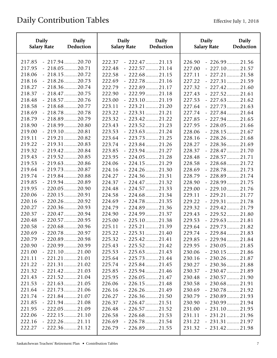| <b>Daily</b>       | <b>Daily</b>    | <b>Daily</b>       | Daily           | <b>Daily</b>       | <b>Daily</b>          |
|--------------------|-----------------|--------------------|-----------------|--------------------|-----------------------|
| <b>Salary Rate</b> | Deduction       | <b>Salary Rate</b> | Deduction       | <b>Salary Rate</b> | Deduction             |
| 217.85             | $-217.94$ 20.70 | 222.37             | $-222.47$ 21.13 | 226.90             | $-226.99$ 21.56       |
| 217.95             | $-218.05$ 20.71 | 222.48             | $-222.57$ 21.14 | 227.00             | $-227.10$ 21.57       |
| 218.06             | $-218.15$ 20.72 | 222.58             | $-222.68$ 21.15 | 227.11             | $-227.21$ 21.58       |
| 218.16             | $-218.26$ 20.73 | 222.69             | $-222.78$ 21.16 | 227.22             | $-227.31$ 21.59       |
| 218.27             | $-218.36$ 20.74 | 222.79             | $-222.89$ 21.17 | 227.32             | $-227.42$ 21.60       |
| 218.37             | $-218.47$ 20.75 | 222.90             | $-222.99$ 21.18 | 227.43             | $-227.52$ 21.61       |
| 218.48             | $-218.57$ 20.76 | 223.00             | $-223.10$ 21.19 | 227.53             | $-227.63$ 21.62       |
| 218.58             | $-218.68$ 20.77 | 223.11             | $-223.21$ 21.20 | 227.64             | $-227.73$ 21.63       |
| 218.69             | $-218.78$ 20.78 | 223.22             | $-223.31$ 21.21 | 227.74             | $-227.84$ 21.64       |
| 218.79             | $-218.89$ 20.79 | 223.32             | $-223.42$ 21.22 | 227.85             | $-227.94$ 21.65       |
| 218.90             | $-218.99$ 20.80 | 223.43             | $-223.52$ 21.23 | 227.95             | $-228.05$ 21.66       |
| 219.00             | $-219.10$ 20.81 | 223.53             | $-223.63$ 21.24 | 228.06             | $-228.15$ 21.67       |
| 219.11             | $-219.21$ 20.82 | 223.64             | $-223.73$ 21.25 | 228.16             | $-228.26$ 21.68       |
| 219.22             | $-219.31$ 20.83 | 223.74             | $-223.84$ 21.26 | 228.27             | $-228.36$ 21.69       |
| 219.32             | $-219.42$ 20.84 | 223.85             | $-223.94$ 21.27 | 228.37             | $-228.47$ 21.70       |
| 219.43             | $-219.52$ 20.85 | 223.95             | $-224.05$ 21.28 | 228.48             | $-228.57$ 21.71       |
| 219.53             | $-219.63$ 20.86 | 224.06             | $-224.15$ 21.29 | 228.58             | $-228.68$ 21.72       |
| 219.64             | $-219.73$ 20.87 | 224.16             | $-224.26$ 21.30 | 228.69             | $-228.78$ 21.73       |
| 219.74             | $-219.84$ 20.88 | 224.27             | $-224.36$ 21.31 | 228.79             | $-228.89$ 21.74       |
| 219.85             | $-219.94$ 20.89 | 224.37             | $-224.47$ 21.32 | 228.90             | $-228.99 \dots 21.75$ |
| 219.95             | $-220.05$ 20.90 | 224.48             | $-224.57$ 21.33 | 229.00             | $-229.10$ 21.76       |
| 220.06             | $-220.15$ 20.91 | 224.58             | $-224.68$ 21.34 | 229.11             | $-229.21$ 21.77       |
| 220.16             | $-220.26$ 20.92 | 224.69             | $-224.78$ 21.35 | 229.22             | $-229.31$ 21.78       |
| 220.27             | $-220.36$ 20.93 | 224.79             | $-224.89$ 21.36 | 229.32             | $-229.42$ 21.79       |
| 220.37             | $-220.47$ 20.94 | 224.90             | $-224.99$ 21.37 | 229.43             | $-229.52$ 21.80       |
| 220.48             | $-220.57$ 20.95 | 225.00             | $-225.10$ 21.38 | 229.53             | $-229.63$ 21.81       |
| 220.58             | $-220.68$ 20.96 | 225.11             | $-225.21$ 21.39 | 229.64             | $-229.73$ 21.82       |
| 220.69             | $-220.78$ 20.97 | 225.22             | $-225.31$ 21.40 | 229.74             | $-229.84$ 21.83       |
| 220.79             | $-220.89$ 20.98 | 225.32             | $-225.42$ 21.41 | 229.85             | $-229.94$ 21.84       |
| 220.90             | $-220.99$ 20.99 | 225.43             | $-225.52$ 21.42 | 229.95             | $-230.05$ 21.85       |
| 221.00             | $-221.10$ 21.00 | 225.53             | $-225.63$ 21.43 | 230.06             | $-230.15$ 21.86       |
| 221.11             | $-221.21$ 21.01 | 225.64             | $-225.73$ 21.44 | 230.16             | $-230.26$ 21.87       |
| 221.22             | $-221.31$ 21.02 | 225.74             | $-225.84$ 21.45 | 230.27             | $-230.36$ 21.88       |
| 221.32             | $-221.42$ 21.03 | 225.85             | $-225.94$ 21.46 | 230.37             | $-230.47$ 21.89       |
| 221.43             | $-221.52$ 21.04 | 225.95             | $-226.05$ 21.47 | 230.48             | $-230.57$ 21.90       |
| 221.53             | $-221.63$ 21.05 | 226.06             | $-226.15$ 21.48 | 230.58             | $-230.68$ 21.91       |
| 221.64             | $-221.73$ 21.06 | 226.16             | $-226.26$ 21.49 | 230.69             | $-230.78$ 21.92       |
| 221.74             | $-221.84$ 21.07 | 226.27             | $-226.36$ 21.50 | 230.79             | $-230.89$ 21.93       |
| 221.85             | $-221.94$ 21.08 | 226.37             | $-226.47$ 21.51 | 230.90             | $-230.99$ 21.94       |
| 221.95             | $-222.05$ 21.09 | 226.48             | $-226.57$ 21.52 | 231.00             | $-231.10$ 21.95       |
| 222.06             | $-222.15$ 21.10 | 226.58             | $-226.68$ 21.53 | 231.11             | $-231.21$ 21.96       |
| 222.16             | $-222.26$ 21.11 | 226.69             | $-226.78$ 21.54 | 231.22             | $-231.31$ 21.97       |
| 222.27             | $-222.36$ 21.12 | 226.79             | $-226.89$ 21.55 | 231.32             | $-231.42$ 21.98       |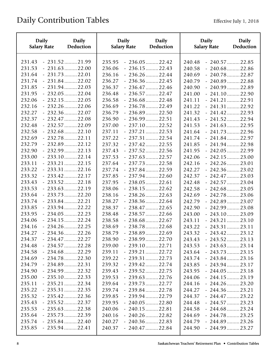| <b>Daily</b>       | <b>Daily</b>    | <b>Daily</b>       | <b>Daily</b>    | <b>Daily</b>       | <b>Daily</b>          |
|--------------------|-----------------|--------------------|-----------------|--------------------|-----------------------|
| <b>Salary Rate</b> | Deduction       | <b>Salary Rate</b> | Deduction       | <b>Salary Rate</b> | <b>Deduction</b>      |
| 231.43             | $-231.52$ 21.99 | 235.95             | $-236.05$ 22.42 | 240.48             | $-240.57$ 22.85       |
| 231.53             | $-231.63$ 22.00 | 236.06             | $-236.15$ 22.43 | 240.58             | $-240.68$ 22.86       |
| 231.64             | $-231.73$ 22.01 | 236.16             | $-236.26$ 22.44 | 240.69             | $-240.78$ 22.87       |
| 231.74             | $-231.84$ 22.02 | 236.27             | $-236.36$ 22.45 | 240.79             | $-240.89$ 22.88       |
| 231.85             | $-231.94$ 22.03 | 236.37             | $-236.47$ 22.46 | 240.90             | $-240.99$ 22.89       |
| 231.95             | $-232.05$ 22.04 | 236.48             | $-236.57$ 22.47 | 241.00             | $-241.10$ 22.90       |
| 232.06             | $-232.15$ 22.05 | 236.58             | $-236.68$ 22.48 | 241.11             | $-241.21$ 22.91       |
| 232.16             | $-232.26$ 22.06 | 236.69             | $-236.78$ 22.49 | 241.22             | $-241.31$ 22.92       |
| 232.27             | $-232.36$ 22.07 | 236.79             | $-236.89$ 22.50 | 241.32             | $-241.42$ 22.93       |
| 232.37             | $-232.47$ 22.08 | 236.90             | $-236.99$ 22.51 | 241.43             | $-241.52$ 22.94       |
| 232.48             | $-232.57$ 22.09 | 237.00             | $-237.10$ 22.52 | 241.53             | $-241.63$ 22.95       |
| 232.58             | $-232.68$ 22.10 | 237.11             | $-237.21$ 22.53 | 241.64             | $-241.73$ 22.96       |
| 232.69             | $-232.78$ 22.11 | 237.22             | $-237.31$ 22.54 | 241.74             | $-241.84$ 22.97       |
| 232.79             | $-232.89$ 22.12 | 237.32             | $-237.42$ 22.55 | 241.85             | $-241.94$ 22.98       |
| 232.90             | $-232.99$ 22.13 | 237.43             | $-237.52$ 22.56 | 241.95             | $-242.05$ 22.99       |
| 233.00             | $-233.10$ 22.14 | 237.53             | $-237.63$ 22.57 | 242.06             | $-242.15$ 23.00       |
| 233.11             | $-233.21$ 22.15 | 237.64             | $-237.73$ 22.58 | 242.16             | $-242.26$ 23.01       |
| 233.22             | $-233.31$ 22.16 | 237.74             | $-237.84$ 22.59 | 242.27             | $-242.36$ 23.02       |
| 233.32             | $-233.42$ 22.17 | 237.85             | $-237.94$ 22.60 | 242.37             | $-242.47$ 23.03       |
| 233.43             | $-233.52$ 22.18 | 237.95             | $-238.05$ 22.61 | 242.48             | $-242.57$ 23.04       |
| 233.53             | $-233.63$ 22.19 | 238.06             | $-238.15$ 22.62 | 242.58             | $-242.68$ 23.05       |
| 233.64             | $-233.73$ 22.20 | 238.16             | $-238.26$ 22.63 | 242.69             | $-242.78$ 23.06       |
| 233.74             | $-233.84$ 22.21 | 238.27             | $-238.36$ 22.64 | 242.79             | $-242.89$ 23.07       |
| 233.85             | $-233.94$ 22.22 | 238.37             | $-238.47$ 22.65 | 242.90             | $-242.99$ 23.08       |
| 233.95             | $-234.05$ 22.23 | 238.48             | $-238.57$ 22.66 | 243.00             | $-243.10$ 23.09       |
| 234.06             | $-234.15$ 22.24 | 238.58             | $-238.68$ 22.67 | 243.11             | $-243.21$ 23.10       |
| 234.16             | $-234.26$ 22.25 | 238.69             | $-238.78$ 22.68 | 243.22             | $-243.31$ 23.11       |
| 234.27             | $-234.36$ 22.26 | 238.79             | $-238.89$ 22.69 | 243.32             | $-243.42$ 23.12       |
| 234.37             | $-234.47$ 22.27 | 238.90             | $-238.99$ 22.70 | 243.43             | $-243.52$ 23.13       |
| 234.48             | $-234.57$ 22.28 | 239.00             | $-239.10$ 22.71 | 243.53             | $-243.63$ 23.14       |
| 234.58             | $-234.68$ 22.29 | 239.11             | $-239.21$ 22.72 | 243.64             | $-243.73$ 23.15       |
| 234.69             | $-234.78$ 22.30 | 239.22             | $-239.31$ 22.73 | 243.74             | $-243.84$ 23.16       |
| 234.79             | $-234.89$ 22.31 | 239.32             | $-239.42$ 22.74 | 243.85             | $-243.94$ 23.17       |
| 234.90             | $-234.99$ 22.32 | 239.43             | $-239.52$ 22.75 | 243.95             | $-244.05$ 23.18       |
| 235.00             | $-235.10$ 22.33 | 239.53             | $-239.63$ 22.76 | 244.06             | $-244.15$ 23.19       |
| 235.11             | $-235.21$ 22.34 | 239.64             | $-239.73$ 22.77 | 244.16             | $-244.26$ 23.20       |
| 235.22             | $-235.31$ 22.35 | 239.74             | $-239.84$ 22.78 | 244.27             | $-244.36$ 23.21       |
| 235.32             | $-235.42$ 22.36 | 239.85             | $-239.94$ 22.79 | 244.37             | $-244.47$ 23.22       |
| 235.43             | $-235.52$ 22.37 | 239.95             | $-240.05$ 22.80 | 244.48             | $-244.57$ 23.23       |
| 235.53             | $-235.63$ 22.38 | 240.06             | $-240.15$ 22.81 | 244.58             | $-244.68$ 23.24       |
| 235.64             | $-235.73$ 22.39 | 240.16             | $-240.26$ 22.82 | 244.69             | $-244.78 \dots 23.25$ |
| 235.74             | $-235.84$ 22.40 | 240.27             | $-240.36$ 22.83 | 244.79             | $-244.89$ 23.26       |
| 235.85             | $-235.94$ 22.41 | 240.37             | $-240.47$ 22.84 | 244.90             | $-244.99$ 23.27       |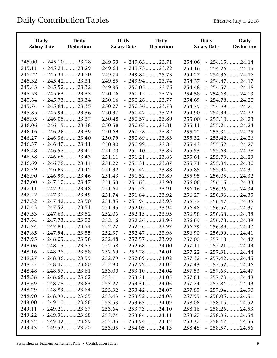| <b>Daily</b><br><b>Daily</b><br>Deduction<br><b>Salary Rate</b>                                                        | <b>Daily</b><br><b>Salary Rate</b>   | <b>Daily</b><br>Deduction                                                | <b>Daily</b><br><b>Salary Rate</b>   | <b>Daily</b><br>Deduction                                                |
|------------------------------------------------------------------------------------------------------------------------|--------------------------------------|--------------------------------------------------------------------------|--------------------------------------|--------------------------------------------------------------------------|
| 245.00<br>$-245.10$ 23.28<br>245.11<br>$-245.21$ 23.29<br>$-245.31$ 23.30<br>245.22                                    | 249.53<br>249.64<br>249.74           | $-249.63$ 23.71<br>$-249.73$ 23.72<br>$-249.84$ 23.73                    | 254.06<br>254.16<br>254.27           | $-254.15$ 24.14<br>$-254.26$ 24.15<br>$-254.36$ 24.16                    |
| 245.32<br>$-245.42$ 23.31<br>$-245.52$ 23.32<br>245.43<br>245.53<br>$-245.63$ 23.33                                    | 249.85<br>249.95<br>250.06           | $-249.94$ 23.74<br>$-250.05$ 23.75<br>$-250.15$ 23.76                    | 254.37<br>254.48<br>254.58           | $-254.47$ 24.17<br>$-254.57$ 24.18<br>$-254.68$ 24.19                    |
| $-245.73$ 23.34<br>245.64<br>245.74<br>$-245.84$ 23.35<br>245.85<br>$-245.94$ 23.36                                    | 250.16<br>250.27<br>250.37           | $-250.26$ 23.77<br>$-250.36$ 23.78<br>$-250.47$ 23.79                    | 254.69<br>254.79<br>254.90           | $-254.78$ 24.20<br>$-254.89$ 24.21<br>$-254.99$ 24.22                    |
| 245.95<br>$-246.05$ 23.37<br>246.06<br>$-246.15$ 23.38<br>246.16<br>$-246.26$ 23.39                                    | 250.48<br>250.58<br>250.69           | $-250.57$ 23.80<br>$-250.68$ 23.81<br>$-250.78$ 23.82                    | 255.00<br>255.11<br>255.22           | $-255.10$ 24.23<br>$-255.21$ 24.24<br>$-255.31$ 24.25                    |
| 246.27<br>$-246.36$ 23.40<br>246.37<br>$-246.47$ 23.41<br>$-246.57$ 23.42<br>246.48<br>246.58<br>$-246.68$ 23.43       | 250.79<br>250.90<br>251.00<br>251.11 | $-250.89$ 23.83<br>$-250.99$ 23.84<br>$-251.10$ 23.85<br>$-251.21$ 23.86 | 255.32<br>255.43<br>255.53<br>255.64 | $-255.42$ 24.26<br>$-255.52$ 24.27<br>$-255.63$ 24.28<br>$-255.73$ 24.29 |
| $-246.78$ 23.44<br>246.69<br>246.79<br>$-246.89$ 23.45<br>246.90<br>$-246.99$ 23.46                                    | 251.22<br>251.32<br>251.43           | $-251.31$ 23.87<br>$-251.42$ 23.88<br>$-251.52$ 23.89                    | 255.74<br>255.85<br>255.95           | $-255.84$ 24.30<br>$-255.94$ 24.31<br>$-256.05$ 24.32                    |
| 247.00<br>$-247.10$ 23.47<br>247.11<br>$-247.21$ 23.48<br>247.22<br>$-247.31$ 23.49                                    | 251.53<br>251.64<br>251.74           | $-251.63$ 23.90<br>$-251.73$ 23.91<br>$-251.84$ 23.92                    | 256.06<br>256.16<br>256.27           | $-256.15$ 24.33<br>$-256.26$ 24.34<br>$-256.36$ 24.35                    |
| 247.32<br>$-247.42$ 23.50<br>247.43<br>$-247.52$ 23.51<br>247.53<br>$-247.63$ 23.52<br>$-247.73$ 23.53<br>247.64       | 251.85<br>251.95<br>252.06<br>252.16 | $-251.94$ 23.93<br>$-252.05$ 23.94<br>$-252.15$ 23.95<br>$-252.26$ 23.96 | 256.37<br>256.48<br>256.58<br>256.69 | $-256.47$ 24.36<br>$-256.57$ 24.37<br>$-256.68$ 24.38<br>$-256.78$ 24.39 |
| 247.74<br>$-247.84$ 23.54<br>247.85<br>$-247.94$ 23.55<br>247.95<br>$-248.05$ 23.56                                    | 252.27<br>252.37<br>252.48           | $-252.36$ 23.97<br>$-252.47$ 23.98<br>$-252.57$ 23.99                    | 256.79<br>256.90<br>257.00           | $-256.89$ 24.40<br>$-256.99$ 24.41<br>$-257.10$ 24.42                    |
| 248.06<br>$-248.15$ 23.57<br>$-248.26$ 23.58<br>248.16<br>$-248.36$ 23.59<br>248.27                                    | 252.58<br>252.69<br>252.79           | $-252.68$ 24.00<br>$-252.78$ 24.01<br>$-252.89$ 24.02                    | 257.11<br>257.22<br>257.32           | $-257.21$ 24.43<br>$-257.31$ 24.44<br>$-257.42$ 24.45                    |
| 248.37<br>$-248.47$ 23.60<br>$-248.57$ 23.61<br>248.48<br>$-248.68$ 23.62<br>248.58                                    | 252.90<br>253.00<br>253.11           | $-252.99$ 24.03<br>$-253.10$ 24.04<br>$-253.21$ 24.05                    | 257.43<br>257.53<br>257.64           | $-257.52$ 24.46<br>$-257.63$ 24.47<br>$-257.73$ 24.48                    |
| 248.69<br>$-248.78$ 23.63<br>$-248.89$ 23.64<br>248.79<br>248.90<br>$-248.99 \dots 23.65$<br>249.00<br>$-249.10$ 23.66 | 253.22<br>253.32<br>253.43<br>253.53 | $-253.31$ 24.06<br>$-253.42$ 24.07<br>$-253.52$ 24.08<br>$-253.63$ 24.09 | 257.74<br>257.85<br>257.95<br>258.06 | $-257.84$ 24.49<br>$-257.94$ 24.50<br>$-258.05$ 24.51<br>$-258.15$ 24.52 |
| $-249.21$ 23.67<br>249.11<br>249.22<br>$-249.31$ 23.68<br>249.32<br>$-249.42$ 23.69<br>$-249.52$ 23.70<br>249.43       | 253.64<br>253.74<br>253.85<br>253.95 | $-253.73$ 24.10<br>$-253.84$ 24.11<br>$-253.94$ 24.12<br>$-254.05$ 24.13 | 258.16<br>258.27<br>258.37<br>258.48 | $-258.26$ 24.53<br>$-258.36$ 24.54<br>$-258.47$ 24.55<br>$-258.57$ 24.56 |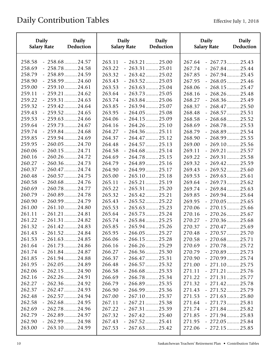| <b>Daily</b>       | <b>Daily</b>    | <b>Daily</b>       | <b>Daily</b>          | <b>Daily</b>       | <b>Daily</b>    |
|--------------------|-----------------|--------------------|-----------------------|--------------------|-----------------|
| <b>Salary Rate</b> | Deduction       | <b>Salary Rate</b> | Deduction             | <b>Salary Rate</b> | Deduction       |
| 258.58             | $-258.68$ 24.57 | 263.11             | $-263.21$ 25.00       | 267.64             | $-267.73$ 25.43 |
| 258.69             | $-258.78$ 24.58 | 263.22             | $-263.31$ 25.01       | 267.74             | $-267.84$ 25.44 |
| 258.79             | $-258.89$ 24.59 | 263.32             | $-263.42$ 25.02       | 267.85             | $-267.94$ 25.45 |
| 258.90             | $-258.99$ 24.60 | 263.43             | $-263.52$ 25.03       | 267.95             | $-268.05$ 25.46 |
| 259.00             | $-259.10$ 24.61 | 263.53             | $-263.63$ 25.04       | 268.06             | $-268.15$ 25.47 |
| 259.11             | $-259.21$ 24.62 | 263.64             | $-263.73$ 25.05       | 268.16             | $-268.26$ 25.48 |
| 259.22             | $-259.31$ 24.63 | 263.74             | $-263.84$ 25.06       | 268.27             | $-268.36$ 25.49 |
| 259.32             | $-259.42$ 24.64 | 263.85             | $-263.94$ 25.07       | 268.37             | $-268.47$ 25.50 |
| 259.43             | $-259.52$ 24.65 | 263.95             | $-264.05$ 25.08       | 268.48             | $-268.57$ 25.51 |
| 259.53             | $-259.63$ 24.66 | 264.06             | $-264.15$ 25.09       | 268.58             | $-268.68$ 25.52 |
| 259.64             | $-259.73$ 24.67 | 264.16             | $-264.26$ 25.10       | 268.69             | $-268.78$ 25.53 |
| 259.74             | $-259.84$ 24.68 | 264.27             | $-264.36$ 25.11       | 268.79             | $-268.89$ 25.54 |
| 259.85             | $-259.94$ 24.69 | 264.37             | $-264.47$ 25.12       | 268.90             | $-268.99$ 25.55 |
| 259.95             | $-260.05$ 24.70 | 264.48             | $-264.57$ 25.13       | 269.00             | $-269.10$ 25.56 |
| 260.06             | $-260.15$ 24.71 | 264.58             | $-264.68$ 25.14       | 269.11             | $-269.21$ 25.57 |
| 260.16             | $-260.26$ 24.72 | 264.69             | $-264.78 \dots 25.15$ | 269.22             | $-269.31$ 25.58 |
| 260.27             | $-260.36$ 24.73 | 264.79             | $-264.89$ 25.16       | 269.32             | $-269.42$ 25.59 |
| 260.37             | $-260.47$ 24.74 | 264.90             | $-264.99 \dots 25.17$ | 269.43             | $-269.52$ 25.60 |
| 260.48             | $-260.57$ 24.75 | 265.00             | $-265.10$ 25.18       | 269.53             | $-269.63$ 25.61 |
| 260.58             | $-260.68$ 24.76 | 265.11             | $-265.21$ 25.19       | 269.64             | $-269.73$ 25.62 |
| 260.69             | $-260.78$ 24.77 | 265.22             | $-265.31$ 25.20       | 269.74             | $-269.84$ 25.63 |
| 260.79             | $-260.89$ 24.78 | 265.32             | $-265.42$ 25.21       | 269.85             | $-269.94$ 25.64 |
| 260.90             | $-260.99$ 24.79 | 265.43             | $-265.52$ 25.22       | 269.95             | $-270.05$ 25.65 |
| 261.00             | $-261.10$ 24.80 | 265.53             | $-265.63$ 25.23       | 270.06             | $-270.15$ 25.66 |
| 261.11             | $-261.21$ 24.81 | 265.64             | $-265.73$ 25.24       | 270.16             | $-270.26$ 25.67 |
| 261.22             | $-261.31$ 24.82 | 265.74             | $-265.84$ 25.25       | 270.27             | $-270.36$ 25.68 |
| 261.32             | $-261.42$ 24.83 | 265.85             | $-265.94$ 25.26       | 270.37             | $-270.47$ 25.69 |
| 261.43             | $-261.52$ 24.84 | 265.95             | $-266.05$ 25.27       | 270.48             | $-270.57$ 25.70 |
| 261.53             | $-261.63$ 24.85 | 266.06             | $-266.15$ 25.28       | 270.58             | $-270.68$ 25.71 |
| 261.64             | $-261.73$ 24.86 | 266.16             | $-266.26$ 25.29       | 270.69             | $-270.78$ 25.72 |
| 261.74             | $-261.84$ 24.87 | 266.27             | $-266.36$ 25.30       | 270.79             | $-270.89$ 25.73 |
| 261.85             | $-261.94$ 24.88 | 266.37             | $-266.47$ 25.31       | 270.90             | $-270.99$ 25.74 |
| 261.95             | $-262.05$ 24.89 | 266.48             | $-266.57$ 25.32       | 271.00             | $-271.10$ 25.75 |
| 262.06             | $-262.15$ 24.90 | 266.58             | $-266.68$ 25.33       | 271.11             | $-271.21$ 25.76 |
| 262.16             | $-262.26$ 24.91 | 266.69             | $-266.78$ 25.34       | 271.22             | $-271.31$ 25.77 |
| 262.27             | $-262.36$ 24.92 | 266.79             | $-266.89$ 25.35       | 271.32             | $-271.42$ 25.78 |
| 262.37             | $-262.47$ 24.93 | 266.90             | $-266.99$ 25.36       | 271.43             | $-271.52$ 25.79 |
| 262.48             | $-262.57$ 24.94 | 267.00             | $-267.10$ 25.37       | 271.53             | $-271.63$ 25.80 |
| 262.58             | $-262.68$ 24.95 | 267.11             | $-267.21$ 25.38       | 271.64             | $-271.73$ 25.81 |
| 262.69             | $-262.78$ 24.96 | 267.22             | $-267.31$ 25.39       | 271.74             | $-271.84$ 25.82 |
| 262.79             | $-262.89$ 24.97 | 267.32             | $-267.42$ 25.40       | 271.85             | $-271.94$ 25.83 |
| 262.90             | $-262.99$ 24.98 | 267.43             | $-267.52$ 25.41       | 271.95             | $-272.05$ 25.84 |
| 263.00             | $-263.10$ 24.99 | 267.53             | $-267.63$ 25.42       | 272.06             | $-272.15$ 25.85 |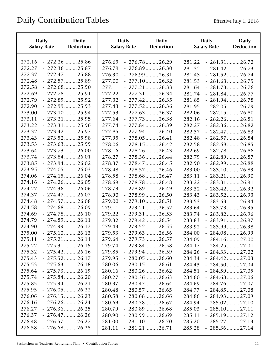| <b>Daily</b>                                   | Daily                                                                                       | <b>Daily</b>                                   | Daily                                                                                       | <b>Daily</b>                                   | <b>Daily</b>                                                                                |
|------------------------------------------------|---------------------------------------------------------------------------------------------|------------------------------------------------|---------------------------------------------------------------------------------------------|------------------------------------------------|---------------------------------------------------------------------------------------------|
| <b>Salary Rate</b>                             | Deduction                                                                                   | <b>Salary Rate</b>                             | Deduction                                                                                   | <b>Salary Rate</b>                             | <b>Deduction</b>                                                                            |
| 272.16                                         | $-272.26$ 25.86                                                                             | 276.69                                         | $-276.78$ 26.29                                                                             | 281.22                                         | $-281.31$ 26.72                                                                             |
| 272.27                                         | $-272.36$ 25.87                                                                             | 276.79                                         | $-276.89$ 26.30                                                                             | 281.32                                         | $-281.42$ 26.73                                                                             |
| 272.37                                         | $-272.47$ 25.88                                                                             | 276.90                                         | $-276.99$ 26.31                                                                             | 281.43                                         | $-281.52$ 26.74                                                                             |
| 272.48                                         | $-272.57$ 25.89                                                                             | 277.00                                         | $-277.10$ 26.32                                                                             | 281.53                                         | $-281.63$ 26.75                                                                             |
| 272.58<br>272.69<br>272.79<br>272.90<br>273.00 | $-272.68$ 25.90<br>$-272.78$ 25.91<br>$-272.89$ 25.92<br>$-272.99$ 25.93                    | 277.11<br>277.22<br>277.32<br>277.43<br>277.53 | $-277.21$ 26.33<br>$-277.31$ 26.34<br>$-277.42$ 26.35<br>$-277.52$ 26.36<br>$-277.63$ 26.37 | 281.64<br>281.74<br>281.85<br>281.95<br>282.06 | $-281.73$ 26.76<br>$-281.84$ 26.77<br>$-281.94$ 26.78<br>$-282.05$ 26.79                    |
| 273.11<br>273.22<br>273.32<br>273.43           | $-273.10$ 25.94<br>$-273.21$ 25.95<br>$-273.31$ 25.96<br>$-273.42$ 25.97<br>$-273.52$ 25.98 | 277.64<br>277.74<br>277.85<br>277.95           | $-277.73$ 26.38<br>$-277.84$ 26.39<br>$-277.94$ 26.40<br>$-278.05$ 26.41                    | 282.16<br>282.27<br>282.37<br>282.48           | $-282.15$ 26.80<br>$-282.26$ 26.81<br>$-282.36$ 26.82<br>$-282.47$ 26.83<br>$-282.57$ 26.84 |
| 273.53                                         | $-273.63$ 25.99                                                                             | 278.06                                         | $-278.15$ 26.42                                                                             | 282.58                                         | $-282.68$ 26.85                                                                             |
| 273.64                                         | $-273.73$ 26.00                                                                             | 278.16                                         | $-278.26$ 26.43                                                                             | 282.69                                         | $-282.78$ 26.86                                                                             |
| 273.74                                         | $-273.84$ 26.01                                                                             | 278.27                                         | $-278.36$ 26.44                                                                             | 282.79                                         | $-282.89$ 26.87                                                                             |
| 273.85                                         | $-273.94$ 26.02                                                                             | 278.37                                         | $-278.47$ 26.45                                                                             | 282.90                                         | $-282.99 \dots 26.88$                                                                       |
| 273.95                                         | $-274.05$ 26.03                                                                             | 278.48                                         | $-278.57$ 26.46                                                                             | 283.00                                         | $-283.10$ 26.89                                                                             |
| 274.06                                         | $-274.15$ 26.04                                                                             | 278.58                                         | $-278.68$ 26.47                                                                             | 283.11                                         | $-283.21$ 26.90                                                                             |
| 274.16                                         | $-274.26$ 26.05                                                                             | 278.69                                         | $-278.78$ 26.48                                                                             | 283.22                                         | $-283.31$ 26.91                                                                             |
| 274.27                                         | $-274.36$ 26.06                                                                             | 278.79                                         | $-278.89$ 26.49                                                                             | 283.32                                         | $-283.42$ 26.92                                                                             |
| 274.37                                         | $-274.47$ 26.07                                                                             | 278.90                                         | $-278.99$ 26.50                                                                             | 283.43                                         | $-283.52$ 26.93                                                                             |
| 274.48                                         | $-274.57$ 26.08                                                                             | 279.00                                         | $-279.10$ 26.51                                                                             | 283.53                                         | $-283.63$ 26.94                                                                             |
| 274.58                                         | $-274.68$ 26.09                                                                             | 279.11                                         | $-279.21$ 26.52                                                                             | 283.64                                         | $-283.73$ 26.95                                                                             |
| 274.69                                         | $-274.78$ 26.10                                                                             | 279.22                                         | $-279.31$ 26.53                                                                             | 283.74                                         | $-283.82$ 26.96                                                                             |
| 274.79                                         | $-274.89$ 26.11                                                                             | 279.32                                         | $-279.42$ 26.54                                                                             | 283.83                                         | $-283.91$ 26.97                                                                             |
| 274.90                                         | $-274.99$ 26.12                                                                             | 279.43                                         | $-279.52$ 26.55                                                                             | 283.92                                         | $-283.99$ 26.98                                                                             |
| 275.00                                         | $-275.10$ 26.13                                                                             | 279.53                                         | $-279.63$ 26.56                                                                             | 284.00                                         | $-284.08$ 26.99                                                                             |
| 275.11                                         | $-275.21$ 26.14                                                                             | 279.64                                         | $-279.73$ 26.57                                                                             | 284.09                                         | $-284.16$ 27.00                                                                             |
| 275.22                                         | $-275.31$ 26.15                                                                             | 279.74                                         | $-279.84$ 26.58                                                                             | 284.17                                         | $-284.25$ 27.01                                                                             |
| 275.32                                         | $-275.42$ 26.16                                                                             | 279.85                                         | $-279.94$ 26.59                                                                             | 284.26                                         | $-284.33$ 27.02                                                                             |
| 275.43                                         | $-275.52$ 26.17                                                                             | 279.95                                         | $-280.05$ 26.60                                                                             | 284.34                                         | $-284.42$ 27.03                                                                             |
| 275.53                                         | $-275.63$ 26.18                                                                             | 280.06                                         | $-280.15$ 26.61                                                                             | 284.43                                         | $-284.50$ 27.04                                                                             |
| 275.64                                         | $-275.73$ 26.19                                                                             | 280.16                                         | $-280.26$ 26.62                                                                             | 284.51                                         | $-284.59$ 27.05                                                                             |
| 275.74                                         | $-275.84$ 26.20                                                                             | 280.27                                         | $-280.36$ 26.63                                                                             | 284.60                                         | $-284.68$ 27.06                                                                             |
| 275.85                                         | $-275.94$ 26.21                                                                             | 280.37                                         | $-280.47$ 26.64                                                                             | 284.69                                         | $-284.76$ 27.07                                                                             |
| 275.95                                         | $-276.05$ 26.22                                                                             | 280.48                                         | $-280.57$ 26.65                                                                             | 284.77                                         | $-284.85$ 27.08                                                                             |
| 276.06                                         | $-276.15$ 26.23                                                                             | 280.58                                         | $-280.68$ 26.66                                                                             | 284.86                                         | $-284.93 \dots 27.09$                                                                       |
| 276.16                                         | $-276.26$ 26.24                                                                             | 280.69                                         | $-280.78$ 26.67                                                                             | 284.94                                         | $-285.02 \dots 27.10$                                                                       |
| 276.27                                         | $-276.36$ 26.25                                                                             | 280.79                                         | $-280.89$ 26.68                                                                             | 285.03                                         | $-285.10$ 27.11                                                                             |
| 276.37                                         | $-276.47$ 26.26                                                                             | 280.90                                         | $-280.99$ 26.69                                                                             | 285.11                                         | $-285.19$ 27.12                                                                             |
| 276.48                                         | $-276.57$ 26.27                                                                             | 281.00                                         | $-281.10$ 26.70                                                                             | 285.20                                         | $-285.27$ 27.13                                                                             |
| 276.58                                         | $-276.68$ 26.28                                                                             | 281.11                                         | $-281.21$ 26.71                                                                             | 285.28                                         | $-285.36$ 27.14                                                                             |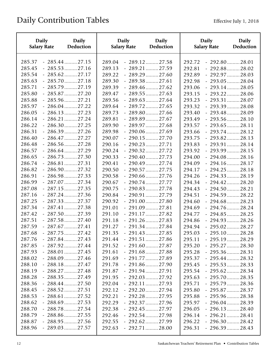| <b>Daily</b>                                   | <b>Daily</b>                                                                                | <b>Daily</b>                                   | <b>Daily</b>                                                                                | <b>Daily</b>                         | <b>Daily</b>                                                                   |
|------------------------------------------------|---------------------------------------------------------------------------------------------|------------------------------------------------|---------------------------------------------------------------------------------------------|--------------------------------------|--------------------------------------------------------------------------------|
| <b>Salary Rate</b>                             | Deduction                                                                                   | <b>Salary Rate</b>                             | Deduction                                                                                   | <b>Salary Rate</b>                   | <b>Deduction</b>                                                               |
| 285.37                                         | $-285.44$ 27.15                                                                             | 289.04                                         | $-289.12$ 27.58                                                                             | 292.72                               | $-292.80$ 28.01                                                                |
| 285.45                                         | $-285.53$ 27.16                                                                             | 289.13                                         | $-289.21$ 27.59                                                                             | 292.81                               | $-292.88$ 28.02                                                                |
| 285.54                                         | $-285.62$ 27.17                                                                             | 289.22                                         | $-289.29 \dots 27.60$                                                                       | 292.89                               | $-292.97$ 28.03                                                                |
| 285.63                                         | $-285.70$ 27.18                                                                             | 289.30                                         | $-289.38$ 27.61                                                                             | 292.98                               | $-293.05$ 28.04                                                                |
| 285.71                                         | $-285.79$ 27.19                                                                             | 289.39                                         | $-289.46$ 27.62                                                                             | 293.06                               | $-293.14$ 28.05                                                                |
| 285.80                                         | $-285.87$ 27.20                                                                             | 289.47                                         | $-289.55$ 27.63                                                                             | 293.15                               | $-293.22$ 28.06                                                                |
| 285.88                                         | $-285.96$ 27.21                                                                             | 289.56                                         | $-289.63$ 27.64                                                                             | 293.23                               | $-293.31$ 28.07                                                                |
| 285.97                                         | $-286.04$ 27.22                                                                             | 289.64                                         | $-289.72$ 27.65                                                                             | 293.32                               | $-293.39$ 28.08                                                                |
| 286.05                                         | $-286.13$ 27.23                                                                             | 289.73                                         | $-289.80$ 27.66                                                                             | 293.40                               | $-293.48$ 28.09                                                                |
| 286.14                                         | $-286.21$ 27.24                                                                             | 289.81                                         | $-289.89$ $27.67$                                                                           | 293.49                               | $-293.56$ 28.10                                                                |
| 286.22                                         | $-286.30$ 27.25                                                                             | 289.90                                         | $-289.97$ 27.68                                                                             | 293.57                               | $-293.65$ 28.11                                                                |
| 286.31                                         | $-286.39$ 27.26                                                                             | 289.98                                         | $-290.06$ 27.69                                                                             | 293.66                               | $-293.74$ 28.12                                                                |
| 286.40                                         | $-286.47$ 27.27                                                                             | 290.07                                         | $-290.15$ 27.70                                                                             | 293.75                               | $-293.82$ 28.13                                                                |
| 286.48                                         | $-286.56$ 27.28                                                                             | 290.16                                         | $-290.23$ 27.71                                                                             | 293.83                               | $-293.91$ 28.14                                                                |
| 286.57                                         | $-286.64$ 27.29                                                                             | 290.24                                         | $-290.32$ 27.72                                                                             | 293.92                               | $-293.99$ 28.15                                                                |
| 286.65                                         | $-286.73$ 27.30                                                                             | 290.33                                         | $-290.40$ 27.73                                                                             | 294.00                               | $-294.08$ 28.16                                                                |
| 286.74                                         | $-286.81$ 27.31                                                                             | 290.41                                         | $-290.49$ 27.74                                                                             | 294.09                               | $-294.16$ 28.17                                                                |
| 286.82                                         | $-286.90$ 27.32                                                                             | 290.50                                         | $-290.57$ 27.75                                                                             | 294.17                               | $-294.25$ 28.18                                                                |
| 286.91                                         | $-286.98$ 27.33                                                                             | 290.58                                         | $-290.66$ 27.76                                                                             | 294.26                               | $-294.33$ 28.19                                                                |
| 286.99                                         | $-287.07$ 27.34                                                                             | 290.67                                         | $-290.74$ 27.77                                                                             | 294.34                               | $-294.42$ 28.20                                                                |
| 287.08                                         | $-287.15$ 27.35                                                                             | 290.75                                         | $-290.83$ 27.78                                                                             | 294.43                               | $-294.50$ 28.21                                                                |
| 287.16                                         | $-287.24$ 27.36                                                                             | 290.84                                         | $-290.91$ 27.79                                                                             | 294.51                               | $-294.59$ 28.22                                                                |
| 287.25                                         | $-287.33$ 27.37                                                                             | 290.92                                         | $-291.00$ 27.80                                                                             | 294.60                               | $-294.68$ 28.23                                                                |
| 287.34                                         | $-287.41$ 27.38                                                                             | 291.01                                         | $-291.09$ 27.81                                                                             | 294.69                               | $-294.76$ 28.24                                                                |
| 287.42                                         | $-287.50$ 27.39                                                                             | 291.10                                         | $-291.17$ 27.82                                                                             | 294.77                               | $-294.85$ 28.25                                                                |
| 287.51                                         | $-287.58$ 27.40                                                                             | 291.18                                         | $-291.26$ 27.83                                                                             | 294.86                               | $-294.93$ 28.26                                                                |
| 287.59                                         | $-287.67$ 27.41                                                                             | 291.27                                         | $-291.34$ 27.84                                                                             | 294.94                               | $-295.02$ 28.27                                                                |
| 287.68                                         | $-287.75$ 27.42                                                                             | 291.35                                         | $-291.43$ 27.85                                                                             | 295.03                               | $-295.10$ 28.28                                                                |
| 287.76                                         | $-287.84$ 27.43                                                                             | 291.44                                         | $-291.51$ 27.86                                                                             | 295.11                               | $-295.19$ 28.29                                                                |
| 287.85                                         | $-287.92$ 27.44                                                                             | 291.52                                         | $-291.60$ 27.87                                                                             | 295.20                               | $-295.27$ 28.30                                                                |
| 287.93                                         | $-288.01$ 27.45                                                                             | 291.61                                         | $-291.68$ 27.88                                                                             | 295.28                               | $-295.36$ 28.31                                                                |
| 288.02                                         | $-288.09$ 27.46                                                                             | 291.69                                         | $-291.77$ 27.89                                                                             | 295.37                               | $-295.44$ 28.32                                                                |
| 288.10                                         | $-288.18$ 27.47                                                                             | 291.78                                         | $-291.86$ 27.90                                                                             | 295.45                               | $-295.53$ 28.33                                                                |
| 288.19                                         | $-288.27$ 27.48                                                                             | 291.87                                         | $-291.94$ 27.91                                                                             | 295.54                               | $-295.62$ 28.34                                                                |
| 288.28                                         | $-288.35$ 27.49                                                                             | 291.95                                         | $-292.03$ 27.92                                                                             | 295.63                               | $-295.70$ 28.35                                                                |
| 288.36<br>288.45<br>288.53<br>288.62<br>288.70 | $-288.44$ 27.50<br>$-288.52$ 27.51<br>$-288.61$ 27.52<br>$-288.69$ 27.53<br>$-288.78$ 27.54 | 292.04<br>292.12<br>292.21<br>292.29<br>292.38 | $-292.11$ 27.93<br>$-292.20$ 27.94<br>$-292.28$ 27.95<br>$-292.37$ 27.96<br>$-292.45$ 27.97 | 295.71<br>295.80<br>295.88<br>295.97 | $-295.79 \dots 28.36$<br>$-295.87$ 28.37<br>$-295.96$ 28.38<br>$-296.04$ 28.39 |
| 288.79<br>288.87<br>288.96                     | $-288.86$ 27.55<br>$-288.95$ 27.56<br>$-289.03$ 27.57                                       | 292.46<br>292.55<br>292.63                     | $-292.54$ 27.98<br>$-292.62$ 27.99<br>$-292.71$ 28.00                                       | 296.05<br>296.14<br>296.22<br>296.31 | $-296.13 \dots 28.40$<br>$-296.21$ 28.41<br>$-296.30$ 28.42<br>$-296.39$ 28.43 |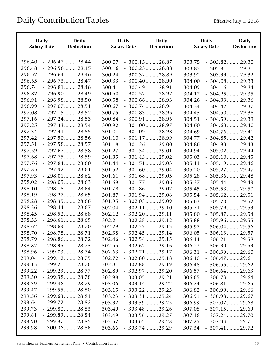| <b>Daily</b><br><b>Daily</b><br>Deduction<br><b>Salary Rate</b>                          | <b>Daily</b><br><b>Salary Rate</b> | <b>Daily</b><br>Deduction                             | <b>Daily</b><br><b>Salary Rate</b> | <b>Daily</b><br><b>Deduction</b>                            |
|------------------------------------------------------------------------------------------|------------------------------------|-------------------------------------------------------|------------------------------------|-------------------------------------------------------------|
| $-296.47$ 28.44<br>296.40<br>$-296.56$ 28.45<br>296.48<br>296.57<br>$-296.64$ 28.46      | 300.07<br>300.16<br>300.24         | $-300.15$ 28.87<br>$-300.23$ 28.88<br>$-300.32$ 28.89 | 303.75<br>303.83<br>303.92         | $-303.82$ 29.30<br>$-303.91$ 29.31<br>$-303.99$ 29.32       |
| 296.65<br>$-296.73$ 28.47<br>296.74<br>$-296.81$ 28.48                                   | 300.33<br>300.41                   | $-300.40$ 28.90<br>$-300.49$ 28.91                    | 304.00<br>304.09                   | $-304.08$ 29.33<br>$-304.16$ 29.34                          |
| 296.82<br>$-296.90$ 28.49<br>296.91<br>$-296.98$ 28.50<br>296.99<br>$-297.07$ 28.51      | 300.50<br>300.58<br>300.67         | $-300.57$ 28.92<br>$-300.66$ 28.93<br>$-300.74$ 28.94 | 304.17<br>304.26<br>304.34         | $-304.25$ 29.35<br>$-304.33$ 29.36<br>$-304.42$ 29.37       |
| 297.08<br>$-297.15$ 28.52<br>297.16<br>$-297.24$ 28.53                                   | 300.75<br>300.84                   | $-300.83$ 28.95<br>$-300.91$ 28.96                    | 304.43<br>304.51                   | $-304.50$ 29.38<br>$-304.59$ 29.39                          |
| 297.25<br>$-297.33$ 28.54<br>297.34<br>$-297.41$ 28.55<br>297.42<br>$-297.50$ 28.56      | 300.92<br>301.01<br>301.10         | $-301.00$ 28.97<br>$-301.09$ 28.98<br>$-301.17$ 28.99 | 304.60<br>304.69<br>304.77         | $-304.68$ 29.40<br>$-304.76$ 29.41<br>$-304.85$ 29.42       |
| 297.51<br>$-297.58$ 28.57<br>297.59<br>$-297.67$ 28.58                                   | 301.18<br>301.27                   | $-301.26$ 29.00<br>$-301.34$ 29.01                    | 304.86<br>304.94                   | $-304.93$ 29.43<br>$-305.02$ 29.44                          |
| 297.68<br>$-297.75$ 28.59<br>297.76<br>$-297.84$ 28.60<br>297.85<br>$-297.92$ 28.61      | 301.35<br>301.44<br>301.52         | $-301.43$ 29.02<br>$-301.51$ 29.03<br>$-301.60$ 29.04 | 305.03<br>305.11<br>305.20         | $-305.10$ 29.45<br>$-305.19$ 29.46<br>$-305.27$ 29.47       |
| 297.93<br>$-298.01$ 28.62<br>298.02<br>$-298.09$ 28.63                                   | 301.61<br>301.69                   | $-301.68$ 29.05<br>$-301.77$ 29.06                    | 305.28<br>305.37                   | $-305.36$ 29.48<br>$-305.44$ 29.49                          |
| 298.10<br>$-298.18\dots 28.64$<br>298.19<br>$-298.27$ 28.65<br>$-298.35$ 28.66<br>298.28 | 301.78<br>301.87<br>301.95         | $-301.86$ 29.07<br>$-301.94$ 29.08<br>$-302.03$ 29.09 | 305.45<br>305.54<br>305.63         | $-305.53$ 29.50<br>$-305.62$ 29.51<br>$-305.70$ 29.52       |
| 298.36<br>$-298.44$ 28.67<br>298.45<br>$-298.52$ 28.68                                   | 302.04<br>302.12                   | $-302.11$ 29.10<br>$-302.20$ 29.11                    | 305.71<br>305.80                   | $-305.79$ 29.53<br>$-305.87$ 29.54                          |
| $-298.61$ 28.69<br>298.53<br>298.62<br>$-298.69$ 28.70<br>$-298.78$ 28.71<br>298.70      | 302.21<br>302.29<br>302.38         | $-302.28$ 29.12<br>$-302.37$ 29.13<br>$-302.45$ 29.14 | 305.88<br>305.97<br>306.05         | $-305.96$ 29.55<br>$-306.04$ 29.56<br>$-306.13$ 29.57       |
| 298.79<br>$-298.86$ 28.72<br>298.87<br>$-298.95$ 28.73                                   | 302.46<br>302.55                   | $-302.54$ 29.15<br>$-302.62$ 29.16                    | 306.14<br>306.22                   | $-306.21$ 29.58<br>$-306.30$ 29.59                          |
| $-299.03$ 28.74<br>298.96<br>299.04<br>$-299.12$ 28.75<br>299.13<br>$-299.21$ 28.76      | 302.63<br>302.72<br>302.81         | $-302.71$ 29.17<br>$-302.80$ 29.18<br>$-302.88$ 29.19 | 306.31<br>306.40<br>306.48         | $-306.39$ 29.60<br>$-306.47$ 29.61<br>$-306.56$ 29.62       |
| $-299.29$ 28.77<br>299.22<br>299.30<br>$-299.38$ 28.78                                   | 302.89<br>302.98                   | $-302.97$ 29.20<br>$-303.05$ 29.21                    | 306.57<br>306.65                   | $-306.64$ 29.63<br>$-306.73$ 29.64                          |
| 299.39<br>$-299.46$ 28.79<br>$-299.55$ 28.80<br>299.47<br>$-299.63$ 28.81<br>299.56      | 303.06<br>303.15<br>303.23         | $-303.14$ 29.22<br>$-303.22$ 29.23<br>$-303.31$ 29.24 | 306.74<br>306.82<br>306.91         | $-306.81$ 29.65<br>$-306.90$ 29.66<br>$-306.98 \dots 29.67$ |
| 299.64<br>$-299.72$ 28.82<br>$-299.80$ 28.83<br>299.73                                   | 303.32<br>303.40                   | $-303.39$ 29.25<br>$-303.48$ 29.26                    | 306.99<br>307.08                   | $-307.07$ 29.68<br>$-307.15$ 29.69                          |
| 299.81<br>$-299.89$ 28.84<br>$-299.97$ 28.85<br>299.90<br>$-300.06$ 28.86<br>299.98      | 303.49<br>303.57<br>303.66         | $-303.56$ 29.27<br>$-303.65$ 29.28<br>$-303.74$ 29.29 | 307.16<br>307.25<br>307.34         | $-307.24$ 29.70<br>$-307.33$ 29.71<br>$-307.41$ 29.72       |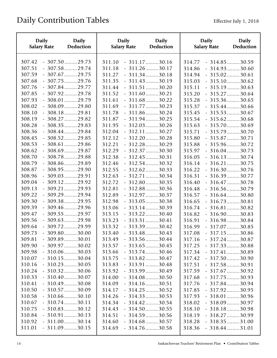| $-307.50$ 29.73<br>311.10<br>$-311.17$ 30.16<br>307.42<br>314.77<br>$-314.85$ 30.59<br>$-307.58$ 29.74<br>307.51<br>$-311.26$ 30.17<br>$-314.93$ 30.60<br>311.18<br>314.86<br>307.59<br>$-307.67$ 29.75<br>311.27<br>$-311.34$ 30.18<br>314.94<br>$-315.02$ 30.61<br>$-307.75$ 29.76<br>311.35<br>$-311.43$ 30.19<br>307.68<br>315.03<br>$-315.10$ 30.62<br>307.76<br>$-307.84$ 29.77<br>$-311.51$ 30.20<br>311.44<br>315.11<br>$-315.19$ 30.63<br>$-307.92$ 29.78<br>$-311.60$ 30.21<br>$-315.27$ 30.64<br>307.85<br>311.52<br>315.20<br>$-311.68$ 30.22<br>307.93<br>$-308.01$ 29.79<br>311.61<br>$-315.36$ 30.65<br>315.28<br>308.02<br>$-308.09$ 29.80<br>311.69<br>$-311.77$ 30.23<br>315.37<br>$-315.44$ 30.66<br>$-311.86$ 30.24<br>$-315.53$ 30.67<br>308.10<br>$-308.18$ 29.81<br>311.78<br>315.45<br>$-308.27$ 29.82<br>$-311.94$ 30.25<br>308.19<br>311.87<br>$-315.62$ 30.68<br>315.54<br>308.28<br>$-308.35$ 29.83<br>$-312.03$ 30.26<br>$-315.70$ 30.69<br>311.95<br>315.63<br>$-315.79$ 30.70<br>308.36<br>$-308.44$ 29.84<br>312.04<br>$-312.11$ 30.27<br>315.71<br>308.45<br>$-308.52$ 29.85<br>312.12<br>$-312.20$ 30.28<br>$-315.87$ 30.71<br>315.80<br>308.53<br>$-308.61$ 29.86<br>$-312.28$ 30.29<br>312.21<br>315.88<br>$-315.96$ 30.72<br>$-308.69$ 29.87<br>312.29<br>$-312.37$ 30.30<br>308.62<br>$-316.04$ 30.73<br>315.97<br>308.70<br>$-308.78$ 29.88<br>312.38<br>$-312.45$ 30.31<br>316.05<br>$-316.13$ 30.74<br>308.79<br>$-308.86$ 29.89<br>$-312.54$ 30.32<br>312.46<br>316.14<br>$-316.21$ 30.75<br>$-308.95$ 29.90<br>$-312.62$ 30.33<br>308.87<br>312.55<br>$-316.30$ 30.76<br>316.22<br>308.96<br>$-309.03$ 29.91<br>312.63<br>$-312.71$ 30.34<br>316.31<br>$-316.39$ 30.77<br>309.04<br>$-309.12$ 29.92<br>$-312.80$ 30.35<br>312.72<br>316.40<br>$-316.47$ 30.78<br>$-309.21$ 29.93<br>309.13<br>312.81<br>$-312.88$ 30.36<br>$-316.56$ 30.79<br>316.48<br>309.22<br>$-309.29$ 29.94<br>312.89<br>$-312.97$ 30.37<br>316.57<br>$-316.64$ 30.80<br>$-309.38$ 29.95<br>309.30<br>$-313.05$ 30.38<br>312.98<br>316.65<br>$-316.73$ 30.81<br>$-309.46$ 29.96<br>309.39<br>313.06<br>$-313.14$ 30.39<br>$-316.81$ 30.82<br>316.74<br>309.47<br>$-309.55$ 29.97<br>313.15<br>$-313.22$ 30.40<br>316.82<br>$-316.90$ 30.83<br>$-309.63$ 29.98<br>309.56<br>313.23<br>$-313.31$ 30.41<br>316.91<br>$-316.98$ 30.84<br>309.64<br>$-309.72$ 29.99<br>313.32<br>$-313.39$ 30.42<br>316.99<br>$-317.07$ 30.85<br>309.73<br>$-309.80$ 30.00<br>313.40<br>$-313.48$ 30.43<br>317.08<br>$-317.15$ 30.86<br>$-309.89$ 30.01<br>$-317.24$ 30.87<br>309.81<br>313.49<br>$-313.56$ 30.44<br>317.16<br>$-309.97$ 30.02<br>$-313.65$ 30.45<br>309.90<br>313.57<br>$-317.33$ 30.88<br>317.25<br>$-310.06$ 30.03<br>$-313.74$ 30.46<br>309.98<br>$-317.41$ 30.89<br>313.66<br>317.34<br>$-310.15$ 30.04<br>310.07<br>$-313.82$ 30.47<br>$-317.50$ 30.90<br>313.75<br>317.42<br>$-310.23$ 30.05<br>$-317.58$ 30.91<br>310.16<br>313.83<br>$-313.91$ 30.48<br>317.51<br>$-310.32$ 30.06<br>$-313.99$ 30.49<br>$-317.67$ 30.92<br>310.24<br>313.92<br>317.59<br>$-314.08$ 30.50<br>$-310.40$ 30.07<br>$-317.75$ 30.93<br>310.33<br>314.00<br>317.68<br>$-310.49$ 30.08<br>$-314.16$ 30.51<br>310.41<br>314.09<br>$-317.84$ 30.94<br>317.76<br>$-310.57$ 30.09<br>$-314.25$ 30.52<br>$-317.92$ 30.95<br>310.50<br>314.17<br>317.85<br>$-310.66$ 30.10<br>$-314.33$ 30.53<br>$-318.01$ 30.96<br>310.58<br>314.26<br>317.93<br>$-310.74$ 30.11<br>310.67<br>314.34<br>$-314.42$ 30.54<br>$-318.09$ 30.97<br>318.02<br>$-310.83$ 30.12<br>$-314.50$ 30.55<br>$-318.18$ 30.98<br>310.75<br>314.43<br>318.10<br>$-310.91$ 30.13<br>$-314.59$ 30.56<br>310.84<br>314.51<br>318.19<br>$-318.27$ 30.99<br>$-311.00$ 30.14<br>$-314.68$ 30.57<br>$-318.35$ 31.00 | <b>Daily</b><br><b>Salary Rate</b> | <b>Daily</b><br>Deduction | <b>Daily</b><br><b>Salary Rate</b> | <b>Daily</b><br>Deduction | <b>Daily</b><br><b>Salary Rate</b> | <b>Daily</b><br>Deduction |
|----------------------------------------------------------------------------------------------------------------------------------------------------------------------------------------------------------------------------------------------------------------------------------------------------------------------------------------------------------------------------------------------------------------------------------------------------------------------------------------------------------------------------------------------------------------------------------------------------------------------------------------------------------------------------------------------------------------------------------------------------------------------------------------------------------------------------------------------------------------------------------------------------------------------------------------------------------------------------------------------------------------------------------------------------------------------------------------------------------------------------------------------------------------------------------------------------------------------------------------------------------------------------------------------------------------------------------------------------------------------------------------------------------------------------------------------------------------------------------------------------------------------------------------------------------------------------------------------------------------------------------------------------------------------------------------------------------------------------------------------------------------------------------------------------------------------------------------------------------------------------------------------------------------------------------------------------------------------------------------------------------------------------------------------------------------------------------------------------------------------------------------------------------------------------------------------------------------------------------------------------------------------------------------------------------------------------------------------------------------------------------------------------------------------------------------------------------------------------------------------------------------------------------------------------------------------------------------------------------------------------------------------------------------------------------------------------------------------------------------------------------------------------------------------------------------------------------------------------------------------------------------------------------------------------------------------------------------------------------------------------------------------------------------------------------------------------------------------------------------------------------------------------------------------------------------------------------------------------------------------------------------------------------------------------------------------------------------------------------------------------------------------------------------------------------------------------------------------------------------------------------------------------------------------------------------------------------------------------------------------------------------------------------------------------------------------------------------------------------------------------------------------|------------------------------------|---------------------------|------------------------------------|---------------------------|------------------------------------|---------------------------|
|                                                                                                                                                                                                                                                                                                                                                                                                                                                                                                                                                                                                                                                                                                                                                                                                                                                                                                                                                                                                                                                                                                                                                                                                                                                                                                                                                                                                                                                                                                                                                                                                                                                                                                                                                                                                                                                                                                                                                                                                                                                                                                                                                                                                                                                                                                                                                                                                                                                                                                                                                                                                                                                                                                                                                                                                                                                                                                                                                                                                                                                                                                                                                                                                                                                                                                                                                                                                                                                                                                                                                                                                                                                                                                                                                                      |                                    |                           |                                    |                           |                                    |                           |
|                                                                                                                                                                                                                                                                                                                                                                                                                                                                                                                                                                                                                                                                                                                                                                                                                                                                                                                                                                                                                                                                                                                                                                                                                                                                                                                                                                                                                                                                                                                                                                                                                                                                                                                                                                                                                                                                                                                                                                                                                                                                                                                                                                                                                                                                                                                                                                                                                                                                                                                                                                                                                                                                                                                                                                                                                                                                                                                                                                                                                                                                                                                                                                                                                                                                                                                                                                                                                                                                                                                                                                                                                                                                                                                                                                      |                                    |                           |                                    |                           |                                    |                           |
|                                                                                                                                                                                                                                                                                                                                                                                                                                                                                                                                                                                                                                                                                                                                                                                                                                                                                                                                                                                                                                                                                                                                                                                                                                                                                                                                                                                                                                                                                                                                                                                                                                                                                                                                                                                                                                                                                                                                                                                                                                                                                                                                                                                                                                                                                                                                                                                                                                                                                                                                                                                                                                                                                                                                                                                                                                                                                                                                                                                                                                                                                                                                                                                                                                                                                                                                                                                                                                                                                                                                                                                                                                                                                                                                                                      |                                    |                           |                                    |                           |                                    |                           |
|                                                                                                                                                                                                                                                                                                                                                                                                                                                                                                                                                                                                                                                                                                                                                                                                                                                                                                                                                                                                                                                                                                                                                                                                                                                                                                                                                                                                                                                                                                                                                                                                                                                                                                                                                                                                                                                                                                                                                                                                                                                                                                                                                                                                                                                                                                                                                                                                                                                                                                                                                                                                                                                                                                                                                                                                                                                                                                                                                                                                                                                                                                                                                                                                                                                                                                                                                                                                                                                                                                                                                                                                                                                                                                                                                                      |                                    |                           |                                    |                           |                                    |                           |
|                                                                                                                                                                                                                                                                                                                                                                                                                                                                                                                                                                                                                                                                                                                                                                                                                                                                                                                                                                                                                                                                                                                                                                                                                                                                                                                                                                                                                                                                                                                                                                                                                                                                                                                                                                                                                                                                                                                                                                                                                                                                                                                                                                                                                                                                                                                                                                                                                                                                                                                                                                                                                                                                                                                                                                                                                                                                                                                                                                                                                                                                                                                                                                                                                                                                                                                                                                                                                                                                                                                                                                                                                                                                                                                                                                      | 310.92                             |                           | 314.60                             |                           | 318.28                             |                           |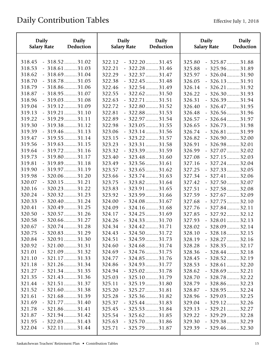| Daily                      | Daily                                                 | <b>Daily</b>               | <b>Daily</b>                                          | <b>Daily</b>               | <b>Daily</b>                                          |
|----------------------------|-------------------------------------------------------|----------------------------|-------------------------------------------------------|----------------------------|-------------------------------------------------------|
| <b>Salary Rate</b>         | Deduction                                             | <b>Salary Rate</b>         | Deduction                                             | <b>Salary Rate</b>         | Deduction                                             |
| 318.45                     | $-318.52$ 31.02                                       | 322.12                     | $-322.20$ 31.45                                       | 325.80                     | $-325.87$ 31.88                                       |
| 318.53                     | $-318.61$ 31.03                                       | 322.21                     | $-322.28$ 31.46                                       | 325.88                     | $-325.96$ 31.89                                       |
| 318.62                     | $-318.69$ 31.04                                       | 322.29                     | $-322.37$ 31.47                                       | 325.97                     | $-326.04$ 31.90                                       |
| 318.70                     | $-318.78 \ldots 31.05$                                | 322.38                     | $-322.45$ 31.48                                       | 326.05                     | $-326.13$ 31.91                                       |
| 318.79                     | $-318.86$ 31.06                                       | 322.46                     | $-322.54$ 31.49                                       | 326.14                     | $-326.21$ 31.92                                       |
| 318.87                     | $-318.95$ 31.07                                       | 322.55                     | $-322.62$ 31.50                                       | 326.22                     | $-326.30$ 31.93                                       |
| 318.96                     | $-319.03$ 31.08                                       | 322.63                     | $-322.71$ 31.51                                       | 326.31                     | $-326.39$ 31.94                                       |
| 319.04                     | $-319.12$ 31.09                                       | 322.72                     | $-322.80$ 31.52                                       | 326.40                     | $-326.47$ 31.95                                       |
| 319.13                     | $-319.21$ 31.10                                       | 322.81                     | $-322.88$ 31.53                                       | 326.48                     | $-326.56$ 31.96                                       |
| 319.22                     | $-319.29$ 31.11                                       | 322.89                     | $-322.97$ 31.54                                       | 326.57                     | $-326.64$ 31.97                                       |
| 319.30                     | $-319.38$ 31.12                                       | 322.98                     | $-323.05$ 31.55                                       | 326.65                     | $-326.73$ 31.98                                       |
| 319.39                     | $-319.46$ 31.13                                       | 323.06                     | $-323.14$ 31.56                                       | 326.74                     | $-326.81$ 31.99                                       |
| 319.47                     | $-319.55$ 31.14                                       | 323.15                     | $-323.22$ 31.57                                       | 326.82                     | $-326.90$ 32.00                                       |
| 319.56                     | $-319.63$ 31.15                                       | 323.23                     | $-323.31$ 31.58                                       | 326.91                     | $-326.98$ 32.01                                       |
| 319.64                     | $-319.72$ 31.16                                       | 323.32                     | $-323.39$ 31.59                                       | 326.99                     | $-327.07$ 32.02                                       |
| 319.73                     | $-319.80$ 31.17                                       | 323.40                     | $-323.48$ 31.60                                       | 327.08                     | $-327.15$ 32.03                                       |
| 319.81                     | $-319.89$ 31.18                                       | 323.49                     | $-323.56$ 31.61                                       | 327.16                     | $-327.24$ 32.04                                       |
| 319.90                     | $-319.97$ 31.19                                       | 323.57                     | $-323.65$ 31.62                                       | 327.25                     | $-327.33$ 32.05                                       |
| 319.98                     | $-320.06$ 31.20                                       | 323.66                     | $-323.74$ 31.63                                       | 327.34                     | $-327.41$ 32.06                                       |
| 320.07                     | $-320.15$ 31.21                                       | 323.75                     | $-323.82$ 31.64                                       | 327.42                     | $-327.50$ 32.07                                       |
| 320.16                     | $-320.23$ 31.22                                       | 323.83                     | $-323.91$ 31.65                                       | 327.51                     | $-327.58$ 32.08                                       |
| 320.24                     | $-320.32$ 31.23                                       | 323.92                     | $-323.99$ 31.66                                       | 327.59                     | $-327.67$ 32.09                                       |
| 320.33                     | $-320.40$ 31.24                                       | 324.00                     | $-324.08$ 31.67                                       | 327.68                     | $-327.75$ 32.10                                       |
| 320.41                     | $-320.49$ 31.25                                       | 324.09                     | $-324.16$ 31.68                                       | 327.76                     | $-327.84$ 32.11                                       |
| 320.50                     | $-320.57$ 31.26                                       | 324.17                     | $-324.25$ 31.69                                       | 327.85                     | $-327.92$ 32.12                                       |
| 320.58<br>320.67<br>320.75 | $-320.66$ 31.27<br>$-320.74$ 31.28<br>$-320.83$ 31.29 | 324.26<br>324.34<br>324.43 | $-324.33$ 31.70<br>$-324.42$ 31.71                    | 327.93<br>328.02           | $-328.01$ 32.13<br>$-328.09$ 32.14                    |
| 320.84<br>320.92           | $-320.91$ 31.30<br>$-321.00$ 31.31                    | 324.51<br>324.60           | $-324.50$ 31.72<br>$-324.59$ 31.73<br>$-324.68$ 31.74 | 328.10<br>328.19<br>328.28 | $-328.18$ 32.15<br>$-328.27$ 32.16<br>$-328.35$ 32.17 |
| 321.01                     | $-321.09$ 31.32                                       | 324.69                     | $-324.76$ 31.75                                       | 328.36                     | $-328.44$ 32.18                                       |
| 321.10                     | $-321.17$ 31.33                                       | 324.77                     | $-324.85$ 31.76                                       | 328.45                     | $-328.52$ 32.19                                       |
| 321.18                     | $-321.26$ 31.34                                       | 324.86                     | $-324.93$ 31.77                                       | 328.53                     | $-328.61$ 32.20                                       |
| 321.27                     | $-321.34$ 31.35                                       | 324.94                     | $-325.02$ 31.78                                       | 328.62                     | $-328.69$ 32.21                                       |
| 321.35                     | $-321.43$ 31.36                                       | 325.03                     | $-325.10$ 31.79                                       | 328.70                     | $-328.78$ 32.22                                       |
| 321.44                     | $-321.51$ 31.37                                       | 325.11                     | $-325.19$ 31.80                                       | 328.79                     | $-328.86$ 32.23                                       |
| 321.52                     | $-321.60$ 31.38                                       | 325.20                     | $-325.27$ 31.81                                       | 328.87                     | $-328.95$ 32.24                                       |
| 321.61<br>321.69           | $-321.68$ 31.39<br>$-321.77$ 31.40<br>$-321.86$ 31.41 | 325.28<br>325.37           | $-325.36$ 31.82<br>$-325.44$ 31.83<br>$-325.53$ 31.84 | 328.96<br>329.04           | $-329.03$ 32.25<br>$-329.12$ 32.26                    |
| 321.78<br>321.87<br>321.95 | $-321.94$ 31.42<br>$-322.03$ 31.43                    | 325.45<br>325.54<br>325.63 | $-325.62$ 31.85<br>$-325.70$ 31.86                    | 329.13<br>329.22<br>329.30 | $-329.21$ 32.27<br>$-329.29$ 32.28<br>$-329.38$ 32.29 |
| 322.04                     | $-322.11$ 31.44                                       | 325.71                     | $-325.79$ 31.87                                       | 329.39                     | $-329.46$ 32.30                                       |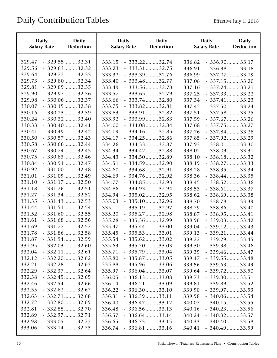| <b>Daily</b>                                                       | <b>Daily</b>                                                                                                                      | <b>Daily</b>                                                       | <b>Daily</b>                                                                                                                      | <b>Daily</b>                                                       | <b>Daily</b>                                                                                                                      |
|--------------------------------------------------------------------|-----------------------------------------------------------------------------------------------------------------------------------|--------------------------------------------------------------------|-----------------------------------------------------------------------------------------------------------------------------------|--------------------------------------------------------------------|-----------------------------------------------------------------------------------------------------------------------------------|
| <b>Salary Rate</b>                                                 | Deduction                                                                                                                         | <b>Salary Rate</b>                                                 | Deduction                                                                                                                         | <b>Salary Rate</b>                                                 | <b>Deduction</b>                                                                                                                  |
| 329.47                                                             | $-329.55$ 32.31                                                                                                                   | 333.15                                                             | $-333.22$ 32.74                                                                                                                   | 336.82                                                             | $-336.90$ 33.17                                                                                                                   |
| 329.56                                                             | $-329.63$ 32.32                                                                                                                   | 333.23                                                             | $-333.31$ 32.75                                                                                                                   | 336.91                                                             | $-336.98$ 33.18                                                                                                                   |
| 329.64                                                             | $-329.72$ 32.33                                                                                                                   | 333.32                                                             | $-333.39$ 32.76                                                                                                                   | 336.99                                                             | $-337.07$ 33.19                                                                                                                   |
| 329.73                                                             | $-329.80$ 32.34                                                                                                                   | 333.40                                                             | $-333.48$ 32.77                                                                                                                   | 337.08                                                             | $-337.15$ 33.20                                                                                                                   |
| 329.81                                                             | $-329.89$ 32.35                                                                                                                   | 333.49                                                             | $-333.56$ 32.78                                                                                                                   | 337.16                                                             | $-337.24$ 33.21                                                                                                                   |
| 329.90                                                             | $-329.97$ 32.36                                                                                                                   | 333.57                                                             | $-333.65$ 32.79                                                                                                                   | 337.25                                                             | $-337.33$ 33.22                                                                                                                   |
| 329.98                                                             | $-330.06$ 32.37                                                                                                                   | 333.66                                                             | $-333.74$ 32.80                                                                                                                   | 337.34                                                             | $-337.41$ 33.23                                                                                                                   |
| 330.07                                                             | $-330.15$ 32.38                                                                                                                   | 333.75                                                             | $-333.82$ 32.81                                                                                                                   | 337.42                                                             | $-337.50$ 33.24                                                                                                                   |
| 330.16                                                             | $-330.23$ 32.39                                                                                                                   | 333.83                                                             | $-333.91$ 32.82                                                                                                                   | 337.51                                                             | $-337.58$ 33.25                                                                                                                   |
| 330.24                                                             | $-330.32$ 32.40                                                                                                                   | 333.92                                                             | $-333.99$ 32.83                                                                                                                   | 337.59                                                             | $-337.67$ 33.26                                                                                                                   |
| 330.33                                                             | $-330.40$ 32.41                                                                                                                   | 334.00                                                             | $-334.08$ 32.84                                                                                                                   | 337.68                                                             | $-337.75$ 33.27                                                                                                                   |
| 330.41                                                             | $-330.49$ 32.42                                                                                                                   | 334.09                                                             | $-334.16$ 32.85                                                                                                                   | 337.76                                                             | $-337.84$ 33.28                                                                                                                   |
| 330.50                                                             | $-330.57$ 32.43                                                                                                                   | 334.17                                                             | $-334.25$ 32.86                                                                                                                   | 337.85                                                             | $-337.92$ 33.29                                                                                                                   |
| 330.58                                                             | $-330.66$ 32.44                                                                                                                   | 334.26                                                             | $-334.33$ 32.87                                                                                                                   | 337.93                                                             | $-338.01$ 33.30                                                                                                                   |
| 330.67                                                             | $-330.74$ 32.45                                                                                                                   | 334.34                                                             | $-334.42$ 32.88                                                                                                                   | 338.02                                                             | $-338.09$ 33.31                                                                                                                   |
| 330.75                                                             | $-330.83$ 32.46                                                                                                                   | 334.43                                                             | $-334.50$ 32.89                                                                                                                   | 338.10                                                             | $-338.18$ 33.32                                                                                                                   |
| 330.84                                                             | $-330.91$ 32.47                                                                                                                   | 334.51                                                             | $-334.59$ 32.90                                                                                                                   | 338.19                                                             | $-338.27$ 33.33                                                                                                                   |
| 330.92                                                             | $-331.00$ 32.48                                                                                                                   | 334.60                                                             | $-334.68$ 32.91                                                                                                                   | 338.28                                                             | $-338.35$ 33.34                                                                                                                   |
| 331.01<br>331.10<br>331.18<br>331.27<br>331.35<br>331.44<br>331.52 | $-331.09$ 32.49<br>$-331.17$ 32.50<br>$-331.26$ 32.51<br>$-331.34$ 32.52<br>$-331.43$ 32.53<br>$-331.51$ 32.54<br>$-331.60$ 32.55 | 334.69<br>334.77<br>334.86<br>334.94<br>335.03<br>335.11           | $-334.76$ 32.92<br>$-334.85$ 32.93<br>$-334.93$ 32.94<br>$-335.02$ 32.95<br>$-335.10$ 32.96<br>$-335.19$ 32.97                    | 338.36<br>338.45<br>338.53<br>338.62<br>338.70<br>338.79           | $-338.44$ 33.35<br>$-338.52$ 33.36<br>$-338.61$ 33.37<br>$-338.69$ 33.38<br>$-338.78$ 33.39<br>$-338.86$ 33.40                    |
| 331.61<br>331.69<br>331.78<br>331.87<br>331.95<br>332.04           | $-331.68$ 32.56<br>$-331.77$ 32.57<br>$-331.86$ 32.58<br>$-331.94$ 32.59<br>$-332.03$ 32.60<br>$-332.11$ 32.61                    | 335.20<br>335.28<br>335.37<br>335.45<br>335.54<br>335.63<br>335.71 | $-335.27$ 32.98<br>$-335.36$ 32.99<br>$-335.44$ 33.00<br>$-335.53$ 33.01<br>$-335.62$ 33.02<br>$-335.70$ 33.03<br>$-335.79$ 33.04 | 338.87<br>338.96<br>339.04<br>339.13<br>339.22<br>339.30<br>339.39 | $-338.95$ 33.41<br>$-339.03$ 33.42<br>$-339.12$ 33.43<br>$-339.21$ 33.44<br>$-339.29$ 33.45<br>$-339.38$ 33.46<br>$-339.46$ 33.47 |
| 332.12                                                             | $-332.20$ 32.62                                                                                                                   | 335.80                                                             | $-335.87$ 33.05                                                                                                                   | 339.47                                                             | $-339.55$ 33.48                                                                                                                   |
| 332.21                                                             | $-332.28$ 32.63                                                                                                                   | 335.88                                                             | $-335.96$ 33.06                                                                                                                   | 339.56                                                             | $-339.63$ 33.49                                                                                                                   |
| 332.29                                                             | $-332.37$ 32.64                                                                                                                   | 335.97                                                             | $-336.04$ 33.07                                                                                                                   | 339.64                                                             | $-339.72$ 33.50                                                                                                                   |
| 332.38                                                             | $-332.45$ 32.65                                                                                                                   | 336.05                                                             | $-336.13$ 33.08                                                                                                                   | 339.73                                                             | $-339.80$ 33.51                                                                                                                   |
| 332.46                                                             | $-332.54$ 32.66                                                                                                                   | 336.14                                                             | $-336.21$ 33.09                                                                                                                   | 339.81                                                             | $-339.89$ 33.52                                                                                                                   |
| 332.55                                                             | $-332.62$ 32.67                                                                                                                   | 336.22                                                             | $-336.30$ 33.10                                                                                                                   | 339.90                                                             | $-339.97$ 33.53                                                                                                                   |
| 332.63                                                             | $-332.71$ 32.68                                                                                                                   | 336.31                                                             | $-336.39$ 33.11                                                                                                                   | 339.98                                                             | $-340.06$ 33.54                                                                                                                   |
| 332.72                                                             | $-332.80$ 32.69                                                                                                                   | 336.40                                                             | $-336.47$ 33.12                                                                                                                   | 340.07                                                             | $-340.15$ 33.55                                                                                                                   |
| 332.81                                                             | $-332.88$ 32.70                                                                                                                   | 336.48                                                             | $-336.56$ 33.13                                                                                                                   | 340.16                                                             | $-340.23$ 33.56                                                                                                                   |
| 332.89                                                             | $-332.97$ 32.71                                                                                                                   | 336.57                                                             | $-336.64$ 33.14                                                                                                                   | 340.24                                                             | $-340.32$ 33.57                                                                                                                   |
| 332.98                                                             | $-333.05$ 32.72                                                                                                                   | 336.65                                                             | $-336.73$ 33.15                                                                                                                   | 340.33                                                             | $-340.40$ 33.58                                                                                                                   |
| 333.06                                                             | $-333.14$ 32.73                                                                                                                   | 336.74                                                             | $-336.81$ 33.16                                                                                                                   | 340.41                                                             | $-340.49$ 33.59                                                                                                                   |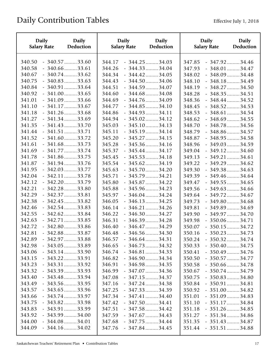| <b>Daily</b>                                   | <b>Daily</b>                                                                                | <b>Daily</b>                                   | <b>Daily</b>                                                                                | <b>Daily</b>                                   | <b>Daily</b>                                                                                |
|------------------------------------------------|---------------------------------------------------------------------------------------------|------------------------------------------------|---------------------------------------------------------------------------------------------|------------------------------------------------|---------------------------------------------------------------------------------------------|
| <b>Salary Rate</b>                             | Deduction                                                                                   | <b>Salary Rate</b>                             | Deduction                                                                                   | <b>Salary Rate</b>                             | Deduction                                                                                   |
| 340.50                                         | $-340.57$ 33.60                                                                             | 344.17                                         | $-344.25$ 34.03                                                                             | 347.85                                         | $-347.92$ 34.46                                                                             |
| 340.58                                         | $-340.66$ 33.61                                                                             | 344.26                                         | $-344.33$ 34.04                                                                             | 347.93                                         | $-348.01$ 34.47                                                                             |
| 340.67                                         | $-340.74$ 33.62                                                                             | 344.34                                         | $-344.42$ 34.05                                                                             | 348.02                                         | $-348.09 \dots 34.48$                                                                       |
| 340.75                                         | $-340.83$ 33.63                                                                             | 344.43                                         | $-344.50$ 34.06                                                                             | 348.10                                         | $-348.18$ 34.49                                                                             |
| 340.84                                         | $-340.91$ 33.64                                                                             | 344.51                                         | $-344.59$ 34.07                                                                             | 348.19                                         | $-348.27 \dots 34.50$                                                                       |
| 340.92                                         | $-341.00$ 33.65                                                                             | 344.60                                         | $-344.68$ 34.08                                                                             | 348.28                                         | $-348.35$ 34.51                                                                             |
| 341.01                                         | $-341.09 \dots 33.66$                                                                       | 344.69                                         | $-344.76$ 34.09                                                                             | 348.36                                         | $-348.44$ 34.52                                                                             |
| 341.10                                         | $-341.17$ 33.67                                                                             | 344.77                                         | $-344.85$ 34.10                                                                             | 348.45                                         | $-348.52$ 34.53                                                                             |
| 341.18                                         | $-341.26$ 33.68                                                                             | 344.86                                         | $-344.93$ 34.11                                                                             | 348.53                                         | $-348.61$ 34.54                                                                             |
| 341.27                                         | $-341.34$ 33.69                                                                             | 344.94                                         | $-345.02$ 34.12                                                                             | 348.62                                         | $-348.69$ 34.55                                                                             |
| 341.35                                         | $-341.43$ 33.70                                                                             | 345.03                                         | $-345.10$ 34.13                                                                             | 348.70                                         | $-348.78$ 34.56                                                                             |
| 341.44                                         | $-341.51$ 33.71                                                                             | 345.11                                         | $-345.19$ 34.14                                                                             | 348.79                                         | $-348.86$ 34.57                                                                             |
| 341.52                                         | $-341.60$ 33.72                                                                             | 345.20                                         | $-345.27$ 34.15                                                                             | 348.87                                         | $-348.95$ 34.58                                                                             |
| 341.61                                         | $-341.68$ 33.73                                                                             | 345.28                                         | $-345.36$ 34.16                                                                             | 348.96                                         | $-349.03$ 34.59                                                                             |
| 341.69                                         | $-341.77$ 33.74                                                                             | 345.37                                         | $-345.44$ 34.17                                                                             | 349.04                                         | $-349.12$ 34.60                                                                             |
| 341.78                                         | $-341.86$ 33.75                                                                             | 345.45                                         | $-345.53$ 34.18                                                                             | 349.13                                         | $-349.21$ 34.61                                                                             |
| 341.87                                         | $-341.94$ 33.76                                                                             | 345.54                                         | $-345.62$ 34.19                                                                             | 349.22                                         | $-349.29 \dots 34.62$                                                                       |
| 341.95                                         | $-342.03$ 33.77                                                                             | 345.63                                         | $-345.70$ 34.20                                                                             | 349.30                                         | $-349.38$ 34.63                                                                             |
| 342.04                                         | $-342.11$ 33.78                                                                             | 345.71                                         | $-345.79$ 34.21                                                                             | 349.39                                         | $-349.46$ 34.64                                                                             |
| 342.12                                         | $-342.20$ 33.79                                                                             | 345.80                                         | $-345.87$ 34.22                                                                             | 349.47                                         | $-349.55$ 34.65                                                                             |
| 342.21                                         | $-342.28$ 33.80                                                                             | 345.88                                         | $-345.96$ 34.23                                                                             | 349.56                                         | $-349.63$ 34.66                                                                             |
| 342.29                                         | $-342.37$ 33.81                                                                             | 345.97                                         | $-346.04$ 34.24                                                                             | 349.64                                         | $-349.72 \dots 34.67$                                                                       |
| 342.38                                         | $-342.45$ 33.82                                                                             | 346.05                                         | $-346.13$ 34.25                                                                             | 349.73                                         | $-349.80$ 34.68                                                                             |
| 342.46                                         | $-342.54$ 33.83                                                                             | 346.14                                         | $-346.21$ 34.26                                                                             | 349.81                                         | $-349.89$ 34.69                                                                             |
| 342.55                                         | $-342.62$ 33.84                                                                             | 346.22                                         | $-346.30$ 34.27                                                                             | 349.90                                         | $-349.97$ 34.70                                                                             |
| 342.63<br>342.72<br>342.81<br>342.89           | $-342.71$ 33.85<br>$-342.80$ 33.86<br>$-342.88$ 33.87<br>$-342.97$ 33.88<br>$-343.05$ 33.89 | 346.31<br>346.40<br>346.48<br>346.57           | $-346.39$ 34.28<br>$-346.47$ 34.29<br>$-346.56$ 34.30<br>$-346.64$ 34.31<br>$-346.73$ 34.32 | 349.98<br>350.07<br>350.16<br>350.24           | $-350.06$ 34.71<br>$-350.15$ 34.72<br>$-350.23$ 34.73<br>$-350.32$ 34.74                    |
| 342.98<br>343.06<br>343.15<br>343.23<br>343.32 | $-343.14$ 33.90<br>$-343.22$ 33.91<br>$-343.31$ 33.92<br>$-343.39$ 33.93                    | 346.65<br>346.74<br>346.82<br>346.91<br>346.99 | $-346.81$ 34.33<br>$-346.90$ 34.34<br>$-346.98 \dots 34.35$<br>$-347.07$ 34.36              | 350.33<br>350.41<br>350.50<br>350.58<br>350.67 | $-350.40$ 34.75<br>$-350.49$ 34.76<br>$-350.57$ 34.77<br>$-350.66$ 34.78<br>$-350.74$ 34.79 |
| 343.40                                         | $-343.48$ 33.94                                                                             | 347.08                                         | $-347.15$ 34.37                                                                             | 350.75                                         | $-350.83$ 34.80                                                                             |
| 343.49                                         | $-343.56$ 33.95                                                                             | 347.16                                         | $-347.24$ 34.38                                                                             | 350.84                                         | $-350.91$ 34.81                                                                             |
| 343.57                                         | $-343.65$ 33.96                                                                             | 347.25                                         | $-347.33$ 34.39                                                                             | 350.92                                         | $-351.00$ 34.82                                                                             |
| 343.66                                         | $-343.74$ 33.97                                                                             | 347.34                                         | $-347.41$ 34.40                                                                             | 351.01                                         | $-351.09 \dots 34.83$                                                                       |
| 343.75                                         | $-343.82$ 33.98                                                                             | 347.42                                         | $-347.50$ 34.41                                                                             | 351.10                                         | $-351.17$ 34.84                                                                             |
| 343.83                                         | $-343.91$ 33.99                                                                             | 347.51                                         | $-347.58$ 34.42                                                                             | 351.18                                         | $-351.26$ 34.85                                                                             |
| 343.92                                         | $-343.99$ 34.00                                                                             | 347.59                                         | $-347.67$ 34.43                                                                             | 351.27                                         | $-351.34$ 34.86                                                                             |
| 344.00                                         | $-344.08 \dots 34.01$                                                                       | 347.68                                         | $-347.75$ 34.44                                                                             | 351.35                                         | $-351.43$ 34.87                                                                             |
| 344.09                                         | $-344.16$ 34.02                                                                             | 347.76                                         | $-347.84$ 34.45                                                                             | 351.44                                         | $-351.51$ 34.88                                                                             |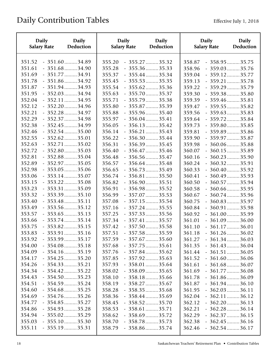| <b>Daily</b>       | <b>Daily</b>    | <b>Daily</b>       | <b>Daily</b>           | Daily              | <b>Daily</b>          |
|--------------------|-----------------|--------------------|------------------------|--------------------|-----------------------|
| <b>Salary Rate</b> | Deduction       | <b>Salary Rate</b> | <b>Deduction</b>       | <b>Salary Rate</b> | Deduction             |
| 351.52             | $-351.60$ 34.89 | 355.20             | $-355.27$ 35.32        | 358.87             | $-358.95$ 35.75       |
| 351.61             | $-351.68$ 34.90 | 355.28             | $-355.36$ 35.33        | 358.96             | $-359.03$ 35.76       |
| 351.69             | $-351.77$ 34.91 | 355.37             | $-355.44$ 35.34        | 359.04             | $-359.12$ 35.77       |
| 351.78             | $-351.86$ 34.92 | 355.45             | $-355.53$ 35.35        | 359.13             | $-359.21$ 35.78       |
| 351.87             | $-351.94$ 34.93 | 355.54             | $-355.62$ 35.36        | 359.22             | $-359.29 \dots 35.79$ |
| 351.95             | $-352.03$ 34.94 | 355.63             | $-355.70$ 35.37        | 359.30             | $-359.38$ 35.80       |
| 352.04             | $-352.11$ 34.95 | 355.71             | $-355.79$ 35.38        | 359.39             | $-359.46$ 35.81       |
| 352.12             | $-352.20$ 34.96 | 355.80             | $-355.87$ 35.39        | 359.47             | $-359.55$ 35.82       |
| 352.21             | $-352.28$ 34.97 | 355.88             | $-355.96$ 35.40        | 359.56             | $-359.63$ 35.83       |
| 352.29             | $-352.37$ 34.98 | 355.97             | $-356.04$ 35.41        | 359.64             | $-359.72$ 35.84       |
| 352.38             | $-352.45$ 34.99 | 356.05             | $-356.13$ 35.42        | 359.73             | $-359.80$ 35.85       |
| 352.46             | $-352.54$ 35.00 | 356.14             | $-356.21$ 35.43        | 359.81             | $-359.89$ 35.86       |
| 352.55             | $-352.62$ 35.01 | 356.22             | $-356.30$ 35.44        | 359.90             | $-359.97$ 35.87       |
| 352.63             | $-352.71$ 35.02 | 356.31             | $-356.39$ 35.45        | 359.98             | $-360.06$ 35.88       |
| 352.72             | $-352.80$ 35.03 | 356.40             | $-356.47$ 35.46        | 360.07             | $-360.15$ 35.89       |
| 352.81             | $-352.88$ 35.04 | 356.48             | $-356.56$ 35.47        | 360.16             | $-360.23$ 35.90       |
| 352.89             | $-352.97$ 35.05 | 356.57             | $-356.64$ 35.48        | 360.24             | $-360.32$ 35.91       |
| 352.98             | $-353.05$ 35.06 | 356.65             | $-356.73$ 35.49        | 360.33             | $-360.40$ 35.92       |
| 353.06             | $-353.14$ 35.07 | 356.74             | $-356.81$ 35.50        | 360.41             | $-360.49$ 35.93       |
| 353.15             | $-353.22$ 35.08 | 356.82             | $-356.90$ 35.51        | 360.50             | $-360.57$ 35.94       |
| 353.23             | $-353.31$ 35.09 | 356.91             | $-356.98 \dots 35.52$  | 360.58             | $-360.66$ 35.95       |
| 353.32             | $-353.39$ 35.10 | 356.99             | $-357.07$ 35.53        | 360.67             | $-360.74$ 35.96       |
| 353.40             | $-353.48$ 35.11 | 357.08             | $-357.15$ 35.54        | 360.75             | $-360.83$ 35.97       |
| 353.49             | $-353.56$ 35.12 | 357.16             | $-357.24$ 35.55        | 360.84             | $-360.91$ 35.98       |
| 353.57             | $-353.65$ 35.13 | 357.25             | $-357.33$ 35.56        | 360.92             | $-361.00$ 35.99       |
| 353.66             | $-353.74$ 35.14 | 357.34             | $-357.41$ 35.57        | 361.01             | $-361.09$ 36.00       |
| 353.75             | $-353.82$ 35.15 | 357.42             | $-357.50$ 35.58        | 361.10             | $-361.17$ 36.01       |
| 353.83             | $-353.91$ 35.16 | 357.51             | $-357.58$ 35.59        | 361.18             | $-361.26$ 36.02       |
| 353.92             | $-353.99$ 35.17 | 357.59             | $-357.67$ 35.60        | 361.27             | $-361.34$ 36.03       |
| 354.00             | $-354.08$ 35.18 | 357.68             | $-357.75$ 35.61        | 361.35             | $-361.43$ 36.04       |
| 354.09             | $-354.16$ 35.19 | 357.76             | $-357.84$ 35.62        | 361.44             | $-361.51$ 36.05       |
| 354.17             | $-354.25$ 35.20 | 357.85             | $-357.92$ 35.63        | 361.52             | $-361.60$ 36.06       |
| 354.26             | $-354.33$ 35.21 | 357.93             | $-358.01$ 35.64        | 361.61             | $-361.68$ 36.07       |
| 354.34             | $-354.42$ 35.22 | 358.02             | $-358.09$ 35.65        | 361.69             | $-361.77$ 36.08       |
| 354.43             | $-354.50$ 35.23 | 358.10             | $-358.18$ 35.66        | 361.78             | $-361.86$ 36.09       |
| 354.51             | $-354.59$ 35.24 | 358.19             | $-358.27 \dots 35.67$  | 361.87             | $-361.94 \dots 36.10$ |
| 354.60             | $-354.68$ 35.25 | 358.28             | $-358.35$ 35.68        | 361.95             | $-362.03$ 36.11       |
| 354.69             | $-354.76$ 35.26 | 358.36             | $-358.44$ 35.69        | 362.04             | $-362.11$ 36.12       |
| 354.77             | $-354.85$ 35.27 | 358.45             | $-358.52$ 35.70        | 362.12             | $-362.20$ 36.13       |
| 354.86             | $-354.93$ 35.28 | 358.53             | $-358.61$ 35.71        | 362.21             | $-362.28$ 36.14       |
| 354.94             | $-355.02$ 35.29 | 358.62             | $-358.69$ 35.72        | 362.29             | $-362.37$ 36.15       |
| 355.03             | $-355.10$ 35.30 | 358.70             | $-358.78 \ldots 35.73$ | 362.38             | $-362.45$ 36.16       |
| 355.11             | $-355.19$ 35.31 | 358.79             | $-358.86$ 35.74        | 362.46             | $-362.54$ 36.17       |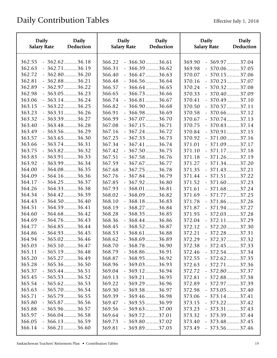| <b>Daily</b>       | <b>Daily</b>          | <b>Daily</b>       | <b>Daily</b>          | <b>Daily</b>       | <b>Daily</b>    |
|--------------------|-----------------------|--------------------|-----------------------|--------------------|-----------------|
| <b>Salary Rate</b> | Deduction             | <b>Salary Rate</b> | <b>Deduction</b>      | <b>Salary Rate</b> | Deduction       |
| 362.55             | $-362.62$ 36.18       | 366.22             | $-366.30$ 36.61       | 369.90             | $-369.97$ 37.04 |
| 362.63             | $-362.71$ 36.19       | 366.31             | $-366.39 \dots 36.62$ | 369.98             | $-370.06$ 37.05 |
| 362.72             | $-362.80$ 36.20       | 366.40             | $-366.47$ 36.63       | 370.07             | $-370.15$ 37.06 |
| 362.81             | $-362.88$ 36.21       | 366.48             | $-366.56$ 36.64       | 370.16             | $-370.23$ 37.07 |
| 362.89             | $-362.97$ 36.22       | 366.57             | $-366.64$ 36.65       | 370.24             | $-370.32$ 37.08 |
| 362.98             | $-363.05$ 36.23       | 366.65             | $-366.73$ 36.66       | 370.33             | $-370.40$ 37.09 |
| 363.06             | $-363.14$ 36.24       | 366.74             | $-366.81$ 36.67       | 370.41             | $-370.49$ 37.10 |
| 363.15             | $-363.22$ 36.25       | 366.82             | $-366.90$ 36.68       | 370.50             | $-370.57$ 37.11 |
| 363.23             | $-363.31$ 36.26       | 366.91             | $-366.98$ 36.69       | 370.58             | $-370.66$ 37.12 |
| 363.32             | $-363.39$ 36.27       | 366.99             | $-367.07$ 36.70       | 370.67             | $-370.74$ 37.13 |
| 363.40             | $-363.48$ 36.28       | 367.08             | $-367.15$ 36.71       | 370.75             | $-370.83$ 37.14 |
| 363.49             | $-363.56$ 36.29       | 367.16             | $-367.24$ 36.72       | 370.84             | $-370.91$ 37.15 |
| 363.57             | $-363.65$ 36.30       | 367.25             | $-367.33$ 36.73       | 370.92             | $-371.00$ 37.16 |
| 363.66             | $-363.74$ 36.31       | 367.34             | $-367.41$ 36.74       | 371.01             | $-371.09$ 37.17 |
| 363.75             | $-363.82$ 36.32       | 367.42             | $-367.50$ 36.75       | 371.10             | $-371.17$ 37.18 |
| 363.83             | $-363.91$ 36.33       | 367.51             | $-367.58$ 36.76       | 371.18             | $-371.26$ 37.19 |
| 363.92             | $-363.99 \dots 36.34$ | 367.59             | $-367.67$ 36.77       | 371.27             | $-371.34$ 37.20 |
| 364.00             | $-364.08$ 36.35       | 367.68             | $-367.75$ 36.78       | 371.35             | $-371.43$ 37.21 |
| 364.09             | $-364.16$ 36.36       | 367.76             | $-367.84$ 36.79       | 371.44             | $-371.51$ 37.22 |
| 364.17             | $-364.25 \dots 36.37$ | 367.85             | $-367.92$ 36.80       | 371.52             | $-371.60$ 37.23 |
| 364.26             | $-364.33$ 36.38       | 367.93             | $-368.01$ 36.81       | 371.61             | $-371.68$ 37.24 |
| 364.34             | $-364.42$ 36.39       | 368.02             | $-368.09$ 36.82       | 371.69             | $-371.77$ 37.25 |
| 364.43             | $-364.50$ 36.40       | 368.10             | $-368.18$ 36.83       | 371.78             | $-371.86$ 37.26 |
| 364.51             | $-364.59$ 36.41       | 368.19             | $-368.27$ 36.84       | 371.87             | $-371.94$ 37.27 |
| 364.60             | $-364.68$ 36.42       | 368.28             | $-368.35$ 36.85       | 371.95             | $-372.03$ 37.28 |
| 364.69             | $-364.76$ 36.43       | 368.36             | $-368.44$ 36.86       | 372.04             | $-372.11$ 37.29 |
| 364.77             | $-364.85$ 36.44       | 368.45             | $-368.52$ 36.87       | 372.12             | $-372.20$ 37.30 |
| 364.86             | $-364.93$ 36.45       | 368.53             | $-368.61$ 36.88       | 372.21             | $-372.28$ 37.31 |
| 364.94             | $-365.02$ 36.46       | 368.62             | $-368.69$ 36.89       | 372.29             | $-372.37$ 37.32 |
| 365.03             | $-365.10$ 36.47       | 368.70             | $-368.78 \dots 36.90$ | 372.38             | $-372.45$ 37.33 |
| 365.11             | $-365.19$ 36.48       | 368.79             | $-368.86$ 36.91       | 372.46             | $-372.54$ 37.34 |
| 365.20             | $-365.27 \dots 36.49$ | 368.87             | $-368.95$ 36.92       | 372.55             | $-372.62$ 37.35 |
| 365.28             | $-365.36$ 36.50       | 368.96             | $-369.03$ 36.93       | 372.63             | $-372.71$ 37.36 |
| 365.37             | $-365.44$ 36.51       | 369.04             | $-369.12$ 36.94       | 372.72             | $-372.80$ 37.37 |
| 365.45             | $-365.53$ 36.52       | 369.13             | $-369.21$ 36.95       | 372.81             | $-372.88$ 37.38 |
| 365.54             | $-365.62$ 36.53       | 369.22             | $-369.29 \dots 36.96$ | 372.89             | $-372.97$ 37.39 |
| 365.63             | $-365.70$ 36.54       | 369.30             | $-369.38$ 36.97       | 372.98             | $-373.05$ 37.40 |
| 365.71             | $-365.79 \dots 36.55$ | 369.39             | $-369.46$ 36.98       | 373.06             | $-373.14$ 37.41 |
| 365.80             | $-365.87$ 36.56       | 369.47             | $-369.55$ 36.99       | 373.15             | $-373.22$ 37.42 |
| 365.88             | $-365.96$ 36.57       | 369.56             | $-369.63$ 37.00       | 373.23             | $-373.31$ 37.43 |
| 365.97             | $-366.04$ 36.58       | 369.64             | $-369.72$ 37.01       | 373.32             | $-373.39$ 37.44 |
| 366.05             | $-366.13$ 36.59       | 369.73             | $-369.80$ 37.02       | 373.40             | $-373.48$ 37.45 |
| 366.14             | $-366.21$ 36.60       | 369.81             | $-369.89$ 37.03       | 373.49             | $-373.56$ 37.46 |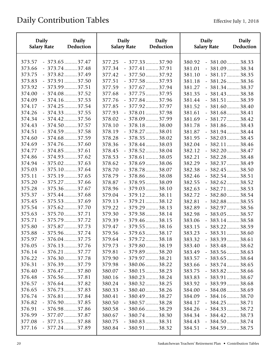| <b>Daily</b>       | <b>Daily</b>          | <b>Daily</b>       | <b>Daily</b>          | <b>Daily</b>       | <b>Daily</b>    |
|--------------------|-----------------------|--------------------|-----------------------|--------------------|-----------------|
| <b>Salary Rate</b> | Deduction             | <b>Salary Rate</b> | Deduction             | <b>Salary Rate</b> | Deduction       |
| 373.57             | $-373.65$ 37.47       | 377.25             | $-377.33$ 37.90       | 380.92             | $-381.00$ 38.33 |
| 373.66             | $-373.74$ 37.48       | 377.34             | $-377.41$ 37.91       | 381.01             | $-381.09$ 38.34 |
| 373.75             | $-373.82$ 37.49       | 377.42             | $-377.50$ 37.92       | 381.10             | $-381.17$ 38.35 |
| 373.83             | $-373.91$ 37.50       | 377.51             | $-377.58$ 37.93       | 381.18             | $-381.26$ 38.36 |
| 373.92             | $-373.99$ 37.51       | 377.59             | $-377.67$ 37.94       | 381.27             | $-381.34$ 38.37 |
| 374.00             | $-374.08$ 37.52       | 377.68             | $-377.75$ 37.95       | 381.35             | $-381.43$ 38.38 |
| 374.09             | $-374.16$ 37.53       | 377.76             | $-377.84$ 37.96       | 381.44             | $-381.51$ 38.39 |
| 374.17             | $-374.25$ 37.54       | 377.85             | $-377.92$ 37.97       | 381.52             | $-381.60$ 38.40 |
| 374.26             | $-374.33$ 37.55       | 377.93             | $-378.01$ 37.98       | 381.61             | $-381.68$ 38.41 |
| 374.34             | $-374.42$ 37.56       | 378.02             | $-378.09$ 37.99       | 381.69             | $-381.77$ 38.42 |
| 374.43             | $-374.50$ 37.57       | 378.10             | $-378.18$ 38.00       | 381.78             | $-381.86$ 38.43 |
| 374.51             | $-374.59$ 37.58       | 378.19             | $-378.27$ 38.01       | 381.87             | $-381.94$ 38.44 |
| 374.60             | $-374.68$ 37.59       | 378.28             | $-378.35$ 38.02       | 381.95             | $-382.03$ 38.45 |
| 374.69             | $-374.76$ 37.60       | 378.36             | $-378.44$ 38.03       | 382.04             | $-382.11$ 38.46 |
| 374.77             | $-374.85$ 37.61       | 378.45             | $-378.52$ 38.04       | 382.12             | $-382.20$ 38.47 |
| 374.86             | $-374.93$ 37.62       | 378.53             | $-378.61$ 38.05       | 382.21             | $-382.28$ 38.48 |
| 374.94             | $-375.02 \dots 37.63$ | 378.62             | $-378.69$ 38.06       | 382.29             | $-382.37$ 38.49 |
| 375.03             | $-375.10$ 37.64       | 378.70             | $-378.78$ 38.07       | 382.38             | $-382.45$ 38.50 |
| 375.11             | $-375.19$ 37.65       | 378.79             | $-378.86$ 38.08       | 382.46             | $-382.54$ 38.51 |
| 375.20             | $-375.27$ 37.66       | 378.87             | $-378.95$ 38.09       | 382.55             | $-382.62$ 38.52 |
| 375.28             | $-375.36$ 37.67       | 378.96             | $-379.03$ 38.10       | 382.63             | $-382.71$ 38.53 |
| 375.37             | $-375.44$ 37.68       | 379.04             | $-379.12$ 38.11       | 382.72             | $-382.80$ 38.54 |
| 375.45             | $-375.53$ 37.69       | 379.13             | $-379.21$ 38.12       | 382.81             | $-382.88$ 38.55 |
| 375.54             | $-375.62$ 37.70       | 379.22             | $-379.29 \dots 38.13$ | 382.89             | $-382.97$ 38.56 |
| 375.63             | $-375.70$ 37.71       | 379.30             | $-379.38$ 38.14       | 382.98             | $-383.05$ 38.57 |
| 375.71             | $-375.79$ 37.72       | 379.39             | $-379.46$ 38.15       | 383.06             | $-383.14$ 38.58 |
| 375.80             | $-375.87$ 37.73       | 379.47             | $-379.55$ 38.16       | 383.15             | $-383.22$ 38.59 |
| 375.88             | $-375.96$ 37.74       | 379.56             | $-379.63$ 38.17       | 383.23             | $-383.31$ 38.60 |
| 375.97             | $-376.04$ 37.75       | 379.64             | $-379.72$ 38.18       | 383.32             | $-383.39$ 38.61 |
| 376.05             | $-376.13$ 37.76       | 379.73             | $-379.80$ 38.19       | 383.40             | $-383.48$ 38.62 |
| 376.14             | $-376.21$ 37.77       | 379.81             | $-379.89$ 38.20       | 383.49             | $-383.56$ 38.63 |
| 376.22             | $-376.30$ 37.78       | 379.90             | $-379.97$ 38.21       | 383.57             | $-383.65$ 38.64 |
| 376.31             | $-376.39$ 37.79       | 379.98             | $-380.06$ 38.22       | 383.66             | $-383.74$ 38.65 |
| 376.40             | $-376.47$ 37.80       | 380.07             | $-380.15$ 38.23       | 383.75             | $-383.82$ 38.66 |
| 376.48             | $-376.56$ 37.81       | 380.16             | $-380.23$ 38.24       | 383.83             | $-383.91$ 38.67 |
| 376.57             | $-376.64$ 37.82       | 380.24             | $-380.32$ 38.25       | 383.92             | $-383.99$ 38.68 |
| 376.65             | $-376.73$ 37.83       | 380.33             | $-380.40$ 38.26       | 384.00             | $-384.08$ 38.69 |
| 376.74             | $-376.81$ 37.84       | 380.41             | $-380.49$ 38.27       | 384.09             | $-384.16$ 38.70 |
| 376.82             | $-376.90$ 37.85       | 380.50             | $-380.57$ 38.28       | 384.17             | $-384.25$ 38.71 |
| 376.91             | $-376.98$ 37.86       | 380.58             | $-380.66$ 38.29       | 384.26             | $-384.33$ 38.72 |
| 376.99             | - 377.07 37.87        | 380.67             | $-380.74$ 38.30       | 384.34             | $-384.42$ 38.73 |
| 377.08             | $-377.15$ 37.88       | 380.75             | $-380.83$ 38.31       | 384.43             | $-384.50$ 38.74 |
| 377.16             | $-377.24$ 37.89       | 380.84             | $-380.91$ 38.32       | 384.51             | $-384.59$ 38.75 |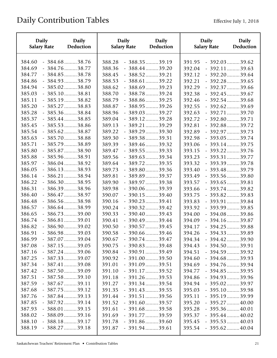| <b>Daily</b>       | <b>Daily</b>    | <b>Daily</b>       | Daily                 | <b>Daily</b>       | <b>Daily</b>          |
|--------------------|-----------------|--------------------|-----------------------|--------------------|-----------------------|
| <b>Salary Rate</b> | Deduction       | <b>Salary Rate</b> | Deduction             | <b>Salary Rate</b> | Deduction             |
| 384.60             | $-384.68$ 38.76 | 388.28             | $-388.35$ 39.19       | 391.95             | $-392.03$ 39.62       |
| 384.69             | $-384.76$ 38.77 | 388.36             | $-388.44$ 39.20       | 392.04             | $-392.11$ 39.63       |
| 384.77             | $-384.85$ 38.78 | 388.45             | $-388.52$ 39.21       | 392.12             | $-392.20$ 39.64       |
| 384.86             | $-384.93$ 38.79 | 388.53             | $-388.61$ 39.22       | 392.21             | $-392.28$ 39.65       |
| 384.94             | $-385.02$ 38.80 | 388.62             | $-388.69$ 39.23       | 392.29             | $-392.37$ 39.66       |
| 385.03             | $-385.10$ 38.81 | 388.70             | $-388.78$ 39.24       | 392.38             | $-392.45$ 39.67       |
| 385.11             | $-385.19$ 38.82 | 388.79             | $-388.86$ 39.25       | 392.46             | $-392.54$ 39.68       |
| 385.20             | $-385.27$ 38.83 | 388.87             | $-388.95$ 39.26       | 392.55             | $-392.62$ 39.69       |
| 385.28             | $-385.36$ 38.84 | 388.96             | $-389.03$ 39.27       | 392.63             | $-392.71$ 39.70       |
| 385.37             | $-385.44$ 38.85 | 389.04             | $-389.12$ 39.28       | 392.72             | $-392.80$ 39.71       |
| 385.45             | $-385.53$ 38.86 | 389.13             | $-389.21$ 39.29       | 392.81             | $-392.88$ 39.72       |
| 385.54             | $-385.62$ 38.87 | 389.22             | $-389.29 \dots 39.30$ | 392.89             | $-392.97$ 39.73       |
| 385.63             | $-385.70$ 38.88 | 389.30             | $-389.38$ 39.31       | 392.98             | $-393.05$ 39.74       |
| 385.71             | $-385.79$ 38.89 | 389.39             | $-389.46$ 39.32       | 393.06             | $-393.14$ 39.75       |
| 385.80             | $-385.87$ 38.90 | 389.47             | $-389.55$ 39.33       | 393.15             | $-393.22$ 39.76       |
| 385.88             | $-385.96$ 38.91 | 389.56             | $-389.63$ 39.34       | 393.23             | $-393.31$ 39.77       |
| 385.97             | $-386.04$ 38.92 | 389.64             | $-389.72$ 39.35       | 393.32             | $-393.39$ 39.78       |
| 386.05             | $-386.13$ 38.93 | 389.73             | $-389.80$ 39.36       | 393.40             | $-393.48$ 39.79       |
| 386.14             | $-386.21$ 38.94 | 389.81             | $-389.89$ 39.37       | 393.49             | $-393.56$ 39.80       |
| 386.22             | $-386.30$ 38.95 | 389.90             | $-389.97$ 39.38       | 393.57             | $-393.65$ 39.81       |
| 386.31             | $-386.39$ 38.96 | 389.98             | $-390.06$ 39.39       | 393.66             | $-393.74$ 39.82       |
| 386.40             | $-386.47$ 38.97 | 390.07             | $-390.15$ 39.40       | 393.75             | $-393.82$ 39.83       |
| 386.48             | $-386.56$ 38.98 | 390.16             | $-390.23$ 39.41       | 393.83             | $-393.91$ 39.84       |
| 386.57             | $-386.64$ 38.99 | 390.24             | $-390.32$ 39.42       | 393.92             | $-393.99$ 39.85       |
| 386.65             | $-386.73$ 39.00 | 390.33             | $-390.40$ 39.43       | 394.00             | $-394.08$ 39.86       |
| 386.74             | $-386.81$ 39.01 | 390.41             | $-390.49$ 39.44       | 394.09             | $-394.16$ 39.87       |
| 386.82             | $-386.90$ 39.02 | 390.50             | $-390.57$ 39.45       | 394.17             | $-394.25 \dots 39.88$ |
| 386.91             | $-386.98$ 39.03 | 390.58             | $-390.66$ 39.46       | 394.26             | $-394.33$ 39.89       |
| 386.99             | $-387.07$ 39.04 | 390.67             | $-390.74$ 39.47       | 394.34             | $-394.42$ 39.90       |
| 387.08             | $-387.15$ 39.05 | 390.75             | $-390.83$ 39.48       | 394.43             | $-394.50$ 39.91       |
| 387.16             | $-387.24$ 39.06 | 390.84             | $-390.91$ 39.49       | 394.51             | $-394.59$ 39.92       |
| 387.25             | $-387.33$ 39.07 | 390.92             | $-391.00$ 39.50       | 394.60             | $-394.68$ 39.93       |
| 387.34             | $-387.41$ 39.08 | 391.01             | $-391.09$ 39.51       | 394.69             | $-394.76$ 39.94       |
| 387.42             | $-387.50$ 39.09 | 391.10             | $-391.17$ 39.52       | 394.77             | $-394.85$ 39.95       |
| 387.51             | $-387.58$ 39.10 | 391.18             | $-391.26$ 39.53       | 394.86             | $-394.93$ 39.96       |
| 387.59             | $-387.67$ 39.11 | 391.27             | $-391.34$ 39.54       | 394.94             | $-395.02$ 39.97       |
| 387.68             | $-387.75$ 39.12 | 391.35             | $-391.43$ 39.55       | 395.03             | $-395.10$ 39.98       |
| 387.76             | $-387.84$ 39.13 | 391.44             | $-391.51$ 39.56       | 395.11             | $-395.19$ 39.99       |
| 387.85             | $-387.92$ 39.14 | 391.52             | $-391.60$ 39.57       | 395.20             | $-395.27$ 40.00       |
| 387.93             | $-388.01$ 39.15 | 391.61             | $-391.68$ 39.58       | 395.28             | $-395.36$ 40.01       |
| 388.02             | $-388.09$ 39.16 | 391.69             | $-391.77$ 39.59       | 395.37             | $-395.44$ 40.02       |
| 388.10             | $-388.18$ 39.17 | 391.78             | $-391.86$ 39.60       | 395.45             | $-395.53$ 40.03       |
| 388.19             | $-388.27$ 39.18 | 391.87             | $-391.94$ 39.61       | 395.54             | $-395.62$ 40.04       |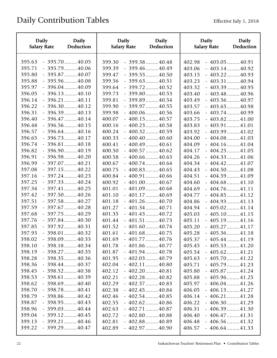| <b>Daily</b>       | <b>Daily</b>          | <b>Daily</b>       | Daily                  | <b>Daily</b>       | <b>Daily</b>          |
|--------------------|-----------------------|--------------------|------------------------|--------------------|-----------------------|
| <b>Salary Rate</b> | Deduction             | <b>Salary Rate</b> | Deduction              | <b>Salary Rate</b> | Deduction             |
| 395.63             | $-395.70$ 40.05       | 399.30             | $-399.38$ 40.48        | 402.98             | $-403.05$ 40.91       |
| 395.71             | $-395.79 \dots 40.06$ | 399.39             | $-399.46$ 40.49        | 403.06             | $-403.14$ 40.92       |
| 395.80             | $-395.87$ 40.07       | 399.47             | $-399.55$ 40.50        | 403.15             | $-403.22$ 40.93       |
| 395.88             | $-395.96$ 40.08       | 399.56             | $-399.63$ 40.51        | 403.23             | $-403.31$ 40.94       |
| 395.97             | $-396.04$ 40.09       | 399.64             | $-399.72$ 40.52        | 403.32             | $-403.39 \dots 40.95$ |
| 396.05             | $-396.13$ 40.10       | 399.73             | $-399.80$ 40.53        | 403.40             | $-403.48$ 40.96       |
| 396.14             | $-396.21$ 40.11       | 399.81             | $-399.89$ 40.54        | 403.49             | $-403.56$ 40.97       |
| 396.22             | $-396.30$ 40.12       | 399.90             | $-399.97$ 40.55        | 403.57             | $-403.65$ 40.98       |
| 396.31             | $-396.39$ 40.13       | 399.98             | $-400.06$ 40.56        | 403.66             | $-403.74 \dots 40.99$ |
| 396.40             | $-396.47$ 40.14       | 400.07             | $-400.15$ 40.57        | 403.75             | $-403.82 \dots 41.00$ |
| 396.48             | $-396.56$ 40.15       | 400.16             | $-400.23$ 40.58        | 403.83             | $-403.91$ 41.01       |
| 396.57             | $-396.64$ 40.16       | 400.24             | $-400.32$ 40.59        | 403.92             | $-403.99 \dots 41.02$ |
| 396.65             | $-396.73$ 40.17       | 400.33             | $-400.40$ 40.60        | 404.00             | $-404.08 \dots 41.03$ |
| 396.74             | $-396.81$ 40.18       | 400.41             | $-400.49$ 40.61        | 404.09             | $-404.16$ 41.04       |
| 396.82             | $-396.90$ 40.19       | 400.50             | $-400.57$ 40.62        | 404.17             | $-404.25 \dots 41.05$ |
| 396.91             | $-396.98 \dots 40.20$ | 400.58             | $-400.66$ 40.63        | 404.26             | $-404.33$ 41.06       |
| 396.99             | $-397.07$ 40.21       | 400.67             | $-400.74$ 40.64        | 404.34             | $-404.42$ 41.07       |
| 397.08             | $-397.15$ 40.22       | 400.75             | $-400.83$ 40.65        | 404.43             | $-404.50$ 41.08       |
| 397.16             | $-397.24$ 40.23       | 400.84             | $-400.91$ 40.66        | 404.51             | $-404.59$ 41.09       |
| 397.25             | $-397.33$ 40.24       | 400.92             | $-401.00 \dots 40.67$  | 404.60             | $-404.68 \dots 41.10$ |
| 397.34             | $-397.41$ 40.25       | 401.01             | $-401.09 \dots 40.68$  | 404.69             | $-404.76$ 41.11       |
| 397.42             | $-397.50$ 40.26       | 401.10             | $-401.17$ 40.69        | 404.77             | $-404.85$ 41.12       |
| 397.51             | $-397.58$ 40.27       | 401.18             | $-401.26$ 40.70        | 404.86             | $-404.93 \dots 41.13$ |
| 397.59             | $-397.67$ 40.28       | 401.27             | $-401.34$ 40.71        | 404.94             | $-405.02 \dots 41.14$ |
| 397.68             | $-397.75$ 40.29       | 401.35             | $-401.43$ 40.72        | 405.03             | $-405.10$ 41.15       |
| 397.76             | $-397.84$ 40.30       | 401.44             | $-401.51$ 40.73        | 405.11             | $-405.19 \dots 41.16$ |
| 397.85             | $-397.92$ 40.31       | 401.52             | $-401.60 \ldots 40.74$ | 405.20             | $-405.27 \dots 41.17$ |
| 397.93             | $-398.01$ 40.32       | 401.61             | $-401.68$ 40.75        | 405.28             | $-405.36$ 41.18       |
| 398.02             | $-398.09$ 40.33       | 401.69             | $-401.77$ 40.76        | 405.37             | $-405.44$ 41.19       |
| 398.10             | $-398.18$ 40.34       | 401.78             | $-401.86$ 40.77        | 405.45             | $-405.53$ 41.20       |
| 398.19             | $-398.27 \dots 40.35$ | 401.87             | $-401.94$ 40.78        | 405.54             | $-405.62 \dots 41.21$ |
| 398.28             | $-398.35$ 40.36       | 401.95             | $-402.03$ 40.79        | 405.63             | $-405.70 \dots 41.22$ |
| 398.36             | $-398.44$ 40.37       | 402.04             | $-402.11$ 40.80        | 405.71             | $-405.79 \dots 41.23$ |
| 398.45             | $-398.52$ 40.38       | 402.12             | $-402.20$ 40.81        | 405.80             | $-405.87 \dots 41.24$ |
| 398.53             | $-398.61$ 40.39       | 402.21             | $-402.28 \dots 40.82$  | 405.88             | $-405.96$ 41.25       |
| 398.62             | $-398.69$ 40.40       | 402.29             | $-402.37 \dots 40.83$  | 405.97             | $-406.04 \dots 41.26$ |
| 398.70             | $-398.78 \dots 40.41$ | 402.38             | $-402.45$ 40.84        | 406.05             | $-406.13$ 41.27       |
| 398.79             | $-398.86$ 40.42       | 402.46             | $-402.54$ 40.85        | 406.14             | $-406.21 \dots 41.28$ |
| 398.87             | $-398.95$ 40.43       | 402.55             | $-402.62$ 40.86        | 406.22             | $-406.30$ 41.29       |
| 398.96             | $-399.03$ 40.44       | 402.63             | $-402.71$ 40.87        | 406.31             | $-406.39 \dots 41.30$ |
| 399.04             | $-399.12$ 40.45       | 402.72             | $-402.80$ 40.88        | 406.40             | $-406.47$ 41.31       |
| 399.13             | $-399.21$ 40.46       | 402.81             | $-402.88$ 40.89        | 406.48             | $-406.56$ 41.32       |
| 399.22             | $-399.29$ 40.47       | 402.89             | $-402.97$ 40.90        | 406.57             | $-406.64$ 41.33       |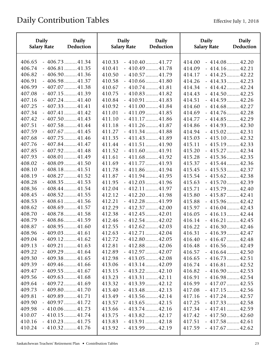| <b>Daily</b>       | <b>Daily</b>          | <b>Daily</b>       | <b>Daily</b>          | Daily              | <b>Daily</b>           |
|--------------------|-----------------------|--------------------|-----------------------|--------------------|------------------------|
| <b>Salary Rate</b> | Deduction             | <b>Salary Rate</b> | Deduction             | <b>Salary Rate</b> | Deduction              |
| 406.65             | $-406.73$ 41.34       | 410.33             | $-410.40$ 41.77       | 414.00             | $-414.08$ 42.20        |
| 406.74             | $-406.81$ 41.35       | 410.41             | $-410.49$ 41.78       | 414.09             | $-414.16$ 42.21        |
| 406.82             | $-406.90 \dots 41.36$ | 410.50             | $-410.57$ 41.79       | 414.17             | $-414.25$ 42.22        |
| 406.91             | $-406.98 \dots 41.37$ | 410.58             | $-410.66$ 41.80       | 414.26             | $-414.33$ 42.23        |
| 406.99             | $-407.07$ 41.38       | 410.67             | $-410.74$ 41.81       | 414.34             | $-414.42$ 42.24        |
| 407.08             | $-407.15$ 41.39       | 410.75             | $-410.83$ 41.82       | 414.43             | $-414.50$ 42.25        |
| 407.16             | $-407.24$ 41.40       | 410.84             | $-410.91$ 41.83       | 414.51             | $-414.59$ 42.26        |
| 407.25             | $-407.33$ 41.41       | 410.92             | $-411.00$ 41.84       | 414.60             | $-414.68$ 42.27        |
| 407.34             | $-407.41$ 41.42       | 411.01             | $-411.09 \dots 41.85$ | 414.69             | $-414.76 \dots 42.28$  |
| 407.42             | $-407.50$ 41.43       | 411.10             | $-411.17$ 41.86       | 414.77             | $-414.85$ 42.29        |
| 407.51             | $-407.58$ 41.44       | 411.18             | $-411.26$ 41.87       | 414.86             | $-414.93$ 42.30        |
| 407.59             | $-407.67$ 41.45       | 411.27             | $-411.34$ 41.88       | 414.94             | $-415.02 \dots 42.31$  |
| 407.68             | $-407.75$ 41.46       | 411.35             | $-411.43$ 41.89       | 415.03             | $-415.10$ 42.32        |
| 407.76             | $-407.84$ 41.47       | 411.44             | $-411.51$ 41.90       | 415.11             | $-415.19$ 42.33        |
| 407.85             | $-407.92 \dots 41.48$ | 411.52             | $-411.60$ 41.91       | 415.20             | $-415.27 \dots 42.34$  |
| 407.93             | $-408.01$ 41.49       | 411.61             | $-411.68$ 41.92       | 415.28             | $-415.36$ 42.35        |
| 408.02             | $-408.09 \dots 41.50$ | 411.69             | $-411.77$ 41.93       | 415.37             | $-415.44$ 42.36        |
| 408.10             | $-408.18$ 41.51       | 411.78             | $-411.86$ 41.94       | 415.45             | $-415.53$ 42.37        |
| 408.19             | $-408.27 \dots 41.52$ | 411.87             | $-411.94 \dots 41.95$ | 415.54             | $-415.62 \dots 42.38$  |
| 408.28             | $-408.35$ 41.53       | 411.95             | $-412.03$ 41.96       | 415.63             | $-415.70$ 42.39        |
| 408.36             | $-408.44$ 41.54       | 412.04             | $-412.11$ 41.97       | 415.71             | $-415.79$ 42.40        |
| 408.45             | $-408.52 \dots 41.55$ | 412.12             | $-412.20 \dots 41.98$ | 415.80             | $-415.87$ 42.41        |
| 408.53             | $-408.61$ 41.56       | 412.21             | $-412.28$ 41.99       | 415.88             | $-415.96$ 42.42        |
| 408.62             | $-408.69 \dots 41.57$ | 412.29             | $-412.37$ 42.00       | 415.97             | $-416.04 \dots 42.43$  |
| 408.70             | $-408.78 \dots 41.58$ | 412.38             | $-412.45$ 42.01       | 416.05             | $-416.13$ 42.44        |
| 408.79             | $-408.86$ 41.59       | 412.46             | $-412.54$ 42.02       | 416.14             | $-416.21$ 42.45        |
| 408.87             | $-408.95 \dots 41.60$ | 412.55             | $-412.62$ 42.03       | 416.22             | $-416.30$ 42.46        |
| 408.96             | $-409.03 \dots 41.61$ | 412.63             | $-412.71$ 42.04       | 416.31             | $-416.39$ 42.47        |
| 409.04             | $-409.12$ 41.62       | 412.72             | $-412.80$ 42.05       | 416.40             | $-416.47$ 42.48        |
| 409.13             | $-409.21$ 41.63       | 412.81             | $-412.88$ 42.06       | 416.48             | $-416.56$ 42.49        |
| 409.22             | $-409.29 \dots 41.64$ | 412.89             | $-412.97$ 42.07       | 416.57             | $-416.64$ 42.50        |
| 409.30             | $-409.38$ 41.65       | 412.98             | $-413.05$ 42.08       | 416.65             | $-416.73$ 42.51        |
| 409.39             | $-409.46$ 41.66       | 413.06             | $-413.14$ 42.09       | 416.74             | $-416.81$ 42.52        |
| 409.47             | $-409.55$ 41.67       | 413.15             | $-413.22 \dots 42.10$ | 416.82             | $-416.90 \dots 42.53$  |
| 409.56             | $-409.63$ 41.68       | 413.23             | $-413.31$ 42.11       | 416.91             | $-416.98 \dots 42.54$  |
| 409.64             | $-409.72 \dots 41.69$ | 413.32             | $-413.39 \dots 42.12$ | 416.99             | $-417.07$ 42.55        |
| 409.73             | $-409.80$ 41.70       | 413.40             | $-413.48$ 42.13       | 417.08             | $-417.15$ 42.56        |
| 409.81             | $-409.89 \dots 41.71$ | 413.49             | $-413.56$ 42.14       | 417.16             | $-417.24 \ldots 42.57$ |
| 409.90             | $-409.97 \dots 41.72$ | 413.57             | $-413.65$ 42.15       | 417.25             | $-417.33$ 42.58        |
| 409.98             | $-410.06 \dots 41.73$ | 413.66             | $-413.74$ 42.16       | 417.34             | $-417.41$ 42.59        |
| 410.07             | $-410.15$ 41.74       | 413.75             | $-413.82$ 42.17       | 417.42             | $-417.50$ 42.60        |
| 410.16             | $-410.23 \dots 41.75$ | 413.83             | $-413.91$ 42.18       | 417.51             | $-417.58$ 42.61        |
| 410.24             | $-410.32 \dots 41.76$ | 413.92             | $-413.99$ 42.19       | 417.59             | $-417.67$ 42.62        |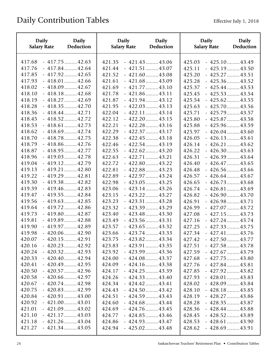| Daily              | <b>Daily</b>          | <b>Daily</b>       | <b>Daily</b>          | <b>Daily</b>       | <b>Daily</b>          |
|--------------------|-----------------------|--------------------|-----------------------|--------------------|-----------------------|
| <b>Salary Rate</b> | Deduction             | <b>Salary Rate</b> | Deduction             | <b>Salary Rate</b> | Deduction             |
| 417.68             | $-417.75$ 42.63       | 421.35             | $-421.43$ 43.06       | 425.03             | $-425.10$ 43.49       |
| 417.76             | $-417.84$ 42.64       | 421.44             | $-421.51$ 43.07       | 425.11             | $-425.19$ 43.50       |
| 417.85             | $-417.92$ 42.65       | 421.52             | $-421.60$ 43.08       | 425.20             | $-425.27$ 43.51       |
| 417.93             | $-418.01$ 42.66       | 421.61             | $-421.68$ 43.09       | 425.28             | $-425.36$ 43.52       |
| 418.02             | $-418.09 \dots 42.67$ | 421.69             | $-421.77$ 43.10       | 425.37             | $-425.44$ 43.53       |
| 418.10             | $-418.18$ 42.68       | 421.78             | $-421.86$ 43.11       | 425.45             | $-425.53$ 43.54       |
| 418.19             | $-418.27 \dots 42.69$ | 421.87             | $-421.94$ 43.12       | 425.54             | $-425.62$ 43.55       |
| 418.28             | $-418.35$ 42.70       | 421.95             | $-422.03$ 43.13       | 425.63             | $-425.70$ 43.56       |
| 418.36             | $-418.44$ 42.71       | 422.04             | $-422.11$ 43.14       | 425.71             | $-425.79 \dots 43.57$ |
| 418.45             | $-418.52$ 42.72       | 422.12             | $-422.20$ 43.15       | 425.80             | $-425.87$ 43.58       |
| 418.53             | $-418.61$ 42.73       | 422.21             | $-422.28$ 43.16       | 425.88             | $-425.96$ 43.59       |
| 418.62             | $-418.69$ 42.74       | 422.29             | $-422.37$ 43.17       | 425.97             | $-426.04 \dots 43.60$ |
| 418.70             | $-418.78$ 42.75       | 422.38             | $-422.45$ 43.18       | 426.05             | $-426.13$ 43.61       |
| 418.79             | $-418.86$ 42.76       | 422.46             | $-422.54$ 43.19       | 426.14             | $-426.21$ 43.62       |
| 418.87             | $-418.95$ 42.77       | 422.55             | $-422.62$ 43.20       | 426.22             | $-426.30$ 43.63       |
| 418.96             | $-419.03 \dots 42.78$ | 422.63             | $-422.71$ 43.21       | 426.31             | $-426.39$ $43.64$     |
| 419.04             | $-419.12$ 42.79       | 422.72             | $-422.80$ 43.22       | 426.40             | $-426.47$ 43.65       |
| 419.13             | $-419.21$ 42.80       | 422.81             | $-422.88$ 43.23       | 426.48             | $-426.56$ 43.66       |
| 419.22             | $-419.29 \dots 42.81$ | 422.89             | $-422.97$ 43.24       | 426.57             | $-426.64$ 43.67       |
| 419.30             | $-419.38$ 42.82       | 422.98             | $-423.05$ 43.25       | 426.65             | $-426.73$ 43.68       |
| 419.39             | $-419.46$ 42.83       | 423.06             | $-423.14$ 43.26       | 426.74             | $-426.81$ 43.69       |
| 419.47             | $-419.55$ 42.84       | 423.15             | $-423.22$ 43.27       | 426.82             | $-426.90$ 43.70       |
| 419.56             | $-419.63$ 42.85       | 423.23             | $-423.31$ 43.28       | 426.91             | $-426.98$ 43.71       |
| 419.64             | $-419.72$ 42.86       | 423.32             | $-423.39$ 43.29       | 426.99             | $-427.07$ 43.72       |
| 419.73             | $-419.80$ 42.87       | 423.40             | $-423.48$ 43.30       | 427.08             | $-427.15$ 43.73       |
| 419.81             | $-419.89$ 42.88       | 423.49             | $-423.56$ 43.31       | 427.16             | $-427.24$ 43.74       |
| 419.90             | $-419.97$ 42.89       | 423.57             | $-423.65$ 43.32       | 427.25             | $-427.33$ 43.75       |
| 419.98             | $-420.06$ 42.90       | 423.66             | $-423.74$ 43.33       | 427.34             | $-427.41$ 43.76       |
| 420.07             | $-420.15$ 42.91       | 423.75             | $-423.82$ 43.34       | 427.42             | $-427.50$ 43.77       |
| 420.16             | $-420.23$ 42.92       | 423.83             | $-423.91$ 43.35       | 427.51             | $-427.58$ 43.78       |
| 420.24             | $-420.32$ 42.93       | 423.92             | $-423.99$ 43.36       | 427.59             | $-427.67$ 43.79       |
| 420.33             | $-420.40$ 42.94       | 424.00             | $-424.08$ 43.37       | 427.68             | $-427.75$ 43.80       |
| 420.41             | $-420.49$ 42.95       | 424.09             | $-424.16$ 43.38       | 427.76             | $-427.84$ 43.81       |
| 420.50             | $-420.57$ 42.96       | 424.17             | $-424.25$ 43.39       | 427.85             | $-427.92$ 43.82       |
| 420.58             | $-420.66$ 42.97       | 424.26             | $-424.33$ 43.40       | 427.93             | $-428.01$ 43.83       |
| 420.67             | $-420.74$ 42.98       | 424.34             | $-424.42$ 43.41       | 428.02             | $-428.09$ 43.84       |
| 420.75             | $-420.83$ 42.99       | 424.43             | $-424.50$ 43.42       | 428.10             | $-428.18\dots(43.85)$ |
| 420.84             | $-420.91$ 43.00       | 424.51             | $-424.59$ 43.43       | 428.19             | $-428.27 \dots 43.86$ |
| 420.92             | $-421.00$ 43.01       | 424.60             | $-424.68 \dots 43.44$ | 428.28             | $-428.35$ 43.87       |
| 421.01             | $-421.09$ 43.02       | 424.69             | $-424.76$ 43.45       | 428.36             | $-428.44$ 43.88       |
| 421.10             | $-421.17$ 43.03       | 424.77             | $-424.85$ 43.46       | 428.45             | $-428.52$ 43.89       |
| 421.18             | $-421.26$ 43.04       | 424.86             | $-424.93$ 43.47       | 428.53             | $-428.61$ 43.90       |
| 421.27             | $-421.34$ 43.05       | 424.94             | $-425.02 \dots 43.48$ | 428.62             | $-428.69$ 43.91       |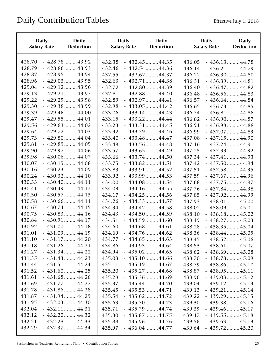| <b>Daily</b>               | Daily                                                 | <b>Daily</b>               | <b>Daily</b>                                          | <b>Daily</b>               | <b>Daily</b>                                          |
|----------------------------|-------------------------------------------------------|----------------------------|-------------------------------------------------------|----------------------------|-------------------------------------------------------|
| <b>Salary Rate</b>         | Deduction                                             | <b>Salary Rate</b>         | Deduction                                             | <b>Salary Rate</b>         | <b>Deduction</b>                                      |
| 428.70                     | $-428.78$ 43.92                                       | 432.38                     | $-432.45$ 44.35                                       | 436.05                     | $-436.13$ 44.78                                       |
| 428.79                     | $-428.86$ 43.93                                       | 432.46                     | $-432.54$ 44.36                                       | 436.14                     | $-436.21$ 44.79                                       |
| 428.87                     | $-428.95$ 43.94                                       | 432.55                     | $-432.62$ 44.37                                       | 436.22                     | $-436.30$ 44.80                                       |
| 428.96                     | $-429.03$ 43.95                                       | 432.63                     | $-432.71$ 44.38                                       | 436.31                     | $-436.39$ 44.81                                       |
| 429.04                     | $-429.12$ 43.96                                       | 432.72                     | $-432.80$ 44.39                                       | 436.40                     | $-436.47$ 44.82                                       |
| 429.13                     | $-429.21$ 43.97                                       | 432.81                     | $-432.88$ 44.40                                       | 436.48                     | $-436.56$ 44.83                                       |
| 429.22                     | $-429.29$ 43.98                                       | 432.89                     | $-432.97$ 44.41                                       | 436.57                     | $-436.64$ 44.84                                       |
| 429.30                     | $-429.38$ 43.99                                       | 432.98                     | $-433.05$ 44.42                                       | 436.65                     | $-436.73$ 44.85                                       |
| 429.39                     | $-429.46$ 44.00                                       | 433.06                     | $-433.14$ 44.43                                       | 436.74                     | $-436.81$ 44.86                                       |
| 429.47<br>429.56           | $-429.55$ 44.01<br>$-429.63$ 44.02                    | 433.15<br>433.23           | $-433.22$ 44.44<br>$-433.31$ 44.45<br>$-433.39$ 44.46 | 436.82<br>436.91           | $-436.90$ 44.87<br>$-436.98$ 44.88                    |
| 429.64<br>429.73<br>429.81 | $-429.72$ 44.03<br>$-429.80$ 44.04<br>$-429.89$ 44.05 | 433.32<br>433.40<br>433.49 | $-433.48$ 44.47<br>$-433.56$ 44.48                    | 436.99<br>437.08<br>437.16 | $-437.07$ 44.89<br>$-437.15$ 44.90<br>$-437.24$ 44.91 |
| 429.90                     | $-429.97$ 44.06                                       | 433.57                     | $-433.65$ 44.49                                       | 437.25                     | $-437.33$ 44.92                                       |
| 429.98                     | $-430.06$ 44.07                                       | 433.66                     | $-433.74$ 44.50                                       | 437.34                     | $-437.41$ 44.93                                       |
| 430.07                     | $-430.15$ 44.08                                       | 433.75                     | $-433.82$ 44.51                                       | 437.42                     | $-437.50$ 44.94                                       |
| 430.16                     | $-430.23$ 44.09                                       | 433.83                     | $-433.91$ 44.52                                       | 437.51                     | $-437.58$ 44.95                                       |
| 430.24                     | $-430.32$ 44.10                                       | 433.92                     | $-433.99$ 44.53                                       | 437.59                     | $-437.67$ 44.96                                       |
| 430.33                     | $-430.40$ 44.11                                       | 434.00                     | $-434.08$ 44.54                                       | 437.68                     | $-437.75$ 44.97                                       |
| 430.41                     | $-430.49$ 44.12                                       | 434.09                     | $-434.16$ 44.55                                       | 437.76                     | $-437.84$ 44.98                                       |
| 430.50                     | $-430.57$ 44.13                                       | 434.17                     | $-434.25$ 44.56                                       | 437.85                     | $-437.92$ 44.99                                       |
| 430.58                     | $-430.66$ 44.14                                       | 434.26                     | $-434.33$ 44.57                                       | 437.93                     | $-438.01$ 45.00                                       |
| 430.67                     | $-430.74$ 44.15                                       | 434.34                     | $-434.42$ 44.58                                       | 438.02                     | $-438.09$ 45.01                                       |
| 430.75                     | $-430.83$ 44.16                                       | 434.43                     | $-434.50$ 44.59                                       | 438.10                     | $-438.18$ 45.02                                       |
| 430.84                     | $-430.91$ 44.17                                       | 434.51                     | $-434.59$ 44.60                                       | 438.19                     | $-438.27 \dots 45.03$                                 |
| 430.92                     | $-431.00$ 44.18                                       | 434.60                     | $-434.68$ 44.61                                       | 438.28                     | $-438.35$ 45.04                                       |
| 431.01                     | $-431.09$ 44.19                                       | 434.69                     | $-434.76$ 44.62                                       | 438.36                     | $-438.44$ 45.05                                       |
| 431.10                     | $-431.17$ 44.20                                       | 434.77                     | $-434.85$ 44.63                                       | 438.45                     | $-438.52$ 45.06                                       |
| 431.18                     | $-431.26$ 44.21                                       | 434.86                     | $-434.93$ 44.64                                       | 438.53                     | $-438.61$ 45.07                                       |
| 431.27                     | $-431.34$ 44.22                                       | 434.94                     | $-435.02$ 44.65                                       | 438.62                     | $-438.69$ 45.08                                       |
| 431.35                     | $-431.43$ 44.23                                       | 435.03                     | $-435.10$ 44.66                                       | 438.70                     | $-438.78 \dots 45.09$                                 |
| 431.44                     | $-431.51$ 44.24                                       | 435.11                     | $-435.19$ 44.67                                       | 438.79                     | $-438.86$ 45.10                                       |
| 431.52                     | $-431.60$ 44.25                                       | 435.20                     | $-435.27 \dots 44.68$                                 | 438.87                     | $-438.95$ 45.11                                       |
| 431.61                     | $-431.68$ 44.26                                       | 435.28                     | $-435.36$ 44.69                                       | 438.96                     | $-439.03$ 45.12                                       |
| 431.69                     | $-431.77$ 44.27                                       | 435.37                     | $-435.44$ 44.70                                       | 439.04                     | $-439.12$ 45.13                                       |
| 431.78                     | $-431.86$ 44.28                                       | 435.45                     | $-435.53$ 44.71                                       | 439.13                     | $-439.21$ 45.14                                       |
| 431.87                     | $-431.94$ 44.29                                       | 435.54                     | $-435.62 \dots 44.72$                                 | 439.22                     | $-439.29 \dots 45.15$                                 |
| 431.95                     | $-432.03$ 44.30                                       | 435.63                     | $-435.70$ 44.73                                       | 439.30                     | $-439.38$ 45.16                                       |
| 432.04                     | $-432.11$ 44.31                                       | 435.71                     | $-435.79$ 44.74                                       | 439.39                     | $-439.46$ 45.17                                       |
| 432.12                     | $-432.20$ 44.32                                       | 435.80                     | $-435.87$ 44.75                                       | 439.47                     | $-439.55$ 45.18                                       |
| 432.21                     | $-432.28$ 44.33                                       | 435.88                     | $-435.96$ 44.76                                       | 439.56                     | $-439.63$ 45.19                                       |
| 432.29                     | $-432.37$ 44.34                                       | 435.97                     | $-436.04$ 44.77                                       | 439.64                     | $-439.72$ 45.20                                       |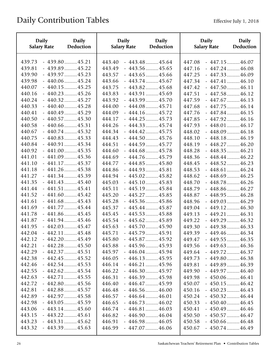| <b>Daily</b>       | <b>Daily</b>           | <b>Daily</b>       | Daily                  | <b>Daily</b>       | <b>Daily</b>           |
|--------------------|------------------------|--------------------|------------------------|--------------------|------------------------|
| <b>Salary Rate</b> | Deduction              | <b>Salary Rate</b> | Deduction              | <b>Salary Rate</b> | Deduction              |
| 439.73             | $-439.80$ 45.21        | 443.40             | $-443.48$ 45.64        | 447.08             | $-447.15$ 46.07        |
| 439.81             | $-439.89$ 45.22        | 443.49             | $-443.56$ 45.65        | 447.16             | $-447.24$ 46.08        |
| 439.90             | $-439.97$ 45.23        | 443.57             | $-443.65$ 45.66        | 447.25             | $-447.33$ 46.09        |
| 439.98             | $-440.06$ 45.24        | 443.66             | $-443.74$ 45.67        | 447.34             | $-447.41$ 46.10        |
| 440.07             | $-440.15$ 45.25        | 443.75             | $-443.82$ 45.68        | 447.42             | $-447.50$ 46.11        |
| 440.16             | $-440.23$ 45.26        | 443.83             | $-443.91$ 45.69        | 447.51             | $-447.58$ 46.12        |
| 440.24             | $-440.32$ 45.27        | 443.92             | $-443.99$ 45.70        | 447.59             | $-447.67$ 46.13        |
| 440.33             | $-440.40$ 45.28        | 444.00             | $-444.08$ 45.71        | 447.68             | $-447.75$ 46.14        |
| 440.41             | $-440.49$ 45.29        | 444.09             | $-444.16$ 45.72        | 447.76             | $-447.84$ 46.15        |
| 440.50             | $-440.57$ 45.30        | 444.17             | $-444.25$ 45.73        | 447.85             | $-447.92 \ldots 46.16$ |
| 440.58             | $-440.66$ 45.31        | 444.26             | $-444.33$ 45.74        | 447.93             | $-448.01$ 46.17        |
| 440.67             | $-440.74$ 45.32        | 444.34             | $-444.42$ 45.75        | 448.02             | $-448.09 \dots 46.18$  |
| 440.75             | $-440.83$ 45.33        | 444.43             | $-444.50$ 45.76        | 448.10             | $-448.18$ 46.19        |
| 440.84             | $-440.91$ 45.34        | 444.51             | $-444.59$ 45.77        | 448.19             | $-448.27 \dots 46.20$  |
| 440.92             | $-441.00 \ldots 45.35$ | 444.60             | $-444.68$ 45.78        | 448.28             | $-448.35$ 46.21        |
| 441.01             | $-441.09 \dots 45.36$  | 444.69             | $-444.76$ 45.79        | 448.36             | $-448.44$ 46.22        |
| 441.10             | $-441.17$ 45.37        | 444.77             | $-444.85$ 45.80        | 448.45             | $-448.52$ 46.23        |
| 441.18             | $-441.26 \dots 45.38$  | 444.86             | $-444.93$ 45.81        | 448.53             | $-448.61$ 46.24        |
| 441.27             | $-441.34$ 45.39        | 444.94             | $-445.02 \dots 45.82$  | 448.62             | $-448.69$ 46.25        |
| 441.35             | $-441.43$ 45.40        | 445.03             | $-445.10$ 45.83        | 448.70             | $-448.78 \ldots 46.26$ |
| 441.44             | $-441.51$ 45.41        | 445.11             | $-445.19$ 45.84        | 448.79             | $-448.86$ 46.27        |
| 441.52             | $-441.60 \dots 45.42$  | 445.20             | $-445.27 \dots 45.85$  | 448.87             | $-448.95 \dots 46.28$  |
| 441.61             | $-441.68 \dots 45.43$  | 445.28             | $-445.36$ 45.86        | 448.96             | $-449.03 \ldots 46.29$ |
| 441.69             | $-441.77$ 45.44        | 445.37             | $-445.44$ 45.87        | 449.04             | $-449.12$ 46.30        |
| 441.78             | $-441.86$ 45.45        | 445.45             | $-445.53$ 45.88        | 449.13             | $-449.21$ 46.31        |
| 441.87             | $-441.94 \ldots 45.46$ | 445.54             | $-445.62$ 45.89        | 449.22             | $-449.29 \dots 46.32$  |
| 441.95             | $-442.03 \ldots 45.47$ | 445.63             | $-445.70 \dots 45.90$  | 449.30             | $-449.38$ 46.33        |
| 442.04             | $-442.11$ 45.48        | 445.71             | $-445.79 \dots 45.91$  | 449.39             | $-449.46$ 46.34        |
| 442.12             | $-442.20$ 45.49        | 445.80             | $-445.87 \dots 45.92$  | 449.47             | $-449.55$ 46.35        |
| 442.21             | $-442.28$ 45.50        | 445.88             | $-445.96$ 45.93        | 449.56             | $-449.63$ 46.36        |
| 442.29             | $-442.37$ 45.51        | 445.97             | $-446.04$ 45.94        | 449.64             | $-449.72 \dots 46.37$  |
| 442.38             | $-442.45$ 45.52        | 446.05             | $-446.13 \ldots 45.95$ | 449.73             | $-449.80 \dots 46.38$  |
| 442.46             | $-442.54$ 45.53        | 446.14             | $-446.21$ 45.96        | 449.81             | $-449.89 \dots 46.39$  |
| 442.55             | $-442.62 \dots 45.54$  | 446.22             | $-446.30$ 45.97        | 449.90             | $-449.97 \dots 46.40$  |
| 442.63             | $-442.71$ 45.55        | 446.31             | $-446.39 \dots 45.98$  | 449.98             | $-450.06$ 46.41        |
| 442.72             | $-442.80$ 45.56        | 446.40             | $-446.47$ 45.99        | 450.07             | $-450.15$ 46.42        |
| 442.81             | $-442.88$ 45.57        | 446.48             | $-446.56$ 46.00        | 450.16             | $-450.23 \dots 46.43$  |
| 442.89             | $-442.97 \dots 45.58$  | 446.57             | $-446.64$ 46.01        | 450.24             | $-450.32 \dots 46.44$  |
| 442.98             | $-443.05$ 45.59        | 446.65             | $-446.73 \dots 46.02$  | 450.33             | $-450.40$ 46.45        |
| 443.06             | $-443.14$ 45.60        | 446.74             | $-446.81$ 46.03        | 450.41             | $-450.49$ 46.46        |
| 443.15             | $-443.22 \dots 45.61$  | 446.82             | $-446.90 \dots 46.04$  | 450.50             | $-450.57$ 46.47        |
| 443.23             | $-443.31$ 45.62        | 446.91             | $-446.98 \dots 46.05$  | 450.58             | $-450.66$ 46.48        |
| 443.32             | $-443.39 \dots 45.63$  | 446.99             | $-447.07$ 46.06        | 450.67             | $-450.74$ 46.49        |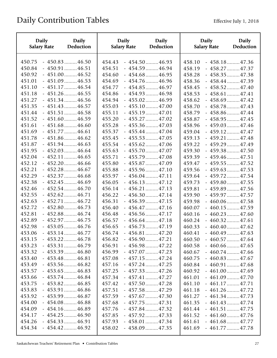| <b>Daily</b>       | <b>Daily</b>          | <b>Daily</b>       | <b>Daily</b>          | <b>Daily</b>       | <b>Daily</b>          |
|--------------------|-----------------------|--------------------|-----------------------|--------------------|-----------------------|
| <b>Salary Rate</b> | Deduction             | <b>Salary Rate</b> | Deduction             | <b>Salary Rate</b> | Deduction             |
| 450.75             | $-450.83$ 46.50       | 454.43             | $-454.50$ 46.93       | 458.10             | $-458.18$ 47.36       |
| 450.84             | $-450.91$ 46.51       | 454.51             | $-454.59$ 46.94       | 458.19             | $-458.27 \dots 47.37$ |
| 450.92             | $-451.00 \dots 46.52$ | 454.60             | $-454.68$ 46.95       | 458.28             | $-458.35$ 47.38       |
| 451.01             | $-451.09$ 46.53       | 454.69             | $-454.76 \dots 46.96$ | 458.36             | $-458.44$ 47.39       |
| 451.10             | $-451.17$ 46.54       | 454.77             | $-454.85$ 46.97       | 458.45             | $-458.52$ 47.40       |
| 451.18             | $-451.26$ 46.55       | 454.86             | $-454.93$ 46.98       | 458.53             | $-458.61$ 47.41       |
| 451.27             | $-451.34$ 46.56       | 454.94             | $-455.02 \dots 46.99$ | 458.62             | $-458.69$ 47.42       |
| 451.35             | $-451.43$ 46.57       | 455.03             | $-455.10$ 47.00       | 458.70             | $-458.78 \dots 47.43$ |
| 451.44             | $-451.51$ 46.58       | 455.11             | $-455.19$ 47.01       | 458.79             | $-458.86$ 47.44       |
| 451.52             | $-451.60$ 46.59       | 455.20             | $-455.27 \dots 47.02$ | 458.87             | $-458.95 \dots 47.45$ |
| 451.61             | $-451.68 \dots 46.60$ | 455.28             | $-455.36$ 47.03       | 458.96             | $-459.03 \dots 47.46$ |
| 451.69             | $-451.77$ 46.61       | 455.37             | $-455.44$ 47.04       | 459.04             | $-459.12$ 47.47       |
| 451.78             | $-451.86$ 46.62       | 455.45             | $-455.53$ 47.05       | 459.13             | $-459.21$ 47.48       |
| 451.87             | $-451.94 \dots 46.63$ | 455.54             | $-455.62$ 47.06       | 459.22             | $-459.29 \dots 47.49$ |
| 451.95             | $-452.03 \dots 46.64$ | 455.63             | $-455.70$ 47.07       | 459.30             | $-459.38$ 47.50       |
| 452.04             | $-452.11$ 46.65       | 455.71             | $-455.79$ 47.08       | 459.39             | $-459.46$ 47.51       |
| 452.12             | $-452.20 \dots 46.66$ | 455.80             | $-455.87$ 47.09       | 459.47             | $-459.55$ 47.52       |
| 452.21             | $-452.28$ 46.67       | 455.88             | $-455.96 \dots 47.10$ | 459.56             | $-459.63$ 47.53       |
| 452.29             | $-452.37$ 46.68       | 455.97             | $-456.04$ 47.11       | 459.64             | $-459.72 \dots 47.54$ |
| 452.38             | $-452.45$ 46.69       | 456.05             | $-456.13$ 47.12       | 459.73             | $-459.80$ 47.55       |
| 452.46             | $-452.54$ 46.70       | 456.14             | $-456.21$ 47.13       | 459.81             | $-459.89$ 47.56       |
| 452.55             | $-452.62$ 46.71       | 456.22             | $-456.30$ 47.14       | 459.90             | $-459.97 \dots 47.57$ |
| 452.63             | $-452.71$ 46.72       | 456.31             | $-456.39$ 47.15       | 459.98             | $-460.06$ 47.58       |
| 452.72             | $-452.80$ 46.73       | 456.40             | $-456.47$ 47.16       | 460.07             | $-460.15$ 47.59       |
| 452.81             | $-452.88$ 46.74       | 456.48             | $-456.56$ 47.17       | 460.16             | $-460.23$ 47.60       |
| 452.89             | $-452.97$ 46.75       | 456.57             | $-456.64$ 47.18       | 460.24             | $-460.32$ 47.61       |
| 452.98             | $-453.05$ 46.76       | 456.65             | $-456.73 \dots 47.19$ | 460.33             | $-460.40$ 47.62       |
| 453.06             | $-453.14$ 46.77       | 456.74             | $-456.81$ 47.20       | 460.41             | $-460.49 \dots 47.63$ |
| 453.15             | $-453.22 \dots 46.78$ | 456.82             | $-456.90$ 47.21       | 460.50             | $-460.57$ 47.64       |
| 453.23             | $-453.31$ 46.79       | 456.91             | $-456.98 \dots 47.22$ | 460.58             | $-460.66$ 47.65       |
| 453.32             | $-453.39$ 46.80       | 456.99             | $-457.07$ 47.23       | 460.67             | $-460.74$ 47.66       |
| 453.40             | $-453.48$ 46.81       | 457.08             | $-457.15$ 47.24       | 460.75             | $-460.83$ 47.67       |
| 453.49             | $-453.56$ 46.82       | 457.16             | $-457.24$ 47.25       | 460.84             | $-460.91$ 47.68       |
| 453.57             | $-453.65$ 46.83       | 457.25             | $-457.33$ 47.26       | 460.92             | $-461.00$ 47.69       |
| 453.66             | $-453.74$ 46.84       | 457.34             | $-457.41$ 47.27       | 461.01             | $-461.09 \dots 47.70$ |
| 453.75             | $-453.82$ 46.85       | 457.42             | $-457.50$ 47.28       | 461.10             | $-461.17$ 47.71       |
| 453.83             | $-453.91$ 46.86       | 457.51             | $-457.58$ 47.29       | 461.18             | $-461.26$ 47.72       |
| 453.92             | $-453.99$ 46.87       | 457.59             | $-457.67$ 47.30       | 461.27             | $-461.34 \dots 47.73$ |
| 454.00             | $-454.08 \dots 46.88$ | 457.68             | $-457.75$ 47.31       | 461.35             | $-461.43$ 47.74       |
| 454.09             | $-454.16$ 46.89       | 457.76             | $-457.84$ 47.32       | 461.44             | $-461.51$ 47.75       |
| 454.17             | $-454.25$ 46.90       | 457.85             | $-457.92 \dots 47.33$ | 461.52             | $-461.60$ 47.76       |
| 454.26             | $-454.33$ 46.91       | 457.93             | $-458.01$ 47.34       | 461.61             | $-461.68$ 47.77       |
| 454.34             | $-454.42$ 46.92       | 458.02             | $-458.09$ 47.35       | 461.69             | $-461.77$ 47.78       |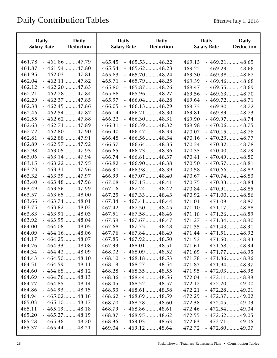| <b>Daily</b>       | <b>Daily</b>           | <b>Daily</b>       | <b>Daily</b>          | <b>Daily</b>       | <b>Daily</b>          |
|--------------------|------------------------|--------------------|-----------------------|--------------------|-----------------------|
| <b>Salary Rate</b> | Deduction              | <b>Salary Rate</b> | Deduction             | <b>Salary Rate</b> | Deduction             |
| 461.78             | $-461.86$ 47.79        | 465.45             | $-465.53$ 48.22       | 469.13             | $-469.21$ 48.65       |
| 461.87             | $-461.94 \ldots 47.80$ | 465.54             | $-465.62 \dots 48.23$ | 469.22             | $-469.29 \dots 48.66$ |
| 461.95             | $-462.03 \dots 47.81$  | 465.63             | $-465.70$ 48.24       | 469.30             | $-469.38$ 48.67       |
| 462.04             | $-462.11$ 47.82        | 465.71             | $-465.79 \dots 48.25$ | 469.39             | $-469.46$ 48.68       |
| 462.12             | $-462.20$ 47.83        | 465.80             | $-465.87$ 48.26       | 469.47             | $-469.55$ 48.69       |
| 462.21             | $-462.28 \dots 47.84$  | 465.88             | $-465.96$ 48.27       | 469.56             | $-469.63$ 48.70       |
| 462.29             | $-462.37$ 47.85        | 465.97             | $-466.04$ 48.28       | 469.64             | $-469.72$ 48.71       |
| 462.38             | $-462.45$ 47.86        | 466.05             | $-466.13$ 48.29       | 469.73             | $-469.80$ 48.72       |
| 462.46             | $-462.54$ 47.87        | 466.14             | $-466.21$ 48.30       | 469.81             | $-469.89$ 48.73       |
| 462.55             | $-462.62$ 47.88        | 466.22             | $-466.30$ 48.31       | 469.90             | $-469.97 \dots 48.74$ |
| 462.63             | $-462.71$ 47.89        | 466.31             | $-466.39$ 48.32       | 469.98             | $-470.06$ 48.75       |
| 462.72             | $-462.80$ 47.90        | 466.40             | $-466.47$ 48.33       | 470.07             | $-470.15$ 48.76       |
| 462.81             | $-462.88$ 47.91        | 466.48             | $-466.56$ 48.34       | 470.16             | $-470.23$ 48.77       |
| 462.89             | $-462.97$ 47.92        | 466.57             | $-466.64$ 48.35       | 470.24             | $-470.32$ 48.78       |
| 462.98             | $-463.05$ 47.93        | 466.65             | $-466.73$ 48.36       | 470.33             | $-470.40$ 48.79       |
| 463.06             | $-463.14$ 47.94        | 466.74             | $-466.81$ 48.37       | 470.41             | $-470.49$ 48.80       |
| 463.15             | $-463.22 \dots 47.95$  | 466.82             | $-466.90$ 48.38       | 470.50             | $-470.57$ 48.81       |
| 463.23             | $-463.31$ 47.96        | 466.91             | $-466.98$ 48.39       | 470.58             | $-470.66$ 48.82       |
| 463.32             | $-463.39 \dots 47.97$  | 466.99             | $-467.07$ 48.40       | 470.67             | $-470.74$ 48.83       |
| 463.40             | $-463.48$ 47.98        | 467.08             | $-467.15$ 48.41       | 470.75             | $-470.83$ 48.84       |
| 463.49             | $-463.56$ 47.99        | 467.16             | $-467.24$ 48.42       | 470.84             | $-470.91$ 48.85       |
| 463.57             | $-463.65$ 48.00        | 467.25             | $-467.33$ 48.43       | 470.92             | $-471.00$ 48.86       |
| 463.66             | $-463.74 \dots 48.01$  | 467.34             | $-467.41$ 48.44       | 471.01             | $-471.09 \dots 48.87$ |
| 463.75             | $-463.82$ 48.02        | 467.42             | $-467.50$ 48.45       | 471.10             | $-471.17$ 48.88       |
| 463.83             | $-463.91$ 48.03        | 467.51             | $-467.58$ 48.46       | 471.18             | $-471.26$ 48.89       |
| 463.92             | $-463.99 \dots 48.04$  | 467.59             | $-467.67$ $-48.47$    | 471.27             | $-471.34$ 48.90       |
| 464.00             | $-464.08 \dots 48.05$  | 467.68             | $-467.75$ 48.48       | 471.35             | $-471.43$ 48.91       |
| 464.09             | $-464.16$ 48.06        | 467.76             | $-467.84$ 48.49       | 471.44             | $-471.51$ 48.92       |
| 464.17             | $-464.25$ 48.07        | 467.85             | $-467.92 \dots 48.50$ | 471.52             | $-471.60$ 48.93       |
| 464.26             | $-464.33$ 48.08        | 467.93             | $-468.01$ 48.51       | 471.61             | $-471.68$ 48.94       |
| 464.34             | $-464.42$ 48.09        | 468.02             | $-468.09 \dots 48.52$ | 471.69             | $-471.77$ 48.95       |
| 464.43             | $-464.50$ 48.10        | 468.10             | $-468.18 \dots 48.53$ | 471.78             | $-471.86$ 48.96       |
| 464.51             | $-464.59 \dots 48.11$  | 468.19             | $-468.27 \dots 48.54$ | 471.87             | $-471.94$ 48.97       |
| 464.60             | $-464.68$ 48.12        | 468.28             | $-468.35$ 48.55       | 471.95             | $-472.03$ 48.98       |
| 464.69             | $-464.76$ 48.13        | 468.36             | $-468.44$ 48.56       | 472.04             | $-472.11$ 48.99       |
| 464.77             | $-464.85$ 48.14        | 468.45             | $-468.52 \dots 48.57$ | 472.12             | $-472.20$ 49.00       |
| 464.86             | $-464.93 \dots 48.15$  | 468.53             | $-468.61$ 48.58       | 472.21             | $-472.28$ 49.01       |
| 464.94             | $-465.02 \dots 48.16$  | 468.62             | $-468.69$ 48.59       | 472.29             | $-472.37$ 49.02       |
| 465.03             | $-465.10$ 48.17        | 468.70             | $-468.78 \dots 48.60$ | 472.38             | $-472.45$ 49.03       |
| 465.11             | $-465.19 \dots 48.18$  | 468.79             | $-468.86$ 48.61       | 472.46             | $-472.54$ 49.04       |
| 465.20             | $-465.27$ 48.19        | 468.87             | $-468.95 \dots 48.62$ | 472.55             | $-472.62$ 49.05       |
| 465.28             | $-465.36$ 48.20        | 468.96             | $-469.03 \dots 48.63$ | 472.63             | $-472.71$ 49.06       |
| 465.37             | $-465.44$ 48.21        | 469.04             | $-469.12$ 48.64       | 472.72             | $-472.80$ 49.07       |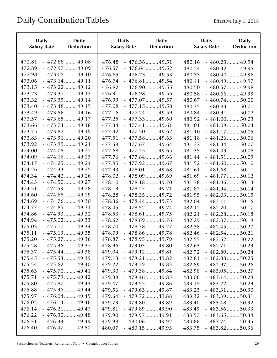| <b>Daily</b>       | <b>Daily</b>          | <b>Daily</b>       | <b>Daily</b>          | <b>Daily</b>       | <b>Daily</b>           |
|--------------------|-----------------------|--------------------|-----------------------|--------------------|------------------------|
| <b>Salary Rate</b> | Deduction             | <b>Salary Rate</b> | Deduction             | <b>Salary Rate</b> | Deduction              |
| 472.81             | $-472.88$ 49.08       | 476.48             | $-476.56$ 49.51       | 480.16             | $-480.23$ 49.94        |
| 472.89             | $-472.97$ 49.09       | 476.57             | $-476.64$ 49.52       | 480.24             | $-480.32 \dots 49.95$  |
| 472.98             | $-473.05$ 49.10       | 476.65             | $-476.73$ 49.53       | 480.33             | $-480.40$ 49.96        |
| 473.06             | $-473.14$ 49.11       | 476.74             | $-476.81$ 49.54       | 480.41             | $-480.49$ 49.97        |
| 473.15             | $-473.22 \dots 49.12$ | 476.82             | $-476.90$ 49.55       | 480.50             | $-480.57$ 49.98        |
| 473.23             | $-473.31$ 49.13       | 476.91             | $-476.98 \dots 49.56$ | 480.58             | $-480.66$ 49.99        |
| 473.32             | $-473.39$ 49.14       | 476.99             | $-477.07$ 49.57       | 480.67             | $-480.74$ 50.00        |
| 473.40             | $-473.48$ 49.15       | 477.08             | $-477.15$ 49.58       | 480.75             | $-480.83$ 50.01        |
| 473.49             | $-473.56$ 49.16       | 477.16             | $-477.24$ 49.59       | 480.84             | $-480.91$ 50.02        |
| 473.57             | $-473.65$ 49.17       | 477.25             | $-477.33$ 49.60       | 480.92             | $-481.00$ 50.03        |
| 473.66             | $-473.74 \dots 49.18$ | 477.34             | $-477.41$ 49.61       | 481.01             | $-481.09 \dots 50.04$  |
| 473.75             | $-473.82$ 49.19       | 477.42             | $-477.50$ 49.62       | 481.10             | $-481.17$ 50.05        |
| 473.83             | $-473.91$ 49.20       | 477.51             | $-477.58$ 49.63       | 481.18             | $-481.26$ 50.06        |
| 473.92             | $-473.99$ 49.21       | 477.59             | $-477.67$ 49.64       | 481.27             | $-481.34$ 50.07        |
| 474.00             | $-474.08 \dots 49.22$ | 477.68             | $-477.75$ 49.65       | 481.35             | $-481.43$ 50.08        |
| 474.09             | $-474.16$ 49.23       | 477.76             | $-477.84$ 49.66       | 481.44             | $-481.51$ 50.09        |
| 474.17             | $-474.25$ 49.24       | 477.85             | $-477.92$ 49.67       | 481.52             | $-481.60 \dots 50.10$  |
| 474.26             | $-474.33$ 49.25       | 477.93             | $-478.01$ 49.68       | 481.61             | $-481.68$ 50.11        |
| 474.34             | $-474.42$ 49.26       | 478.02             | $-478.09$ 49.69       | 481.69             | $-481.77$ 50.12        |
| 474.43             | $-474.50$ 49.27       | 478.10             | $-478.18$ 49.70       | 481.78             | $-481.86 \dots 50.13$  |
| 474.51             | $-474.59$ 49.28       | 478.19             | $-478.27 \dots 49.71$ | 481.87             | $-481.94 \ldots 50.14$ |
| 474.60             | $-474.68$ 49.29       | 478.28             | $-478.35$ 49.72       | 481.95             | $-482.03$ 50.15        |
| 474.69             | $-474.76$ 49.30       | 478.36             | $-478.44$ 49.73       | 482.04             | $-482.11$ 50.16        |
| 474.77             | $-474.85$ 49.31       | 478.45             | $-478.52$ 49.74       | 482.12             | $-482.20$ 50.17        |
| 474.86             | $-474.93$ 49.32       | 478.53             | $-478.61$ 49.75       | 482.21             | $-482.28$ 50.18        |
| 474.94             | $-475.02 \dots 49.33$ | 478.62             | $-478.69$ 49.76       | 482.29             | $-482.37$ 50.19        |
| 475.03             | $-475.10$ 49.34       | 478.70             | $-478.78 \dots 49.77$ | 482.38             | $-482.45$ 50.20        |
| 475.11             | $-475.19$ 49.35       | 478.79             | $-478.86$ 49.78       | 482.46             | $-482.54$ 50.21        |
| 475.20             | $-475.27 \dots 49.36$ | 478.87             | $-478.95$ 49.79       | 482.55             | $-482.62 \dots 50.22$  |
| 475.28             | $-475.36$ 49.37       | 478.96             | $-479.03$ 49.80       | 482.63             | $-482.71$ 50.23        |
| 475.37             | $-475.44$ 49.38       | 479.04             | $-479.12$ 49.81       | 482.72             | $-482.80$ 50.24        |
| 475.45             | $-475.53$ 49.39       | 479.13             | $-479.21$ 49.82       | 482.81             | $-482.88$ 50.25        |
| 475.54             | $-475.62 \dots 49.40$ | 479.22             | $-479.29 \dots 49.83$ | 482.89             | $-482.97 \dots 50.26$  |
| 475.63             | $-475.70$ 49.41       | 479.30             | $-479.38$ 49.84       | 482.98             | $-483.05$ 50.27        |
| 475.71             | $-475.79 \dots 49.42$ | 479.39             | $-479.46$ 49.85       | 483.06             | $-483.14$ 50.28        |
| 475.80             | $-475.87 \dots 49.43$ | 479.47             | $-479.55$ 49.86       | 483.15             | $-483.22 \dots 50.29$  |
| 475.88             | $-475.96$ 49.44       | 479.56             | $-479.63$ 49.87       | 483.23             | $-483.31$ 50.30        |
| 475.97             | $-476.04 \dots 49.45$ | 479.64             | $-479.72 \dots 49.88$ | 483.32             | $-483.39 \dots 50.31$  |
| 476.05             | $-476.13 \dots 49.46$ | 479.73             | $-479.80$ 49.89       | 483.40             | $-483.48$ 50.32        |
| 476.14             | $-476.21$ 49.47       | 479.81             | $-479.89$ 49.90       | 483.49             | $-483.56$ 50.33        |
| 476.22             | $-476.30$ 49.48       | 479.90             | $-479.97$ 49.91       | 483.57             | $-483.65$ 50.34        |
| 476.31             | $-476.39 \dots 49.49$ | 479.98             | $-480.06 \dots 49.92$ | 483.66             | $-483.74$ 50.35        |
| 476.40             | $-476.47$ 49.50       | 480.07             | $-480.15$ 49.93       | 483.75             | $-483.82 \dots 50.36$  |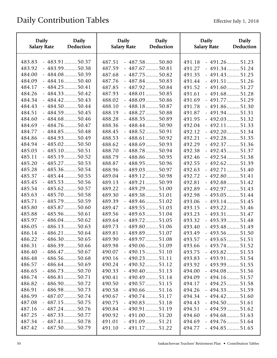| <b>Daily</b>       | <b>Daily</b>          | <b>Daily</b>       | <b>Daily</b>          | <b>Daily</b>       | <b>Daily</b>          |
|--------------------|-----------------------|--------------------|-----------------------|--------------------|-----------------------|
| <b>Salary Rate</b> | Deduction             | <b>Salary Rate</b> | Deduction             | <b>Salary Rate</b> | Deduction             |
| 483.83             | $-483.91$ 50.37       | 487.51             | $-487.58$ 50.80       | 491.18             | $-491.26 \dots 51.23$ |
| 483.92             | $-483.99 \dots 50.38$ | 487.59             | $-487.67$ 50.81       | 491.27             | $-491.34$ $51.24$     |
| 484.00             | $-484.08 \dots 50.39$ | 487.68             | $-487.75$ 50.82       | 491.35             | $-491.43$ $51.25$     |
| 484.09             | $-484.16$ 50.40       | 487.76             | $-487.84$ 50.83       | 491.44             | $-491.51$ $51.26$     |
| 484.17             | $-484.25 \dots 50.41$ | 487.85             | $-487.92 \dots 50.84$ | 491.52             | $-491.60$ 51.27       |
| 484.26             | $-484.33$ 50.42       | 487.93             | $-488.01$ 50.85       | 491.61             | $-491.68 \dots 51.28$ |
| 484.34             | $-484.42$ 50.43       | 488.02             | $-488.09$ 50.86       | 491.69             | $-491.77$ 51.29       |
| 484.43             | $-484.50$ 50.44       | 488.10             | $-488.18$ 50.87       | 491.78             | $-491.86$ 51.30       |
| 484.51             | $-484.59 \dots 50.45$ | 488.19             | $-488.27 \dots 50.88$ | 491.87             | $-491.94 \dots 51.31$ |
| 484.60             | $-484.68$ 50.46       | 488.28             | $-488.35$ 50.89       | 491.95             | $-492.03$ 51.32       |
| 484.69             | $-484.76 \dots 50.47$ | 488.36             | $-488.44$ 50.90       | 492.04             | $-492.11$ 51.33       |
| 484.77             | $-484.85$ 50.48       | 488.45             | $-488.52$ 50.91       | 492.12             | $-492.20 \dots 51.34$ |
| 484.86             | $-484.93$ 50.49       | 488.53             | $-488.61$ 50.92       | 492.21             | $-492.28 \dots 51.35$ |
| 484.94             | $-485.02$ 50.50       | 488.62             | $-488.69$ 50.93       | 492.29             | $-492.37$ 51.36       |
| 485.03             | $-485.10$ 50.51       | 488.70             | $-488.78$ 50.94       | 492.38             | $-492.45$ 51.37       |
| 485.11             | $-485.19 \dots 50.52$ | 488.79             | $-488.86$ 50.95       | 492.46             | $-492.54$ 51.38       |
| 485.20             | $-485.27$ 50.53       | 488.87             | $-488.95$ 50.96       | 492.55             | $-492.62 \dots 51.39$ |
| 485.28             | $-485.36$ 50.54       | 488.96             | $-489.03$ 50.97       | 492.63             | $-492.71$ 51.40       |
| 485.37             | $-485.44$ 50.55       | 489.04             | $-489.12$ 50.98       | 492.72             | $-492.80$ 51.41       |
| 485.45             | $-485.53$ 50.56       | 489.13             | $-489.21$ 50.99       | 492.81             | $-492.88$ 51.42       |
| 485.54             | $-485.62 \dots 50.57$ | 489.22             | $-489.29 \dots 51.00$ | 492.89             | $-492.97 \dots 51.43$ |
| 485.63             | $-485.70 \dots 50.58$ | 489.30             | $-489.38$ 51.01       | 492.98             | $-493.05$ 51.44       |
| 485.71             | $-485.79 \dots 50.59$ | 489.39             | $-489.46$ 51.02       | 493.06             | $-493.14$ $51.45$     |
| 485.80             | $-485.87$ 50.60       | 489.47             | $-489.55$ 51.03       | 493.15             | $-493.22 \dots 51.46$ |
| 485.88             | $-485.96$ 50.61       | 489.56             | $-489.63$ $51.04$     | 493.23             | $-493.31$ $51.47$     |
| 485.97             | $-486.04$ 50.62       | 489.64             | $-489.72 \dots 51.05$ | 493.32             | $-493.39 \dots 51.48$ |
| 486.05             | $-486.13$ 50.63       | 489.73             | $-489.80$ 51.06       | 493.40             | $-493.48$ 51.49       |
| 486.14             | $-486.21$ 50.64       | 489.81             | $-489.89$ 51.07       | 493.49             | $-493.56$ 51.50       |
| 486.22             | $-486.30$ 50.65       | 489.90             | $-489.97 \dots 51.08$ | 493.57             | $-493.65$ 51.51       |
| 486.31             | $-486.39$ 50.66       | 489.98             | $-490.06$ 51.09       | 493.66             | $-493.74 \dots 51.52$ |
| 486.40             | $-486.47$ 50.67       | 490.07             | $-490.15$ 51.10       | 493.75             | $-493.82 \dots 51.53$ |
| 486.48             | $-486.56$ 50.68       | 490.16             | $-490.23 \dots 51.11$ | 493.83             | $-493.91$ $51.54$     |
| 486.57             | $-486.64 \dots 50.69$ | 490.24             | $-490.32 \dots 51.12$ | 493.92             | $-493.99 \dots 51.55$ |
| 486.65             | $-486.73$ 50.70       | 490.33             | $-490.40$ 51.13       | 494.00             | $-494.08 \dots 51.56$ |
| 486.74             | $-486.81$ 50.71       | 490.41             | $-490.49$ $51.14$     | 494.09             | $-494.16$ 51.57       |
| 486.82             | $-486.90$ 50.72       | 490.50             | $-490.57 \dots 51.15$ | 494.17             | $-494.25 \dots 51.58$ |
| 486.91             | $-486.98 \dots 50.73$ | 490.58             | $-490.66$ 51.16       | 494.26             | $-494.33$ 51.59       |
| 486.99             | $-487.07$ 50.74       | 490.67             | $-490.74 \dots 51.17$ | 494.34             | $-494.42 \dots 51.60$ |
| 487.08             | $-487.15$ 50.75       | 490.75             | $-490.83 \dots 51.18$ | 494.43             | $-494.50$ 51.61       |
| 487.16             | $-487.24 \dots 50.76$ | 490.84             | $-490.91$ 51.19       | 494.51             | $-494.59 \dots 51.62$ |
| 487.25             | $-487.33$ 50.77       | 490.92             | $-491.00 \dots 51.20$ | 494.60             | $-494.68 \dots 51.63$ |
| 487.34             | $-487.41$ 50.78       | 491.01             | $-491.09 \dots 51.21$ | 494.69             | $-494.76 \dots 51.64$ |
| 487.42             | $-487.50$ 50.79       | 491.10             | $-491.17$ 51.22       | 494.77             | $-494.85$ 51.65       |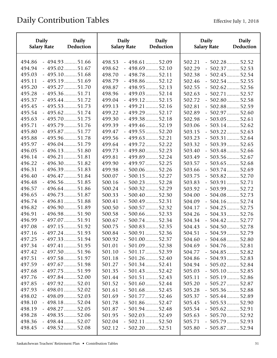| <b>Daily</b>                         | <b>Daily</b>                                                                         | <b>Daily</b>                         | <b>Daily</b>                                                                   | <b>Daily</b>                         | <b>Daily</b>                                                             |
|--------------------------------------|--------------------------------------------------------------------------------------|--------------------------------------|--------------------------------------------------------------------------------|--------------------------------------|--------------------------------------------------------------------------|
| <b>Salary Rate</b>                   | Deduction                                                                            | <b>Salary Rate</b>                   | Deduction                                                                      | <b>Salary Rate</b>                   | <b>Deduction</b>                                                         |
| 494.86                               | $-494.93$ $51.66$                                                                    | 498.53                               | $-498.61$ 52.09                                                                | 502.21                               | $-502.28 \dots 52.52$                                                    |
| 494.94                               | $-495.02 \dots 51.67$                                                                | 498.62                               | $-498.69$ 52.10                                                                | 502.29                               | $-502.37$ 52.53                                                          |
| 495.03                               | $-495.10$ 51.68                                                                      | 498.70                               | $-498.78 \dots 52.11$                                                          | 502.38                               | $-502.45$ 52.54                                                          |
| 495.11                               | $-495.19 \dots 51.69$                                                                | 498.79                               | $-498.86$ 52.12                                                                | 502.46                               | $-502.54$ 52.55                                                          |
| 495.20                               | $-495.27 \dots 51.70$                                                                | 498.87                               | $-498.95$ 52.13                                                                | 502.55                               | $-502.62$ 52.56                                                          |
| 495.28                               | $-495.36 \dots 51.71$                                                                | 498.96                               | $-499.03$ 52.14                                                                | 502.63                               | $-502.71$ 52.57                                                          |
| 495.37                               | $-495.44$ $51.72$                                                                    | 499.04                               | $-499.12$ 52.15                                                                | 502.72                               | $-502.80$ 52.58                                                          |
| 495.45                               | $-495.53$ $51.73$                                                                    | 499.13                               | $-499.21$ 52.16                                                                | 502.81                               | $-502.88$ 52.59                                                          |
| 495.54                               | $-495.62 \dots 51.74$                                                                | 499.22                               | $-499.29 \dots 52.17$                                                          | 502.89                               | $-502.97$ 52.60                                                          |
| 495.63                               | $-495.70 \dots 51.75$                                                                | 499.30                               | $-499.38$ 52.18                                                                | 502.98                               | $-503.05$ 52.61                                                          |
| 495.71                               | $-495.79 \dots 51.76$                                                                | 499.39                               | $-499.46$ 52.19                                                                | 503.06                               | $-503.14$ 52.62                                                          |
| 495.80                               | $-495.87 \dots 51.77$                                                                | 499.47                               | $-499.55$ 52.20                                                                | 503.15                               | $-503.22 \dots 52.63$                                                    |
| 495.88                               | $-495.96$ 51.78                                                                      | 499.56                               | $-499.63$ 52.21                                                                | 503.23                               | $-503.31$ 52.64                                                          |
| 495.97                               | $-496.04 \dots 51.79$                                                                | 499.64                               | $-499.72 \dots 52.22$                                                          | 503.32                               | $-503.39 \dots 52.65$                                                    |
| 496.05                               | $-496.13$ $51.80$                                                                    | 499.73                               | $-499.80$ 52.23                                                                | 503.40                               | $-503.48$ 52.66                                                          |
| 496.14                               | $-496.21$ 51.81                                                                      | 499.81                               | $-499.89$ 52.24                                                                | 503.49                               | $-503.56$ 52.67                                                          |
| 496.22                               | $-496.30$ 51.82                                                                      | 499.90                               | $-499.97 \dots 52.25$                                                          | 503.57                               | $-503.65$ 52.68                                                          |
| 496.31                               | $-496.39 \dots 51.83$                                                                | 499.98                               | $-500.06$ 52.26                                                                | 503.66                               | $-503.74$ 52.69                                                          |
| 496.40                               | $-496.47$ $51.84$                                                                    | 500.07                               | $-500.15$ 52.27                                                                | 503.75                               | $-503.82$ 52.70                                                          |
| 496.48                               | $-496.56$ 51.85                                                                      | 500.16                               | $-500.23$ 52.28                                                                | 503.83                               | $-503.91$ 52.71                                                          |
| 496.57                               | $-496.64 \dots 51.86$                                                                | 500.24                               | $-500.32$ 52.29                                                                | 503.92                               | $-503.99$ 52.72                                                          |
| 496.65                               | $-496.73 \dots 51.87$                                                                | 500.33                               | $-500.40$ 52.30                                                                | 504.00                               | $-504.08 \dots 52.73$                                                    |
| 496.74                               | $-496.81$ $51.88$                                                                    | 500.41                               | $-500.49$ 52.31                                                                | 504.09                               | $-504.16$ 52.74                                                          |
| 496.82                               | $-496.90 \dots 51.89$                                                                | 500.50                               | $-500.57$ 52.32                                                                | 504.17                               | $-504.25$ 52.75                                                          |
| 496.91                               | $-496.98 \dots 51.90$                                                                | 500.58                               | $-500.66$ 52.33                                                                | 504.26                               | $-504.33$ 52.76                                                          |
| 496.99                               | $-497.07$ 51.91                                                                      | 500.67                               | $-500.74$ 52.34                                                                | 504.34                               | $-504.42$ 52.77                                                          |
| 497.08                               | $-497.15$ 51.92                                                                      | 500.75                               | $-500.83$ 52.35                                                                | 504.43                               | $-504.50$ 52.78                                                          |
| 497.16<br>497.25<br>497.34<br>497.42 | $-497.24 \dots 51.93$<br>$-497.33 \dots 51.94$<br>$-497.41$ 51.95<br>$-497.50$ 51.96 | 500.84<br>500.92<br>501.01<br>501.10 | $-500.91$ 52.36<br>$-501.00$ 52.37<br>$-501.09 \dots 52.38$<br>$-501.17$ 52.39 | 504.51<br>504.60<br>504.69           | $-504.59$ 52.79<br>$-504.68$ 52.80<br>$-504.76$ 52.81<br>$-504.85$ 52.82 |
| 497.51<br>497.59<br>497.68           | $-497.58 \dots 51.97$<br>$-497.67 \dots 51.98$<br>$-497.75$ 51.99                    | 501.18<br>501.27<br>501.35           | $-501.26$ 52.40<br>$-501.34$ 52.41<br>$-501.43$ 52.42                          | 504.77<br>504.86<br>504.94<br>505.03 | $-504.93 \dots 52.83$<br>$-505.02 \dots 52.84$<br>$-505.10$ 52.85        |
| 497.76                               | $-497.84$ 52.00                                                                      | 501.44                               | $-501.51$ 52.43                                                                | 505.11                               | $-505.19$ 52.86                                                          |
| 497.85                               | $-497.92 \dots 52.01$                                                                | 501.52                               | $-501.60$ 52.44                                                                | 505.20                               | $-505.27$ 52.87                                                          |
| 497.93                               | $-498.01$ 52.02                                                                      | 501.61                               | $-501.68$ 52.45                                                                | 505.28                               | $-505.36$ 52.88                                                          |
| 498.02                               | $-498.09 \dots 52.03$                                                                | 501.69                               | $-501.77$ 52.46                                                                | 505.37                               | $-505.44$ 52.89                                                          |
| 498.10                               | $-498.18\dots 52.04$                                                                 | 501.78                               | $-501.86$ 52.47                                                                | 505.45                               | $-505.53$ 52.90                                                          |
| 498.19                               | $-498.27 \dots 52.05$                                                                | 501.87                               | $-501.94$ 52.48                                                                | 505.54                               | $-505.62$ 52.91                                                          |
| 498.28                               | $-498.35$ 52.06                                                                      | 501.95                               | $-502.03$ 52.49                                                                | 505.63                               | $-505.70$ 52.92                                                          |
| 498.36                               | $-498.44$ 52.07                                                                      | 502.04                               | $-502.11$ 52.50                                                                | 505.71                               | $-505.79$ 52.93                                                          |
| 498.45                               | $-498.52$ 52.08                                                                      | 502.12                               | $-502.20$ 52.51                                                                | 505.80                               | $-505.87$ 52.94                                                          |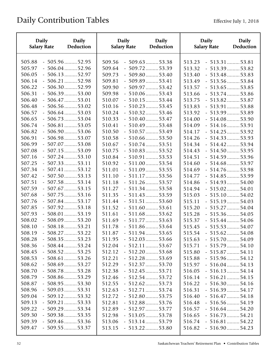| <b>Daily</b>                                   | <b>Daily</b>                                                                                | <b>Daily</b>                                   | <b>Daily</b>                                                                                | <b>Daily</b>                                             | <b>Daily</b>                                                                                                   |
|------------------------------------------------|---------------------------------------------------------------------------------------------|------------------------------------------------|---------------------------------------------------------------------------------------------|----------------------------------------------------------|----------------------------------------------------------------------------------------------------------------|
| <b>Salary Rate</b>                             | Deduction                                                                                   | <b>Salary Rate</b>                             | Deduction                                                                                   | <b>Salary Rate</b>                                       | Deduction                                                                                                      |
| 505.88<br>505.97<br>506.05<br>506.14<br>506.22 | $-505.96$ 52.95<br>$-506.04$ 52.96<br>$-506.13$ 52.97<br>$-506.21$ 52.98<br>$-506.30$ 52.99 | 509.56<br>509.64<br>509.73<br>509.81<br>509.90 | $-509.63$ 53.38<br>$-509.72$ 53.39<br>$-509.80$ 53.40<br>$-509.89$ 53.41<br>$-509.97$ 53.42 | 513.23<br>513.32<br>513.40<br>513.49                     | $-513.31$ 53.81<br>$-513.39$ 53.82<br>$-513.48$ 53.83<br>$-513.56$ 53.84                                       |
| 506.31<br>506.40<br>506.48<br>506.57<br>506.65 | $-506.39$ 53.00<br>$-506.47$ 53.01<br>$-506.56$ 53.02<br>$-506.64$ 53.03<br>$-506.73$ 53.04 | 509.98<br>510.07<br>510.16<br>510.24<br>510.33 | $-510.06$ 53.43<br>$-510.15$ 53.44<br>$-510.23$ 53.45<br>$-510.32$ 53.46<br>$-510.40$ 53.47 | 513.57<br>513.66<br>513.75<br>513.83<br>513.92<br>514.00 | $-513.65$ 53.85<br>$-513.74$ 53.86<br>$-513.82$ 53.87<br>$-513.91$ 53.88<br>$-513.99$ 53.89<br>$-514.08$ 53.90 |
| 506.74                                         | $-506.81$ 53.05                                                                             | 510.41                                         | $-510.49$ 53.48                                                                             | 514.09                                                   | $-514.16$ 53.91                                                                                                |
| 506.82                                         | $-506.90$ 53.06                                                                             | 510.50                                         | $-510.57$ 53.49                                                                             | 514.17                                                   | $-514.25$ 53.92                                                                                                |
| 506.91                                         | $-506.98$ 53.07                                                                             | 510.58                                         | $-510.66$ 53.50                                                                             | 514.26                                                   | $-514.33$ 53.93                                                                                                |
| 506.99                                         | $-507.07$ 53.08                                                                             | 510.67                                         | $-510.74$ 53.51                                                                             | 514.34                                                   | $-514.42$ 53.94                                                                                                |
| 507.08                                         | $-507.15$ 53.09                                                                             | 510.75                                         | $-510.83$ 53.52                                                                             | 514.43                                                   | $-514.50$ 53.95                                                                                                |
| 507.16                                         | $-507.24$ 53.10                                                                             | 510.84                                         | $-510.91$ 53.53                                                                             | 514.51                                                   | $-514.59$ 53.96                                                                                                |
| 507.25                                         | $-507.33$ 53.11                                                                             | 510.92                                         | $-511.00$ 53.54                                                                             | 514.60                                                   | $-514.68$ 53.97                                                                                                |
| 507.34                                         | $-507.41$ 53.12                                                                             | 511.01                                         | $-511.09$ 53.55                                                                             | 514.69                                                   | $-514.76$ 53.98                                                                                                |
| 507.42                                         | $-507.50$ 53.13                                                                             | 511.10                                         | $-511.17$ 53.56                                                                             | 514.77                                                   | $-514.85$ 53.99                                                                                                |
| 507.51                                         | $-507.58$ 53.14                                                                             | 511.18                                         | $-511.26$ 53.57                                                                             | 514.86                                                   | $-514.93$ 54.00                                                                                                |
| 507.59                                         | $-507.67$ 53.15                                                                             | 511.27                                         | $-511.34$ 53.58                                                                             | 514.94                                                   | $-515.02$ 54.01                                                                                                |
| 507.68                                         | $-507.75$ 53.16                                                                             | 511.35                                         | $-511.43$ 53.59                                                                             | 515.03                                                   | $-515.10$ 54.02                                                                                                |
| 507.76                                         | $-507.84$ 53.17                                                                             | 511.44                                         | $-511.51$ 53.60                                                                             | 515.11                                                   | $-515.19$ 54.03                                                                                                |
| 507.85                                         | $-507.92$ 53.18                                                                             | 511.52                                         | $-511.60$ 53.61                                                                             | 515.20                                                   | $-515.27 \dots 54.04$                                                                                          |
| 507.93                                         | $-508.01$ 53.19                                                                             | 511.61                                         | $-511.68$ 53.62                                                                             | 515.28                                                   | $-515.36$ 54.05                                                                                                |
| 508.02                                         | $-508.09$ 53.20                                                                             | 511.69                                         | $-511.77$ 53.63                                                                             | 515.37                                                   | $-515.44$ 54.06                                                                                                |
| 508.10                                         | $-508.18\dots 53.21$                                                                        | 511.78                                         | $-511.86$ 53.64                                                                             | 515.45                                                   | $-515.53$ 54.07                                                                                                |
| 508.19                                         | $-508.27$ 53.22                                                                             | 511.87                                         | $-511.94$ 53.65                                                                             | 515.54                                                   | $-515.62 \dots 54.08$                                                                                          |
| 508.28                                         | $-508.35$ 53.23                                                                             | 511.95                                         | $-512.03$ 53.66                                                                             | 515.63                                                   | $-515.70$ 54.09                                                                                                |
| 508.36                                         | $-508.44$ 53.24                                                                             | 512.04                                         | $-512.11$ 53.67                                                                             | 515.71                                                   | $-515.79$ 54.10                                                                                                |
| 508.45                                         | $-508.52$ 53.25                                                                             | 512.12                                         | $-512.20$ 53.68                                                                             | 515.80                                                   | $-515.87$ 54.11                                                                                                |
| 508.53                                         | $-508.61$ 53.26                                                                             | 512.21                                         | $-512.28$ 53.69                                                                             | 515.88                                                   | $-515.96$ 54.12                                                                                                |
| 508.62                                         | $-508.69$ 53.27                                                                             | 512.29                                         | $-512.37$ 53.70                                                                             | 515.97                                                   | $-516.04$ 54.13                                                                                                |
| 508.70                                         | $-508.78$ 53.28                                                                             | 512.38                                         | $-512.45$ 53.71                                                                             | 516.05                                                   | $-516.13$ 54.14                                                                                                |
| 508.79                                         | $-508.86$ 53.29                                                                             | 512.46                                         | $-512.54$ 53.72                                                                             | 516.14                                                   | $-516.21$ 54.15                                                                                                |
| 508.87                                         | $-508.95$ 53.30                                                                             | 512.55                                         | $-512.62$ 53.73                                                                             | 516.22                                                   | $-516.30$ 54.16                                                                                                |
| 508.96                                         | $-509.03$ 53.31                                                                             | 512.63                                         | $-512.71$ 53.74                                                                             | 516.31                                                   | $-516.39$ 54.17                                                                                                |
| 509.04                                         | $-509.12$ 53.32                                                                             | 512.72                                         | $-512.80$ 53.75                                                                             | 516.40                                                   | $-516.47$ 54.18                                                                                                |
| 509.13                                         | $-509.21$ 53.33                                                                             | 512.81                                         | $-512.88$ 53.76                                                                             | 516.48                                                   | $-516.56$ 54.19                                                                                                |
| 509.22                                         | $-509.29 \dots 53.34$                                                                       | 512.89                                         | $-512.97$ 53.77                                                                             | 516.57                                                   | $-516.64$ 54.20                                                                                                |
| 509.30                                         | $-509.38$ 53.35                                                                             | 512.98                                         | $-513.05$ 53.78                                                                             | 516.65                                                   | $-516.73$ 54.21                                                                                                |
| 509.39                                         | $-509.46$ 53.36                                                                             | 513.06                                         | $-513.14$ 53.79                                                                             | 516.74                                                   | $-516.81$ 54.22                                                                                                |
| 509.47                                         | $-509.55$ 53.37                                                                             | 513.15                                         | $-513.22$ 53.80                                                                             | 516.82                                                   | $-516.90$ 54.23                                                                                                |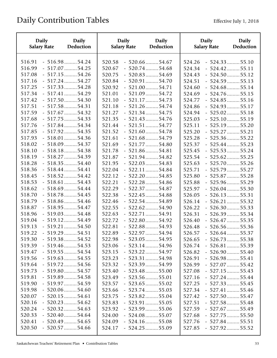| Daily<br><b>Salary Rate</b> | Daily<br>Deduction    | <b>Daily</b><br><b>Salary Rate</b> | Daily<br>Deduction | <b>Daily</b><br><b>Salary Rate</b> | <b>Daily</b><br><b>Deduction</b> |
|-----------------------------|-----------------------|------------------------------------|--------------------|------------------------------------|----------------------------------|
| 516.91                      | $-516.98$ 54.24       | 520.58                             | $-520.66$ 54.67    | 524.26                             | $-524.33$ 55.10                  |
| 516.99                      | $-517.07$ 54.25       | 520.67                             | $-520.74$ 54.68    | 524.34                             | $-524.42$ 55.11                  |
| 517.08                      | $-517.15$ 54.26       | 520.75                             | $-520.83$ 54.69    | 524.43                             | $-524.50$ 55.12                  |
| 517.16                      | $-517.24$ 54.27       | 520.84                             | $-520.91$ 54.70    | 524.51                             | $-524.59$ 55.13                  |
| 517.25                      | $-517.33$ 54.28       | 520.92                             | $-521.00$ 54.71    | 524.60                             | $-524.68$ 55.14                  |
| 517.34                      | $-517.41$ 54.29       | 521.01                             | $-521.09$ 54.72    | 524.69                             | $-524.76$ 55.15                  |
| 517.42                      | $-517.50$ 54.30       | 521.10                             | $-521.17$ 54.73    | 524.77                             | $-524.85$ 55.16                  |
| 517.51                      | $-517.58$ 54.31       | 521.18                             | $-521.26$ 54.74    | 524.86                             | $-524.93$ 55.17                  |
| 517.59                      | $-517.67$ 54.32       | 521.27                             | $-521.34$ 54.75    | 524.94                             | $-525.02 \dots 55.18$            |
| 517.68                      | $-517.75$ 54.33       | 521.35                             | $-521.43$ 54.76    | 525.03                             | $-525.10$ 55.19                  |
| 517.76                      | $-517.84$ 54.34       | 521.44                             | $-521.51$ 54.77    | 525.11                             | $-525.19$ 55.20                  |
| 517.85                      | $-517.92$ 54.35       | 521.52                             | $-521.60$ 54.78    | 525.20                             | $-525.27$ 55.21                  |
| 517.93                      | $-518.01$ 54.36       | 521.61                             | $-521.68$ 54.79    | 525.28                             | $-525.36$ 55.22                  |
| 518.02                      | $-518.09 \dots 54.37$ | 521.69                             | $-521.77$ 54.80    | 525.37                             | $-525.44$ 55.23                  |
| 518.10                      | $-518.18$ 54.38       | 521.78                             | $-521.86$ 54.81    | 525.45                             | $-525.53$ 55.24                  |
| 518.19                      | $-518.27$ 54.39       | 521.87                             | $-521.94$ 54.82    | 525.54                             | $-525.62$ 55.25                  |
| 518.28                      | $-518.35$ 54.40       | 521.95                             | $-522.03$ 54.83    | 525.63                             | $-525.70$ 55.26                  |
| 518.36                      | $-518.44$ 54.41       | 522.04                             | $-522.11$ 54.84    | 525.71                             | $-525.79$ 55.27                  |
| 518.45                      | $-518.52$ 54.42       | 522.12                             | $-522.20$ 54.85    | 525.80                             | $-525.87$ 55.28                  |
| 518.53                      | $-518.61$ 54.43       | 522.21                             | $-522.28$ 54.86    | 525.88                             | $-525.96$ 55.29                  |
| 518.62                      | $-518.69$ 54.44       | 522.29                             | $-522.37$ 54.87    | 525.97                             | $-526.04 \dots 55.30$            |
| 518.70                      | $-518.78 \dots 54.45$ | 522.38                             | $-522.45$ 54.88    | 526.05                             | $-526.13$ 55.31                  |
| 518.79                      | $-518.86$ 54.46       | 522.46                             | $-522.54$ 54.89    | 526.14                             | $-526.21$ 55.32                  |
| 518.87                      | $-518.95$ 54.47       | 522.55                             | $-522.62$ 54.90    | 526.22                             | $-526.30$ 55.33                  |
| 518.96                      | $-519.03$ 54.48       | 522.63                             | $-522.71$ 54.91    | 526.31                             | $-526.39$ 55.34                  |
| 519.04                      | $-519.12$ 54.49       | 522.72                             | $-522.80$ 54.92    | 526.40                             | $-526.47$ 55.35                  |
| 519.13                      | $-519.21$ 54.50       | 522.81                             | $-522.88$ 54.93    | 526.48                             | $-526.56$ 55.36                  |
| 519.22                      | $-519.29 \dots 54.51$ | 522.89                             | $-522.97$ 54.94    | 526.57                             | $-526.64$ 55.37                  |
| 519.30                      | $-519.38$ 54.52       | 522.98                             | $-523.05$ 54.95    | 526.65                             | $-526.73$ 55.38                  |
| 519.39                      | $-519.46$ 54.53       | 523.06                             | $-523.14$ 54.96    | 526.74                             | $-526.81$ 55.39                  |
| 519.47                      | $-519.55$ 54.54       | 523.15                             | $-523.22$ 54.97    | 526.82                             | $-526.90$ 55.40                  |
| 519.56                      | $-519.63$ 54.55       | 523.23                             | $-523.31$ 54.98    | 526.91                             | $-526.98$ 55.41                  |
| 519.64                      | $-519.72$ 54.56       | 523.32                             | $-523.39$ 54.99    | 526.99                             | $-527.07$ 55.42                  |
| 519.73                      | $-519.80$ 54.57       | 523.40                             | $-523.48$ 55.00    | 527.08                             | $-527.15$ 55.43                  |
| 519.81                      | $-519.89$ 54.58       | 523.49                             | $-523.56$ 55.01    | 527.16                             | $-527.24$ 55.44                  |
| 519.90                      | $-519.97$ 54.59       | 523.57                             | $-523.65$ 55.02    | 527.25                             | $-527.33$ 55.45                  |
| 519.98                      | $-520.06$ 54.60       | 523.66                             | $-523.74$ 55.03    | 527.34                             | $-527.41$ 55.46                  |
| 520.07                      | $-520.15$ 54.61       | 523.75                             | $-523.82$ 55.04    | 527.42                             | $-527.50$ 55.47                  |
| 520.16                      | $-520.23$ 54.62       | 523.83                             | $-523.91$ 55.05    | 527.51                             | $-527.58$ 55.48                  |
| 520.24                      | $-520.32$ 54.63       | 523.92                             | $-523.99$ 55.06    | 527.59                             | $-527.67$ 55.49                  |
| 520.33                      | $-520.40$ 54.64       | 524.00                             | $-524.08$ 55.07    | 527.68                             | $-527.75$ 55.50                  |
| 520.41                      | $-520.49$ 54.65       | 524.09                             | $-524.16$ 55.08    | 527.76                             | $-527.84$ 55.51                  |
| 520.50                      | $-520.57$ 54.66       | 524.17                             | $-524.25$ 55.09    | 527.85                             | $-527.92$ 55.52                  |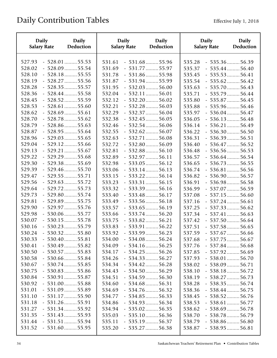| <b>Daily</b><br><b>Daily</b><br><b>Salary Rate</b><br>Deduction                                                                                                                                                                      | <b>Daily</b><br><b>Salary Rate</b>                                           | Daily<br>Deduction                                                                                                                                   | <b>Daily</b><br><b>Salary Rate</b>                                           | <b>Daily</b><br>Deduction                                                                                                                            |
|--------------------------------------------------------------------------------------------------------------------------------------------------------------------------------------------------------------------------------------|------------------------------------------------------------------------------|------------------------------------------------------------------------------------------------------------------------------------------------------|------------------------------------------------------------------------------|------------------------------------------------------------------------------------------------------------------------------------------------------|
| $-528.01$ 55.53<br>527.93<br>528.02<br>$-528.09 \dots 55.54$<br>528.10<br>$-528.18\dots 55.55$<br>528.19<br>$-528.27$ 55.56<br>$-528.35$ 55.57<br>528.28                                                                             | 531.61<br>531.69<br>531.78<br>531.87<br>531.95                               | $-531.68$ 55.96<br>$-531.77$ 55.97<br>$-531.86$ 55.98<br>$-531.94$ 55.99<br>$-532.03$ 56.00                                                          | 535.28<br>535.37<br>535.45<br>535.54<br>535.63                               | $-535.36$ 56.39<br>$-535.44$ 56.40<br>$-535.53$ 56.41<br>$-535.62$ 56.42<br>$-535.70$ 56.43                                                          |
| 528.36<br>$-528.44$ 55.58<br>528.45<br>$-528.52$ 55.59<br>528.53<br>$-528.61$ 55.60<br>528.62<br>$-528.69$ 55.61<br>528.70<br>$-528.78 \dots 55.62$<br>$-528.86$ 55.63<br>528.79                                                     | 532.04<br>532.12<br>532.21<br>532.29<br>532.38<br>532.46                     | $-532.11$ 56.01<br>$-532.20$ 56.02<br>$-532.28$ 56.03<br>$-532.37$ 56.04<br>$-532.45$ 56.05<br>$-532.54$ 56.06                                       | 535.71<br>535.80<br>535.88<br>535.97<br>536.05<br>536.14                     | $-535.79$ 56.44<br>$-535.87$ 56.45<br>$-535.96$ 56.46<br>$-536.04$ 56.47<br>$-536.13$ 56.48<br>$-536.21$ 56.49                                       |
| 528.87<br>$-528.95$ 55.64<br>528.96<br>$-529.03$ 55.65<br>529.04<br>$-529.12$ 55.66<br>529.13<br>$-529.21$ 55.67<br>529.22<br>$-529.29 \dots 55.68$<br>529.30<br>$-529.38$ 55.69                                                     | 532.55<br>532.63<br>532.72<br>532.81<br>532.89<br>532.98                     | $-532.62$ 56.07<br>$-532.71$ 56.08<br>$-532.80$ 56.09<br>$-532.88$ 56.10<br>$-532.97$ 56.11<br>$-533.05$ 56.12                                       | 536.22<br>536.31<br>536.40<br>536.48<br>536.57<br>536.65                     | $-536.30$ 56.50<br>$-536.39$ 56.51<br>$-536.47$ 56.52<br>$-536.56$ 56.53<br>$-536.64$ 56.54<br>$-536.73$ 56.55                                       |
| $-529.46$ 55.70<br>529.39<br>529.47<br>$-529.55$ 55.71<br>529.56<br>$-529.63$ 55.72<br>529.64<br>$-529.72$ 55.73<br>529.73<br>$-529.80$ 55.74<br>529.81<br>$-529.89$ 55.75                                                           | 533.06<br>533.15<br>533.23<br>533.32<br>533.40<br>533.49                     | $-533.14$ 56.13<br>$-533.22$ 56.14<br>$-533.31$ 56.15<br>$-533.39$ 56.16<br>$-533.48$ 56.17<br>$-533.56$ 56.18                                       | 536.74<br>536.82<br>536.91<br>536.99<br>537.08<br>537.16                     | $-536.81$ 56.56<br>$-536.90$ 56.57<br>$-536.98$ 56.58<br>$-537.07$ 56.59<br>$-537.15$ 56.60<br>$-537.24$ 56.61                                       |
| 529.90<br>$-529.97$ 55.76<br>529.98<br>$-530.06$ 55.77<br>530.07<br>$-530.15$ 55.78<br>530.16<br>$-530.23$ 55.79<br>530.24<br>$-530.32$ 55.80<br>$-530.40$ 55.81<br>530.33                                                           | 533.57<br>533.66<br>533.75<br>533.83<br>533.92<br>534.00                     | $-533.65$ 56.19<br>$-533.74$ 56.20<br>$-533.82$ 56.21<br>$-533.91$ 56.22<br>$-533.99$ 56.23<br>$-534.08 \dots 56.24$                                 | 537.25<br>537.34<br>537.42<br>537.51<br>537.59<br>537.68                     | $-537.33$ 56.62<br>$-537.41$ 56.63<br>$-537.50$ 56.64<br>$-537.58$ 56.65<br>$-537.67$ 56.66<br>$-537.75$ 56.67                                       |
| $-530.49$ 55.82<br>530.41<br>530.50<br>$-530.57$ 55.83<br>530.58<br>$-530.66$ 55.84<br>530.67<br>$-530.74$ 55.85<br>530.75<br>$-530.83$ 55.86<br>530.84<br>$-530.91$ 55.87                                                           | 534.09<br>534.17<br>534.26<br>534.34<br>534.43<br>534.51                     | $-534.16$ 56.25<br>$-534.25$ 56.26<br>$-534.33$ 56.27<br>$-534.42$ 56.28<br>$-534.50$ 56.29<br>$-534.59$ 56.30                                       | 537.76<br>537.85<br>537.93<br>538.02<br>538.10<br>538.19                     | $-537.84$ 56.68<br>$-537.92$ 56.69<br>$-538.01$ 56.70<br>$-538.09$ 56.71<br>$-538.18$ 56.72<br>$-538.27$ 56.73                                       |
| $-531.00$ 55.88<br>530.92<br>$-531.09$ 55.89<br>531.01<br>531.10<br>$-531.17$ 55.90<br>531.18<br>$-531.26$ 55.91<br>$-531.34$ 55.92<br>531.27<br>531.35<br>$-531.43$ 55.93<br>531.44<br>$-531.51$ 55.94<br>$-531.60$ 55.95<br>531.52 | 534.60<br>534.69<br>534.77<br>534.86<br>534.94<br>535.03<br>535.11<br>535.20 | $-534.68$ 56.31<br>$-534.76$ 56.32<br>$-534.85$ 56.33<br>$-534.93$ 56.34<br>$-535.02$ 56.35<br>$-535.10$ 56.36<br>$-535.19$ 56.37<br>$-535.27$ 56.38 | 538.28<br>538.36<br>538.45<br>538.53<br>538.62<br>538.70<br>538.79<br>538.87 | $-538.35$ 56.74<br>$-538.44$ 56.75<br>$-538.52$ 56.76<br>$-538.61$ 56.77<br>$-538.69$ 56.78<br>$-538.78$ 56.79<br>$-538.86$ 56.80<br>$-538.95$ 56.81 |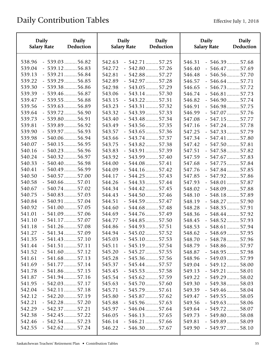| <b>Daily</b>       | <b>Daily</b>          | <b>Daily</b>       | <b>Daily</b>           | Daily              | <b>Daily</b>          |
|--------------------|-----------------------|--------------------|------------------------|--------------------|-----------------------|
| <b>Salary Rate</b> | Deduction             | <b>Salary Rate</b> | <b>Deduction</b>       | <b>Salary Rate</b> | <b>Deduction</b>      |
| 538.96             | $-539.03$ 56.82       | 542.63             | $-542.71$ 57.25        | 546.31             | $-546.39$ 57.68       |
| 539.04             | $-539.12$ 56.83       | 542.72             | $-542.80$ 57.26        | 546.40             | $-546.47$ 57.69       |
| 539.13             | $-539.21$ 56.84       | 542.81             | $-542.88$ 57.27        | 546.48             | $-546.56$ 57.70       |
| 539.22             | $-539.29 \dots 56.85$ | 542.89             | $-542.97$ 57.28        | 546.57             | $-546.64$ 57.71       |
| 539.30             | $-539.38$ 56.86       | 542.98             | $-543.05$ 57.29        | 546.65             | $-546.73$ 57.72       |
| 539.39             | $-539.46$ 56.87       | 543.06             | $-543.14$ 57.30        | 546.74             | $-546.81$ 57.73       |
| 539.47             | $-539.55$ 56.88       | 543.15             | $-543.22$ 57.31        | 546.82             | $-546.90$ 57.74       |
| 539.56             | $-539.63$ 56.89       | 543.23             | $-543.31$ 57.32        | 546.91             | $-546.98 \dots 57.75$ |
| 539.64             | $-539.72$ 56.90       | 543.32             | $-543.39$ 57.33        | 546.99             | $-547.07$ 57.76       |
| 539.73             | $-539.80$ 56.91       | 543.40             | $-543.48$ 57.34        | 547.08             | $-547.15$ 57.77       |
| 539.81             | $-539.89$ 56.92       | 543.49             | $-543.56$ 57.35        | 547.16             | $-547.24$ 57.78       |
| 539.90             | $-539.97$ 56.93       | 543.57             | $-543.65$ 57.36        | 547.25             | $-547.33$ 57.79       |
| 539.98             | $-540.06$ 56.94       | 543.66             | $-543.74$ 57.37        | 547.34             | $-547.41$ 57.80       |
| 540.07             | $-540.15$ 56.95       | 543.75             | $-543.82$ 57.38        | 547.42             | $-547.50$ 57.81       |
| 540.16             | $-540.23$ 56.96       | 543.83             | $-543.91$ 57.39        | 547.51             | $-547.58 \dots 57.82$ |
| 540.24             | $-540.32$ 56.97       | 543.92             | $-543.99 \dots 57.40$  | 547.59             | $-547.67$ 57.83       |
| 540.33             | $-540.40$ 56.98       | 544.00             | $-544.08 \ldots 57.41$ | 547.68             | $-547.75$ 57.84       |
| 540.41             | $-540.49$ 56.99       | 544.09             | $-544.16$ 57.42        | 547.76             | $-547.84$ 57.85       |
| 540.50             | $-540.57$ 57.00       | 544.17             | $-544.25$ 57.43        | 547.85             | $-547.92$ 57.86       |
| 540.58             | $-540.66$ 57.01       | 544.26             | $-544.33$ 57.44        | 547.93             | $-548.01$ 57.87       |
| 540.67             | $-540.74$ 57.02       | 544.34             | $-544.42$ 57.45        | 548.02             | $-548.09$ 57.88       |
| 540.75             | $-540.83$ 57.03       | 544.43             | $-544.50$ 57.46        | 548.10             | $-548.18$ 57.89       |
| 540.84             | $-540.91$ 57.04       | 544.51             | $-544.59$ 57.47        | 548.19             | $-548.27$ 57.90       |
| 540.92             | $-541.00 \dots 57.05$ | 544.60             | $-544.68$ 57.48        | 548.28             | $-548.35$ 57.91       |
| 541.01             | $-541.09$ 57.06       | 544.69             | $-544.76$ 57.49        | 548.36             | $-548.44$ 57.92       |
| 541.10             | $-541.17$ 57.07       | 544.77             | $-544.85$ 57.50        | 548.45             | $-548.52$ 57.93       |
| 541.18             | $-541.26$ 57.08       | 544.86             | $-544.93 \ldots 57.51$ | 548.53             | $-548.61$ 57.94       |
| 541.27             | $-541.34$ 57.09       | 544.94             | $-545.02 \dots 57.52$  | 548.62             | $-548.69$ 57.95       |
| 541.35             | $-541.43$ 57.10       | 545.03             | $-545.10$ 57.53        | 548.70             | $-548.78 \dots 57.96$ |
| 541.44             | $-541.51$ 57.11       | 545.11             | $-545.19$ 57.54        | 548.79             | $-548.86$ 57.97       |
| 541.52             | $-541.60$ 57.12       | 545.20             | $-545.27$ 57.55        | 548.87             | $-548.95$ 57.98       |
| 541.61             | $-541.68 \dots 57.13$ | 545.28             | $-545.36$ 57.56        | 548.96             | $-549.03$ 57.99       |
| 541.69             | $-541.77$ 57.14       | 545.37             | $-545.44$ 57.57        | 549.04             | $-549.12$ 58.00       |
| 541.78             | $-541.86$ 57.15       | 545.45             | $-545.53$ 57.58        | 549.13             | $-549.21$ 58.01       |
| 541.87             | $-541.94$ 57.16       | 545.54             | $-545.62$ 57.59        | 549.22             | $-549.29$ 58.02       |
| 541.95             | $-542.03$ 57.17       | 545.63             | $-545.70$ 57.60        | 549.30             | $-549.38$ 58.03       |
| 542.04             | $-542.11$ 57.18       | 545.71             | $-545.79 \dots 57.61$  | 549.39             | $-549.46$ 58.04       |
| 542.12             | $-542.20$ 57.19       | 545.80             | $-545.87 \dots 57.62$  | 549.47             | $-549.55$ 58.05       |
| 542.21             | $-542.28 \dots 57.20$ | 545.88             | $-545.96$ 57.63        | 549.56             | $-549.63$ 58.06       |
| 542.29             | $-542.37$ 57.21       | 545.97             | $-546.04$ 57.64        | 549.64             | $-549.72$ 58.07       |
| 542.38             | $-542.45$ 57.22       | 546.05             | $-546.13$ 57.65        | 549.73             | $-549.80$ 58.08       |
| 542.46             | $-542.54$ 57.23       | 546.14             | $-546.21$ 57.66        | 549.81             | $-549.89$ 58.09       |
| 542.55             | $-542.62$ 57.24       | 546.22             | $-546.30$ 57.67        | 549.90             | $-549.97$ 58.10       |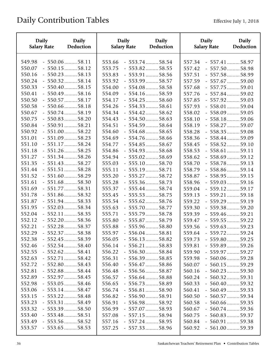| <b>Daily</b>                                             | <b>Daily</b>                                                                                                   | <b>Daily</b>                                             | <b>Daily</b>                                                                                                   | <b>Daily</b>                                   | <b>Daily</b>                                                                                      |
|----------------------------------------------------------|----------------------------------------------------------------------------------------------------------------|----------------------------------------------------------|----------------------------------------------------------------------------------------------------------------|------------------------------------------------|---------------------------------------------------------------------------------------------------|
| <b>Salary Rate</b>                                       | Deduction                                                                                                      | <b>Salary Rate</b>                                       | Deduction                                                                                                      | <b>Salary Rate</b>                             | Deduction                                                                                         |
| 549.98                                                   | $-550.06$ 58.11                                                                                                | 553.66                                                   | $-553.74$ 58.54                                                                                                | 557.34                                         | $-557.41$ 58.97                                                                                   |
| 550.07                                                   | $-550.15$ 58.12                                                                                                | 553.75                                                   | $-553.82$ 58.55                                                                                                | 557.42                                         | $-557.50$ 58.98                                                                                   |
| 550.16                                                   | $-550.23$ 58.13                                                                                                | 553.83                                                   | $-553.91$ 58.56                                                                                                | 557.51                                         | $-557.58$ 58.99                                                                                   |
| 550.24                                                   | $-550.32$ 58.14                                                                                                | 553.92                                                   | $-553.99$ 58.57                                                                                                | 557.59                                         | $-557.67$ 59.00                                                                                   |
| 550.33                                                   | $-550.40$ 58.15                                                                                                | 554.00                                                   | $-554.08$ 58.58                                                                                                | 557.68                                         | $-557.75$ 59.01                                                                                   |
| 550.41                                                   | $-550.49$ 58.16                                                                                                | 554.09                                                   | $-554.16$ 58.59                                                                                                | 557.76                                         | $-557.84$ 59.02                                                                                   |
| 550.50                                                   | $-550.57$ 58.17                                                                                                | 554.17                                                   | $-554.25$ 58.60                                                                                                | 557.85                                         | $-557.92$ 59.03                                                                                   |
| 550.58                                                   | $-550.66$ 58.18                                                                                                | 554.26                                                   | $-554.33$ 58.61                                                                                                | 557.93                                         | $-558.01$ 59.04                                                                                   |
| 550.67                                                   | $-550.74$ 58.19                                                                                                | 554.34                                                   | $-554.42$ 58.62                                                                                                | 558.02                                         | $-558.09$ 59.05                                                                                   |
| 550.75                                                   | $-550.83$ 58.20                                                                                                | 554.43                                                   | $-554.50$ 58.63                                                                                                | 558.10                                         | $-558.18 \dots 59.06$                                                                             |
| 550.84                                                   | $-550.91$ 58.21                                                                                                | 554.51                                                   | $-554.59$ 58.64                                                                                                | 558.19                                         | $-558.27$ 59.07                                                                                   |
| 550.92                                                   | $-551.00$ 58.22                                                                                                | 554.60                                                   | $-554.68$ 58.65                                                                                                | 558.28                                         | $-558.35$ 59.08                                                                                   |
| 551.01                                                   | $-551.09$ 58.23                                                                                                | 554.69                                                   | $-554.76$ 58.66                                                                                                | 558.36                                         | $-558.44$ 59.09                                                                                   |
| 551.10                                                   | $-551.17$ 58.24                                                                                                | 554.77                                                   | $-554.85$ 58.67                                                                                                | 558.45                                         | $-558.52$ 59.10                                                                                   |
| 551.18                                                   | $-551.26$ 58.25                                                                                                | 554.86                                                   | $-554.93$ 58.68                                                                                                | 558.53                                         | $-558.61$ 59.11                                                                                   |
| 551.27                                                   | $-551.34$ 58.26                                                                                                | 554.94                                                   | $-555.02$ 58.69                                                                                                | 558.62                                         | $-558.69$ 59.12                                                                                   |
| 551.35                                                   | $-551.43$ 58.27                                                                                                | 555.03                                                   | $-555.10$ 58.70                                                                                                | 558.70                                         | $-558.78$ 59.13                                                                                   |
| 551.44                                                   | $-551.51$ 58.28                                                                                                | 555.11                                                   | $-555.19$ 58.71                                                                                                | 558.79                                         | $-558.86$ 59.14                                                                                   |
| 551.52                                                   | $-551.60$ 58.29                                                                                                | 555.20                                                   | $-555.27$ 58.72                                                                                                | 558.87                                         | $-558.95$ 59.15                                                                                   |
| 551.61                                                   | $-551.68$ 58.30                                                                                                | 555.28                                                   | $-555.36$ 58.73                                                                                                | 558.96                                         | $-559.03$ 59.16                                                                                   |
| 551.69                                                   | $-551.77$ 58.31                                                                                                | 555.37                                                   | $-555.44$ 58.74                                                                                                | 559.04                                         | $-559.12$ 59.17                                                                                   |
| 551.78                                                   | $-551.86$ 58.32                                                                                                | 555.45                                                   | $-555.53$ 58.75                                                                                                | 559.13                                         | $-559.21$ 59.18                                                                                   |
| 551.87                                                   | $-551.94$ 58.33                                                                                                | 555.54                                                   | $-555.62$ 58.76                                                                                                | 559.22                                         | $-559.29 \dots 59.19$                                                                             |
| 551.95                                                   | $-552.03$ 58.34                                                                                                | 555.63                                                   | $-555.70$ 58.77                                                                                                | 559.30                                         | $-559.38$ 59.20                                                                                   |
| 552.04                                                   | $-552.11$ 58.35                                                                                                | 555.71                                                   | $-555.79$ 58.78                                                                                                | 559.39                                         | $-559.46$ 59.21                                                                                   |
| 552.12                                                   | $-552.20$ 58.36                                                                                                | 555.80                                                   | $-555.87$ 58.79                                                                                                | 559.47                                         | $-559.55$ 59.22                                                                                   |
| 552.21                                                   | $-552.28$ 58.37                                                                                                | 555.88                                                   | $-555.96$ 58.80                                                                                                | 559.56                                         | $-559.63$ 59.23                                                                                   |
| 552.29                                                   | $-552.37$ 58.38                                                                                                | 555.97                                                   | $-556.04$ 58.81                                                                                                | 559.64                                         | $-559.72$ 59.24                                                                                   |
| 552.38                                                   | $-552.45$ 58.39                                                                                                | 556.05                                                   | $-556.13$ 58.82                                                                                                | 559.73                                         | $-559.80$ 59.25                                                                                   |
| 552.46                                                   | $-552.54$ 58.40                                                                                                | 556.14                                                   | $-556.21$ 58.83                                                                                                | 559.81                                         | $-559.89$ 59.26                                                                                   |
| 552.55                                                   | $-552.62$ 58.41                                                                                                | 556.22                                                   | $-556.30$ 58.84                                                                                                | 559.90                                         | $-559.97$ 59.27                                                                                   |
| 552.63                                                   | $-552.71$ 58.42                                                                                                | 556.31                                                   | $-556.39$ 58.85                                                                                                | 559.98                                         | $-560.06$ 59.28                                                                                   |
| 552.72                                                   | $-552.80$ 58.43                                                                                                | 556.40                                                   | $-556.47$ 58.86                                                                                                | 560.07                                         | $-560.15$ 59.29                                                                                   |
| 552.81<br>552.89<br>552.98<br>553.06<br>553.15<br>553.23 | $-552.88$ 58.44<br>$-552.97$ 58.45<br>$-553.05$ 58.46<br>$-553.14$ 58.47<br>$-553.22$ 58.48<br>$-553.31$ 58.49 | 556.48<br>556.57<br>556.65<br>556.74<br>556.82<br>556.91 | $-556.56$ 58.87<br>$-556.64$ 58.88<br>$-556.73$ 58.89<br>$-556.81$ 58.90<br>$-556.90$ 58.91<br>$-556.98$ 58.92 | 560.16<br>560.24<br>560.33<br>560.41<br>560.50 | $-560.23$ 59.30<br>$-560.32$ 59.31<br>$-560.40$ 59.32<br>$-560.49$ 59.33<br>$-560.57$ 59.34       |
| 553.32<br>553.40<br>553.49<br>553.57                     | $-553.39$ 58.50<br>$-553.48$ 58.51<br>$-553.56$ 58.52<br>$-553.65$ 58.53                                       | 556.99<br>557.08<br>557.16<br>557.25                     | $-557.07$ 58.93<br>$-557.15$ 58.94<br>$-557.24$ 58.95<br>$-557.33$ 58.96                                       | 560.58<br>560.67<br>560.75<br>560.84<br>560.92 | $-560.66$ 59.35<br>$-560.74 \dots 59.36$<br>$-560.83$ 59.37<br>$-560.91$ 59.38<br>$-561.00$ 59.39 |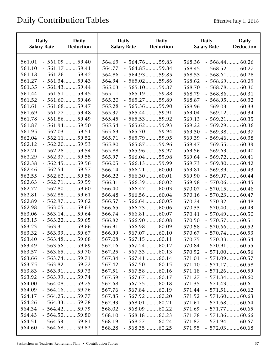| <b>Daily</b>               | <b>Daily</b>                                          | <b>Daily</b>               | <b>Daily</b>                                          | <b>Daily</b>               | <b>Daily</b>                                          |
|----------------------------|-------------------------------------------------------|----------------------------|-------------------------------------------------------|----------------------------|-------------------------------------------------------|
| <b>Salary Rate</b>         | Deduction                                             | <b>Salary Rate</b>         | Deduction                                             | <b>Salary Rate</b>         | <b>Deduction</b>                                      |
| 561.01                     | $-561.09 \dots 59.40$                                 | 564.69                     | $-564.76$ 59.83                                       | 568.36                     | $-568.44$ 60.26                                       |
| 561.10                     | $-561.17$ 59.41                                       | 564.77                     | $-564.85$ 59.84                                       | 568.45                     | $-568.52$ 60.27                                       |
| 561.18                     | $-561.26$ 59.42                                       | 564.86                     | $-564.93$ 59.85                                       | 568.53                     | $-568.61$ 60.28                                       |
| 561.27                     | $-561.34$ 59.43                                       | 564.94                     | $-565.02$ 59.86                                       | 568.62                     | $-568.69$ 60.29                                       |
| 561.35                     | $-561.43$ 59.44                                       | 565.03                     | $-565.10$ 59.87                                       | 568.70                     | $-568.78$ 60.30                                       |
| 561.44                     | $-561.51$ 59.45                                       | 565.11                     | $-565.19$ 59.88                                       | 568.79                     | $-568.86$ 60.31                                       |
| 561.52                     | $-561.60$ 59.46                                       | 565.20                     | $-565.27$ 59.89                                       | 568.87                     | $-568.95$ 60.32                                       |
| 561.61                     | $-561.68$ 59.47                                       | 565.28                     | $-565.36$ 59.90                                       | 568.96                     | $-569.03$ 60.33                                       |
| 561.69                     | $-561.77$ 59.48                                       | 565.37                     | $-565.44$ 59.91                                       | 569.04                     | $-569.12$ 60.34                                       |
| 561.78<br>561.87<br>561.95 | $-561.86$ 59.49<br>$-561.94$ 59.50                    | 565.45<br>565.54<br>565.63 | $-565.53$ 59.92<br>$-565.62$ 59.93                    | 569.13<br>569.22<br>569.30 | $-569.21$ 60.35<br>$-569.29 \dots 60.36$              |
| 562.04<br>562.12           | $-562.03$ 59.51<br>$-562.11$ 59.52<br>$-562.20$ 59.53 | 565.71<br>565.80           | $-565.70$ 59.94<br>$-565.79$ 59.95<br>$-565.87$ 59.96 | 569.39<br>569.47           | $-569.38$ 60.37<br>$-569.46$ 60.38<br>$-569.55$ 60.39 |
| 562.21                     | $-562.28$ 59.54                                       | 565.88                     | $-565.96$ 59.97                                       | 569.56                     | $-569.63$ 60.40                                       |
| 562.29                     | $-562.37$ 59.55                                       | 565.97                     | $-566.04$ 59.98                                       | 569.64                     | $-569.72 \dots 60.41$                                 |
| 562.38                     | $-562.45$ 59.56                                       | 566.05                     | $-566.13$ 59.99                                       | 569.73                     | $-569.80$ 60.42                                       |
| 562.46                     | $-562.54$ 59.57                                       | 566.14                     | $-566.21$ 60.00                                       | 569.81                     | $-569.89$ 60.43                                       |
| 562.55                     | $-562.62$ 59.58                                       | 566.22                     | $-566.30$ 60.01                                       | 569.90                     | $-569.97$ 60.44                                       |
| 562.63                     | $-562.71$ 59.59                                       | 566.31                     | $-566.39 \dots 60.02$                                 | 569.98                     | $-570.06$ 60.45                                       |
| 562.72                     | $-562.80$ 59.60                                       | 566.40                     | $-566.47$ 60.03                                       | 570.07                     | $-570.15$ 60.46                                       |
| 562.81                     | $-562.88$ 59.61                                       | 566.48                     | $-566.56$ 60.04                                       | 570.16                     | $-570.23$ 60.47                                       |
| 562.89                     | $-562.97$ 59.62                                       | 566.57                     | $-566.64$ 60.05                                       | 570.24                     | $-570.32$ 60.48                                       |
| 562.98                     | $-563.05$ 59.63                                       | 566.65                     | $-566.73$ 60.06                                       | 570.33                     | $-570.40$ 60.49                                       |
| 563.06                     | $-563.14$ 59.64                                       | 566.74                     | $-566.81$ 60.07                                       | 570.41                     | $-570.49$ 60.50                                       |
| 563.15                     | $-563.22$ 59.65                                       | 566.82                     | $-566.90$ 60.08                                       | 570.50                     | $-570.57$ 60.51                                       |
| 563.23                     | $-563.31$ 59.66                                       | 566.91                     | $-566.98$ 60.09                                       | 570.58                     | $-570.66$ 60.52                                       |
| 563.32                     | $-563.39$ 59.67                                       | 566.99                     | $-567.07$ 60.10                                       | 570.67                     | $-570.74$ 60.53                                       |
| 563.40                     | $-563.48$ 59.68                                       | 567.08                     | $-567.15$ 60.11                                       | 570.75                     | $-570.83$ 60.54                                       |
| 563.49                     | $-563.56$ 59.69                                       | 567.16                     | $-567.24$ 60.12                                       | 570.84                     | $-570.91$ 60.55                                       |
| 563.57                     | $-563.65$ 59.70                                       | 567.25                     | $-567.33$ 60.13                                       | 570.92                     | $-571.00$ 60.56                                       |
| 563.66                     | $-563.74$ 59.71                                       | 567.34                     | $-567.41$ 60.14                                       | 571.01                     | $-571.09$ 60.57                                       |
| 563.75                     | $-563.82$ 59.72                                       | 567.42                     | $-567.50$ 60.15                                       | 571.10                     | $-571.17$ 60.58                                       |
| 563.83                     | $-563.91$ 59.73                                       | 567.51                     | $-567.58$ 60.16                                       | 571.18                     | $-571.26$ 60.59                                       |
| 563.92                     | $-563.99$ 59.74                                       | 567.59                     | $-567.67$ 60.17                                       | 571.27                     | $-571.34$ 60.60                                       |
| 564.00                     | $-564.08 \dots 59.75$                                 | 567.68                     | $-567.75 \dots 60.18$                                 | 571.35                     | $-571.43$ 60.61                                       |
| 564.09                     | $-564.16$ 59.76                                       | 567.76                     | $-567.84$ 60.19                                       | 571.44                     | $-571.51$ 60.62                                       |
| 564.17                     | $-564.25$ 59.77                                       | 567.85                     | $-567.92 \dots 60.20$                                 | 571.52                     | $-571.60$ 60.63                                       |
| 564.26                     | $-564.33$ 59.78                                       | 567.93                     | $-568.01$ 60.21                                       | 571.61                     | $-571.68$ 60.64                                       |
| 564.34                     | $-564.42$ 59.79                                       | 568.02                     | $-568.09 \dots 60.22$                                 | 571.69                     | $-571.77$ 60.65                                       |
| 564.43                     | $-564.50$ 59.80                                       | 568.10                     | $-568.18 \dots 60.23$                                 | 571.78                     | $-571.86$ 60.66                                       |
| 564.51                     | $-564.59 \dots 59.81$                                 | 568.19                     | $-568.27 \dots 60.24$                                 | 571.87                     | $-571.94$ 60.67                                       |
| 564.60                     | $-564.68$ 59.82                                       | 568.28                     | $-568.35$ 60.25                                       | 571.95                     | $-572.03$ 60.68                                       |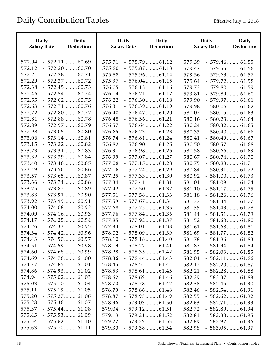| Daily              | <b>Daily</b>    | <b>Daily</b>       | <b>Daily</b>          | <b>Daily</b>       | <b>Daily</b>          |
|--------------------|-----------------|--------------------|-----------------------|--------------------|-----------------------|
| <b>Salary Rate</b> | Deduction       | <b>Salary Rate</b> | Deduction             | <b>Salary Rate</b> | Deduction             |
| 572.04             | $-572.11$ 60.69 | 575.71             | $-575.79$ 61.12       | 579.39             | $-579.46$ 61.55       |
| 572.12             | $-572.20$ 60.70 | 575.80             | $-575.87$ 61.13       | 579.47             | $-579.55$ 61.56       |
| 572.21             | $-572.28$ 60.71 | 575.88             | $-575.96$ 61.14       | 579.56             | $-579.63$ 61.57       |
| 572.29             | $-572.37$ 60.72 | 575.97             | $-576.04 \dots 61.15$ | 579.64             | $-579.72$ 61.58       |
| 572.38             | $-572.45$ 60.73 | 576.05             | $-576.13$ 61.16       | 579.73             | $-579.80$ 61.59       |
| 572.46             | $-572.54$ 60.74 | 576.14             | $-576.21$ 61.17       | 579.81             | $-579.89$ 61.60       |
| 572.55             | $-572.62$ 60.75 | 576.22             | $-576.30$ 61.18       | 579.90             | $-579.97$ 61.61       |
| 572.63             | $-572.71$ 60.76 | 576.31             | $-576.39$ 61.19       | 579.98             | $-580.06$ 61.62       |
| 572.72             | $-572.80$ 60.77 | 576.40             | $-576.47$ 61.20       | 580.07             | $-580.15 \dots 61.63$ |
| 572.81             | $-572.88$ 60.78 | 576.48             | $-576.56$ 61.21       | 580.16             | $-580.23$ 61.64       |
| 572.89             | $-572.97$ 60.79 | 576.57             | $-576.64$ 61.22       | 580.24             | $-580.32 \dots 61.65$ |
| 572.98             | $-573.05$ 60.80 | 576.65             | $-576.73$ 61.23       | 580.33             | $-580.40$ 61.66       |
| 573.06             | $-573.14$ 60.81 | 576.74             | $-576.81$ 61.24       | 580.41             | $-580.49 \dots 61.67$ |
| 573.15             | $-573.22$ 60.82 | 576.82             | $-576.90$ 61.25       | 580.50             | $-580.57 \dots 61.68$ |
| 573.23             | $-573.31$ 60.83 | 576.91             | $-576.98$ 61.26       | 580.58             | $-580.66$ 61.69       |
| 573.32             | $-573.39$ 60.84 | 576.99             | $-577.07$ 61.27       | 580.67             | $-580.74$ 61.70       |
| 573.40             | $-573.48$ 60.85 | 577.08             | $-577.15$ 61.28       | 580.75             | $-580.83$ 61.71       |
| 573.49             | $-573.56$ 60.86 | 577.16             | $-577.24$ 61.29       | 580.84             | $-580.91$ 61.72       |
| 573.57             | $-573.65$ 60.87 | 577.25             | $-577.33$ 61.30       | 580.92             | $-581.00 \dots 61.73$ |
| 573.66             | $-573.74$ 60.88 | 577.34             | $-577.41$ 61.31       | 581.01             | $-581.09 \dots 61.74$ |
| 573.75             | $-573.82$ 60.89 | 577.42             | $-577.50$ 61.32       | 581.10             | $-581.17$ 61.75       |
| 573.83             | $-573.91$ 60.90 | 577.51             | $-577.58$ 61.33       | 581.18             | $-581.26 \dots 61.76$ |
| 573.92             | $-573.99$ 60.91 | 577.59             | $-577.67$ 61.34       | 581.27             | $-581.34$ 61.77       |
| 574.00             | $-574.08$ 60.92 | 577.68             | $-577.75$ 61.35       | 581.35             | $-581.43$ 61.78       |
| 574.09             | $-574.16$ 60.93 | 577.76             | $-577.84$ 61.36       | 581.44             | $-581.51$ 61.79       |
| 574.17             | $-574.25$ 60.94 | 577.85             | $-577.92$ 61.37       | 581.52             | $-581.60$ 61.80       |
| 574.26             | $-574.33$ 60.95 | 577.93             | $-578.01$ 61.38       | 581.61             | $-581.68 \dots 61.81$ |
| 574.34             | $-574.42$ 60.96 | 578.02             | $-578.09$ 61.39       | 581.69             | $-581.77$ 61.82       |
| 574.43             | $-574.50$ 60.97 | 578.10             | $-578.18$ 61.40       | 581.78             | $-581.86$ 61.83       |
| 574.51             | $-574.59$ 60.98 | 578.19             | $-578.27$ 61.41       | 581.87             | $-581.94$ 61.84       |
| 574.60             | $-574.68$ 60.99 | 578.28             | $-578.35$ 61.42       | 581.95             | $-582.03 \dots 61.85$ |
| 574.69             | $-574.76$ 61.00 | 578.36             | $-578.44$ 61.43       | 582.04             | $-582.11$ 61.86       |
| 574.77             | $-574.85$ 61.01 | 578.45             | $-578.52$ 61.44       | 582.12             | $-582.20$ 61.87       |
| 574.86             | $-574.93$ 61.02 | 578.53             | $-578.61$ 61.45       | 582.21             | $-582.28 \dots 61.88$ |
| 574.94             | $-575.02$ 61.03 | 578.62             | $-578.69$ 61.46       | 582.29             | $-582.37$ 61.89       |
| 575.03             | $-575.10$ 61.04 | 578.70             | $-578.78 \dots 61.47$ | 582.38             | $-582.45$ 61.90       |
| 575.11             | $-575.19$ 61.05 | 578.79             | $-578.86$ 61.48       | 582.46             | $-582.54$ 61.91       |
| 575.20             | $-575.27$ 61.06 | 578.87             | $-578.95$ 61.49       | 582.55             | $-582.62$ 61.92       |
| 575.28             | $-575.36$ 61.07 | 578.96             | $-579.03 \dots 61.50$ | 582.63             | $-582.71$ 61.93       |
| 575.37             | $-575.44$ 61.08 | 579.04             | $-579.12$ 61.51       | 582.72             | $-582.80$ 61.94       |
| 575.45             | $-575.53$ 61.09 | 579.13             | $-579.21$ 61.52       | 582.81             | $-582.88$ 61.95       |
| 575.54             | $-575.62$ 61.10 | 579.22             | $-579.29$ 61.53       | 582.89             | $-582.97$ 61.96       |
| 575.63             | $-575.70$ 61.11 | 579.30             | $-579.38$ 61.54       | 582.98             | $-583.05$ 61.97       |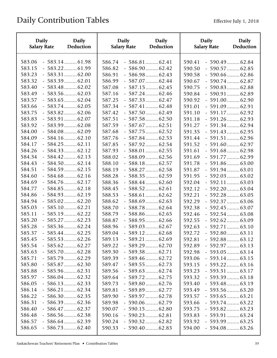| <b>Daily</b><br><b>Salary Rate</b>                       | <b>Daily</b><br>Deduction                                                                                                  | Daily<br><b>Salary Rate</b>                              | <b>Daily</b><br>Deduction                                                                                                  | Daily<br><b>Salary Rate</b>                              | <b>Daily</b><br>Deduction                                                                                      |
|----------------------------------------------------------|----------------------------------------------------------------------------------------------------------------------------|----------------------------------------------------------|----------------------------------------------------------------------------------------------------------------------------|----------------------------------------------------------|----------------------------------------------------------------------------------------------------------------|
| 583.06<br>583.15<br>583.23<br>583.32<br>583.40           | $-583.14$ 61.98<br>$-583.22$ 61.99<br>$-583.31$ 62.00<br>$-583.39$ 62.01<br>$-583.48$ 62.02                                | 586.74<br>586.82<br>586.91<br>586.99                     | $-586.81$ 62.41<br>$-586.90$ 62.42<br>$-586.98$ 62.43<br>$-587.07$ 62.44                                                   | 590.41<br>590.50<br>590.58<br>590.67                     | $-590.49$ 62.84<br>$-590.57$ 62.85<br>$-590.66$ 62.86<br>$-590.74$ 62.87                                       |
| 583.49<br>583.57<br>583.66<br>583.75<br>583.83           | $-583.56$ 62.03<br>$-583.65$ 62.04<br>$-583.74$ 62.05<br>$-583.82$ 62.06<br>$-583.91$ 62.07                                | 587.08<br>587.16<br>587.25<br>587.34<br>587.42<br>587.51 | $-587.15$ 62.45<br>$-587.24$ 62.46<br>$-587.33$ 62.47<br>$-587.41$ 62.48<br>$-587.50$ 62.49<br>$-587.58$ 62.50             | 590.75<br>590.84<br>590.92<br>591.01<br>591.10<br>591.18 | $-590.83$ 62.88<br>$-590.91$ 62.89<br>$-591.00$ 62.90<br>$-591.09$ 62.91<br>$-591.17$ 62.92<br>$-591.26$ 62.93 |
| 583.92<br>584.00<br>584.09<br>584.17<br>584.26<br>584.34 | $-583.99 \dots 62.08$<br>$-584.08$ 62.09<br>$-584.16$ 62.10<br>$-584.25$ 62.11<br>$-584.33$ 62.12<br>$-584.42$ 62.13       | 587.59<br>587.68<br>587.76<br>587.85<br>587.93<br>588.02 | $-587.67$ 62.51<br>$-587.75$ 62.52<br>$-587.84$ 62.53<br>$-587.92 \dots 62.54$<br>$-588.01$ 62.55<br>$-588.09$ 62.56       | 591.27<br>591.35<br>591.44<br>591.52<br>591.61<br>591.69 | $-591.34$ 62.94<br>$-591.43$ 62.95<br>$-591.51$ 62.96<br>$-591.60$ 62.97<br>$-591.68$ 62.98<br>$-591.77$ 62.99 |
| 584.43<br>584.51<br>584.60<br>584.69<br>584.77<br>584.86 | $-584.50$ 62.14<br>$-584.59$ 62.15<br>$-584.68$ 62.16<br>$-584.76$ 62.17<br>$-584.85$ 62.18<br>$-584.93$ 62.19             | 588.10<br>588.19<br>588.28<br>588.36<br>588.45<br>588.53 | $-588.18$ 62.57<br>$-588.27 \dots 62.58$<br>$-588.35$ 62.59<br>$-588.44$ 62.60<br>$-588.52$ 62.61<br>$-588.61$ 62.62       | 591.78<br>591.87<br>591.95<br>592.04<br>592.12           | $-591.86$ 63.00<br>$-591.94$ 63.01<br>$-592.03$ 63.02<br>$-592.11$ 63.03<br>$-592.20$ 63.04                    |
| 584.94<br>585.03<br>585.11<br>585.20<br>585.28           | $-585.02$ 62.20<br>$-585.10$ 62.21<br>$-585.19$ 62.22<br>$-585.27$ 62.23<br>$-585.36$ 62.24                                | 588.62<br>588.70<br>588.79<br>588.87<br>588.96           | $-588.69$ 62.63<br>$-588.78 \dots 62.64$<br>$-588.86$ 62.65<br>$-588.95$ 62.66<br>$-589.03 \dots 62.67$                    | 592.21<br>592.29<br>592.38<br>592.46<br>592.55<br>592.63 | $-592.28$ 63.05<br>$-592.37$ 63.06<br>$-592.45$ 63.07<br>$-592.54$ 63.08<br>$-592.62$ 63.09<br>$-592.71$ 63.10 |
| 585.37<br>585.45<br>585.54<br>585.63<br>585.71<br>585.80 | $-585.44$ 62.25<br>$-585.53$ 62.26<br>$-585.62$ 62.27<br>$-585.70$ 62.28<br>$-585.79 \dots 62.29$<br>$-585.87$ 62.30       | 589.04<br>589.13<br>589.22<br>589.30<br>589.39<br>589.47 | $-589.12 \dots 62.68$<br>$-589.21$ 62.69<br>$-589.29$ 62.70<br>$-589.38$ 62.71<br>$-589.46$ 62.72<br>$-589.55$ 62.73       | 592.72<br>592.81<br>592.89<br>592.98<br>593.06<br>593.15 | $-592.80$ 63.11<br>$-592.88$ 63.12<br>$-592.97$ 63.13<br>$-593.05$ 63.14<br>$-593.14$ 63.15<br>$-593.22$ 63.16 |
| 585.88<br>585.97<br>586.05<br>586.14<br>586.22<br>586.31 | $-585.96$ 62.31<br>$-586.04 \dots 62.32$<br>$-586.13$ 62.33<br>$-586.21$ 62.34<br>$-586.30$ 62.35<br>$-586.39 \dots 62.36$ | 589.56<br>589.64<br>589.73<br>589.81<br>589.90<br>589.98 | $-589.63$ 62.74<br>$-589.72 \dots 62.75$<br>$-589.80$ 62.76<br>$-589.89$ 62.77<br>$-589.97 \dots 62.78$<br>$-590.06$ 62.79 | 593.23<br>593.32<br>593.40<br>593.49<br>593.57<br>593.66 | $-593.31$ 63.17<br>$-593.39$ 63.18<br>$-593.48$ 63.19<br>$-593.56$ 63.20<br>$-593.65$ 63.21<br>$-593.74$ 63.22 |
| 586.40<br>586.48<br>586.57<br>586.65                     | $-586.47$ 62.37<br>$-586.56$ 62.38<br>$-586.64$ 62.39<br>$-586.73$ 62.40                                                   | 590.07<br>590.16<br>590.24<br>590.33                     | $-590.15$ 62.80<br>$-590.23$ 62.81<br>$-590.32$ 62.82<br>$-590.40$ 62.83                                                   | 593.75<br>593.83<br>593.92<br>594.00                     | $-593.82$ 63.23<br>$-593.91$ 63.24<br>$-593.99$ 63.25<br>$-594.08$ 63.26                                       |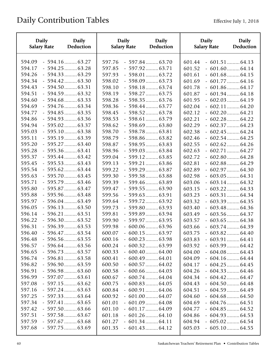| <b>Daily</b>                                   | <b>Daily</b>                                                                                | <b>Daily</b>                                   | <b>Daily</b>                                                                                            | Daily                                          | <b>Daily</b>                                                                                                  |
|------------------------------------------------|---------------------------------------------------------------------------------------------|------------------------------------------------|---------------------------------------------------------------------------------------------------------|------------------------------------------------|---------------------------------------------------------------------------------------------------------------|
| <b>Salary Rate</b>                             | Deduction                                                                                   | <b>Salary Rate</b>                             | Deduction                                                                                               | <b>Salary Rate</b>                             | <b>Deduction</b>                                                                                              |
| 594.09                                         | $-594.16$ 63.27                                                                             | 597.76                                         | $-597.84$ 63.70                                                                                         | 601.44                                         | $-601.51$ 64.13                                                                                               |
| 594.17                                         | $-594.25$ 63.28                                                                             | 597.85                                         | $-597.92$ 63.71                                                                                         | 601.52                                         | $-601.60$ 64.14                                                                                               |
| 594.26                                         | $-594.33$ 63.29                                                                             | 597.93                                         | $-598.01$ 63.72                                                                                         | 601.61                                         | $-601.68 \dots 64.15$                                                                                         |
| 594.34                                         | $-594.42$ 63.30                                                                             | 598.02                                         | $-598.09$ 63.73                                                                                         | 601.69                                         | $-601.77$ 64.16                                                                                               |
| 594.43                                         | $-594.50$ 63.31                                                                             | 598.10                                         | $-598.18$ 63.74                                                                                         | 601.78                                         | $-601.86$ 64.17                                                                                               |
| 594.51                                         | $-594.59$ 63.32                                                                             | 598.19                                         | $-598.27$ 63.75                                                                                         | 601.87                                         | $-601.94$ 64.18                                                                                               |
| 594.60                                         | $-594.68$ 63.33                                                                             | 598.28                                         | $-598.35$ 63.76                                                                                         | 601.95                                         | $-602.03$ 64.19                                                                                               |
| 594.69                                         | $-594.76$ 63.34                                                                             | 598.36                                         | $-598.44$ 63.77                                                                                         | 602.04                                         | $-602.11$ 64.20                                                                                               |
| 594.77                                         | $-594.85$ 63.35                                                                             | 598.45                                         | $-598.52$ 63.78                                                                                         | 602.12                                         | $-602.20$ 64.21                                                                                               |
| 594.86                                         | $-594.93$ 63.36                                                                             | 598.53                                         | $-598.61$ 63.79                                                                                         | 602.21                                         | $-602.28$ 64.22                                                                                               |
| 594.94                                         | $-595.02 \dots 63.37$                                                                       | 598.62                                         | $-598.69$ 63.80                                                                                         | 602.29                                         | $-602.37$ 64.23                                                                                               |
| 595.03                                         | $-595.10$ 63.38                                                                             | 598.70                                         | $-598.78$ 63.81                                                                                         | 602.38                                         | $-602.45$ 64.24                                                                                               |
| 595.11                                         | $-595.19$ 63.39                                                                             | 598.79                                         | $-598.86$ 63.82                                                                                         | 602.46                                         | $-602.54$ 64.25                                                                                               |
| 595.20                                         | $-595.27$ 63.40                                                                             | 598.87                                         | $-598.95$ 63.83                                                                                         | 602.55                                         | $-602.62$ 64.26                                                                                               |
| 595.28                                         | $-595.36$ 63.41                                                                             | 598.96                                         | $-599.03$ 63.84                                                                                         | 602.63                                         | $-602.71$ 64.27                                                                                               |
| 595.37                                         | $-595.44$ 63.42                                                                             | 599.04                                         | $-599.12$ 63.85                                                                                         | 602.72                                         | $-602.80$ 64.28                                                                                               |
| 595.45                                         | $-595.53$ 63.43                                                                             | 599.13                                         | $-599.21$ 63.86                                                                                         | 602.81                                         | $-602.88$ 64.29                                                                                               |
| 595.54                                         | $-595.62$ 63.44                                                                             | 599.22                                         | $-599.29 \dots 63.87$                                                                                   | 602.89                                         | $-602.97$ 64.30                                                                                               |
| 595.63                                         | $-595.70$ 63.45                                                                             | 599.30                                         | $-599.38$ 63.88                                                                                         | 602.98                                         | $-603.05$ 64.31                                                                                               |
| 595.71                                         | $-595.79 \dots 63.46$                                                                       | 599.39                                         | $-599.46$ 63.89                                                                                         | 603.06                                         | $-603.14$ 64.32                                                                                               |
| 595.80                                         | $-595.87$ 63.47                                                                             | 599.47                                         | $-599.55$ 63.90                                                                                         | 603.15                                         | $-603.22$ 64.33                                                                                               |
| 595.88                                         | $-595.96$ 63.48                                                                             | 599.56                                         | $-599.63$ 63.91                                                                                         | 603.23                                         | $-603.31$ 64.34                                                                                               |
| 595.97                                         | $-596.04$ 63.49                                                                             | 599.64                                         | $-599.72$ 63.92                                                                                         | 603.32                                         | $-603.39 \dots 64.35$                                                                                         |
| 596.05                                         | $-596.13$ 63.50                                                                             | 599.73                                         | $-599.80$ 63.93                                                                                         | 603.40                                         | $-603.48$ 64.36                                                                                               |
| 596.14                                         | $-596.21$ 63.51                                                                             | 599.81                                         | $-599.89$ 63.94                                                                                         | 603.49                                         | $-603.56$ 64.37                                                                                               |
| 596.22                                         | $-596.30$ 63.52                                                                             | 599.90                                         | $-599.97$ 63.95                                                                                         | 603.57                                         | $-603.65$ 64.38                                                                                               |
| 596.31                                         | $-596.39 \dots 63.53$                                                                       | 599.98                                         | $-600.06$ 63.96                                                                                         | 603.66                                         | $-603.74$ 64.39                                                                                               |
| 596.40                                         | $-596.47$ 63.54                                                                             | 600.07                                         | $-600.15$ 63.97                                                                                         | 603.75                                         | $-603.82 \dots 64.40$                                                                                         |
| 596.48                                         | $-596.56$ 63.55                                                                             | 600.16                                         | $-600.23$ 63.98                                                                                         | 603.83                                         | $-603.91$ 64.41                                                                                               |
| 596.57<br>596.65<br>596.74<br>596.82<br>596.91 | $-596.64$ 63.56<br>$-596.73$ 63.57<br>$-596.81$ 63.58<br>$-596.90$ 63.59<br>$-596.98$ 63.60 | 600.24<br>600.33<br>600.41<br>600.50<br>600.58 | $-600.32 \dots 63.99$<br>$-600.40$ 64.00<br>$-600.49 \dots 64.01$<br>$-600.57$ 64.02<br>$-600.66$ 64.03 | 603.92<br>604.00<br>604.09<br>604.17           | $-603.99 \dots 64.42$<br>$-604.08 \dots 64.43$<br>$-604.16$ 64.44<br>$-604.25 \dots 64.45$<br>$-604.33$ 64.46 |
| 596.99<br>597.08<br>597.16<br>597.25           | $-597.07$ 63.61<br>$-597.15$ 63.62<br>$-597.24$ 63.63<br>$-597.33$ 63.64                    | 600.67<br>600.75<br>600.84<br>600.92           | $-600.74$ 64.04<br>$-600.83$ 64.05<br>$-600.91$ 64.06<br>$-601.00 \dots 64.07$                          | 604.26<br>604.34<br>604.43<br>604.51<br>604.60 | $-604.42$ 64.47<br>$-604.50$ 64.48<br>$-604.59 \dots 64.49$<br>$-604.68 \dots 64.50$                          |
| 597.34                                         | $-597.41$ 63.65                                                                             | 601.01                                         | $-601.09 \dots 64.08$                                                                                   | 604.69                                         | $-604.76$ 64.51                                                                                               |
| 597.42                                         | $-597.50$ 63.66                                                                             | 601.10                                         | $-601.17$ 64.09                                                                                         | 604.77                                         | $-604.85$ 64.52                                                                                               |
| 597.51                                         | $-597.58$ 63.67                                                                             | 601.18                                         | $-601.26 \dots 64.10$                                                                                   | 604.86                                         | $-604.93 \dots 64.53$                                                                                         |
| 597.59                                         | $-597.67$ 63.68                                                                             | 601.27                                         | $-601.34 \ldots 64.11$                                                                                  | 604.94                                         | $-605.02 \dots 64.54$                                                                                         |
| 597.68                                         | $-597.75$ 63.69                                                                             | 601.35                                         | $-601.43$ 64.12                                                                                         | 605.03                                         | $-605.10$ 64.55                                                                                               |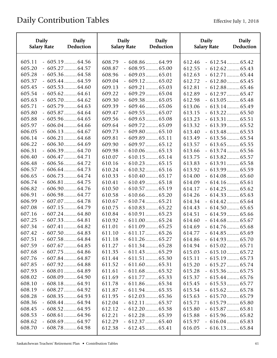| <b>Daily</b>       | <b>Daily</b>          | <b>Daily</b>       | <b>Daily</b>          | <b>Daily</b>       | <b>Daily</b>           |
|--------------------|-----------------------|--------------------|-----------------------|--------------------|------------------------|
| <b>Salary Rate</b> | Deduction             | <b>Salary Rate</b> | Deduction             | <b>Salary Rate</b> | <b>Deduction</b>       |
| 605.11             | $-605.19$ 64.56       | 608.79             | $-608.86$ 64.99       | 612.46             | $-612.54$ 65.42        |
| 605.20             | $-605.27 \dots 64.57$ | 608.87             | $-608.95$ 65.00       | 612.55             | $-612.62 \dots 65.43$  |
| 605.28             | $-605.36$ 64.58       | 608.96             | $-609.03$ 65.01       | 612.63             | $-612.71$ 65.44        |
| 605.37             | $-605.44$ 64.59       | 609.04             | $-609.12 \dots 65.02$ | 612.72             | $-612.80$ 65.45        |
| 605.45             | $-605.53$ 64.60       | 609.13             | $-609.21$ 65.03       | 612.81             | $-612.88$ 65.46        |
| 605.54             | $-605.62$ 64.61       | 609.22             | $-609.29 \dots 65.04$ | 612.89             | $-612.97$ 65.47        |
| 605.63             | $-605.70 \dots 64.62$ | 609.30             | $-609.38$ 65.05       | 612.98             | $-613.05 \dots 65.48$  |
| 605.71             | $-605.79 \dots 64.63$ | 609.39             | $-609.46$ 65.06       | 613.06             | $-613.14$ 65.49        |
| 605.80             | $-605.87$ 64.64       | 609.47             | $-609.55$ 65.07       | 613.15             | $-613.22 \dots 65.50$  |
| 605.88             | $-605.96$ 64.65       | 609.56             | $-609.63$ 65.08       | 613.23             | $-613.31$ 65.51        |
| 605.97             | $-606.04$ 64.66       | 609.64             | $-609.72 \dots 65.09$ | 613.32             | $-613.39$ 65.52        |
| 606.05             | $-606.13$ 64.67       | 609.73             | $-609.80$ 65.10       | 613.40             | $-613.48$ 65.53        |
| 606.14             | $-606.21$ 64.68       | 609.81             | $-609.89 \dots 65.11$ | 613.49             | $-613.56$ 65.54        |
| 606.22             | $-606.30$ 64.69       | 609.90             | $-609.97 \dots 65.12$ | 613.57             | $-613.65$ 65.55        |
| 606.31             | $-606.39 \dots 64.70$ | 609.98             | $-610.06$ 65.13       | 613.66             | $-613.74 \dots 65.56$  |
| 606.40             | $-606.47$ 64.71       | 610.07             | $-610.15$ 65.14       | 613.75             | $-613.82 \dots 65.57$  |
| 606.48             | $-606.56$ 64.72       | 610.16             | $-610.23 \dots 65.15$ | 613.83             | $-613.91$ 65.58        |
| 606.57             | $-606.64$ 64.73       | 610.24             | $-610.32 \dots 65.16$ | 613.92             | $-613.99 \dots 65.59$  |
| 606.65             | $-606.73$ 64.74       | 610.33             | $-610.40$ 65.17       | 614.00             | $-614.08 \dots 65.60$  |
| 606.74             | $-606.81$ 64.75       | 610.41             | $-610.49 \dots 65.18$ | 614.09             | $-614.16$ 65.61        |
| 606.82             | $-606.90$ 64.76       | 610.50             | $-610.57$ 65.19       | 614.17             | $-614.25 \dots 65.62$  |
| 606.91             | $-606.98$ 64.77       | 610.58             | $-610.66$ 65.20       | 614.26             | $-614.33 \ldots 65.63$ |
| 606.99             | $-607.07$ 64.78       | 610.67             | $-610.74$ 65.21       | 614.34             | $-614.42$ 65.64        |
| 607.08             | $-607.15$ 64.79       | 610.75             | $-610.83$ 65.22       | 614.43             | $-614.50$ 65.65        |
| 607.16             | $-607.24$ 64.80       | 610.84             | $-610.91$ 65.23       | 614.51             | $-614.59$ 65.66        |
| 607.25             | $-607.33$ 64.81       | 610.92             | $-611.00 \dots 65.24$ | 614.60             | $-614.68 \dots 65.67$  |
| 607.34             | $-607.41$ 64.82       | 611.01             | $-611.09 \dots 65.25$ | 614.69             | $-614.76$ 65.68        |
| 607.42             | $-607.50$ 64.83       | 611.10             | $-611.17$ 65.26       | 614.77             | $-614.85$ 65.69        |
| 607.51             | $-607.58 \dots 64.84$ | 611.18             | $-611.26 \dots 65.27$ | 614.86             | $-614.93 \ldots 65.70$ |
| 607.59             | $-607.67$ 64.85       | 611.27             | $-611.34$ 65.28       | 614.94             | $-615.02 \dots 65.71$  |
| 607.68             | $-607.75$ 64.86       | 611.35             | $-611.43$ 65.29       | 615.03             | $-615.10$ 65.72        |
| 607.76             | $-607.84$ 64.87       | 611.44             | $-611.51$ 65.30       | 615.11             | $-615.19 \dots 65.73$  |
| 607.85             | $-607.92 \dots 64.88$ | 611.52             | $-611.60$ 65.31       | 615.20             | $-615.27 \dots 65.74$  |
| 607.93             | $-608.01$ 64.89       | 611.61             | $-611.68$ 65.32       | 615.28             | $-615.36$ 65.75        |
| 608.02             | $-608.09 \dots 64.90$ | 611.69             | $-611.77$ 65.33       | 615.37             | $-615.44$ 65.76        |
| 608.10             | $-608.18 \dots 64.91$ | 611.78             | $-611.86$ 65.34       | 615.45             | $-615.53$ 65.77        |
| 608.19             | $-608.27 \dots 64.92$ | 611.87             | $-611.94$ 65.35       | 615.54             | $-615.62 \dots 65.78$  |
| 608.28             | $-608.35$ 64.93       | 611.95             | $-612.03$ 65.36       | 615.63             | $-615.70 \dots 65.79$  |
| 608.36             | $-608.44$ 64.94       | 612.04             | $-612.11$ 65.37       | 615.71             | $-615.79 \dots 65.80$  |
| 608.45             | $-608.52 \dots 64.95$ | 612.12             | $-612.20$ 65.38       | 615.80             | $-615.87$ 65.81        |
| 608.53             | $-608.61$ 64.96       | 612.21             | $-612.28 \dots 65.39$ | 615.88             | $-615.96$ 65.82        |
| 608.62             | $-608.69$ 64.97       | 612.29             | $-612.37$ 65.40       | 615.97             | $-616.04 \dots 65.83$  |
| 608.70             | $-608.78$ 64.98       | 612.38             | $-612.45$ 65.41       | 616.05             | $-616.13 \dots 65.84$  |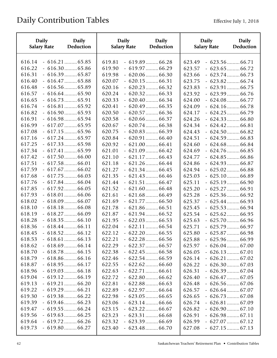| <b>Daily</b>                                                       | <b>Daily</b>                                                                                                                                              | <b>Daily</b>                                                       | <b>Daily</b>                                                                                                                      | <b>Daily</b>                                             | <b>Daily</b>                                                                                                                                  |
|--------------------------------------------------------------------|-----------------------------------------------------------------------------------------------------------------------------------------------------------|--------------------------------------------------------------------|-----------------------------------------------------------------------------------------------------------------------------------|----------------------------------------------------------|-----------------------------------------------------------------------------------------------------------------------------------------------|
| <b>Salary Rate</b>                                                 | Deduction                                                                                                                                                 | <b>Salary Rate</b>                                                 | Deduction                                                                                                                         | <b>Salary Rate</b>                                       | Deduction                                                                                                                                     |
| 616.14                                                             | $-616.21$ 65.85                                                                                                                                           | 619.81                                                             | $-619.89$ 66.28                                                                                                                   | 623.49                                                   | $-623.56$ 66.71                                                                                                                               |
| 616.22                                                             | $-616.30$ 65.86                                                                                                                                           | 619.90                                                             | $-619.97$ 66.29                                                                                                                   | 623.57                                                   | $-623.65$ 66.72                                                                                                                               |
| 616.31                                                             | $-616.39 \dots 65.87$                                                                                                                                     | 619.98                                                             | $-620.06$ 66.30                                                                                                                   | 623.66                                                   | $-623.74$ 66.73                                                                                                                               |
| 616.40                                                             | $-616.47 \dots 65.88$                                                                                                                                     | 620.07                                                             | $-620.15$ 66.31                                                                                                                   | 623.75                                                   | $-623.82$ 66.74                                                                                                                               |
| 616.48                                                             | $-616.56$ 65.89                                                                                                                                           | 620.16                                                             | $-620.23$ 66.32                                                                                                                   | 623.83                                                   | $-623.91$ 66.75                                                                                                                               |
| 616.57                                                             | $-616.64$ 65.90                                                                                                                                           | 620.24                                                             | $-620.32$ 66.33                                                                                                                   | 623.92                                                   | $-623.99 \dots 66.76$                                                                                                                         |
| 616.65                                                             | $-616.73$ 65.91                                                                                                                                           | 620.33                                                             | $-620.40$ 66.34                                                                                                                   | 624.00                                                   | $-624.08$ 66.77                                                                                                                               |
| 616.74                                                             | $-616.81$ 65.92                                                                                                                                           | 620.41                                                             | $-620.49$ 66.35                                                                                                                   | 624.09                                                   | $-624.16$ 66.78                                                                                                                               |
| 616.82                                                             | $-616.90$ 65.93                                                                                                                                           | 620.50                                                             | $-620.57$ 66.36                                                                                                                   | 624.17                                                   | $-624.25$ 66.79                                                                                                                               |
| 616.91                                                             | $-616.98 \dots 65.94$                                                                                                                                     | 620.58                                                             | $-620.66$ 66.37                                                                                                                   | 624.26                                                   | $-624.33$ 66.80                                                                                                                               |
| 616.99                                                             | $-617.07$ 65.95                                                                                                                                           | 620.67                                                             | $-620.74$ 66.38                                                                                                                   | 624.34                                                   | $-624.42$ 66.81                                                                                                                               |
| 617.08                                                             | $-617.15$ 65.96                                                                                                                                           | 620.75                                                             | $-620.83$ 66.39                                                                                                                   | 624.43                                                   | $-624.50$ 66.82                                                                                                                               |
| 617.16                                                             | $-617.24$ 65.97                                                                                                                                           | 620.84                                                             | $-620.91$ 66.40                                                                                                                   | 624.51                                                   | $-624.59$ 66.83                                                                                                                               |
| 617.25                                                             | $-617.33$ 65.98                                                                                                                                           | 620.92                                                             | $-621.00 \dots 66.41$                                                                                                             | 624.60                                                   | $-624.68$ 66.84                                                                                                                               |
| 617.34                                                             | $-617.41$ 65.99                                                                                                                                           | 621.01                                                             | $-621.09 \dots 66.42$                                                                                                             | 624.69                                                   | $-624.76$ 66.85                                                                                                                               |
| 617.42                                                             | $-617.50$ 66.00                                                                                                                                           | 621.10                                                             | $-621.17$ 66.43                                                                                                                   | 624.77                                                   | $-624.85$ 66.86                                                                                                                               |
| 617.51                                                             | $-617.58$ 66.01                                                                                                                                           | 621.18                                                             | $-621.26$ 66.44                                                                                                                   | 624.86                                                   | $-624.93$ 66.87                                                                                                                               |
| 617.59                                                             | $-617.67$ 66.02                                                                                                                                           | 621.27                                                             | $-621.34$ 66.45                                                                                                                   | 624.94                                                   | $-625.02 \dots 66.88$                                                                                                                         |
| 617.68                                                             | $-617.75$ 66.03                                                                                                                                           | 621.35                                                             | $-621.43$ 66.46                                                                                                                   | 625.03                                                   | $-625.10$ 66.89                                                                                                                               |
| 617.76                                                             | $-617.84$ 66.04                                                                                                                                           | 621.44                                                             | $-621.51$ 66.47                                                                                                                   | 625.11                                                   | $-625.19 \dots 66.90$                                                                                                                         |
| 617.85                                                             | $-617.92 \dots 66.05$                                                                                                                                     | 621.52                                                             | $-621.60$ 66.48                                                                                                                   | 625.20                                                   | $-625.27$ 66.91                                                                                                                               |
| 617.93                                                             | $-618.01$ 66.06                                                                                                                                           | 621.61                                                             | $-621.68$ 66.49                                                                                                                   | 625.28                                                   | $-625.36$ 66.92                                                                                                                               |
| 618.02                                                             | $-618.09 \dots 66.07$                                                                                                                                     | 621.69                                                             | $-621.77$ 66.50                                                                                                                   | 625.37                                                   | $-625.44$ 66.93                                                                                                                               |
| 618.10                                                             | $-618.18\ldots 66.08$                                                                                                                                     | 621.78                                                             | $-621.86$ 66.51                                                                                                                   | 625.45                                                   | $-625.53$ 66.94                                                                                                                               |
| 618.19                                                             | $-618.27 \dots 66.09$                                                                                                                                     | 621.87                                                             | $-621.94$ 66.52                                                                                                                   | 625.54                                                   | $-625.62$ 66.95                                                                                                                               |
| 618.28                                                             | $-618.35$ 66.10                                                                                                                                           | 621.95                                                             | $-622.03$ 66.53                                                                                                                   | 625.63                                                   | $-625.70$ 66.96                                                                                                                               |
| 618.36                                                             | $-618.44$ 66.11                                                                                                                                           | 622.04                                                             | $-622.11$ 66.54                                                                                                                   | 625.71                                                   | $-625.79 \dots 66.97$                                                                                                                         |
| 618.45                                                             | $-618.52 \dots 66.12$                                                                                                                                     | 622.12                                                             | $-622.20$ 66.55                                                                                                                   | 625.80                                                   | $-625.87$ 66.98                                                                                                                               |
| 618.53                                                             | $-618.61$ 66.13                                                                                                                                           | 622.21                                                             | $-622.28$ 66.56                                                                                                                   | 625.88                                                   | $-625.96$ 66.99                                                                                                                               |
| 618.62                                                             | $-618.69 \dots 66.14$                                                                                                                                     | 622.29                                                             | $-622.37$ 66.57                                                                                                                   | 625.97                                                   | $-626.04$ 67.00                                                                                                                               |
| 618.70                                                             | $-618.78 \dots 66.15$                                                                                                                                     | 622.38                                                             | $-622.45$ 66.58                                                                                                                   | 626.05                                                   | $-626.13$ 67.01                                                                                                                               |
| 618.79                                                             | $-618.86$ 66.16                                                                                                                                           | 622.46                                                             | $-622.54$ 66.59                                                                                                                   | 626.14                                                   | $-626.21$ 67.02                                                                                                                               |
| 618.87                                                             | $-618.95 \dots 66.17$                                                                                                                                     | 622.55                                                             | $-622.62$ 66.60                                                                                                                   | 626.22                                                   | $-626.30$ 67.03                                                                                                                               |
| 618.96                                                             | $-619.03 \dots 66.18$                                                                                                                                     | 622.63                                                             | $-622.71$ 66.61                                                                                                                   | 626.31                                                   | $-626.39$ 67.04                                                                                                                               |
| 619.04                                                             | $-619.12$ 66.19                                                                                                                                           | 622.72                                                             | $-622.80$ 66.62                                                                                                                   | 626.40                                                   | $-626.47$ 67.05                                                                                                                               |
| 619.13<br>619.22<br>619.30<br>619.39<br>619.47<br>619.56<br>619.64 | $-619.21$ 66.20<br>$-619.29 \dots 66.21$<br>$-619.38 \dots 66.22$<br>$-619.46$ 66.23<br>$-619.55$ 66.24<br>$-619.63 \dots 66.25$<br>$-619.72 \dots 66.26$ | 622.81<br>622.89<br>622.98<br>623.06<br>623.15<br>623.23<br>623.32 | $-622.88$ 66.63<br>$-622.97$ 66.64<br>$-623.05$ 66.65<br>$-623.14$ 66.66<br>$-623.22$ 66.67<br>$-623.31$ 66.68<br>$-623.39$ 66.69 | 626.48<br>626.57<br>626.65<br>626.74<br>626.82<br>626.91 | $-626.56$ 67.06<br>$-626.64$ 67.07<br>$-626.73 \dots 67.08$<br>$-626.81$ 67.09<br>$-626.90 \dots 67.10$<br>$-626.98$ 67.11<br>$-627.07$ 67.12 |
| 619.73                                                             | $-619.80$ 66.27                                                                                                                                           | 623.40                                                             | $-623.48$ 66.70                                                                                                                   | 626.99<br>627.08                                         | $-627.15$ 67.13                                                                                                                               |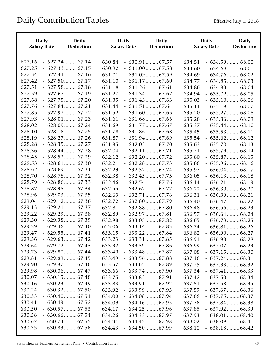| <b>Daily</b>       | Daily                 | <b>Daily</b>       | Daily                  | <b>Daily</b>       | <b>Daily</b>          |
|--------------------|-----------------------|--------------------|------------------------|--------------------|-----------------------|
| <b>Salary Rate</b> | Deduction             | <b>Salary Rate</b> | Deduction              | <b>Salary Rate</b> | Deduction             |
| 627.16             | $-627.24$ 67.14       | 630.84             | $-630.91$ 67.57        | 634.51             | $-634.59$ 68.00       |
| 627.25             | $-627.33$ 67.15       | 630.92             | $-631.00 \dots 67.58$  | 634.60             | $-634.68$ 68.01       |
| 627.34             | $-627.41$ 67.16       | 631.01             | $-631.09 \dots 67.59$  | 634.69             | $-634.76$ 68.02       |
| 627.42             | $-627.50$ 67.17       | 631.10             | $-631.17$ 67.60        | 634.77             | $-634.85$ 68.03       |
| 627.51             | $-627.58$ 67.18       | 631.18             | $-631.26$ 67.61        | 634.86             | $-634.93$ 68.04       |
| 627.59             | $-627.67$ 67.19       | 631.27             | $-631.34 \ldots 67.62$ | 634.94             | $-635.02 \dots 68.05$ |
| 627.68             | $-627.75$ 67.20       | 631.35             | $-631.43$ 67.63        | 635.03             | $-635.10$ 68.06       |
| 627.76             | $-627.84$ 67.21       | 631.44             | $-631.51$ 67.64        | 635.11             | $-635.19$ 68.07       |
| 627.85             | $-627.92 \dots 67.22$ | 631.52             | $-631.60$ 67.65        | 635.20             | $-635.27 \dots 68.08$ |
| 627.93             | $-628.01$ 67.23       | 631.61             | $-631.68$ 67.66        | 635.28             | $-635.36$ 68.09       |
| 628.02             | $-628.09 \dots 67.24$ | 631.69             | $-631.77$ 67.67        | 635.37             | $-635.44$ 68.10       |
| 628.10             | $-628.18$ 67.25       | 631.78             | $-631.86$ 67.68        | 635.45             | $-635.53$ 68.11       |
| 628.19             | $-628.27$ 67.26       | 631.87             | $-631.94$ 67.69        | 635.54             | $-635.62 \dots 68.12$ |
| 628.28             | $-628.35$ 67.27       | 631.95             | $-632.03$ 67.70        | 635.63             | $-635.70$ 68.13       |
| 628.36             | $-628.44$ 67.28       | 632.04             | $-632.11$ 67.71        | 635.71             | $-635.79$ 68.14       |
| 628.45             | $-628.52$ 67.29       | 632.12             | $-632.20$ 67.72        | 635.80             | $-635.87$ 68.15       |
| 628.53             | $-628.61$ 67.30       | 632.21             | $-632.28$ 67.73        | 635.88             | $-635.96$ 68.16       |
| 628.62             | $-628.69$ 67.31       | 632.29             | $-632.37$ 67.74        | 635.97             | $-636.04$ 68.17       |
| 628.70             | $-628.78$ 67.32       | 632.38             | $-632.45$ 67.75        | 636.05             | $-636.13$ 68.18       |
| 628.79             | $-628.86$ 67.33       | 632.46             | $-632.54$ 67.76        | 636.14             | $-636.21$ 68.19       |
| 628.87             | $-628.95$ 67.34       | 632.55             | $-632.62$ 67.77        | 636.22             | $-636.30$ 68.20       |
| 628.96             | $-629.03$ 67.35       | 632.63             | $-632.71$ 67.78        | 636.31             | $-636.39$ 68.21       |
| 629.04             | $-629.12$ 67.36       | 632.72             | $-632.80$ 67.79        | 636.40             | $-636.47$ 68.22       |
| 629.13             | $-629.21$ 67.37       | 632.81             | $-632.88$ 67.80        | 636.48             | $-636.56$ 68.23       |
| 629.22             | $-629.29 \dots 67.38$ | 632.89             | $-632.97$ 67.81        | 636.57             | $-636.64$ 68.24       |
| 629.30             | $-629.38$ 67.39       | 632.98             | $-633.05$ 67.82        | 636.65             | $-636.73 \dots 68.25$ |
| 629.39             | $-629.46$ 67.40       | 633.06             | $-633.14$ 67.83        | 636.74             | $-636.81$ 68.26       |
| 629.47             | $-629.55$ 67.41       | 633.15             | $-633.22$ 67.84        | 636.82             | $-636.90$ 68.27       |
| 629.56             | $-629.63$ 67.42       | 633.23             | $-633.31$ 67.85        | 636.91             | $-636.98 \dots 68.28$ |
| 629.64             | $-629.72$ 67.43       | 633.32             | $-633.39$ 67.86        | 636.99             | $-637.07$ 68.29       |
| 629.73             | $-629.80$ 67.44       | 633.40             | $-633.48$ 67.87        | 637.08             | $-637.15$ 68.30       |
| 629.81             | $-629.89 \dots 67.45$ | 633.49             | $-633.56$ 67.88        | 637.16             | $-637.24 \dots 68.31$ |
| 629.90             | $-629.97$ 67.46       | 633.57             | $-633.65$ 67.89        | 637.25             | $-637.33$ 68.32       |
| 629.98             | $-630.06$ 67.47       | 633.66             | $-633.74$ 67.90        | 637.34             | $-637.41$ 68.33       |
| 630.07             | $-630.15$ 67.48       | 633.75             | $-633.82$ 67.91        | 637.42             | $-637.50$ 68.34       |
| 630.16             | $-630.23$ 67.49       | 633.83             | $-633.91$ 67.92        | 637.51             | $-637.58$ 68.35       |
| 630.24             | $-630.32$ 67.50       | 633.92             | $-633.99$ 67.93        | 637.59             | $-637.67$ 68.36       |
| 630.33             | $-630.40$ 67.51       | 634.00             | $-634.08 \dots 67.94$  | 637.68             | $-637.75$ 68.37       |
| 630.41             | $-630.49 \dots 67.52$ | 634.09             | $-634.16 \dots 67.95$  | 637.76             | $-637.84$ 68.38       |
| 630.50             | $-630.57$ 67.53       | 634.17             | $-634.25$ 67.96        | 637.85             | $-637.92$ 68.39       |
| 630.58             | $-630.66$ 67.54       | 634.26             | $-634.33$ 67.97        | 637.93             | $-638.01$ 68.40       |
| 630.67             | $-630.74 \dots 67.55$ | 634.34             | $-634.42$ 67.98        | 638.02             | $-638.09$ 68.41       |
| 630.75             | $-630.83$ 67.56       | 634.43             | $-634.50$ 67.99        | 638.10             | $-638.18 \dots 68.42$ |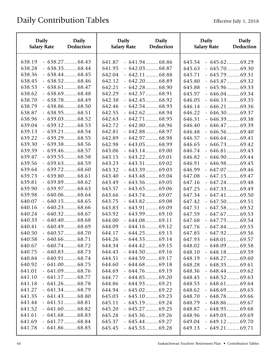| <b>Daily</b>       | <b>Daily</b>           | <b>Daily</b>       | <b>Daily</b>           | <b>Daily</b>       | <b>Daily</b>            |
|--------------------|------------------------|--------------------|------------------------|--------------------|-------------------------|
| <b>Salary Rate</b> | Deduction              | <b>Salary Rate</b> | Deduction              | <b>Salary Rate</b> | Deduction               |
| 638.19             | $-638.27$ 68.43        | 641.87             | $-641.94$ 68.86        | 645.54             | $-645.62$ 69.29         |
| 638.28             | $-638.35$ 68.44        | 641.95             | $-642.03$ 68.87        | 645.63             | $-645.70$ 69.30         |
| 638.36             | $-638.44$ 68.45        | 642.04             | $-642.11$ 68.88        | 645.71             | $-645.79 \dots 69.31$   |
| 638.45             | $-638.52$ 68.46        | 642.12             | $-642.20$ 68.89        | 645.80             | $-645.87$ 69.32         |
| 638.53             | $-638.61$ 68.47        | 642.21             | $-642.28$ 68.90        | 645.88             | $-645.96$ 69.33         |
| 638.62             | $-638.69$ 68.48        | 642.29             | $-642.37$ 68.91        | 645.97             | $-646.04 \ldots 69.34$  |
| 638.70             | $-638.78$ 68.49        | 642.38             | $-642.45$ 68.92        | 646.05             | $-646.13$ 69.35         |
| 638.79             | $-638.86$ 68.50        | 642.46             | $-642.54$ 68.93        | 646.14             | $-646.21$ 69.36         |
| 638.87             | $-638.95$ 68.51        | 642.55             | $-642.62$ 68.94        | 646.22             | $-646.30 \ldots 69.37$  |
| 638.96             | $-639.03$ 68.52        | 642.63             | $-642.71$ 68.95        | 646.31             | $-646.39 \dots 69.38$   |
| 639.04             | $-639.12$ 68.53        | 642.72             | $-642.80$ 68.96        | 646.40             | $-646.47$ 69.39         |
| 639.13             | $-639.21$ 68.54        | 642.81             | $-642.88$ 68.97        | 646.48             | $-646.56$ 69.40         |
| 639.22             | $-639.29 \dots 68.55$  | 642.89             | $-642.97$ 68.98        | 646.57             | $-646.64$ 69.41         |
| 639.30             | $-639.38$ 68.56        | 642.98             | $-643.05$ 68.99        | 646.65             | $-646.73$ 69.42         |
| 639.39             | $-639.46$ 68.57        | 643.06             | $-643.14$ 69.00        | 646.74             | $-646.81$ 69.43         |
| 639.47             | $-639.55$ 68.58        | 643.15             | $-643.22 \dots 69.01$  | 646.82             | $-646.90$ 69.44         |
| 639.56             | $-639.63$ 68.59        | 643.23             | $-643.31$ 69.02        | 646.91             | $-646.98 \dots 69.45$   |
| 639.64             | $-639.72$ 68.60        | 643.32             | $-643.39 \dots 69.03$  | 646.99             | $-647.07$ 69.46         |
| 639.73             | $-639.80$ 68.61        | 643.40             | $-643.48$ 69.04        | 647.08             | $-647.15$ 69.47         |
| 639.81             | $-639.89$ $68.62$      | 643.49             | $-643.56$ 69.05        | 647.16             | $-647.24 \ldots 69.48$  |
| 639.90             | $-639.97$ 68.63        | 643.57             | $-643.65$ 69.06        | 647.25             | $-647.33$ 69.49         |
| 639.98             | $-640.06$ 68.64        | 643.66             | $-643.74 \ldots 69.07$ | 647.34             | $-647.41$ 69.50         |
| 640.07             | $-640.15$ 68.65        | 643.75             | $-643.82 \dots 69.08$  | 647.42             | $-647.50$ 69.51         |
| 640.16             | $-640.23$ 68.66        | 643.83             | $-643.91$ 69.09        | 647.51             | $-647.58$ 69.52         |
| 640.24             | $-640.32 \dots 68.67$  | 643.92             | $-643.99$ 69.10        | 647.59             | $-647.67$ 69.53         |
| 640.33             | $-640.40$ 68.68        | 644.00             | $-644.08 \ldots 69.11$ | 647.68             | $-647.75$ 69.54         |
| 640.41             | $-640.49$ 68.69        | 644.09             | $-644.16$ 69.12        | 647.76             | $-647.84$ 69.55         |
| 640.50             | $-640.57$ 68.70        | 644.17             | $-644.25$ 69.13        | 647.85             | $-647.92$ 69.56         |
| 640.58             | $-640.66$ 68.71        | 644.26             | $-644.33$ 69.14        | 647.93             | $-648.01$ 69.57         |
| 640.67             | $-640.74$ 68.72        | 644.34             | $-644.42$ 69.15        | 648.02             | $-648.09 \dots 69.58$   |
| 640.75             | $-640.83$ 68.73        | 644.43             | $-644.50$ 69.16        | 648.10             | $-648.18 \dots (69.59)$ |
| 640.84             | $-640.91$ 68.74        | 644.51             | $-644.59$ 69.17        | 648.19             | $-648.27 \dots 69.60$   |
| 640.92             | $-641.00 \ldots 68.75$ | 644.60             | $-644.68$ 69.18        | 648.28             | $-648.35$ 69.61         |
| 641.01             | $-641.09 \dots 68.76$  | 644.69             | $-644.76$ 69.19        | 648.36             | $-648.44$ 69.62         |
| 641.10             | $-641.17$ 68.77        | 644.77             | $-644.85$ 69.20        | 648.45             | $-648.52 \dots 69.63$   |
| 641.18             | $-641.26 \dots 68.78$  | 644.86             | $-644.93 \ldots 69.21$ | 648.53             | $-648.61$ 69.64         |
| 641.27             | $-641.34 \ldots 68.79$ | 644.94             | $-645.02 \dots 69.22$  | 648.62             | $-648.69$ 69.65         |
| 641.35             | $-641.43 \dots 68.80$  | 645.03             | $-645.10$ 69.23        | 648.70             | $-648.78 \dots 69.66$   |
| 641.44             | $-641.51$ 68.81        | 645.11             | $-645.19 \dots 69.24$  | 648.79             | $-648.86$ 69.67         |
| 641.52             | $-641.60 \ldots 68.82$ | 645.20             | $-645.27 \dots 69.25$  | 648.87             | $-648.95 \dots 69.68$   |
| 641.61             | $-641.68$ 68.83        | 645.28             | $-645.36$ 69.26        | 648.96             | $-649.03 \dots 69.69$   |
| 641.69             | $-641.77$ 68.84        | 645.37             | $-645.44$ 69.27        | 649.04             | $-649.12$ 69.70         |
| 641.78             | $-641.86$ 68.85        | 645.45             | $-645.53$ 69.28        | 649.13             | $-649.21$ 69.71         |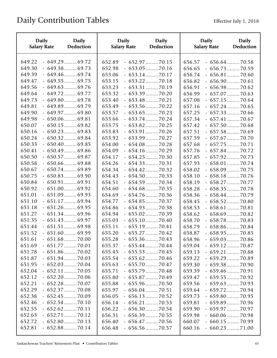| <b>Daily</b>               | <b>Daily</b>                                                | <b>Daily</b>               | <b>Daily</b>                                                | <b>Daily</b>               | <b>Daily</b>                                          |
|----------------------------|-------------------------------------------------------------|----------------------------|-------------------------------------------------------------|----------------------------|-------------------------------------------------------|
| <b>Salary Rate</b>         | Deduction                                                   | <b>Salary Rate</b>         | Deduction                                                   | <b>Salary Rate</b>         | Deduction                                             |
| 649.22<br>649.30<br>649.39 | $-649.29 \dots 69.72$<br>$-649.38$ 69.73<br>$-649.46$ 69.74 | 652.89<br>652.98<br>653.06 | $-652.97$ 70.15<br>$-653.05$ 70.16                          | 656.57<br>656.65<br>656.74 | $-656.64$ 70.58<br>$-656.73$ 70.59                    |
| 649.47<br>649.56           | $-649.55$ 69.75<br>$-649.63$ 69.76                          | 653.15<br>653.23           | $-653.14$ 70.17<br>$-653.22 \dots 70.18$<br>$-653.31$ 70.19 | 656.82<br>656.91           | $-656.81$ 70.60<br>$-656.90$ 70.61<br>$-656.98$ 70.62 |
| 649.64                     | $-649.72 \dots 69.77$                                       | 653.32                     | $-653.39$ 70.20                                             | 656.99                     | $-657.07$ 70.63                                       |
| 649.73                     | $-649.80$ 69.78                                             | 653.40                     | $-653.48$ 70.21                                             | 657.08                     | $-657.15$ 70.64                                       |
| 649.81                     | $-649.89$ 69.79                                             | 653.49                     | $-653.56$ 70.22                                             | 657.16                     | $-657.24$ 70.65                                       |
| 649.90                     | $-649.97 \dots 69.80$                                       | 653.57                     | $-653.65$ 70.23                                             | 657.25                     | $-657.33$ 70.66                                       |
| 649.98                     | $-650.06$ 69.81                                             | 653.66                     | $-653.74$ 70.24                                             | 657.34                     | $-657.41$ 70.67                                       |
| 650.07                     | $-650.15$ 69.82                                             | 653.75                     | $-653.82$ 70.25                                             | 657.42                     | $-657.50$ 70.68                                       |
| 650.16                     | $-650.23 \dots 69.83$                                       | 653.83                     | $-653.91$ 70.26                                             | 657.51                     | $-657.58$ 70.69                                       |
| 650.24                     | $-650.32$ 69.84                                             | 653.92                     | $-653.99$ 70.27                                             | 657.59                     | $-657.67$ 70.70                                       |
| 650.33                     | $-650.40$ 69.85                                             | 654.00                     | $-654.08$ 70.28                                             | 657.68                     | $-657.75$ 70.71                                       |
| 650.41                     | $-650.49 \dots 69.86$                                       | 654.09                     | $-654.16$ 70.29                                             | 657.76                     | $-657.84$ 70.72                                       |
| 650.50                     | $-650.57$ 69.87                                             | 654.17                     | $-654.25$ 70.30                                             | 657.85                     | $-657.92$ 70.73                                       |
| 650.58                     | $-650.66$ 69.88                                             | 654.26                     | $-654.33$ 70.31                                             | 657.93                     | $-658.01$ 70.74                                       |
| 650.67                     | $-650.74$ 69.89                                             | 654.34                     | $-654.42$ 70.32                                             | 658.02                     | $-658.09$ 70.75                                       |
| 650.75                     | $-650.83$ 69.90                                             | 654.43                     | $-654.50$ 70.33                                             | 658.10                     | $-658.18$ 70.76                                       |
| 650.84                     | $-650.91$ 69.91                                             | 654.51                     | $-654.59$ 70.34                                             | 658.19                     | $-658.27$ 70.77                                       |
| 650.92                     | $-651.00$ 69.92                                             | 654.60                     | $-654.68$ 70.35                                             | 658.28                     | $-658.35$ 70.78                                       |
| 651.01                     | $-651.09$ 69.93                                             | 654.69                     | $-654.76$ 70.36                                             | 658.36                     | $-658.44$ 70.79                                       |
| 651.10                     | $-651.17$ 69.94                                             | 654.77                     | $-654.85$ 70.37                                             | 658.45                     | $-658.52$ 70.80                                       |
| 651.18                     | $-651.26$ 69.95                                             | 654.86                     | $-654.93$ 70.38                                             | 658.53                     | $-658.61$ 70.81                                       |
| 651.27                     | $-651.34$ 69.96                                             | 654.94                     | $-655.02$ 70.39                                             | 658.62                     | $-658.69$ 70.82                                       |
| 651.35                     | $-651.43$ 69.97                                             | 655.03                     | $-655.10$ 70.40                                             | 658.70                     | $-658.78$ 70.83                                       |
| 651.44                     | $-651.51$ 69.98                                             | 655.11                     | $-655.19$ 70.41                                             | 658.79                     | $-658.86$ 70.84                                       |
| 651.52                     | $-651.60$ 69.99                                             | 655.20                     | $-655.27$ 70.42                                             | 658.87                     | $-658.95$ 70.85                                       |
| 651.61                     | $-651.68$ 70.00                                             | 655.28                     | $-655.36$ 70.43                                             | 658.96                     | $-659.03$ 70.86                                       |
| 651.69                     | $-651.77$ 70.01                                             | 655.37                     | $-655.44$ 70.44                                             | 659.04                     | $-659.12$ 70.87                                       |
| 651.78                     | $-651.86$ 70.02                                             | 655.45                     | $-655.53$ 70.45                                             | 659.13                     | $-659.21$ 70.88                                       |
| 651.87                     | $-651.94$ 70.03                                             | 655.54                     | $-655.62$ 70.46                                             | 659.22                     | $-659.29$ 70.89                                       |
| 651.95                     | $-652.03$ 70.04                                             | 655.63                     | $-655.70$ 70.47                                             | 659.30                     | $-659.38$ 70.90                                       |
| 652.04                     | $-652.11$ 70.05                                             | 655.71                     | $-655.79$ 70.48                                             | 659.39                     | $-659.46$ 70.91                                       |
| 652.12                     | $-652.20$ 70.06                                             | 655.80                     | $-655.87$ 70.49                                             | 659.47                     | $-659.55$ 70.92                                       |
| 652.21                     | $-652.28$ 70.07                                             | 655.88                     | $-655.96$ 70.50                                             | 659.56                     | $-659.63$ 70.93                                       |
| 652.29                     | $-652.37$ 70.08                                             | 655.97                     | $-656.04$ 70.51                                             | 659.64                     | $-659.72$ 70.94                                       |
| 652.38                     | $-652.45$ 70.09                                             | 656.05                     | $-656.13$ 70.52                                             | 659.73                     | $-659.80$ 70.95                                       |
| 652.46                     | $-652.54$ 70.10                                             | 656.14                     | $-656.21$ 70.53                                             | 659.81                     | $-659.89$ 70.96                                       |
| 652.55                     | $-652.62$ 70.11                                             | 656.22                     | $-656.30$ 70.54                                             | 659.90                     | $-659.97$ 70.97                                       |
| 652.63                     | $-652.71$ 70.12                                             | 656.31                     | $-656.39$ 70.55                                             | 659.98                     | $-660.06$ 70.98                                       |
| 652.72                     | $-652.80$ 70.13                                             | 656.40                     | $-656.47$ 70.56                                             | 660.07                     | $-660.15$ 70.99                                       |
| 652.81                     | $-652.88$ 70.14                                             | 656.48                     | $-656.56$ 70.57                                             | 660.16                     | $-660.23$ $71.00$                                     |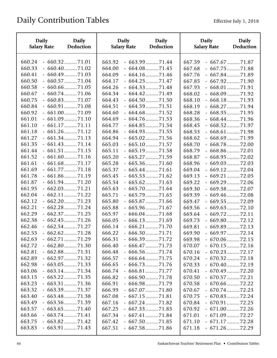| <b>Daily</b>       | Daily                 | Daily              | <b>Daily</b>          | <b>Daily</b>       | <b>Daily</b>          |
|--------------------|-----------------------|--------------------|-----------------------|--------------------|-----------------------|
| <b>Salary Rate</b> | Deduction             | <b>Salary Rate</b> | Deduction             | <b>Salary Rate</b> | Deduction             |
| 660.24             | $-660.32$ 71.01       | 663.92             | $-663.99$ $71.44$     | 667.59             | $-667.67$ $71.87$     |
| 660.33             | $-660.40$ 71.02       | 664.00             | $-664.08$ 71.45       | 667.68             | $-667.75$ 71.88       |
| 660.41             | $-660.49 \dots 71.03$ | 664.09             | $-664.16$ 71.46       | 667.76             | $-667.84$ $71.89$     |
| 660.50             | $-660.57$ $71.04$     | 664.17             | $-664.25$ $71.47$     | 667.85             | $-667.92$ $71.90$     |
| 660.58             | $-660.66$ 71.05       | 664.26             | $-664.33$ $71.48$     | 667.93             | $-668.01$ 71.91       |
| 660.67             | $-660.74$ $71.06$     | 664.34             | $-664.42$ 71.49       | 668.02             | $-668.09 \dots 71.92$ |
| 660.75             | $-660.83$ $71.07$     | 664.43             | $-664.50$ 71.50       | 668.10             | $-668.18$ 71.93       |
| 660.84             | $-660.91$ 71.08       | 664.51             | $-664.59$ $71.51$     | 668.19             | $-668.27$ $71.94$     |
| 660.92             | $-661.00 \dots 71.09$ | 664.60             | $-664.68 \dots 71.52$ | 668.28             | $-668.35$ 71.95       |
| 661.01             | $-661.09 \dots 71.10$ | 664.69             | $-664.76$ 71.53       | 668.36             | $-668.44$ 71.96       |
| 661.10             | $-661.17$ $71.11$     | 664.77             | $-664.85$ 71.54       | 668.45             | $-668.52$ 71.97       |
| 661.18             | $-661.26$ 71.12       | 664.86             | $-664.93$ $71.55$     | 668.53             | $-668.61$ 71.98       |
| 661.27             | $-661.34$ $71.13$     | 664.94             | $-665.02 \dots 71.56$ | 668.62             | $-668.69$ $71.99$     |
| 661.35             | $-661.43$ $71.14$     | 665.03             | $-665.10$ 71.57       | 668.70             | $-668.78$ 72.00       |
| 661.44             | $-661.51$ $71.15$     | 665.11             | $-665.19 \dots 71.58$ | 668.79             | $-668.86$ 72.01       |
| 661.52             | $-661.60$ 71.16       | 665.20             | $-665.27 \dots 71.59$ | 668.87             | $-668.95$ 72.02       |
| 661.61             | $-661.68$ 71.17       | 665.28             | $-665.36$ 71.60       | 668.96             | $-669.03$ 72.03       |
| 661.69             | $-661.77$ $71.18$     | 665.37             | $-665.44$ 71.61       | 669.04             | $-669.12$ 72.04       |
| 661.78             | $-661.86$ 71.19       | 665.45             | $-665.53$ $71.62$     | 669.13             | $-669.21$ 72.05       |
| 661.87             | $-661.94$ 71.20       | 665.54             | $-665.62$ 71.63       | 669.22             | $-669.29 \dots 72.06$ |
| 661.95             | $-662.03$ 71.21       | 665.63             | $-665.70 \dots 71.64$ | 669.30             | $-669.38$ 72.07       |
| 662.04             | $-662.11$ 71.22       | 665.71             | $-665.79 \dots 71.65$ | 669.39             | $-669.46$ 72.08       |
| 662.12             | $-662.20$ 71.23       | 665.80             | $-665.87$ 71.66       | 669.47             | $-669.55$ 72.09       |
| 662.21             | $-662.28$ 71.24       | 665.88             | $-665.96$ 71.67       | 669.56             | $-669.63$ 72.10       |
| 662.29             | $-662.37$ $71.25$     | 665.97             | $-666.04$ $71.68$     | 669.64             | $-669.72$ 72.11       |
| 662.38             | $-662.45$ 71.26       | 666.05             | $-666.13$ 71.69       | 669.73             | $-669.80$ 72.12       |
| 662.46             | $-662.54$ $71.27$     | 666.14             | $-666.21$ 71.70       | 669.81             | $-669.89$ 72.13       |
| 662.55             | $-662.62$ 71.28       | 666.22             | $-666.30$ 71.71       | 669.90             | $-669.97$ 72.14       |
| 662.63             | $-662.71$ 71.29       | 666.31             | $-666.39$ $71.72$     | 669.98             | $-670.06$ 72.15       |
| 662.72             | $-662.80$ 71.30       | 666.40             | $-666.47$ 71.73       | 670.07             | $-670.15$ 72.16       |
| 662.81             | $-662.88$ 71.31       | 666.48             | $-666.56$ 71.74       | 670.16             | $-670.23$ 72.17       |
| 662.89             | $-662.97 \dots 71.32$ | 666.57             | $-666.64$ $71.75$     | 670.24             | $-670.32$ 72.18       |
| 662.98             | $-663.05$ 71.33       | 666.65             | $-666.73$ $71.76$     | 670.33             | $-670.40$ 72.19       |
| 663.06             | $-663.14$ $71.34$     | 666.74             | $-666.81$ 71.77       | 670.41             | $-670.49$ 72.20       |
| 663.15             | $-663.22$ 71.35       | 666.82             | $-666.90$ 71.78       | 670.50             | $-670.57$ 72.21       |
| 663.23             | $-663.31$ 71.36       | 666.91             | $-666.98$ 71.79       | 670.58             | $-670.66$ 72.22       |
| 663.32             | $-663.39 \dots 71.37$ | 666.99             | $-667.07$ $71.80$     | 670.67             | $-670.74$ 72.23       |
| 663.40             | $-663.48 \dots 71.38$ | 667.08             | $-667.15$ 71.81       | 670.75             | $-670.83$ 72.24       |
| 663.49             | $-663.56$ $71.39$     | 667.16             | $-667.24 \dots 71.82$ | 670.84             | $-670.91$ 72.25       |
| 663.57             | $-663.65$ 71.40       | 667.25             | $-667.33$ 71.83       | 670.92             | $-671.00$ 72.26       |
| 663.66             | $-663.74$ $71.41$     | 667.34             | $-667.41$ $71.84$     | 671.01             | $-671.09 \dots 72.27$ |
| 663.75             | $-663.82$ 71.42       | 667.42             | $-667.50 \dots 71.85$ | 671.10             | $-671.17$ 72.28       |
| 663.83             | $-663.91$ 71.43       | 667.51             | $-667.58$ 71.86       | 671.18             | $-671.26$ 72.29       |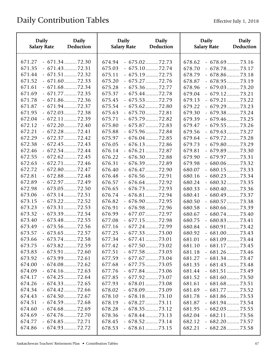| <b>Daily</b>                                                       | <b>Daily</b>                                                                                                                            | <b>Daily</b>                                                       | <b>Daily</b>                                                                                                                      | Daily                                                              | <b>Daily</b>                                                                                                                            |
|--------------------------------------------------------------------|-----------------------------------------------------------------------------------------------------------------------------------------|--------------------------------------------------------------------|-----------------------------------------------------------------------------------------------------------------------------------|--------------------------------------------------------------------|-----------------------------------------------------------------------------------------------------------------------------------------|
| <b>Salary Rate</b>                                                 | Deduction                                                                                                                               | <b>Salary Rate</b>                                                 | Deduction                                                                                                                         | <b>Salary Rate</b>                                                 | Deduction                                                                                                                               |
| 671.27                                                             | $-671.34$ 72.30                                                                                                                         | 674.94                                                             | $-675.02 \dots 72.73$                                                                                                             | 678.62                                                             | $-678.69$ 73.16                                                                                                                         |
| 671.35                                                             | $-671.43$ 72.31                                                                                                                         | 675.03                                                             | $-675.10$ 72.74                                                                                                                   | 678.70                                                             | $-678.78 \ldots .73.17$                                                                                                                 |
| 671.44                                                             | $-671.51$ 72.32                                                                                                                         | 675.11                                                             | $-675.19$ 72.75                                                                                                                   | 678.79                                                             | $-678.86$ 73.18                                                                                                                         |
| 671.52                                                             | $-671.60$ 72.33                                                                                                                         | 675.20                                                             | $-675.27$ 72.76                                                                                                                   | 678.87                                                             | $-678.95$ 73.19                                                                                                                         |
| 671.61                                                             | $-671.68$ 72.34                                                                                                                         | 675.28                                                             | $-675.36$ 72.77                                                                                                                   | 678.96                                                             | $-679.03$ 73.20                                                                                                                         |
| 671.69                                                             | $-671.77$ 72.35                                                                                                                         | 675.37                                                             | $-675.44$ 72.78                                                                                                                   | 679.04                                                             | $-679.12$ 73.21                                                                                                                         |
| 671.78                                                             | $-671.86$ 72.36                                                                                                                         | 675.45                                                             | $-675.53$ 72.79                                                                                                                   | 679.13                                                             | $-679.21$ 73.22                                                                                                                         |
| 671.87                                                             | $-671.94$ 72.37                                                                                                                         | 675.54                                                             | $-675.62$ 72.80                                                                                                                   | 679.22                                                             | $-679.29$ 73.23                                                                                                                         |
| 671.95                                                             | $-672.03$ 72.38                                                                                                                         | 675.63                                                             | $-675.70$ 72.81                                                                                                                   | 679.30                                                             | $-679.38$ 73.24                                                                                                                         |
| 672.04                                                             | $-672.11$ 72.39                                                                                                                         | 675.71                                                             | $-675.79$ 72.82                                                                                                                   | 679.39                                                             | $-679.46$ 73.25                                                                                                                         |
| 672.12                                                             | $-672.20$ 72.40                                                                                                                         | 675.80                                                             | $-675.87$ 72.83                                                                                                                   | 679.47                                                             | $-679.55$ 73.26                                                                                                                         |
| 672.21                                                             | $-672.28$ 72.41                                                                                                                         | 675.88                                                             | $-675.96$ 72.84                                                                                                                   | 679.56                                                             | $-679.63$ 73.27                                                                                                                         |
| 672.29                                                             | $-672.37$ 72.42                                                                                                                         | 675.97                                                             | $-676.04$ 72.85                                                                                                                   | 679.64                                                             | $-679.72$ 73.28                                                                                                                         |
| 672.38                                                             | $-672.45$ 72.43                                                                                                                         | 676.05                                                             | $-676.13$ 72.86                                                                                                                   | 679.73                                                             | $-679.80$ 73.29                                                                                                                         |
| 672.46                                                             | $-672.54$ 72.44                                                                                                                         | 676.14                                                             | $-676.21$ 72.87                                                                                                                   | 679.81                                                             | $-679.89$ 73.30                                                                                                                         |
| 672.55                                                             | $-672.62$ 72.45                                                                                                                         | 676.22                                                             | $-676.30$ 72.88                                                                                                                   | 679.90                                                             | $-679.97$ 73.31                                                                                                                         |
| 672.63                                                             | $-672.71$ 72.46                                                                                                                         | 676.31                                                             | $-676.39$ 72.89                                                                                                                   | 679.98                                                             | $-680.06$ 73.32                                                                                                                         |
| 672.72                                                             | $-672.80$ 72.47                                                                                                                         | 676.40                                                             | $-676.47$ 72.90                                                                                                                   | 680.07                                                             | $-680.15$ 73.33                                                                                                                         |
| 672.81                                                             | $-672.88$ 72.48                                                                                                                         | 676.48                                                             | $-676.56$ 72.91                                                                                                                   | 680.16                                                             | $-680.23$ 73.34                                                                                                                         |
| 672.89                                                             | $-672.97$ 72.49                                                                                                                         | 676.57                                                             | $-676.64$ 72.92                                                                                                                   | 680.24                                                             | $-680.32$ 73.35                                                                                                                         |
| 672.98<br>673.06<br>673.15<br>673.23<br>673.32<br>673.40           | $-673.05$ 72.50<br>$-673.14$ 72.51<br>$-673.22$ 72.52<br>$-673.31$ 72.53<br>$-673.39$ $72.54$<br>$-673.48$ 72.55                        | 676.65<br>676.74<br>676.82<br>676.91<br>676.99<br>677.08<br>677.16 | $-676.73$ 72.93<br>$-676.81$ 72.94<br>$-676.90$ 72.95<br>$-676.98$ 72.96<br>$-677.07$ 72.97<br>$-677.15$ 72.98                    | 680.33<br>680.41<br>680.50<br>680.58<br>680.67<br>680.75           | $-680.40$ 73.36<br>$-680.49$ 73.37<br>$-680.57$ 73.38<br>$-680.66$ 73.39<br>$-680.74$ 73.40<br>$-680.83$ 73.41                          |
| 673.49<br>673.57<br>673.66<br>673.75<br>673.83<br>673.92<br>674.00 | $-673.56$ 72.56<br>$-673.65$ 72.57<br>$-673.74$ 72.58<br>$-673.82$ 72.59<br>$-673.91$ 72.60<br>$-673.99$ 72.61<br>$-674.08 \dots 72.62$ | 677.25<br>677.34<br>677.42<br>677.51<br>677.59<br>677.68           | $-677.24$ 72.99<br>$-677.33$ 73.00<br>$-677.41$ 73.01<br>$-677.50$ 73.02<br>$-677.58$ 73.03<br>$-677.67$ 73.04<br>$-677.75$ 73.05 | 680.84<br>680.92<br>681.01<br>681.10<br>681.18<br>681.27<br>681.35 | $-680.91$ 73.42<br>$-681.00$ 73.43<br>$-681.09 \dots 73.44$<br>$-681.17$ 73.45<br>$-681.26$ 73.46<br>$-681.34$ 73.47<br>$-681.43$ 73.48 |
| 674.09                                                             | $-674.16$ 72.63                                                                                                                         | 677.76                                                             | $-677.84$ 73.06                                                                                                                   | 681.44                                                             | $-681.51$ 73.49                                                                                                                         |
| 674.17                                                             | $-674.25$ 72.64                                                                                                                         | 677.85                                                             | $-677.92$ 73.07                                                                                                                   | 681.52                                                             | $-681.60$ 73.50                                                                                                                         |
| 674.26                                                             | $-674.33$ 72.65                                                                                                                         | 677.93                                                             | $-678.01$ 73.08                                                                                                                   | 681.61                                                             | $-681.68$ 73.51                                                                                                                         |
| 674.34                                                             | $-674.42$ 72.66                                                                                                                         | 678.02                                                             | $-678.09$ 73.09                                                                                                                   | 681.69                                                             | $-681.77$ 73.52                                                                                                                         |
| 674.43                                                             | $-674.50$ 72.67                                                                                                                         | 678.10                                                             | $-678.18$ 73.10                                                                                                                   | 681.78                                                             | $-681.86 \dots 73.53$                                                                                                                   |
| 674.51                                                             | $-674.59 \dots 72.68$                                                                                                                   | 678.19                                                             | $-678.27$ 73.11                                                                                                                   | 681.87                                                             | $-681.94$ 73.54                                                                                                                         |
| 674.60                                                             | $-674.68$ 72.69                                                                                                                         | 678.28                                                             | $-678.35$ 73.12                                                                                                                   | 681.95                                                             | $-682.03$ 73.55                                                                                                                         |
| 674.69                                                             | $-674.76$ 72.70                                                                                                                         | 678.36                                                             | $-678.44$ 73.13                                                                                                                   | 682.04                                                             | $-682.11$ 73.56                                                                                                                         |
| 674.77                                                             | $-674.85$ 72.71                                                                                                                         | 678.45                                                             | $-678.52$ 73.14                                                                                                                   | 682.12                                                             | $-682.20$ 73.57                                                                                                                         |
| 674.86                                                             | $-674.93$ 72.72                                                                                                                         | 678.53                                                             | $-678.61$ 73.15                                                                                                                   | 682.21                                                             | $-682.28$ 73.58                                                                                                                         |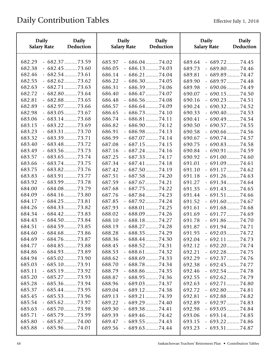| <b>Daily</b><br><b>Salary Rate</b> | <b>Daily</b><br>Deduction          | <b>Daily</b><br><b>Salary Rate</b> | <b>Daily</b><br>Deduction                | <b>Daily</b><br><b>Salary Rate</b> | <b>Daily</b><br>Deduction            |
|------------------------------------|------------------------------------|------------------------------------|------------------------------------------|------------------------------------|--------------------------------------|
| 682.29<br>682.38                   | $-682.37$ 73.59<br>$-682.45$ 73.60 | 685.97<br>686.05                   | $-686.04$ 74.02<br>$-686.13$ 74.03       | 689.64<br>689.73                   | $-689.72$ 74.45<br>$-689.80$ 74.46   |
| 682.46<br>682.55                   | $-682.54$ 73.61<br>$-682.62$ 73.62 | 686.14<br>686.22                   | $-686.21$ 74.04<br>$-686.30$ 74.05       | 689.81<br>689.90                   | $-689.89$ $74.47$<br>$-689.97$ 74.48 |
| 682.63                             | $-682.71$ 73.63                    | 686.31                             | $-686.39$ 74.06                          | 689.98                             | $-690.06$ 74.49                      |
| 682.72                             | $-682.80$ 73.64                    | 686.40                             | $-686.47$ 74.07                          | 690.07                             | $-690.15$ 74.50                      |
| 682.81<br>682.89                   | $-682.88$ 73.65<br>$-682.97$ 73.66 | 686.48<br>686.57                   | $-686.56$ 74.08<br>$-686.64$ 74.09       | 690.16<br>690.24                   | $-690.23$ 74.51<br>$-690.32$ 74.52   |
| 682.98                             | $-683.05$ 73.67                    | 686.65                             | $-686.73$ 74.10                          | 690.33                             | $-690.40$ 74.53                      |
| 683.06                             | $-683.14$ 73.68                    | 686.74                             | $-686.81$ 74.11                          | 690.41                             | $-690.49$ 74.54                      |
| 683.15                             | $-683.22$ 73.69                    | 686.82                             | $-686.90$ 74.12                          | 690.50                             | $-690.57$ 74.55                      |
| 683.23                             | $-683.31$ 73.70                    | 686.91                             | $-686.98$ 74.13                          | 690.58                             | $-690.66$ 74.56                      |
| 683.32                             | $-683.39$ 73.71                    | 686.99                             | $-687.07$ 74.14                          | 690.67                             | $-690.74$ 74.57                      |
| 683.40                             | $-683.48$ 73.72                    | 687.08                             | $-687.15$ 74.15                          | 690.75                             | $-690.83$ 74.58                      |
| 683.49                             | $-683.56$ 73.73                    | 687.16                             | $-687.24$ 74.16                          | 690.84                             | $-690.91$ 74.59                      |
| 683.57                             | $-683.65$ 73.74                    | 687.25                             | $-687.33$ 74.17                          | 690.92                             | $-691.00$ 74.60                      |
| 683.66                             | $-683.74$ 73.75                    | 687.34                             | $-687.41$ 74.18                          | 691.01                             | $-691.09$ 74.61                      |
| 683.75<br>683.83                   | $-683.82$ 73.76<br>$-683.91$ 73.77 | 687.42<br>687.51                   | $-687.50$ 74.19<br>$-687.58$ 74.20       | 691.10                             | $-691.17$ 74.62                      |
| 683.92                             | $-683.99 \dots 73.78$              | 687.59                             | $-687.67$ 74.21                          | 691.18<br>691.27                   | $-691.26$ 74.63<br>$-691.34$ 74.64   |
| 684.00                             | $-684.08$ 73.79                    | 687.68                             | $-687.75$ 74.22                          | 691.35                             | $-691.43$ 74.65                      |
| 684.09                             | $-684.16$ 73.80                    | 687.76                             | $-687.84$ 74.23                          | 691.44                             | $-691.51$ 74.66                      |
| 684.17                             | $-684.25$ 73.81                    | 687.85                             | $-687.92$ 74.24                          | 691.52                             | $-691.60$ 74.67                      |
| 684.26                             | $-684.33$ 73.82                    | 687.93                             | $-688.01$ 74.25                          | 691.61                             | $-691.68$ 74.68                      |
| 684.34                             | $-684.42$ 73.83                    | 688.02                             | $-688.09$ 74.26                          | 691.69                             | $-691.77$ 74.69                      |
| 684.43                             | $-684.50$ 73.84                    | 688.10                             | $-688.18$ 74.27                          | 691.78                             | $-691.86$ 74.70                      |
| 684.51                             | $-684.59$ 73.85                    | 688.19                             | $-688.27$ 74.28                          | 691.87                             | $-691.94$ 74.71                      |
| 684.60                             | $-684.68$ 73.86                    | 688.28                             | $-688.35$ 74.29                          | 691.95                             | $-692.03$ 74.72                      |
| 684.69                             | $-684.76$ 73.87                    | 688.36                             | $-688.44$ 74.30                          | 692.04                             | $-692.11$ 74.73                      |
| 684.77                             | $-684.85 \dots 73.88$              | 688.45                             | $-688.52$ 74.31                          | 692.12                             | $-692.20$ 74.74                      |
| 684.86                             | $-684.93$ 73.89                    | 688.53                             | $-688.61$ 74.32                          | 692.21                             | $-692.28$ 74.75                      |
| 684.94                             | $-685.02 \dots 73.90$              | 688.62                             | $-688.69$ 74.33                          | 692.29                             | $-692.37$ 74.76                      |
| 685.03<br>685.11                   | $-685.10$ 73.91<br>$-685.19$ 73.92 | 688.70<br>688.79                   | $-688.78 \dots 74.34$<br>$-688.86$ 74.35 | 692.38<br>692.46                   | $-692.45$ 74.77<br>$-692.54$ 74.78   |
| 685.20                             | $-685.27$ 73.93                    | 688.87                             | $-688.95$ 74.36                          | 692.55                             | $-692.62$ 74.79                      |
| 685.28                             | $-685.36$ 73.94                    | 688.96                             | $-689.03$ 74.37                          | 692.63                             | $-692.71$ 74.80                      |
| 685.37                             | $-685.44$ 73.95                    | 689.04                             | $-689.12$ 74.38                          | 692.72                             | $-692.80$ 74.81                      |
| 685.45                             | $-685.53$ 73.96                    | 689.13                             | $-689.21$ 74.39                          | 692.81                             | $-692.88$ 74.82                      |
| 685.54                             | $-685.62$ 73.97                    | 689.22                             | $-689.29 \dots 74.40$                    | 692.89                             | $-692.97$ 74.83                      |
| 685.63                             | $-685.70$ 73.98                    | 689.30                             | $-689.38$ 74.41                          | 692.98                             | $-693.05$ 74.84                      |
| 685.71                             | $-685.79$ 73.99                    | 689.39                             | $-689.46$ 74.42                          | 693.06                             | $-693.14$ 74.85                      |
| 685.80                             | $-685.87$ 74.00                    | 689.47                             | $-689.55$ 74.43                          | 693.15                             | $-693.22$ 74.86                      |
| 685.88                             | $-685.96$ 74.01                    | 689.56                             | $-689.63$ 74.44                          | 693.23                             | $-693.31$ 74.87                      |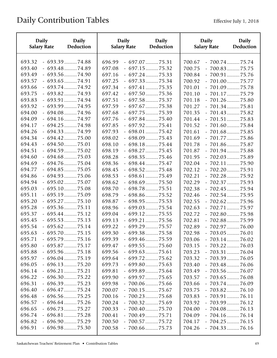| Daily              | <b>Daily</b>          | <b>Daily</b>       | <b>Daily</b>          | <b>Daily</b>       | Daily                 |
|--------------------|-----------------------|--------------------|-----------------------|--------------------|-----------------------|
| <b>Salary Rate</b> | Deduction             | <b>Salary Rate</b> | Deduction             | <b>Salary Rate</b> | <b>Deduction</b>      |
| 693.32             | $-693.39$ 74.88       | 696.99             | $-697.07$ 75.31       | 700.67             | $-700.74$ 75.74       |
| 693.40             | $-693.48$ 74.89       | 697.08             | $-697.15$ 75.32       | 700.75             | $-700.83$ 75.75       |
| 693.49             | $-693.56$ 74.90       | 697.16             | $-697.24$ 75.33       | 700.84             | $-700.91$ 75.76       |
| 693.57             | $-693.65$ 74.91       | 697.25             | $-697.33$ 75.34       | 700.92             | $-701.00$ 75.77       |
| 693.66             | $-693.74$ 74.92       | 697.34             | $-697.41$ 75.35       | 701.01             | $-701.09$ 75.78       |
| 693.75             | $-693.82$ 74.93       | 697.42             | $-697.50$ 75.36       | 701.10             | $-701.17$ 75.79       |
| 693.83             | $-693.91$ 74.94       | 697.51             | $-697.58$ 75.37       | 701.18             | $-701.26$ 75.80       |
| 693.92             | $-693.99$ 74.95       | 697.59             | $-697.67$ 75.38       | 701.27             | $-701.34$ 75.81       |
| 694.00             | $-694.08$ 74.96       | 697.68             | $-697.75$ 75.39       | 701.35             | $-701.43$ 75.82       |
| 694.09             | $-694.16$ 74.97       | 697.76             | $-697.84$ 75.40       | 701.44             | $-701.51$ 75.83       |
| 694.17             | $-694.25$ 74.98       | 697.85             | $-697.92$ 75.41       | 701.52             | $-701.60$ 75.84       |
| 694.26             | $-694.33$ 74.99       | 697.93             | $-698.01$ 75.42       | 701.61             | $-701.68$ 75.85       |
| 694.34             | $-694.42$ 75.00       | 698.02             | $-698.09$ 75.43       | 701.69             | $-701.77$ 75.86       |
| 694.43             | $-694.50$ 75.01       | 698.10             | $-698.18$ 75.44       | 701.78             | $-701.86$ 75.87       |
| 694.51             | $-694.59$ 75.02       | 698.19             | $-698.27$ 75.45       | 701.87             | $-701.94$ 75.88       |
| 694.60             | $-694.68$ 75.03       | 698.28             | $-698.35$ 75.46       | 701.95             | $-702.03$ 75.89       |
| 694.69             | $-694.76$ 75.04       | 698.36             | $-698.44$ 75.47       | 702.04             | $-702.11$ 75.90       |
| 694.77             | $-694.85$ 75.05       | 698.45             | $-698.52$ 75.48       | 702.12             | $-702.20$ 75.91       |
| 694.86             | $-694.93$ 75.06       | 698.53             | $-698.61$ 75.49       | 702.21             | $-702.28$ 75.92       |
| 694.94             | $-695.02 \dots 75.07$ | 698.62             | $-698.69$ 75.50       | 702.29             | $-702.37$ 75.93       |
| 695.03             | $-695.10$ 75.08       | 698.70             | $-698.78 \dots 75.51$ | 702.38             | $-702.45$ 75.94       |
| 695.11             | $-695.19 \dots 75.09$ | 698.79             | $-698.86$ 75.52       | 702.46             | $-702.54$ 75.95       |
| 695.20             | $-695.27$ 75.10       | 698.87             | $-698.95$ 75.53       | 702.55             | $-702.62$ 75.96       |
| 695.28             | $-695.36$ 75.11       | 698.96             | $-699.03$ 75.54       | 702.63             | $-702.71$ 75.97       |
| 695.37             | $-695.44$ 75.12       | 699.04             | $-699.12$ 75.55       | 702.72             | $-702.80$ 75.98       |
| 695.45             | $-695.53$ 75.13       | 699.13             | $-699.21$ 75.56       | 702.81             | $-702.88$ 75.99       |
| 695.54             | $-695.62 \dots 75.14$ | 699.22             | $-699.29 \dots 75.57$ | 702.89             | $-702.97$ 76.00       |
| 695.63             | $-695.70$ 75.15       | 699.30             | $-699.38$ 75.58       | 702.98             | $-703.05$ 76.01       |
| 695.71             | $-695.79 \dots 75.16$ | 699.39             | $-699.46$ 75.59       | 703.06             | $-703.14$ 76.02       |
| 695.80             | $-695.87$ 75.17       | 699.47             | $-699.55$ 75.60       | 703.15             | $-703.22$ 76.03       |
| 695.88             | $-695.96$ 75.18       | 699.56             | $-699.63$ 75.61       | 703.23             | $-703.31$ 76.04       |
| 695.97             | $-696.04$ 75.19       | 699.64             | $-699.72$ 75.62       | 703.32             | $-703.39 \dots 76.05$ |
| 696.05             | $-696.13$ 75.20       | 699.73             | $-699.80$ 75.63       | 703.40             | $-703.48$ 76.06       |
| 696.14             | $-696.21$ 75.21       | 699.81             | $-699.89$ 75.64       | 703.49             | $-703.56$ 76.07       |
| 696.22             | $-696.30$ 75.22       | 699.90             | $-699.97$ 75.65       | 703.57             | $-703.65$ 76.08       |
| 696.31             | $-696.39 \dots 75.23$ | 699.98             | $-700.06$ 75.66       | 703.66             | $-703.74$ 76.09       |
| 696.40             | $-696.47$ 75.24       | 700.07             | $-700.15$ 75.67       | 703.75             | $-703.82$ 76.10       |
| 696.48             | $-696.56$ 75.25       | 700.16             | $-700.23$ 75.68       | 703.83             | $-703.91$ 76.11       |
| 696.57             | $-696.64$ 75.26       | 700.24             | $-700.32$ 75.69       | 703.92             | $-703.99$ 76.12       |
| 696.65             | $-696.73$ 75.27       | 700.33             | $-700.40$ 75.70       | 704.00             | $-704.08$ 76.13       |
| 696.74             | $-696.81$ 75.28       | 700.41             | $-700.49$ 75.71       | 704.09             | $-704.16$ 76.14       |
| 696.82             | $-696.90$ 75.29       | 700.50             | $-700.57$ 75.72       | 704.17             | $-704.25$ 76.15       |
| 696.91             | $-696.98 \dots 75.30$ | 700.58             | $-700.66$ 75.73       | 704.26             | $-704.33$ 76.16       |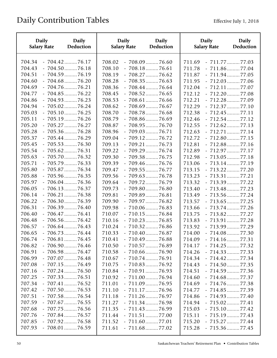| Daily              | <b>Daily</b>           | <b>Daily</b>       | <b>Daily</b>    | <b>Daily</b>       | <b>Daily</b>     |
|--------------------|------------------------|--------------------|-----------------|--------------------|------------------|
| <b>Salary Rate</b> | Deduction              | <b>Salary Rate</b> | Deduction       | <b>Salary Rate</b> | <b>Deduction</b> |
| 704.34             | $-704.42$ 76.17        | 708.02             | $-708.09$ 76.60 | 711.69             | $-711.77$ 77.03  |
| 704.43             | $-704.50$ 76.18        | 708.10             | $-708.18$ 76.61 | 711.78             | $-711.86$ 77.04  |
| 704.51             | $-704.59$ 76.19        | 708.19             | $-708.27$ 76.62 | 711.87             | $-711.94$ 77.05  |
| 704.60             | $-704.68$ 76.20        | 708.28             | $-708.35$ 76.63 | 711.95             | $-712.03$ 77.06  |
| 704.69             | $-704.76$ 76.21        | 708.36             | $-708.44$ 76.64 | 712.04             | $-712.11$ 77.07  |
| 704.77             | $-704.85$ 76.22        | 708.45             | $-708.52$ 76.65 | 712.12             | $-712.20$ 77.08  |
| 704.86             | $-704.93$ 76.23        | 708.53             | $-708.61$ 76.66 | 712.21             | $-712.28$ 77.09  |
| 704.94             | $-705.02$ 76.24        | 708.62             | $-708.69$ 76.67 | 712.29             | $-712.37$ 77.10  |
| 705.03             | $-705.10$ 76.25        | 708.70             | $-708.78$ 76.68 | 712.38             | $-712.45$ 77.11  |
| 705.11             | $-705.19$ 76.26        | 708.79             | $-708.86$ 76.69 | 712.46             | $-712.54$ 77.12  |
| 705.20             | $-705.27$ 76.27        | 708.87             | $-708.95$ 76.70 | 712.55             | $-712.62$ 77.13  |
| 705.28             | $-705.36$ 76.28        | 708.96             | $-709.03$ 76.71 | 712.63             | $-712.71$ 77.14  |
| 705.37             | $-705.44$ 76.29        | 709.04             | $-709.12$ 76.72 | 712.72             | $-712.80$ 77.15  |
| 705.45             | $-705.53$ 76.30        | 709.13             | $-709.21$ 76.73 | 712.81             | $-712.88$ 77.16  |
| 705.54             | $-705.62$ 76.31        | 709.22             | $-709.29$ 76.74 | 712.89             | $-712.97$ 77.17  |
| 705.63             | $-705.70$ 76.32        | 709.30             | $-709.38$ 76.75 | 712.98             | $-713.05$ 77.18  |
| 705.71             | $-705.79 \dots 76.33$  | 709.39             | $-709.46$ 76.76 | 713.06             | $-713.14$ 77.19  |
| 705.80             | $-705.87$ 76.34        | 709.47             | $-709.55$ 76.77 | 713.15             | $-713.22$ 77.20  |
| 705.88             | $-705.96$ 76.35        | 709.56             | $-709.63$ 76.78 | 713.23             | $-713.31$ 77.21  |
| 705.97             | $-706.04$ 76.36        | 709.64             | $-709.72$ 76.79 | 713.32             | $-713.39$ 77.22  |
| 706.05             | $-706.13$ 76.37        | 709.73             | $-709.80$ 76.80 | 713.40             | $-713.48$ 77.23  |
| 706.14             | $-706.21$ 76.38        | 709.81             | $-709.89$ 76.81 | 713.49             | $-713.56$ 77.24  |
| 706.22             | $-706.30$ 76.39        | 709.90             | $-709.97$ 76.82 | 713.57             | $-713.65$ 77.25  |
| 706.31             | $-706.39$ 76.40        | 709.98             | $-710.06$ 76.83 | 713.66             | $-713.74$ 77.26  |
| 706.40             | $-706.47$ 76.41        | 710.07             | $-710.15$ 76.84 | 713.75             | $-713.82$ 77.27  |
| 706.48             | $-706.56$ 76.42        | 710.16             | $-710.23$ 76.85 | 713.83             | $-713.91$ 77.28  |
| 706.57             | $-706.64$ 76.43        | 710.24             | $-710.32$ 76.86 | 713.92             | $-713.99$ 77.29  |
| 706.65             | $-706.73$ 76.44        | 710.33             | $-710.40$ 76.87 | 714.00             | $-714.08$ 77.30  |
| 706.74             | $-706.81$ 76.45        | 710.41             | $-710.49$ 76.88 | 714.09             | $-714.16$ 77.31  |
| 706.82             | $-706.90$ 76.46        | 710.50             | $-710.57$ 76.89 | 714.17             | $-714.25$ 77.32  |
| 706.91             | $-706.98$ 76.47        | 710.58             | $-710.66$ 76.90 | 714.26             | $-714.33$ 77.33  |
| 706.99             | $-707.07 \ldots 76.48$ | 710.67             | $-710.74$ 76.91 | 714.34             | $-714.42$ 77.34  |
| 707.08             | $-707.15$ 76.49        | 710.75             | $-710.83$ 76.92 | 714.43             | $-714.50$ 77.35  |
| 707.16             | $-707.24$ 76.50        | 710.84             | $-710.91$ 76.93 | 714.51             | $-714.59$ 77.36  |
| 707.25             | $-707.33$ 76.51        | 710.92             | $-711.00$ 76.94 | 714.60             | $-714.68$ 77.37  |
| 707.34             | $-707.41$ 76.52        | 711.01             | $-711.09$ 76.95 | 714.69             | $-714.76$ 77.38  |
| 707.42             | $-707.50$ 76.53        | 711.10             | $-711.17$ 76.96 | 714.77             | $-714.85$ 77.39  |
| 707.51             | $-707.58$ 76.54        | 711.18             | $-711.26$ 76.97 | 714.86             | $-714.93$ 77.40  |
| 707.59             | $-707.67$ 76.55        | 711.27             | $-711.34$ 76.98 | 714.94             | $-715.02$ 77.41  |
| 707.68             | $-707.75$ 76.56        | 711.35             | $-711.43$ 76.99 | 715.03             | $-715.10$ 77.42  |
| 707.76             | $-707.84$ 76.57        | 711.44             | $-711.51$ 77.00 | 715.11             | $-715.19$ 77.43  |
| 707.85             | $-707.92$ 76.58        | 711.52             | $-711.60$ 77.01 | 715.20             | $-715.27$ 77.44  |
| 707.93             | $-708.01$ 76.59        | 711.61             | $-711.68$ 77.02 | 715.28             | $-715.36$ 77.45  |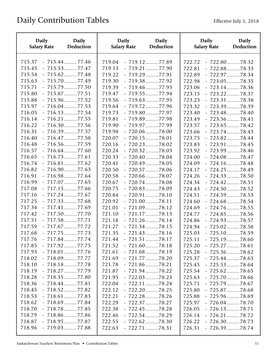| <b>Daily</b>                                   | Daily                                                                                       | <b>Daily</b>                                   | Daily                                                                                       | Daily                                          | <b>Daily</b>                                                                                |
|------------------------------------------------|---------------------------------------------------------------------------------------------|------------------------------------------------|---------------------------------------------------------------------------------------------|------------------------------------------------|---------------------------------------------------------------------------------------------|
| <b>Salary Rate</b>                             | Deduction                                                                                   | <b>Salary Rate</b>                             | Deduction                                                                                   | <b>Salary Rate</b>                             | Deduction                                                                                   |
| 715.37                                         | $-715.44$ 77.46                                                                             | 719.04                                         | $-719.12$ 77.89                                                                             | 722.72                                         | $-722.80$ 78.32                                                                             |
| 715.45                                         | $-715.53$ 77.47                                                                             | 719.13                                         | $-719.21$ 77.90                                                                             | 722.81                                         | $-722.88$ 78.33                                                                             |
| 715.54                                         | $-715.62$ 77.48                                                                             | 719.22                                         | $-719.29$ 77.91                                                                             | 722.89                                         | - 722.97 78.34                                                                              |
| 715.63                                         | $-715.70$ 77.49                                                                             | 719.30                                         | $-719.38$ 77.92                                                                             | 722.98                                         | $-723.05$ 78.35                                                                             |
| 715.71                                         | $-715.79$ 77.50                                                                             | 719.39                                         | $-719.46$ 77.93                                                                             | 723.06                                         | $-723.14$ 78.36                                                                             |
| 715.80                                         | $-715.87$ 77.51                                                                             | 719.47                                         | $-719.55$ 77.94                                                                             | 723.15                                         | - 723.22  78.37                                                                             |
| 715.88                                         | $-715.96$ 77.52                                                                             | 719.56                                         | $-719.63$ 77.95                                                                             | 723.23                                         | $-723.31$ 78.38                                                                             |
| 715.97                                         | $-716.04$ 77.53                                                                             | 719.64                                         | $-719.72$ 77.96                                                                             | 723.32                                         | $-723.39$ 78.39                                                                             |
| 716.05                                         | $-716.13$ 77.54                                                                             | 719.73                                         | $-719.80$ 77.97                                                                             | 723.40                                         | $-723.48$ 78.40                                                                             |
| 716.14                                         | $-716.21$ 77.55                                                                             | 719.81                                         | $-719.89$ 77.98                                                                             | 723.49                                         | $-723.56$ 78.41                                                                             |
| 716.22                                         | $-716.30$ 77.56                                                                             | 719.90                                         | $-719.97$ 77.99                                                                             | 723.57                                         | $-723.65$ 78.42                                                                             |
| 716.31                                         | $-716.39$ 77.57                                                                             | 719.98                                         | $-720.06$ 78.00                                                                             | 723.66                                         | $-723.74$ 78.43                                                                             |
| 716.40<br>716.48<br>716.57<br>716.65<br>716.74 | $-716.47$ 77.58<br>$-716.56$ 77.59<br>$-716.64$ 77.60<br>$-716.73$ 77.61<br>$-716.81$ 77.62 | 720.07<br>720.16<br>720.24<br>720.33           | $-720.15$ 78.01<br>$-720.23$ 78.02<br>$-720.32$ 78.03<br>$-720.40$ 78.04<br>$-720.49$ 78.05 | 723.75<br>723.83<br>723.92<br>724.00           | $-723.82$ 78.44<br>$-723.91$ 78.45<br>$-723.99$ 78.46<br>$-724.08$ 78.47<br>$-724.16$ 78.48 |
| 716.82<br>716.91<br>716.99<br>717.08           | $-716.90$ 77.63<br>$-716.98$ 77.64<br>$-717.07$ 77.65<br>$-717.15$ 77.66                    | 720.41<br>720.50<br>720.58<br>720.67<br>720.75 | $-720.57$ 78.06<br>$-720.66$ 78.07<br>$-720.74$ 78.08<br>$-720.83$ 78.09                    | 724.09<br>724.17<br>724.26<br>724.34<br>724.43 | $-724.25$ 78.49<br>$-724.33$ 78.50<br>$-724.42$ 78.51<br>$-724.50$ 78.52                    |
| 717.16                                         | $-717.24$ 77.67                                                                             | 720.84                                         | $-720.91$ 78.10                                                                             | 724.51                                         | $-724.59$ 78.53                                                                             |
| 717.25                                         | $-717.33$ 77.68                                                                             | 720.92                                         | $-721.00$ 78.11                                                                             | 724.60                                         | $-724.68$ 78.54                                                                             |
| 717.34                                         | $-717.41$ 77.69                                                                             | 721.01                                         | $-721.09$ 78.12                                                                             | 724.69                                         | $-724.76$ $78.55$                                                                           |
| 717.42                                         | $-717.50$ 77.70                                                                             | 721.10                                         | $-721.17$ 78.13                                                                             | 724.77                                         | $-724.85$ 78.56                                                                             |
| 717.51                                         | $-717.58$ 77.71                                                                             | 721.18                                         | $-721.26$ 78.14                                                                             | 724.86                                         | $-724.93$ 78.57                                                                             |
| 717.59                                         | $-717.67$ 77.72                                                                             | 721.27                                         | $-721.34$ 78.15                                                                             | 724.94                                         | $-725.02$ 78.58                                                                             |
| 717.68                                         | $-717.75$ 77.73                                                                             | 721.35                                         | $-721.43$ 78.16                                                                             | 725.03                                         | $-725.10$ 78.59                                                                             |
| 717.76                                         | $-717.84$ 77.74                                                                             | 721.44                                         | $-721.51$ 78.17                                                                             | 725.11                                         | $-725.19$ 78.60                                                                             |
| 717.85                                         | $-717.92$ 77.75                                                                             | 721.52                                         | $-721.60$ 78.18                                                                             | 725.20                                         | $-725.27$ 78.61                                                                             |
| 717.93                                         | $-718.01$ 77.76                                                                             | 721.61                                         | $-721.68$ 78.19                                                                             | 725.28                                         | $-725.36$ 78.62                                                                             |
| 718.02                                         | $-718.09$ 77.77                                                                             | 721.69                                         | $-721.77$ 78.20                                                                             | 725.37                                         | $-725.44$ 78.63                                                                             |
| 718.10                                         | $-718.18$ 77.78                                                                             | 721.78                                         | $-721.86$ 78.21                                                                             | 725.45                                         | $-725.53$ 78.64                                                                             |
| 718.19                                         | $-718.27$ 77.79                                                                             | 721.87                                         | $-721.94$ 78.22                                                                             | 725.54                                         | $-725.62$ 78.65                                                                             |
| 718.28                                         | $-718.35$ 77.80                                                                             | 721.95                                         | $-722.03$ 78.23                                                                             | 725.63                                         | $-725.70$ 78.66                                                                             |
| 718.36                                         | $-718.44$ 77.81                                                                             | 722.04                                         | $-722.11$ 78.24                                                                             | 725.71                                         | $-725.79$ 78.67                                                                             |
| 718.45                                         | $-718.52$ 77.82                                                                             | 722.12                                         | $-722.20$ 78.25                                                                             | 725.80                                         | $-725.87$ 78.68                                                                             |
| 718.53                                         | $-718.61$ 77.83                                                                             | 722.21                                         | $-722.28$ 78.26                                                                             | 725.88                                         | $-725.96$ 78.69                                                                             |
| 718.62                                         | $-718.69$ 77.84                                                                             | 722.29                                         | $-722.37$ 78.27                                                                             | 725.97                                         | $-726.04$ 78.70                                                                             |
| 718.70                                         | $-718.78 \ldots .77.85$                                                                     | 722.38                                         | $-722.45$ 78.28                                                                             | 726.05                                         | $-726.13$ 78.71                                                                             |
| 718.79                                         | $-718.86$ 77.86                                                                             | 722.46                                         | $-722.54$ 78.29                                                                             | 726.14                                         | $-726.21$ 78.72                                                                             |
| 718.87                                         | $-718.95$ 77.87                                                                             | 722.55                                         | $-722.62$ 78.30                                                                             | 726.22                                         | $-726.30$ 78.73                                                                             |
| 718.96                                         | $-719.03$ 77.88                                                                             | 722.63                                         | $-722.71$ 78.31                                                                             | 726.31                                         | $-726.39$ 78.74                                                                             |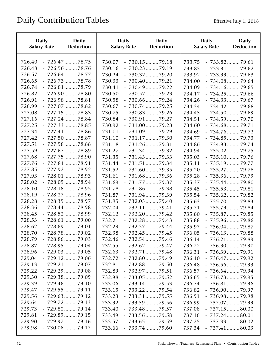| <b>Daily</b>                                                       | <b>Daily</b>                                                                                                                     | <b>Daily</b>                                                                                 | <b>Daily</b>                                                                                                  | <b>Daily</b>                                                       | <b>Daily</b>                                                                                                                      |
|--------------------------------------------------------------------|----------------------------------------------------------------------------------------------------------------------------------|----------------------------------------------------------------------------------------------|---------------------------------------------------------------------------------------------------------------|--------------------------------------------------------------------|-----------------------------------------------------------------------------------------------------------------------------------|
| <b>Salary Rate</b>                                                 | Deduction                                                                                                                        | <b>Salary Rate</b>                                                                           | Deduction                                                                                                     | <b>Salary Rate</b>                                                 | Deduction                                                                                                                         |
| 726.40                                                             | $-726.47$ 78.75                                                                                                                  | 730.07                                                                                       | $-730.15$ 79.18                                                                                               | 733.75                                                             | $-733.82$ 79.61                                                                                                                   |
| 726.48                                                             | $-726.56$ 78.76                                                                                                                  | 730.16                                                                                       | $-730.23$ 79.19                                                                                               | 733.83                                                             | $-733.91$ 79.62                                                                                                                   |
| 726.57                                                             | $-726.64$ 78.77                                                                                                                  | 730.24                                                                                       | $-730.32$ 79.20                                                                                               | 733.92                                                             | $-733.99$ 79.63                                                                                                                   |
| 726.65                                                             | $-726.73$ 78.78                                                                                                                  | 730.33                                                                                       | $-730.40$ 79.21                                                                                               | 734.00                                                             | $-734.08$ 79.64                                                                                                                   |
| 726.74                                                             | $-726.81$ 78.79                                                                                                                  | 730.41                                                                                       | $-730.49$ 79.22                                                                                               | 734.09                                                             | $-734.16$ 79.65                                                                                                                   |
| 726.82                                                             | $-726.90$ 78.80                                                                                                                  | 730.50                                                                                       | $-730.57$ 79.23                                                                                               | 734.17                                                             | $-734.25$ 79.66                                                                                                                   |
| 726.91                                                             | $-726.98$ 78.81                                                                                                                  | 730.58                                                                                       | $-730.66$ 79.24                                                                                               | 734.26                                                             | $-734.33$ 79.67                                                                                                                   |
| 726.99                                                             | $-727.07$ 78.82                                                                                                                  | 730.67                                                                                       | $-730.74$ 79.25                                                                                               | 734.34                                                             | $-734.42$ 79.68                                                                                                                   |
| 727.08                                                             | $-727.15$ 78.83                                                                                                                  | 730.75                                                                                       | $-730.83$ 79.26                                                                                               | 734.43                                                             | $-734.50$ 79.69                                                                                                                   |
| 727.16                                                             | $-727.24$ 78.84                                                                                                                  | 730.84                                                                                       | $-730.91$ 79.27                                                                                               | 734.51                                                             | $-734.59$ 79.70                                                                                                                   |
| 727.25                                                             | $-727.33$ 78.85                                                                                                                  | 730.92                                                                                       | $-731.00$ 79.28                                                                                               | 734.60                                                             | $-734.68$ 79.71                                                                                                                   |
| 727.34<br>727.42<br>727.51<br>727.59<br>727.68<br>727.76<br>727.85 | $-727.41$ 78.86<br>$-727.50$ 78.87<br>$-727.58$ 78.88<br>- 727.67 78.89<br>$-727.75$ 78.90<br>$-727.84$ 78.91<br>$-727.92$ 78.92 | 731.01<br>$-731.09$<br>731.10<br>731.18<br>731.27<br>731.35<br>731.44<br>731.52<br>$-731.60$ | 79.29<br>$-731.17$ 79.30<br>$-731.26$ 79.31<br>$-731.34$ 79.32<br>$-731.43$ 79.33<br>$-731.51$ 79.34<br>79.35 | 734.69<br>734.77<br>734.86<br>734.94<br>735.03<br>735.11<br>735.20 | $-734.76$ 79.72<br>$-734.85$ 79.73<br>$-734.93$ 79.74<br>$-735.02$ 79.75<br>$-735.10$ 79.76<br>$-735.19$ 79.77<br>- 735.27  79.78 |
| 727.93                                                             | $-728.01$ 78.93                                                                                                                  | 731.61                                                                                       | $-731.68$ 79.36                                                                                               | 735.28                                                             | $-735.36$ 79.79                                                                                                                   |
| 728.02                                                             | $-728.09$ 78.94                                                                                                                  | 731.69                                                                                       | $-731.77$ 79.37                                                                                               | 735.37                                                             | $-735.44$ 79.80                                                                                                                   |
| 728.10                                                             | $-728.18$ 78.95                                                                                                                  | 731.78                                                                                       | $-731.86$ 79.38                                                                                               | 735.45                                                             | $-735.53$ 79.81                                                                                                                   |
| 728.19                                                             | $-728.27$ 78.96                                                                                                                  | 731.87                                                                                       | $-731.94$ 79.39                                                                                               | 735.54                                                             | $-735.62$ 79.82                                                                                                                   |
| 728.28                                                             | $-728.35$ 78.97                                                                                                                  | 731.95                                                                                       | $-732.03$ 79.40                                                                                               | 735.63                                                             | - 735.70  79.83                                                                                                                   |
| 728.36                                                             | $-728.44$ 78.98                                                                                                                  | 732.04                                                                                       | $-732.11$ 79.41                                                                                               | 735.71                                                             | $-735.79$ 79.84                                                                                                                   |
| 728.45                                                             | $-728.52$ 78.99                                                                                                                  | 732.12                                                                                       | $-732.20$ 79.42                                                                                               | 735.80                                                             | $-735.87$ 79.85                                                                                                                   |
| 728.53                                                             | $-728.61$ 79.00                                                                                                                  | 732.21                                                                                       | $-732.28$ 79.43                                                                                               | 735.88                                                             | $-735.96$ 79.86                                                                                                                   |
| 728.62                                                             | $-728.69$ 79.01                                                                                                                  | 732.29                                                                                       | - 732.37  79.44                                                                                               | 735.97                                                             | $-736.04$ 79.87                                                                                                                   |
| 728.70                                                             | $-728.78$ 79.02                                                                                                                  | 732.38                                                                                       | $-732.45$ 79.45                                                                                               | 736.05                                                             | $-736.13$ 79.88                                                                                                                   |
| 728.79                                                             | $-728.86$ 79.03                                                                                                                  | 732.46                                                                                       | $-732.54$ 79.46                                                                                               | 736.14                                                             | $-736.21$ 79.89                                                                                                                   |
| 728.87                                                             | $-728.95$ 79.04                                                                                                                  | 732.55                                                                                       | $-732.62$ 79.47                                                                                               | 736.22                                                             | $-736.30$ 79.90                                                                                                                   |
| 728.96                                                             | $-729.03$ 79.05                                                                                                                  | 732.63                                                                                       | $-732.71$ 79.48                                                                                               | 736.31                                                             | $-736.39$ 79.91                                                                                                                   |
| 729.04                                                             | $-729.12$ 79.06                                                                                                                  | 732.72                                                                                       | $-732.80$ 79.49                                                                                               | 736.40                                                             | $-736.47$ 79.92                                                                                                                   |
| 729.13                                                             | $-729.21$ 79.07                                                                                                                  | 732.81                                                                                       | $-732.88$ 79.50                                                                                               | 736.48                                                             | $-736.56$ 79.93                                                                                                                   |
| 729.22                                                             | $-729.29$ $-79.08$                                                                                                               | 732.89                                                                                       | $-732.97$ 79.51                                                                                               | 736.57                                                             | $-736.64$ 79.94                                                                                                                   |
| 729.30                                                             | $-729.38$ 79.09                                                                                                                  | 732.98                                                                                       | $-733.05$ 79.52                                                                                               | 736.65                                                             | $-736.73$ 79.95                                                                                                                   |
| 729.39                                                             | $-729.46$ 79.10                                                                                                                  | 733.06                                                                                       | $-733.14$ 79.53                                                                                               | 736.74                                                             | $-736.81$ 79.96                                                                                                                   |
| 729.47                                                             | $-729.55$ 79.11                                                                                                                  | 733.15                                                                                       | $-733.22$ 79.54                                                                                               | 736.82                                                             | $-736.90$ 79.97                                                                                                                   |
| 729.56                                                             | $-729.63$ 79.12                                                                                                                  | 733.23                                                                                       | $-733.31$ 79.55                                                                                               | 736.91                                                             | $-736.98$ 79.98                                                                                                                   |
| 729.64                                                             | $-729.72$ 79.13                                                                                                                  | 733.32                                                                                       | $-733.39$ 79.56                                                                                               | 736.99                                                             | - 737.07 79.99                                                                                                                    |
| 729.73                                                             | $-729.80$ 79.14                                                                                                                  | 733.40                                                                                       | $-733.48$ 79.57                                                                                               | 737.08                                                             | $-737.15$ 80.00                                                                                                                   |
| 729.81                                                             | $-729.89$ 79.15                                                                                                                  | 733.49                                                                                       | $-733.56$ 79.58                                                                                               | 737.16                                                             | $-737.24$ 80.01                                                                                                                   |
| 729.90                                                             | $-729.97$ 79.16                                                                                                                  | 733.57                                                                                       | $-733.65$ 79.59                                                                                               | 737.25                                                             | $-737.33$ 80.02                                                                                                                   |
| 729.98                                                             | $-730.06$ 79.17                                                                                                                  | 733.66                                                                                       | $-733.74$ 79.60                                                                                               | 737.34                                                             | $-737.41$ 80.03                                                                                                                   |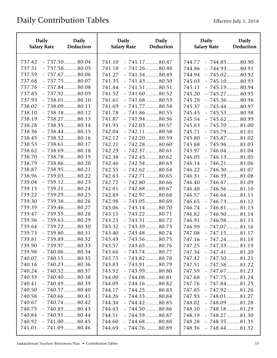| <b>Daily</b>       | <b>Daily</b>           | <b>Daily</b>       | <b>Daily</b>           | <b>Daily</b>       | Daily                  |
|--------------------|------------------------|--------------------|------------------------|--------------------|------------------------|
| <b>Salary Rate</b> | Deduction              | <b>Salary Rate</b> | Deduction              | <b>Salary Rate</b> | Deduction              |
| 737.42             | $-737.50$ 80.04        | 741.10             | $-741.17$ 80.47        | 744.77             | $-744.85$ 80.90        |
| 737.51             | $-737.58$ 80.05        | 741.18             | $-741.26$ 80.48        | 744.86             | $-744.93$ 80.91        |
| 737.59             | $-737.67$ 80.06        | 741.27             | $-741.34$ 80.49        | 744.94             | $-745.02$ 80.92        |
| 737.68             | $-737.75$ 80.07        | 741.35             | $-741.43$ 80.50        | 745.03             | $-745.10$ 80.93        |
| 737.76             | $-737.84$ 80.08        | 741.44             | $-741.51$ 80.51        | 745.11             | $-745.19$ 80.94        |
| 737.85             | $-737.92$ 80.09        | 741.52             | $-741.60$ 80.52        | 745.20             | $-745.27 \dots 80.95$  |
| 737.93             | $-738.01$ 80.10        | 741.61             | $-741.68$ 80.53        | 745.28             | $-745.36$ 80.96        |
| 738.02             | $-738.09$ 80.11        | 741.69             | $-741.77$ 80.54        | 745.37             | $-745.44$ 80.97        |
| 738.10             | $-738.18\dots 80.12$   | 741.78             | $-741.86$ 80.55        | 745.45             | $-745.53$ 80.98        |
| 738.19             | $-738.27$ 80.13        | 741.87             | $-741.94$ 80.56        | 745.54             | $-745.62$ 80.99        |
| 738.28             | $-738.35$ 80.14        | 741.95             | $-742.03$ 80.57        | 745.63             | $-745.70$ 81.00        |
| 738.36             | $-738.44$ 80.15        | 742.04             | $-742.11$ 80.58        | 745.71             | $-745.79$ 81.01        |
| 738.45             | $-738.52$ 80.16        | 742.12             | $-742.20$ 80.59        | 745.80             | $-745.87$ 81.02        |
| 738.53             | $-738.61$ 80.17        | 742.21             | $-742.28$ 80.60        | 745.88             | $-745.96$ 81.03        |
| 738.62             | $-738.69$ 80.18        | 742.29             | $-742.37 \ldots 80.61$ | 745.97             | $-746.04$ 81.04        |
| 738.70             | $-738.78 \dots 80.19$  | 742.38             | $-742.45$ 80.62        | 746.05             | $-746.13$ 81.05        |
| 738.79             | $-738.86$ 80.20        | 742.46             | $-742.54$ 80.63        | 746.14             | $-746.21$ 81.06        |
| 738.87             | $-738.95$ 80.21        | 742.55             | $-742.62$ 80.64        | 746.22             | $-746.30$ 81.07        |
| 738.96             | $-739.03$ 80.22        | 742.63             | $-742.71$ 80.65        | 746.31             | $-746.39 \dots 81.08$  |
| 739.04             | $-739.12$ 80.23        | 742.72             | $-742.80$ 80.66        | 746.40             | $-746.47$ 81.09        |
| 739.13             | $-739.21$ 80.24        | 742.81             | $-742.88$ 80.67        | 746.48             | $-746.56$ 81.10        |
| 739.22             | $-739.29$ 80.25        | 742.89             | $-742.97$ 80.68        | 746.57             | $-746.64$ 81.11        |
| 739.30             | $-739.38$ 80.26        | 742.98             | $-743.05$ 80.69        | 746.65             | $-746.73$ 81.12        |
| 739.39             | $-739.46$ 80.27        | 743.06             | $-743.14$ 80.70        | 746.74             | $-746.81$ 81.13        |
| 739.47             | $-739.55$ 80.28        | 743.15             | $-743.22$ 80.71        | 746.82             | $-746.90$ 81.14        |
| 739.56             | $-739.63$ 80.29        | 743.23             | $-743.31$ 80.72        | 746.91             | $-746.98 \ldots 81.15$ |
| 739.64             | $-739.72$ 80.30        | 743.32             | $-743.39$ 80.73        | 746.99             | $-747.07 \ldots 81.16$ |
| 739.73             | $-739.80$ 80.31        | 743.40             | $-743.48$ 80.74        | 747.08             | $-747.15$ 81.17        |
| 739.81             | $-739.89 \ldots 80.32$ | 743.49             | $-743.56$ 80.75        | 747.16             | $-747.24$ 81.18        |
| 739.90             | $-739.97$ 80.33        | 743.57             | $-743.65$ 80.76        | 747.25             | $-747.33$ 81.19        |
| 739.98             | $-740.06$ 80.34        | 743.66             | $-743.74$ 80.77        | 747.34             | $-747.41$ 81.20        |
| 740.07             | $-740.15$ 80.35        | 743.75             | $-743.82$ 80.78        | 747.42             | $-747.50$ 81.21        |
| 740.16             | $-740.23$ 80.36        | 743.83             | $-743.91$ 80.79        | 747.51             | $-747.58$ 81.22        |
| 740.24             | $-740.32$ 80.37        | 743.92             | $-743.99$ 80.80        | 747.59             | $-747.67$ 81.23        |
| 740.33             | $-740.40$ 80.38        | 744.00             | $-744.08$ 80.81        | 747.68             | $-747.75$ 81.24        |
| 740.41             | $-740.49$ 80.39        | 744.09             | $-744.16$ 80.82        | 747.76             | $-747.84$ 81.25        |
| 740.50             | $-740.57$ 80.40        | 744.17             | $-744.25$ 80.83        | 747.85             | $-747.92 \dots 81.26$  |
| 740.58             | $-740.66$ 80.41        | 744.26             | $-744.33$ 80.84        | 747.93             | $-748.01$ 81.27        |
| 740.67             | $-740.74$ 80.42        | 744.34             | $-744.42$ 80.85        | 748.02             | $-748.09 \dots 81.28$  |
| 740.75             | $-740.83$ 80.43        | 744.43             | $-744.50$ 80.86        | 748.10             | $-748.18\dots 81.29$   |
| 740.84             | $-740.91$ 80.44        | 744.51             | $-744.59$ 80.87        | 748.19             | $-748.27 \dots 81.30$  |
| 740.92             | $-741.00$ 80.45        | 744.60             | $-744.68$ 80.88        | 748.28             | $-748.35$ 81.31        |
| 741.01             | $-741.09$ 80.46        | 744.69             | $-744.76$ 80.89        | 748.36             | $-748.44$ 81.32        |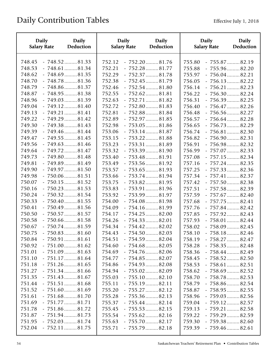| <b>Daily</b>                                             | <b>Daily</b>                                                                                                         | <b>Daily</b>                                             | <b>Daily</b>                                                                                                         | Daily                                                    | <b>Daily</b>                                                                                                                     |
|----------------------------------------------------------|----------------------------------------------------------------------------------------------------------------------|----------------------------------------------------------|----------------------------------------------------------------------------------------------------------------------|----------------------------------------------------------|----------------------------------------------------------------------------------------------------------------------------------|
| <b>Salary Rate</b>                                       | Deduction                                                                                                            | <b>Salary Rate</b>                                       | Deduction                                                                                                            | <b>Salary Rate</b>                                       | Deduction                                                                                                                        |
| 748.45                                                   | $-748.52$ 81.33                                                                                                      | 752.12                                                   | $-752.20$ 81.76                                                                                                      | 755.80                                                   | $-755.87$ 82.19                                                                                                                  |
| 748.53                                                   | $-748.61$ 81.34                                                                                                      | 752.21                                                   | $-752.28$ 81.77                                                                                                      | 755.88                                                   | $-755.96$ 82.20                                                                                                                  |
| 748.62                                                   | $-748.69 \dots 81.35$                                                                                                | 752.29                                                   | $-752.37$ 81.78                                                                                                      | 755.97                                                   | $-756.04$ 82.21                                                                                                                  |
| 748.70                                                   | $-748.78 \ldots 81.36$                                                                                               | 752.38                                                   | $-752.45$ 81.79                                                                                                      | 756.05                                                   | $-756.13$ 82.22                                                                                                                  |
| 748.79                                                   | $-748.86$ 81.37                                                                                                      | 752.46                                                   | $-752.54$ 81.80                                                                                                      | 756.14                                                   | $-756.21$ 82.23                                                                                                                  |
| 748.87                                                   | $-748.95$ 81.38                                                                                                      | 752.55                                                   | $-752.62$ 81.81                                                                                                      | 756.22                                                   | $-756.30$ 82.24                                                                                                                  |
| 748.96                                                   | $-749.03$ 81.39                                                                                                      | 752.63                                                   | $-752.71$ 81.82                                                                                                      | 756.31                                                   | $-756.39$ 82.25                                                                                                                  |
| 749.04                                                   | $-749.12$ 81.40                                                                                                      | 752.72                                                   | $-752.80$ 81.83                                                                                                      | 756.40                                                   | $-756.47$ 82.26                                                                                                                  |
| 749.13                                                   | $-749.21$ 81.41                                                                                                      | 752.81                                                   | $-752.88$ 81.84                                                                                                      | 756.48                                                   | $-756.56$ 82.27                                                                                                                  |
| 749.22                                                   | $-749.29 \dots 81.42$                                                                                                | 752.89                                                   | $-752.97 \dots 81.85$                                                                                                | 756.57                                                   | $-756.64$ 82.28                                                                                                                  |
| 749.30                                                   | $-749.38$ 81.43                                                                                                      | 752.98                                                   | $-753.05$ 81.86                                                                                                      | 756.65                                                   | $-756.73$ 82.29                                                                                                                  |
| 749.39                                                   | $-749.46$ 81.44                                                                                                      | 753.06                                                   | $-753.14$ 81.87                                                                                                      | 756.74                                                   | $-756.81$ 82.30                                                                                                                  |
| 749.47                                                   | $-749.55$ 81.45                                                                                                      | 753.15                                                   | $-753.22$ 81.88                                                                                                      | 756.82                                                   | $-756.90$ 82.31                                                                                                                  |
| 749.56                                                   | $-749.63$ 81.46                                                                                                      | 753.23                                                   | $-753.31$ 81.89                                                                                                      | 756.91                                                   | $-756.98$ 82.32                                                                                                                  |
| 749.64                                                   | $-749.72$ 81.47                                                                                                      | 753.32                                                   | $-753.39$ 81.90                                                                                                      | 756.99                                                   | $-757.07$ 82.33                                                                                                                  |
| 749.73                                                   | $-749.80$ 81.48                                                                                                      | 753.40                                                   | $-753.48$ 81.91                                                                                                      | 757.08                                                   | $-757.15$ 82.34                                                                                                                  |
| 749.81                                                   | $-749.89$ 81.49                                                                                                      | 753.49                                                   | $-753.56$ 81.92                                                                                                      | 757.16                                                   | $-757.24$ 82.35                                                                                                                  |
| 749.90                                                   | $-749.97$ 81.50                                                                                                      | 753.57                                                   | $-753.65$ 81.93                                                                                                      | 757.25                                                   | $-757.33$ 82.36                                                                                                                  |
| 749.98                                                   | $-750.06$ 81.51                                                                                                      | 753.66                                                   | $-753.74$ 81.94                                                                                                      | 757.34                                                   | $-757.41$ 82.37                                                                                                                  |
| 750.07                                                   | $-750.15$ 81.52                                                                                                      | 753.75                                                   | $-753.82$ 81.95                                                                                                      | 757.42                                                   | $-757.50$ 82.38                                                                                                                  |
| 750.16                                                   | $-750.23$ 81.53                                                                                                      | 753.83                                                   | $-753.91$ 81.96                                                                                                      | 757.51                                                   | $-757.58$ 82.39                                                                                                                  |
| 750.24                                                   | $-750.32$ 81.54                                                                                                      | 753.92                                                   | $-753.99$ 81.97                                                                                                      | 757.59                                                   | $-757.67$ 82.40                                                                                                                  |
| 750.33                                                   | $-750.40$ 81.55                                                                                                      | 754.00                                                   | $-754.08 \dots 81.98$                                                                                                | 757.68                                                   | $-757.75$ 82.41                                                                                                                  |
| 750.41                                                   | $-750.49$ 81.56                                                                                                      | 754.09                                                   | $-754.16$ 81.99                                                                                                      | 757.76                                                   | $-757.84$ 82.42                                                                                                                  |
| 750.50                                                   | $-750.57$ 81.57                                                                                                      | 754.17                                                   | $-754.25$ 82.00                                                                                                      | 757.85                                                   | $-757.92$ 82.43                                                                                                                  |
| 750.58                                                   | $-750.66$ 81.58                                                                                                      | 754.26                                                   | $-754.33$ 82.01                                                                                                      | 757.93                                                   | $-758.01$ 82.44                                                                                                                  |
| 750.67                                                   | $-750.74$ 81.59                                                                                                      | 754.34                                                   | $-754.42$ 82.02                                                                                                      | 758.02                                                   | $-758.09$ 82.45                                                                                                                  |
| 750.75                                                   | $-750.83$ 81.60                                                                                                      | 754.43                                                   | $-754.50$ 82.03                                                                                                      | 758.10                                                   | $-758.18$ 82.46                                                                                                                  |
| 750.84                                                   | $-750.91$ 81.61                                                                                                      | 754.51                                                   | $-754.59$ 82.04                                                                                                      | 758.19                                                   | $-758.27 \ldots 82.47$                                                                                                           |
| 750.92                                                   | $-751.00$ 81.62                                                                                                      | 754.60                                                   | $-754.68$ 82.05                                                                                                      | 758.28                                                   | $-758.35$ 82.48                                                                                                                  |
| 751.01<br>751.10<br>751.18<br>751.27<br>751.35           | $-751.09 \dots 81.63$<br>$-751.17$ 81.64<br>$-751.26$ 81.65<br>$-751.34 \dots 81.66$<br>$-751.43$ 81.67              | 754.69<br>754.77<br>754.86<br>754.94<br>755.03           | $-754.76$ 82.06<br>$-754.85$ 82.07<br>$-754.93 \dots 82.08$<br>$-755.02$ 82.09<br>$-755.10$ 82.10<br>$-755.19$ 82.11 | 758.36<br>758.45<br>758.53<br>758.62<br>758.70           | $-758.44$ 82.49<br>$-758.52$ 82.50<br>$-758.61$ 82.51<br>$-758.69$ 82.52<br>$-758.78 \ldots 82.53$                               |
| 751.44<br>751.52<br>751.61<br>751.69<br>751.78<br>751.87 | $-751.51$ 81.68<br>$-751.60$ 81.69<br>$-751.68$ 81.70<br>$-751.77$ 81.71<br>$-751.86 \dots 81.72$<br>$-751.94$ 81.73 | 755.11<br>755.20<br>755.28<br>755.37<br>755.45<br>755.54 | $-755.27$ 82.12<br>$-755.36$ 82.13<br>$-755.44$ 82.14<br>$-755.53$ 82.15<br>$-755.62$ 82.16                          | 758.79<br>758.87<br>758.96<br>759.04<br>759.13<br>759.22 | $-758.86$ 82.54<br>$-758.95$ 82.55<br>$-759.03 \dots 82.56$<br>$-759.12 \dots 82.57$<br>$-759.21$ 82.58<br>$-759.29 \dots 82.59$ |
| 751.95                                                   | $-752.03$ 81.74                                                                                                      | 755.63                                                   | $-755.70$ 82.17                                                                                                      | 759.30                                                   | $-759.38$ 82.60                                                                                                                  |
| 752.04                                                   | $-752.11$ 81.75                                                                                                      | 755.71                                                   | $-755.79$ 82.18                                                                                                      | 759.39                                                   | $-759.46$ 82.61                                                                                                                  |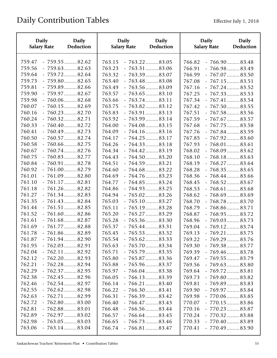| <b>Daily</b><br>Daily<br><b>Salary Rate</b><br>Deduction                                                                                             | <b>Daily</b><br><b>Salary Rate</b>             | <b>Daily</b><br>Deduction                                                                         | <b>Daily</b><br><b>Salary Rate</b>             | Daily<br>Deduction                                                                                 |
|------------------------------------------------------------------------------------------------------------------------------------------------------|------------------------------------------------|---------------------------------------------------------------------------------------------------|------------------------------------------------|----------------------------------------------------------------------------------------------------|
| $-759.55$ 82.62<br>759.47<br>$-759.63$ 82.63<br>759.56<br>$-759.72$ 82.64<br>759.64                                                                  | 763.15<br>763.23<br>763.32                     | $-763.22$ 83.05<br>$-763.31$ 83.06<br>$-763.39 \dots 83.07$                                       | 766.82<br>766.91<br>766.99                     | $-766.90$ 83.48<br>$-766.98$ 83.49<br>$-767.07 \dots 83.50$                                        |
| $-759.80$ 82.65<br>759.73<br>$-759.89$ 82.66<br>759.81<br>759.90<br>$-759.97$ 82.67<br>759.98<br>$-760.06$ 82.68                                     | 763.40<br>763.49<br>763.57<br>763.66           | $-763.48$ 83.08<br>$-763.56$ 83.09<br>$-763.65$ 83.10<br>$-763.74$ 83.11                          | 767.08<br>767.16<br>767.25<br>767.34           | $-767.15$ 83.51<br>$-767.24 \dots 83.52$<br>$-767.33$ 83.53<br>$-767.41$ 83.54                     |
| 760.07<br>$-760.15$ 82.69<br>760.16<br>$-760.23$ 82.70<br>760.24<br>$-760.32$ 82.71<br>$-760.40$ 82.72<br>760.33                                     | 763.75<br>763.83<br>763.92<br>764.00           | $-763.82$ 83.12<br>$-763.91$ 83.13<br>$-763.99$ 83.14<br>$-764.08 \dots 83.15$                    | 767.42<br>767.51<br>767.59<br>767.68           | $-767.50$ 83.55<br>$-767.58$ 83.56<br>$-767.67 \dots 83.57$<br>$-767.75$ 83.58                     |
| 760.41<br>$-760.49$ 82.73<br>760.50<br>$-760.57$ 82.74<br>$-760.66$ 82.75<br>760.58<br>760.67<br>$-760.74$ 82.76<br>760.75<br>$-760.83$ 82.77        | 764.09<br>764.17<br>764.26<br>764.34<br>764.43 | $-764.16$ 83.16<br>$-764.25$ 83.17<br>$-764.33$ 83.18<br>$-764.42$ 83.19<br>$-764.50$ 83.20       | 767.76<br>767.85<br>767.93<br>768.02<br>768.10 | $-767.84 \dots 83.59$<br>$-767.92$ 83.60<br>$-768.01$ 83.61<br>$-768.09$ 83.62<br>$-768.18$ 83.63  |
| 760.84<br>$-760.91$ 82.78<br>760.92<br>$-761.00$ 82.79<br>761.01<br>$-761.09 \dots 82.80$<br>$-761.17$ 82.81<br>761.10                               | 764.51<br>764.60<br>764.69<br>764.77           | $-764.59$ 83.21<br>$-764.68$ 83.22<br>$-764.76$ 83.23<br>$-764.85$ 83.24                          | 768.19<br>768.28<br>768.36<br>768.45           | $-768.27 \dots 83.64$<br>$-768.35$ 83.65<br>$-768.44$ 83.66<br>$-768.52$ 83.67                     |
| 761.18<br>$-761.26$ 82.82<br>761.27<br>$-761.34$ 82.83<br>$-761.43$ 82.84<br>761.35<br>761.44<br>$-761.51$ 82.85<br>761.52<br>$-761.60$ 82.86        | 764.86<br>764.94<br>765.03<br>765.11<br>765.20 | $-764.93$ 83.25<br>$-765.02 \dots 83.26$<br>$-765.10$ 83.27<br>$-765.19$ 83.28<br>$-765.27$ 83.29 | 768.53<br>768.62<br>768.70<br>768.79<br>768.87 | $-768.61$ 83.68<br>$-768.69$ 83.69<br>$-768.78 \dots 83.70$<br>$-768.86$ 83.71<br>$-768.95$ 83.72  |
| $-761.68$ 82.87<br>761.61<br>$-761.77$ 82.88<br>761.69<br>$-761.86$ 82.89<br>761.78<br>$-761.94$ 82.90<br>761.87                                     | 765.28<br>765.37<br>765.45<br>765.54           | $-765.36$ 83.30<br>$-765.44$ 83.31<br>$-765.53$ 83.32<br>$-765.62$ 83.33                          | 768.96<br>769.04<br>769.13<br>769.22           | $-769.03$ 83.73<br>$-769.12$ 83.74<br>$-769.21$ 83.75<br>$-769.29 \dots 83.76$                     |
| $-762.03 \dots 82.91$<br>761.95<br>$-762.11$ 82.92<br>762.04<br>762.12<br>$-762.20$ 82.93<br>762.21<br>$-762.28$ 82.94                               | 765.63<br>765.71<br>765.80<br>765.88           | $-765.70 \dots 83.34$<br>$-765.79$ 83.35<br>$-765.87$ 83.36<br>$-765.96$ 83.37                    | 769.30<br>769.39<br>769.47<br>769.56           | $-769.38$ 83.77<br>$-769.46$ 83.78<br>$-769.55$ 83.79<br>$-769.63$ 83.80                           |
| $-762.37 \ldots 82.95$<br>762.29<br>$-762.45$ 82.96<br>762.38<br>$-762.54$ 82.97<br>762.46<br>$-762.62$ 82.98<br>762.55<br>762.63<br>$-762.71$ 82.99 | 765.97<br>766.05<br>766.14<br>766.22<br>766.31 | $-766.04$ 83.38<br>$-766.13$ 83.39<br>$-766.21$ 83.40<br>$-766.30$ 83.41<br>$-766.39 \dots 83.42$ | 769.64<br>769.73<br>769.81<br>769.90<br>769.98 | $-769.72$ 83.81<br>$-769.80$ 83.82<br>$-769.89 \ldots 83.83$<br>$-769.97$ 83.84<br>$-770.06$ 83.85 |
| $-762.80$ 83.00<br>762.72<br>$-762.88$ 83.01<br>762.81<br>$-762.97$ 83.02<br>762.89<br>$-763.05$ 83.03<br>762.98<br>$-763.14$ 83.04<br>763.06        | 766.40<br>766.48<br>766.57<br>766.65<br>766.74 | $-766.47$ 83.43<br>$-766.56$ 83.44<br>$-766.64$ 83.45<br>$-766.73$ 83.46<br>$-766.81$ 83.47       | 770.07<br>770.16<br>770.24<br>770.33<br>770.41 | $-770.15$ 83.86<br>$-770.23$ 83.87<br>$-770.32$ 83.88<br>$-770.40$ 83.89<br>$-770.49$ 83.90        |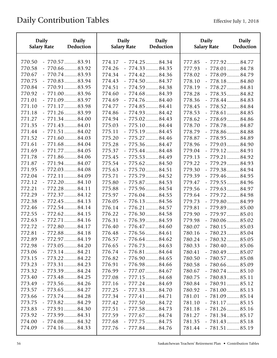| <b>Daily</b>       | <b>Daily</b>    | <b>Daily</b>       | <b>Daily</b>    | <b>Daily</b>       | <b>Daily</b>          |
|--------------------|-----------------|--------------------|-----------------|--------------------|-----------------------|
| <b>Salary Rate</b> | Deduction       | <b>Salary Rate</b> | Deduction       | <b>Salary Rate</b> | <b>Deduction</b>      |
| 770.50             | $-770.57$ 83.91 | 774.17             | $-774.25$ 84.34 | 777.85             | $-777.92$ 84.77       |
| 770.58             | $-770.66$ 83.92 | 774.26             | $-774.33$ 84.35 | 777.93             | $-778.01$ 84.78       |
| 770.67             | $-770.74$ 83.93 | 774.34             | $-774.42$ 84.36 | 778.02             | $-778.09$ 84.79       |
| 770.75             | $-770.83$ 83.94 | 774.43             | $-774.50$ 84.37 | 778.10             | $-778.18$ 84.80       |
| 770.84             | $-770.91$ 83.95 | 774.51             | $-774.59$ 84.38 | 778.19             | $-778.27$ 84.81       |
| 770.92             | $-771.00$ 83.96 | 774.60             | $-774.68$ 84.39 | 778.28             | $-778.35$ 84.82       |
| 771.01             | $-771.09$ 83.97 | 774.69             | $-774.76$ 84.40 | 778.36             | $-778.44$ 84.83       |
| 771.10             | $-771.17$ 83.98 | 774.77             | $-774.85$ 84.41 | 778.45             | $-778.52$ 84.84       |
| 771.18             | $-771.26$ 83.99 | 774.86             | $-774.93$ 84.42 | 778.53             | $-778.61$ 84.85       |
| 771.27             | $-771.34$ 84.00 | 774.94             | $-775.02$ 84.43 | 778.62             | $-778.69$ 84.86       |
| 771.35             | $-771.43$ 84.01 | 775.03             | $-775.10$ 84.44 | 778.70             | $-778.78 \dots 84.87$ |
| 771.44             | $-771.51$ 84.02 | 775.11             | $-775.19$ 84.45 | 778.79             | $-778.86$ 84.88       |
| 771.52             | $-771.60$ 84.03 | 775.20             | $-775.27$ 84.46 | 778.87             | $-778.95$ 84.89       |
| 771.61             | $-771.68$ 84.04 | 775.28             | $-775.36$ 84.47 | 778.96             | $-779.03$ 84.90       |
| 771.69             | $-771.77$ 84.05 | 775.37             | $-775.44$ 84.48 | 779.04             | $-779.12$ 84.91       |
| 771.78             | $-771.86$ 84.06 | 775.45             | $-775.53$ 84.49 | 779.13             | $-779.21$ 84.92       |
| 771.87             | $-771.94$ 84.07 | 775.54             | $-775.62$ 84.50 | 779.22             | $-779.29$ 84.93       |
| 771.95             | $-772.03$ 84.08 | 775.63             | $-775.70$ 84.51 | 779.30             | $-779.38$ 84.94       |
| 772.04             | $-772.11$ 84.09 | 775.71             | $-775.79$ 84.52 | 779.39             | $-779.46$ 84.95       |
| 772.12             | $-772.20$ 84.10 | 775.80             | $-775.87$ 84.53 | 779.47             | $-779.55$ 84.96       |
| 772.21             | $-772.28$ 84.11 | 775.88             | $-775.96$ 84.54 | 779.56             | $-779.63$ 84.97       |
| 772.29             | $-772.37$ 84.12 | 775.97             | $-776.04$ 84.55 | 779.64             | $-779.72$ 84.98       |
| 772.38             | $-772.45$ 84.13 | 776.05             | $-776.13$ 84.56 | 779.73             | $-779.80$ 84.99       |
| 772.46             | $-772.54$ 84.14 | 776.14             | $-776.21$ 84.57 | 779.81             | $-779.89$ 85.00       |
| 772.55             | $-772.62$ 84.15 | 776.22             | $-776.30$ 84.58 | 779.90             | $-779.97$ 85.01       |
| 772.63             | $-772.71$ 84.16 | 776.31             | $-776.39$ 84.59 | 779.98             | $-780.06$ 85.02       |
| 772.72             | $-772.80$ 84.17 | 776.40             | $-776.47$ 84.60 | 780.07             | $-780.15$ 85.03       |
| 772.81             | $-772.88$ 84.18 | 776.48             | $-776.56$ 84.61 | 780.16             | $-780.23$ 85.04       |
| 772.89             | $-772.97$ 84.19 | 776.57             | $-776.64$ 84.62 | 780.24             | $-780.32$ 85.05       |
| 772.98             | $-773.05$ 84.20 | 776.65             | $-776.73$ 84.63 | 780.33             | $-780.40$ 85.06       |
| 773.06             | $-773.14$ 84.21 | 776.74             | $-776.81$ 84.64 | 780.41             | $-780.49$ 85.07       |
| 773.15             | $-773.22$ 84.22 | 776.82             | $-776.90$ 84.65 | 780.50             | $-780.57$ 85.08       |
| 773.23             | $-773.31$ 84.23 | 776.91             | $-776.98$ 84.66 | 780.58             | $-780.66$ 85.09       |
| 773.32             | $-773.39$ 84.24 | 776.99             | $-777.07$ 84.67 | 780.67             | $-780.74$ 85.10       |
| 773.40             | $-773.48$ 84.25 | 777.08             | $-777.15$ 84.68 | 780.75             | $-780.83$ 85.11       |
| 773.49             | $-773.56$ 84.26 | 777.16             | $-777.24$ 84.69 | 780.84             | $-780.91$ 85.12       |
| 773.57             | $-773.65$ 84.27 | 777.25             | $-777.33$ 84.70 | 780.92             | $-781.00$ 85.13       |
| 773.66             | $-773.74$ 84.28 | 777.34             | $-777.41$ 84.71 | 781.01             | $-781.09 \dots 85.14$ |
| 773.75             | $-773.82$ 84.29 | 777.42             | $-777.50$ 84.72 | 781.10             | $-781.17$ 85.15       |
| 773.83             | $-773.91$ 84.30 | 777.51             | $-777.58$ 84.73 | 781.18             | $-781.26$ 85.16       |
| 773.92             | $-773.99$ 84.31 | 777.59             | $-777.67$ 84.74 | 781.27             | $-781.34$ 85.17       |
| 774.00             | $-774.08$ 84.32 | 777.68             | $-777.75$ 84.75 | 781.35             | $-781.43$ 85.18       |
| 774.09             | $-774.16$ 84.33 | 777.76             | $-777.84$ 84.76 | 781.44             | $-781.51$ 85.19       |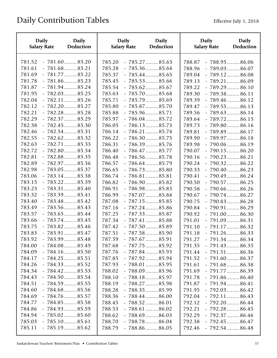| <b>Daily</b>                         | <b>Daily</b>                                                                                      | <b>Daily</b>                         | <b>Daily</b>                                                                                | <b>Daily</b>                                   | <b>Daily</b>                                                                                             |
|--------------------------------------|---------------------------------------------------------------------------------------------------|--------------------------------------|---------------------------------------------------------------------------------------------|------------------------------------------------|----------------------------------------------------------------------------------------------------------|
| <b>Salary Rate</b>                   | Deduction                                                                                         | <b>Salary Rate</b>                   | Deduction                                                                                   | <b>Salary Rate</b>                             | Deduction                                                                                                |
| 781.52<br>781.61<br>781.69<br>781.78 | $-781.60$ 85.20<br>$-781.68$ 85.21<br>$-781.77$ 85.22                                             | 785.20<br>785.28<br>785.37<br>785.45 | $-785.27 \dots 85.63$<br>$-785.36$ 85.64<br>$-785.44$ 85.65                                 | 788.87<br>788.96<br>789.04                     | $-788.95$ 86.06<br>$-789.03 \dots 86.07$<br>$-789.12 \dots 86.08$                                        |
| 781.87<br>781.95<br>782.04<br>782.12 | $-781.86$ 85.23<br>$-781.94 \dots 85.24$<br>$-782.03$ 85.25<br>$-782.11$ 85.26<br>$-782.20$ 85.27 | 785.54<br>785.63<br>785.71<br>785.80 | $-785.53$ 85.66<br>$-785.62$ 85.67<br>$-785.70$ 85.68<br>$-785.79$ 85.69<br>$-785.87$ 85.70 | 789.13<br>789.22<br>789.30<br>789.39<br>789.47 | $-789.21$ 86.09<br>$-789.29 \dots 86.10$<br>$-789.38 \ldots 86.11$<br>$-789.46$ 86.12<br>$-789.55$ 86.13 |
| 782.21                               | $-782.28$ 85.28                                                                                   | 785.88                               | $-785.96$ 85.71                                                                             | 789.56                                         | $-789.63$ 86.14                                                                                          |
| 782.29                               | $-782.37 \dots 85.29$                                                                             | 785.97                               | $-786.04$ 85.72                                                                             | 789.64                                         | $-789.72 \dots 86.15$                                                                                    |
| 782.38                               | $-782.45$ 85.30                                                                                   | 786.05                               | $-786.13$ 85.73                                                                             | 789.73                                         | $-789.80$ 86.16                                                                                          |
| 782.46                               | $-782.54$ 85.31                                                                                   | 786.14                               | $-786.21$ 85.74                                                                             | 789.81                                         | $-789.89 \ldots 86.17$                                                                                   |
| 782.55                               | $-782.62$ 85.32                                                                                   | 786.22                               | $-786.30$ 85.75                                                                             | 789.90                                         | $-789.97 \dots 86.18$                                                                                    |
| 782.63                               | $-782.71$ 85.33                                                                                   | 786.31                               | $-786.39$ 85.76                                                                             | 789.98                                         | $-790.06$ 86.19                                                                                          |
| 782.72                               | $-782.80$ 85.34                                                                                   | 786.40                               | $-786.47 \dots 85.77$                                                                       | 790.07                                         | $-790.15$ 86.20                                                                                          |
| 782.81                               | $-782.88$ 85.35                                                                                   | 786.48                               | $-786.56$ 85.78                                                                             | 790.16                                         | $-790.23$ 86.21                                                                                          |
| 782.89                               | $-782.97$ 85.36                                                                                   | 786.57                               | $-786.64$ 85.79                                                                             | 790.24                                         | $-790.32$ 86.22                                                                                          |
| 782.98                               | $-783.05$ 85.37                                                                                   | 786.65                               | $-786.73 \dots 85.80$                                                                       | 790.33                                         | $-790.40$ 86.23                                                                                          |
| 783.06                               | $-783.14$ 85.38                                                                                   | 786.74                               | $-786.81$ 85.81                                                                             | 790.41                                         | $-790.49$ 86.24                                                                                          |
| 783.15                               | $-783.22$ 85.39                                                                                   | 786.82                               | $-786.90$ 85.82                                                                             | 790.50                                         | $-790.57$ 86.25                                                                                          |
| 783.23                               | $-783.31$ 85.40                                                                                   | 786.91                               | $-786.98 \dots 85.83$                                                                       | 790.58                                         | $-790.66$ 86.26                                                                                          |
| 783.32                               | $-783.39$ 85.41                                                                                   | 786.99                               | $-787.07 \dots 85.84$                                                                       | 790.67                                         | $-790.74$ 86.27                                                                                          |
| 783.40                               | $-783.48$ 85.42                                                                                   | 787.08                               | $-787.15$ 85.85                                                                             | 790.75                                         | $-790.83$ 86.28                                                                                          |
| 783.49                               | $-783.56$ 85.43                                                                                   | 787.16                               | $-787.24$ 85.86                                                                             | 790.84                                         | $-790.91$ 86.29                                                                                          |
| 783.57                               | $-783.65$ 85.44                                                                                   | 787.25                               | $-787.33$ 85.87                                                                             | 790.92                                         | $-791.00$ 86.30                                                                                          |
| 783.66                               | $-783.74$ 85.45                                                                                   | 787.34                               | $-787.41$ 85.88                                                                             | 791.01                                         | $-791.09 \dots 86.31$                                                                                    |
| 783.75                               | $-783.82$ 85.46                                                                                   | 787.42                               | $-787.50$ 85.89                                                                             | 791.10                                         | $-791.17$ 86.32                                                                                          |
| 783.83                               | $-783.91$ 85.47                                                                                   | 787.51                               | $-787.58$ 85.90                                                                             | 791.18                                         | $-791.26 \dots 86.33$                                                                                    |
| 783.92                               | $-783.99$ 85.48                                                                                   | 787.59                               | $-787.67$ 85.91                                                                             | 791.27                                         | $-791.34$ 86.34                                                                                          |
| 784.00                               | $-784.08 \dots 85.49$                                                                             | 787.68                               | $-787.75$ 85.92                                                                             | 791.35                                         | $-791.43$ 86.35                                                                                          |
| 784.09                               | $-784.16$ 85.50                                                                                   | 787.76                               | $-787.84$ 85.93                                                                             | 791.44                                         | $-791.51$ 86.36                                                                                          |
| 784.17                               | $-784.25$ 85.51                                                                                   | 787.85                               | $-787.92$ 85.94                                                                             | 791.52                                         | $-791.60$ 86.37                                                                                          |
| 784.26                               | $-784.33$ 85.52                                                                                   | 787.93                               | $-788.01$ 85.95                                                                             | 791.61                                         | $-791.68$ 86.38                                                                                          |
| 784.34                               | $-784.42$ 85.53                                                                                   | 788.02                               | $-788.09$ 85.96                                                                             | 791.69                                         | $-791.77$ 86.39                                                                                          |
| 784.43                               | $-784.50$ 85.54                                                                                   | 788.10                               | $-788.18$ 85.97                                                                             | 791.78                                         | $-791.86$ 86.40                                                                                          |
| 784.51                               | $-784.59$ 85.55                                                                                   | 788.19                               | $-788.27 \dots 85.98$                                                                       | 791.87                                         | $-791.94$ 86.41                                                                                          |
| 784.60                               | $-784.68$ 85.56                                                                                   | 788.28                               | $-788.35$ 85.99                                                                             | 791.95                                         | $-792.03$ 86.42                                                                                          |
| 784.69                               | $-784.76 \dots 85.57$                                                                             | 788.36                               | $-788.44$ 86.00                                                                             | 792.04                                         | $-792.11$ 86.43                                                                                          |
| 784.77                               | $-784.85$ 85.58                                                                                   | 788.45                               | $-788.52$ 86.01                                                                             | 792.12                                         | $-792.20$ 86.44                                                                                          |
| 784.86                               | $-784.93$ 85.59                                                                                   | 788.53                               | $-788.61$ 86.02                                                                             | 792.21                                         | $-792.28$ 86.45                                                                                          |
| 784.94                               | $-785.02 \dots 85.60$                                                                             | 788.62                               | $-788.69$ 86.03                                                                             | 792.29                                         | $-792.37 \ldots 86.46$                                                                                   |
| 785.03                               | $-785.10$ 85.61                                                                                   | 788.70                               | $-788.78 \dots 86.04$                                                                       | 792.38                                         | $-792.45$ 86.47                                                                                          |
| 785.11                               | $-785.19$ 85.62                                                                                   | 788.79                               | $-788.86$ 86.05                                                                             | 792.46                                         | $-792.54$ 86.48                                                                                          |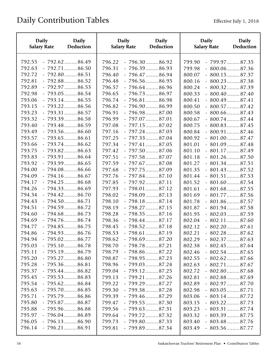| <b>Daily</b>       | <b>Daily</b>          | <b>Daily</b>       | <b>Daily</b>           | <b>Daily</b>       | <b>Daily</b>          |
|--------------------|-----------------------|--------------------|------------------------|--------------------|-----------------------|
| <b>Salary Rate</b> | Deduction             | <b>Salary Rate</b> | <b>Deduction</b>       | <b>Salary Rate</b> | Deduction             |
| 792.55             | $-792.62$ 86.49       | 796.22             | $-796.30$ 86.92        | 799.90             | $-799.97$ 87.35       |
| 792.63             | $-792.71$ 86.50       | 796.31             | $-796.39$ 86.93        | 799.98             | $-800.06$ 87.36       |
| 792.72             | $-792.80$ 86.51       | 796.40             | $-796.47$ 86.94        | 800.07             | $-800.15 \dots 87.37$ |
| 792.81             | $-792.88$ 86.52       | 796.48             | $-796.56$ 86.95        | 800.16             | $-800.23$ 87.38       |
| 792.89             | $-792.97$ 86.53       | 796.57             | $-796.64$ 86.96        | 800.24             | $-800.32$ 87.39       |
| 792.98             | $-793.05$ 86.54       | 796.65             | $-796.73$ 86.97        | 800.33             | $-800.40$ 87.40       |
| 793.06             | $-793.14$ 86.55       | 796.74             | $-796.81$ 86.98        | 800.41             | $-800.49$ 87.41       |
| 793.15             | $-793.22$ 86.56       | 796.82             | $-796.90$ 86.99        | 800.50             | $-800.57$ 87.42       |
| 793.23             | $-793.31$ 86.57       | 796.91             | $-796.98$ 87.00        | 800.58             | $-800.66$ 87.43       |
| 793.32             | $-793.39$ 86.58       | 796.99             | $-797.07$ 87.01        | 800.67             | $-800.74$ 87.44       |
| 793.40             | $-793.48$ 86.59       | 797.08             | $-797.15$ 87.02        | 800.75             | $-800.83$ 87.45       |
| 793.49             | $-793.56$ 86.60       | 797.16             | $-797.24$ 87.03        | 800.84             | $-800.91$ 87.46       |
| 793.57             | $-793.65$ 86.61       | 797.25             | $-797.33$ 87.04        | 800.92             | $-801.00 \dots 87.47$ |
| 793.66             | $-793.74$ 86.62       | 797.34             | $-797.41$ 87.05        | 801.01             | $-801.09 \dots 87.48$ |
| 793.75             | $-793.82$ 86.63       | 797.42             | $-797.50$ 87.06        | 801.10             | $-801.17$ 87.49       |
| 793.83             | $-793.91$ 86.64       | 797.51             | $-797.58$ 87.07        | 801.18             | $-801.26$ 87.50       |
| 793.92             | $-793.99$ 86.65       | 797.59             | $-797.67$ 87.08        | 801.27             | $-801.34$ 87.51       |
| 794.00             | $-794.08 \dots 86.66$ | 797.68             | $-797.75$ 87.09        | 801.35             | $-801.43$ 87.52       |
| 794.09             | $-794.16$ 86.67       | 797.76             | $-797.84$ 87.10        | 801.44             | $-801.51$ 87.53       |
| 794.17             | $-794.25$ 86.68       | 797.85             | $-797.92$ 87.11        | 801.52             | $-801.60 \dots 87.54$ |
| 794.26             | $-794.33$ 86.69       | 797.93             | $-798.01$ 87.12        | 801.61             | $-801.68 \dots 87.55$ |
| 794.34             | $-794.42$ 86.70       | 798.02             | $-798.09$ 87.13        | 801.69             | $-801.77$ 87.56       |
| 794.43             | $-794.50$ 86.71       | 798.10             | $-798.18$ 87.14        | 801.78             | $-801.86$ 87.57       |
| 794.51             | $-794.59$ 86.72       | 798.19             | $-798.27 \dots 87.15$  | 801.87             | $-801.94 \dots 87.58$ |
| 794.60             | $-794.68$ 86.73       | 798.28             | $-798.35$ 87.16        | 801.95             | $-802.03$ 87.59       |
| 794.69             | $-794.76$ 86.74       | 798.36             | $-798.44$ 87.17        | 802.04             | $-802.11$ 87.60       |
| 794.77             | $-794.85$ 86.75       | 798.45             | $-798.52$ 87.18        | 802.12             | $-802.20$ 87.61       |
| 794.86             | $-794.93$ 86.76       | 798.53             | $-798.61$ 87.19        | 802.21             | $-802.28$ 87.62       |
| 794.94             | $-795.02$ 86.77       | 798.62             | $-798.69$ 87.20        | 802.29             | $-802.37 \dots 87.63$ |
| 795.03             | $-795.10$ 86.78       | 798.70             | $-798.78 \ldots 87.21$ | 802.38             | $-802.45$ 87.64       |
| 795.11             | $-795.19 \dots 86.79$ | 798.79             | $-798.86$ 87.22        | 802.46             | $-802.54$ 87.65       |
| 795.20             | $-795.27 \dots 86.80$ | 798.87             | $-798.95$ 87.23        | 802.55             | $-802.62 \dots 87.66$ |
| 795.28             | $-795.36$ 86.81       | 798.96             | $-799.03$ 87.24        | 802.63             | $-802.71$ 87.67       |
| 795.37             | $-795.44$ 86.82       | 799.04             | $-799.12$ 87.25        | 802.72             | $-802.80$ 87.68       |
| 795.45             | $-795.53$ 86.83       | 799.13             | $-799.21$ 87.26        | 802.81             | $-802.88$ 87.69       |
| 795.54             | $-795.62$ 86.84       | 799.22             | $-799.29$ 87.27        | 802.89             | $-802.97 \dots 87.70$ |
| 795.63             | $-795.70$ 86.85       | 799.30             | $-799.38$ 87.28        | 802.98             | $-803.05 \dots 87.71$ |
| 795.71             | $-795.79 \dots 86.86$ | 799.39             | $-799.46$ 87.29        | 803.06             | $-803.14$ 87.72       |
| 795.80             | - 795.87 86.87        | 799.47             | $-799.55$ 87.30        | 803.15             | $-803.22 \dots 87.73$ |
| 795.88             | $-795.96$ 86.88       | 799.56             | $-799.63$ 87.31        | 803.23             | $-803.31$ 87.74       |
| 795.97             | $-796.04$ 86.89       | 799.64             | $-799.72$ 87.32        | 803.32             | $-803.39 \dots 87.75$ |
| 796.05             | $-796.13$ 86.90       | 799.73             | $-799.80$ 87.33        | 803.40             | $-803.48$ 87.76       |
| 796.14             | $-796.21$ 86.91       | 799.81             | $-799.89$ 87.34        | 803.49             | $-803.56$ 87.77       |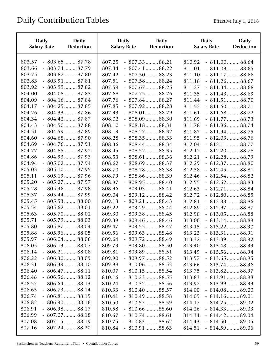| <b>Daily</b>       | <b>Daily</b>          | <b>Daily</b>       | <b>Daily</b>          | <b>Daily</b>       | <b>Daily</b>          |
|--------------------|-----------------------|--------------------|-----------------------|--------------------|-----------------------|
| <b>Salary Rate</b> | Deduction             | <b>Salary Rate</b> | Deduction             | <b>Salary Rate</b> | <b>Deduction</b>      |
| 803.57             | $-803.65$ 87.78       | 807.25             | $-807.33$ 88.21       | 810.92             | $-811.00$ 88.64       |
| 803.66             | $-803.74$ 87.79       | 807.34             | $-807.41$ 88.22       | 811.01             | $-811.09 \dots 88.65$ |
| 803.75             | $-803.82$ 87.80       | 807.42             | $-807.50$ 88.23       | 811.10             | $-811.17$ 88.66       |
| 803.83             | $-803.91$ 87.81       | 807.51             | $-807.58$ 88.24       | 811.18             | $-811.26$ 88.67       |
| 803.92             | $-803.99 \dots 87.82$ | 807.59             | $-807.67$ 88.25       | 811.27             | $-811.34$ 88.68       |
| 804.00             | $-804.08 \dots 87.83$ | 807.68             | $-807.75$ 88.26       | 811.35             | $-811.43$ 88.69       |
| 804.09             | $-804.16$ 87.84       | 807.76             | $-807.84$ 88.27       | 811.44             | $-811.51$ 88.70       |
| 804.17             | $-804.25 \dots 87.85$ | 807.85             | $-807.92$ 88.28       | 811.52             | $-811.60$ 88.71       |
| 804.26             | $-804.33$ 87.86       | 807.93             | $-808.01$ 88.29       | 811.61             | $-811.68$ 88.72       |
| 804.34             | $-804.42$ 87.87       | 808.02             | $-808.09$ 88.30       | 811.69             | $-811.77$ 88.73       |
| 804.43             | $-804.50$ 87.88       | 808.10             | $-808.18$ 88.31       | 811.78             | $-811.86$ 88.74       |
| 804.51             | $-804.59 \dots 87.89$ | 808.19             | $-808.27 \dots 88.32$ | 811.87             | $-811.94$ 88.75       |
| 804.60             | $-804.68$ 87.90       | 808.28             | $-808.35$ 88.33       | 811.95             | $-812.03$ 88.76       |
| 804.69             | $-804.76$ 87.91       | 808.36             | $-808.44$ 88.34       | 812.04             | $-812.11$ 88.77       |
| 804.77             | $-804.85$ 87.92       | 808.45             | $-808.52$ 88.35       | 812.12             | $-812.20$ 88.78       |
| 804.86             | $-804.93$ 87.93       | 808.53             | $-808.61$ 88.36       | 812.21             | $-812.28$ 88.79       |
| 804.94             | $-805.02 \dots 87.94$ | 808.62             | $-808.69$ 88.37       | 812.29             | $-812.37$ 88.80       |
| 805.03             | $-805.10$ 87.95       | 808.70             | $-808.78 \dots 88.38$ | 812.38             | $-812.45$ 88.81       |
| 805.11             | $-805.19 \dots 87.96$ | 808.79             | $-808.86$ 88.39       | 812.46             | $-812.54$ 88.82       |
| 805.20             | $-805.27 \dots 87.97$ | 808.87             | $-808.95$ 88.40       | 812.55             | $-812.62 \dots 88.83$ |
| 805.28             | $-805.36$ 87.98       | 808.96             | $-809.03$ 88.41       | 812.63             | $-812.71$ 88.84       |
| 805.37             | $-805.44$ 87.99       | 809.04             | $-809.12 \dots 88.42$ | 812.72             | $-812.80$ 88.85       |
| 805.45             | $-805.53$ 88.00       | 809.13             | $-809.21$ 88.43       | 812.81             | $-812.88$ 88.86       |
| 805.54             | $-805.62 \dots 88.01$ | 809.22             | $-809.29 \dots 88.44$ | 812.89             | $-812.97 \dots 88.87$ |
| 805.63             | $-805.70$ 88.02       | 809.30             | $-809.38$ 88.45       | 812.98             | $-813.05$ 88.88       |
| 805.71             | $-805.79 \dots 88.03$ | 809.39             | $-809.46$ 88.46       | 813.06             | $-813.14$ 88.89       |
| 805.80             | $-805.87$ 88.04       | 809.47             | $-809.55$ 88.47       | 813.15             | $-813.22$ 88.90       |
| 805.88             | $-805.96$ 88.05       | 809.56             | $-809.63 \dots 88.48$ | 813.23             | $-813.31$ 88.91       |
| 805.97             | $-806.04 \dots 88.06$ | 809.64             | $-809.72 \dots 88.49$ | 813.32             | $-813.39 \dots 88.92$ |
| 806.05             | $-806.13$ 88.07       | 809.73             | $-809.80$ 88.50       | 813.40             | $-813.48$ 88.93       |
| 806.14             | $-806.21$ 88.08       | 809.81             | $-809.89$ 88.51       | 813.49             | $-813.56$ 88.94       |
| 806.22             | $-806.30$ 88.09       | 809.90             | $-809.97 \dots 88.52$ | 813.57             | $-813.65$ 88.95       |
| 806.31             | $-806.39 \dots 88.10$ | 809.98             | $-810.06$ 88.53       | 813.66             | $-813.74 \dots 88.96$ |
| 806.40             | $-806.47$ 88.11       | 810.07             | $-810.15$ 88.54       | 813.75             | $-813.82$ 88.97       |
| 806.48             | $-806.56$ 88.12       | 810.16             | $-810.23 \dots 88.55$ | 813.83             | $-813.91$ 88.98       |
| 806.57             | $-806.64 \dots 88.13$ | 810.24             | $-810.32$ 88.56       | 813.92             | $-813.99$ 88.99       |
| 806.65             | $-806.73 \dots 88.14$ | 810.33             | $-810.40$ 88.57       | 814.00             | $-814.08 \dots 89.00$ |
| 806.74             | $-806.81$ 88.15       | 810.41             | $-810.49$ 88.58       | 814.09             | $-814.16$ 89.01       |
| 806.82             | $-806.90$ 88.16       | 810.50             | $-810.57$ 88.59       | 814.17             | $-814.25$ 89.02       |
| 806.91             | $-806.98 \dots 88.17$ | 810.58             | $-810.66$ 88.60       | 814.26             | $-814.33$ 89.03       |
| 806.99             | $-807.07 \dots 88.18$ | 810.67             | $-810.74$ 88.61       | 814.34             | $-814.42$ 89.04       |
| 807.08             | $-807.15 \dots 88.19$ | 810.75             | $-810.83$ 88.62       | 814.43             | $-814.50$ 89.05       |
| 807.16             | $-807.24$ 88.20       | 810.84             | $-810.91$ 88.63       | 814.51             | $-814.59$ 89.06       |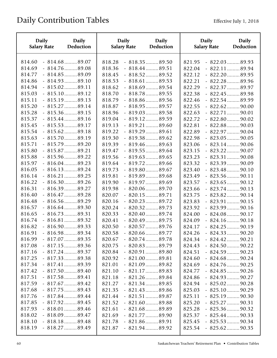| <b>Daily</b>       | <b>Daily</b>           | <b>Daily</b>       | <b>Daily</b>          | <b>Daily</b>       | <b>Daily</b>     |
|--------------------|------------------------|--------------------|-----------------------|--------------------|------------------|
| <b>Salary Rate</b> | Deduction              | <b>Salary Rate</b> | Deduction             | <b>Salary Rate</b> | <b>Deduction</b> |
| 814.60             | $-814.68$ 89.07        | 818.28             | $-818.35$ 89.50       | 821.95             | $-822.03$ 89.93  |
| 814.69             | $-814.76$ 89.08        | 818.36             | $-818.44$ 89.51       | 822.04             | $-822.11$ 89.94  |
| 814.77             | $-814.85$ 89.09        | 818.45             | $-818.52$ 89.52       | 822.12             | $-822.20$ 89.95  |
| 814.86             | $-814.93 \ldots 89.10$ | 818.53             | $-818.61$ 89.53       | 822.21             | $-822.28$ 89.96  |
| 814.94             | $-815.02 \dots 89.11$  | 818.62             | $-818.69$ 89.54       | 822.29             | $-822.37$ 89.97  |
| 815.03             | $-815.10$ 89.12        | 818.70             | $-818.78 \dots 89.55$ | 822.38             | $-822.45$ 89.98  |
| 815.11             | $-815.19$ 89.13        | 818.79             | $-818.86$ 89.56       | 822.46             | $-822.54$ 89.99  |
| 815.20             | $-815.27 \dots 89.14$  | 818.87             | $-818.95$ 89.57       | 822.55             | $-822.62$ 90.00  |
| 815.28             | $-815.36$ 89.15        | 818.96             | $-819.03 \dots 89.58$ | 822.63             | $-822.71$ 90.01  |
| 815.37             | $-815.44$ 89.16        | 819.04             | $-819.12$ 89.59       | 822.72             | $-822.80$ 90.02  |
| 815.45             | $-815.53$ 89.17        | 819.13             | $-819.21$ 89.60       | 822.81             | $-822.88$ 90.03  |
| 815.54             | $-815.62 \dots 89.18$  | 819.22             | $-819.29 \dots 89.61$ | 822.89             | $-822.97$ 90.04  |
| 815.63             | $-815.70$ 89.19        | 819.30             | $-819.38$ 89.62       | 822.98             | $-823.05$ 90.05  |
| 815.71             | $-815.79 \dots 89.20$  | 819.39             | $-819.46$ 89.63       | 823.06             | $-823.14$ 90.06  |
| 815.80             | $-815.87 \dots 89.21$  | 819.47             | $-819.55$ 89.64       | 823.15             | $-823.22$ 90.07  |
| 815.88             | $-815.96$ 89.22        | 819.56             | $-819.63$ 89.65       | 823.23             | $-823.31$ 90.08  |
| 815.97             | $-816.04$ 89.23        | 819.64             | $-819.72 \dots 89.66$ | 823.32             | $-823.39$ 90.09  |
| 816.05             | $-816.13$ 89.24        | 819.73             | $-819.80$ 89.67       | 823.40             | $-823.48$ 90.10  |
| 816.14             | $-816.21$ 89.25        | 819.81             | $-819.89 \dots 89.68$ | 823.49             | $-823.56$ 90.11  |
| 816.22             | $-816.30$ 89.26        | 819.90             | $-819.97$ 89.69       | 823.57             | $-823.65$ 90.12  |
| 816.31             | $-816.39 \dots 89.27$  | 819.98             | $-820.06$ 89.70       | 823.66             | $-823.74$ 90.13  |
| 816.40             | $-816.47$ 89.28        | 820.07             | $-820.15$ 89.71       | 823.75             | $-823.82$ 90.14  |
| 816.48             | $-816.56$ 89.29        | 820.16             | $-820.23$ 89.72       | 823.83             | $-823.91$ 90.15  |
| 816.57             | $-816.64$ 89.30        | 820.24             | $-820.32$ 89.73       | 823.92             | $-823.99$ 90.16  |
| 816.65             | $-816.73$ 89.31        | 820.33             | $-820.40$ 89.74       | 824.00             | $-824.08$ 90.17  |
| 816.74             | $-816.81$ 89.32        | 820.41             | $-820.49$ 89.75       | 824.09             | $-824.16$ 90.18  |
| 816.82             | $-816.90 \dots 89.33$  | 820.50             | $-820.57$ 89.76       | 824.17             | $-824.25$ 90.19  |
| 816.91             | $-816.98 \dots 89.34$  | 820.58             | $-820.66$ 89.77       | 824.26             | $-824.33$ 90.20  |
| 816.99             | $-817.07$ 89.35        | 820.67             | $-820.74$ 89.78       | 824.34             | $-824.42$ 90.21  |
| 817.08             | $-817.15$ 89.36        | 820.75             | $-820.83$ 89.79       | 824.43             | $-824.50$ 90.22  |
| 817.16             | $-817.24$ 89.37        | 820.84             | $-820.91$ 89.80       | 824.51             | $-824.59$ 90.23  |
| 817.25             | $-817.33$ 89.38        | 820.92             | $-821.00$ 89.81       | 824.60             | $-824.68$ 90.24  |
| 817.34             | $-817.41$ 89.39        | 821.01             | $-821.09 \dots 89.82$ | 824.69             | $-824.76$ 90.25  |
| 817.42             | $-817.50$ 89.40        | 821.10             | $-821.17$ 89.83       | 824.77             | $-824.85$ 90.26  |
| 817.51             | $-817.58$ 89.41        | 821.18             | $-821.26$ 89.84       | 824.86             | $-824.93$ 90.27  |
| 817.59             | $-817.67$ 89.42        | 821.27             | $-821.34 \dots 89.85$ | 824.94             | $-825.02$ 90.28  |
| 817.68             | $-817.75$ 89.43        | 821.35             | $-821.43$ 89.86       | 825.03             | $-825.10$ 90.29  |
| 817.76             | $-817.84$ 89.44        | 821.44             | $-821.51$ 89.87       | 825.11             | $-825.19$ 90.30  |
| 817.85             | $-817.92 \dots 89.45$  | 821.52             | $-821.60$ 89.88       | 825.20             | $-825.27$ 90.31  |
| 817.93             | $-818.01$ 89.46        | 821.61             | $-821.68$ 89.89       | 825.28             | $-825.36$ 90.32  |
| 818.02             | $-818.09 \dots 89.47$  | 821.69             | $-821.77$ 89.90       | 825.37             | $-825.44$ 90.33  |
| 818.10             | $-818.18\dots 89.48$   | 821.78             | $-821.86$ 89.91       | 825.45             | $-825.53$ 90.34  |
| 818.19             | $-818.27 \dots 89.49$  | 821.87             | $-821.94$ 89.92       | 825.54             | $-825.62$ 90.35  |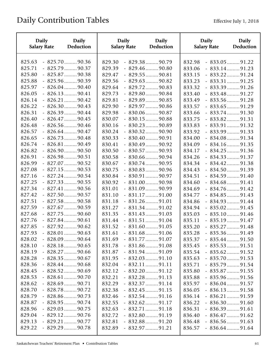| <b>Daily</b>       | <b>Daily</b>         | <b>Daily</b>       | <b>Daily</b>          | <b>Daily</b>       | <b>Daily</b>          |
|--------------------|----------------------|--------------------|-----------------------|--------------------|-----------------------|
| <b>Salary Rate</b> | Deduction            | <b>Salary Rate</b> | Deduction             | <b>Salary Rate</b> | Deduction             |
| 825.63             | $-825.70$ 90.36      | 829.30             | $-829.38$ 90.79       | 832.98             | $-833.05$ 91.22       |
| 825.71             | $-825.79$ 90.37      | 829.39             | $-829.46$ 90.80       | 833.06             | $-833.14$ 91.23       |
| 825.80             | $-825.87$ 90.38      | 829.47             | $-829.55$ 90.81       | 833.15             | $-833.22$ 91.24       |
| 825.88             | $-825.96$ 90.39      | 829.56             | $-829.63$ 90.82       | 833.23             | $-833.31$ 91.25       |
| 825.97             | $-826.04$ 90.40      | 829.64             | $-829.72$ 90.83       | 833.32             | $-833.39$ 91.26       |
| 826.05             | $-826.13$ 90.41      | 829.73             | $-829.80$ 90.84       | 833.40             | $-833.48$ 91.27       |
| 826.14             | $-826.21$ 90.42      | 829.81             | $-829.89$ 90.85       | 833.49             | $-833.56$ 91.28       |
| 826.22             | $-826.30$ 90.43      | 829.90             | $-829.97$ 90.86       | 833.57             | $-833.65$ 91.29       |
| 826.31             | $-826.39$ 90.44      | 829.98             | $-830.06$ 90.87       | 833.66             | $-833.74$ 91.30       |
| 826.40             | $-826.47$ 90.45      | 830.07             | $-830.15$ 90.88       | 833.75             | $-833.82$ 91.31       |
| 826.48             | $-826.56$ 90.46      | 830.16             | $-830.23$ 90.89       | 833.83             | $-833.91$ 91.32       |
| 826.57             | $-826.64$ 90.47      | 830.24             | $-830.32$ 90.90       | 833.92             | $-833.99$ 91.33       |
| 826.65             | $-826.73$ 90.48      | 830.33             | $-830.40$ 90.91       | 834.00             | $-834.08$ 91.34       |
| 826.74             | $-826.81$ 90.49      | 830.41             | $-830.49$ 90.92       | 834.09             | $-834.16$ 91.35       |
| 826.82             | $-826.90$ 90.50      | 830.50             | $-830.57$ 90.93       | 834.17             | $-834.25$ 91.36       |
| 826.91             | $-826.98$ 90.51      | 830.58             | $-830.66$ 90.94       | 834.26             | $-834.33$ 91.37       |
| 826.99             | $-827.07$ 90.52      | 830.67             | $-830.74$ 90.95       | 834.34             | $-834.42$ 91.38       |
| 827.08             | $-827.15$ 90.53      | 830.75             | $-830.83$ 90.96       | 834.43             | $-834.50$ 91.39       |
| 827.16             | $-827.24$ 90.54      | 830.84             | $-830.91$ 90.97       | 834.51             | $-834.59$ 91.40       |
| 827.25             | $-827.33$ 90.55      | 830.92             | $-831.00$ 90.98       | 834.60             | $-834.68$ 91.41       |
| 827.34             | $-827.41$ 90.56      | 831.01             | $-831.09$ 90.99       | 834.69             | $-834.76$ 91.42       |
| 827.42             | $-827.50$ 90.57      | 831.10             | $-831.17$ 91.00       | 834.77             | $-834.85$ 91.43       |
| 827.51             | $-827.58$ 90.58      | 831.18             | $-831.26$ 91.01       | 834.86             | $-834.93$ 91.44       |
| 827.59             | $-827.67$ 90.59      | 831.27             | $-831.34$ 91.02       | 834.94             | $-835.02$ 91.45       |
| 827.68             | $-827.75$ 90.60      | 831.35             | $-831.43$ 91.03       | 835.03             | $-835.10$ 91.46       |
| 827.76             | $-827.84$ 90.61      | 831.44             | $-831.51$ 91.04       | 835.11             | $-835.19$ 91.47       |
| 827.85             | $-827.92$ 90.62      | 831.52             | $-831.60$ 91.05       | 835.20             | $-835.27 \dots 91.48$ |
| 827.93             | $-828.01$ 90.63      | 831.61             | $-831.68$ 91.06       | 835.28             | $-835.36$ 91.49       |
| 828.02             | $-828.09$ 90.64      | 831.69             | $-831.77$ 91.07       | 835.37             | $-835.44$ 91.50       |
| 828.10             | $-828.18\dots 90.65$ | 831.78             | $-831.86$ 91.08       | 835.45             | $-835.53$ 91.51       |
| 828.19             | $-828.27$ 90.66      | 831.87             | $-831.94$ 91.09       | 835.54             | $-835.62$ 91.52       |
| 828.28             | $-828.35$ 90.67      | 831.95             | $-832.03$ 91.10       | 835.63             | $-835.70$ 91.53       |
| 828.36             | $-828.44$ 90.68      | 832.04             | $-832.11$ 91.11       | 835.71             | $-835.79$ 91.54       |
| 828.45             | $-828.52$ 90.69      | 832.12             | $-832.20$ 91.12       | 835.80             | $-835.87$ 91.55       |
| 828.53             | $-828.61$ 90.70      | 832.21             | $-832.28 \dots 91.13$ | 835.88             | $-835.96$ 91.56       |
| 828.62             | $-828.69$ 90.71      | 832.29             | $-832.37$ 91.14       | 835.97             | $-836.04$ 91.57       |
| 828.70             | $-828.78$ 90.72      | 832.38             | $-832.45$ 91.15       | 836.05             | $-836.13$ 91.58       |
| 828.79             | $-828.86$ 90.73      | 832.46             | $-832.54$ 91.16       | 836.14             | $-836.21$ 91.59       |
| 828.87             | $-828.95$ 90.74      | 832.55             | $-832.62$ 91.17       | 836.22             | $-836.30$ 91.60       |
| 828.96             | $-829.03$ 90.75      | 832.63             | $-832.71$ 91.18       | 836.31             | $-836.39$ 91.61       |
| 829.04             | $-829.12$ 90.76      | 832.72             | $-832.80$ 91.19       | 836.40             | $-836.47$ 91.62       |
| 829.13             | $-829.21$ 90.77      | 832.81             | $-832.88$ 91.20       | 836.48             | $-836.56$ 91.63       |
| 829.22             | $-829.29$ 90.78      | 832.89             | $-832.97$ 91.21       | 836.57             | $-836.64$ 91.64       |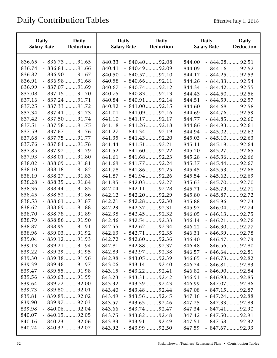| <b>Daily</b>       | <b>Daily</b>    | <b>Daily</b>       | <b>Daily</b>    | <b>Daily</b>       | <b>Daily</b>          |
|--------------------|-----------------|--------------------|-----------------|--------------------|-----------------------|
| <b>Salary Rate</b> | Deduction       | <b>Salary Rate</b> | Deduction       | <b>Salary Rate</b> | <b>Deduction</b>      |
| 836.65             | $-836.73$ 91.65 | 840.33             | $-840.40$ 92.08 | 844.00             | $-844.08$ 92.51       |
| 836.74             | $-836.81$ 91.66 | 840.41             | $-840.49$ 92.09 | 844.09             | $-844.16$ 92.52       |
| 836.82             | $-836.90$ 91.67 | 840.50             | $-840.57$ 92.10 | 844.17             | $-844.25$ 92.53       |
| 836.91             | $-836.98$ 91.68 | 840.58             | $-840.66$ 92.11 | 844.26             | $-844.33$ 92.54       |
| 836.99             | $-837.07$ 91.69 | 840.67             | $-840.74$ 92.12 | 844.34             | $-844.42$ 92.55       |
| 837.08             | $-837.15$ 91.70 | 840.75             | $-840.83$ 92.13 | 844.43             | $-844.50$ 92.56       |
| 837.16             | $-837.24$ 91.71 | 840.84             | $-840.91$ 92.14 | 844.51             | $-844.59$ 92.57       |
| 837.25             | $-837.33$ 91.72 | 840.92             | $-841.00$ 92.15 | 844.60             | $-844.68$ 92.58       |
| 837.34             | $-837.41$ 91.73 | 841.01             | $-841.09$ 92.16 | 844.69             | $-844.76$ 92.59       |
| 837.42             | $-837.50$ 91.74 | 841.10             | $-841.17$ 92.17 | 844.77             | $-844.85$ 92.60       |
| 837.51             | $-837.58$ 91.75 | 841.18             | $-841.26$ 92.18 | 844.86             | $-844.93$ 92.61       |
| 837.59             | $-837.67$ 91.76 | 841.27             | $-841.34$ 92.19 | 844.94             | $-845.02 \dots 92.62$ |
| 837.68             | $-837.75$ 91.77 | 841.35             | $-841.43$ 92.20 | 845.03             | $-845.10$ 92.63       |
| 837.76             | $-837.84$ 91.78 | 841.44             | $-841.51$ 92.21 | 845.11             | $-845.19$ 92.64       |
| 837.85             | $-837.92$ 91.79 | 841.52             | $-841.60$ 92.22 | 845.20             | $-845.27$ 92.65       |
| 837.93             | $-838.01$ 91.80 | 841.61             | $-841.68$ 92.23 | 845.28             | $-845.36$ 92.66       |
| 838.02             | $-838.09$ 91.81 | 841.69             | $-841.77$ 92.24 | 845.37             | $-845.44$ 92.67       |
| 838.10             | $-838.18$ 91.82 | 841.78             | $-841.86$ 92.25 | 845.45             | $-845.53$ 92.68       |
| 838.19             | $-838.27$ 91.83 | 841.87             | $-841.94$ 92.26 | 845.54             | $-845.62$ 92.69       |
| 838.28             | $-838.35$ 91.84 | 841.95             | $-842.03$ 92.27 | 845.63             | $-845.70$ 92.70       |
| 838.36             | $-838.44$ 91.85 | 842.04             | $-842.11$ 92.28 | 845.71             | $-845.79$ 92.71       |
| 838.45             | $-838.52$ 91.86 | 842.12             | $-842.20$ 92.29 | 845.80             | $-845.87$ 92.72       |
| 838.53             | $-838.61$ 91.87 | 842.21             | $-842.28$ 92.30 | 845.88             | $-845.96$ 92.73       |
| 838.62             | $-838.69$ 91.88 | 842.29             | $-842.37$ 92.31 | 845.97             | $-846.04$ 92.74       |
| 838.70             | $-838.78$ 91.89 | 842.38             | $-842.45$ 92.32 | 846.05             | $-846.13$ 92.75       |
| 838.79             | $-838.86$ 91.90 | 842.46             | $-842.54$ 92.33 | 846.14             | $-846.21$ 92.76       |
| 838.87             | $-838.95$ 91.91 | 842.55             | $-842.62$ 92.34 | 846.22             | $-846.30$ 92.77       |
| 838.96             | $-839.03$ 91.92 | 842.63             | $-842.71$ 92.35 | 846.31             | $-846.39$ 92.78       |
| 839.04             | $-839.12$ 91.93 | 842.72             | $-842.80$ 92.36 | 846.40             | $-846.47$ 92.79       |
| 839.13             | $-839.21$ 91.94 | 842.81             | $-842.88$ 92.37 | 846.48             | $-846.56$ 92.80       |
| 839.22             | $-839.29$ 91.95 | 842.89             | $-842.97$ 92.38 | 846.57             | $-846.64$ 92.81       |
| 839.30             | $-839.38$ 91.96 | 842.98             | $-843.05$ 92.39 | 846.65             | $-846.73 \dots 92.82$ |
| 839.39             | $-839.46$ 91.97 | 843.06             | $-843.14$ 92.40 | 846.74             | $-846.81$ 92.83       |
| 839.47             | $-839.55$ 91.98 | 843.15             | $-843.22$ 92.41 | 846.82             | $-846.90$ 92.84       |
| 839.56             | $-839.63$ 91.99 | 843.23             | $-843.31$ 92.42 | 846.91             | $-846.98 \dots 92.85$ |
| 839.64             | $-839.72$ 92.00 | 843.32             | $-843.39$ 92.43 | 846.99             | $-847.07$ 92.86       |
| 839.73             | $-839.80$ 92.01 | 843.40             | $-843.48$ 92.44 | 847.08             | $-847.15$ 92.87       |
| 839.81             | $-839.89$ 92.02 | 843.49             | $-843.56$ 92.45 | 847.16             | $-847.24$ 92.88       |
| 839.90             | $-839.97$ 92.03 | 843.57             | $-843.65$ 92.46 | 847.25             | $-847.33$ 92.89       |
| 839.98             | $-840.06$ 92.04 | 843.66             | $-843.74$ 92.47 | 847.34             | $-847.41$ 92.90       |
| 840.07             | $-840.15$ 92.05 | 843.75             | $-843.82$ 92.48 | 847.42             | $-847.50$ 92.91       |
| 840.16             | $-840.23$ 92.06 | 843.83             | $-843.91$ 92.49 | 847.51             | $-847.58$ 92.92       |
| 840.24             | $-840.32$ 92.07 | 843.92             | $-843.99$ 92.50 | 847.59             | $-847.67$ 92.93       |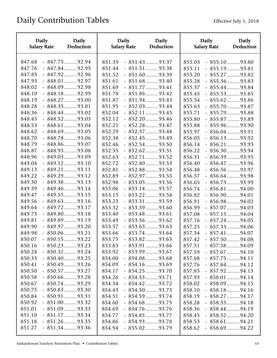| Daily              | <b>Daily</b>          | <b>Daily</b>       | <b>Daily</b>          | <b>Daily</b>       | <b>Daily</b>          |
|--------------------|-----------------------|--------------------|-----------------------|--------------------|-----------------------|
| <b>Salary Rate</b> | Deduction             | <b>Salary Rate</b> | Deduction             | <b>Salary Rate</b> | <b>Deduction</b>      |
| 847.68             | $-847.75$ 92.94       | 851.35             | $-851.43$ 93.37       | 855.03             | $-855.10$ 93.80       |
| 847.76             | $-847.84$ 92.95       | 851.44             | $-851.51$ 93.38       | 855.11             | $-855.19$ 93.81       |
| 847.85             | $-847.92$ 92.96       | 851.52             | $-851.60$ 93.39       | 855.20             | $-855.27$ 93.82       |
| 847.93             | $-848.01$ 92.97       | 851.61             | $-851.68$ 93.40       | 855.28             | $-855.36$ 93.83       |
| 848.02             | $-848.09 \dots 92.98$ | 851.69             | $-851.77$ 93.41       | 855.37             | $-855.44$ 93.84       |
| 848.10             | $-848.18$ 92.99       | 851.78             | $-851.86$ 93.42       | 855.45             | $-855.53$ 93.85       |
| 848.19             | $-848.27$ 93.00       | 851.87             | $-851.94$ 93.43       | 855.54             | $-855.62$ 93.86       |
| 848.28             | $-848.35$ 93.01       | 851.95             | $-852.03$ 93.44       | 855.63             | $-855.70$ 93.87       |
| 848.36             | $-848.44$ 93.02       | 852.04             | $-852.11$ 93.45       | 855.71             | - 855.79 93.88        |
| 848.45             | $-848.52$ 93.03       | 852.12             | $-852.20$ 93.46       | 855.80             | $-855.87$ 93.89       |
| 848.53             | $-848.61$ 93.04       | 852.21             | $-852.28$ 93.47       | 855.88             | $-855.96$ 93.90       |
| 848.62             | $-848.69$ 93.05       | 852.29             | $-852.37$ 93.48       | 855.97             | $-856.04$ 93.91       |
| 848.70             | $-848.78$ 93.06       | 852.38             | $-852.45$ 93.49       | 856.05             | $-856.13$ 93.92       |
| 848.79             | $-848.86$ 93.07       | 852.46             | $-852.54$ 93.50       | 856.14             | $-856.21$ 93.93       |
| 848.87             | $-848.95$ 93.08       | 852.55             | $-852.62$ 93.51       | 856.22             | $-856.30$ 93.94       |
| 848.96             | $-849.03$ 93.09       | 852.63             | $-852.71$ 93.52       | 856.31             | $-856.39$ 93.95       |
| 849.04             | $-849.12$ 93.10       | 852.72             | $-852.80$ 93.53       | 856.40             | $-856.47$ 93.96       |
| 849.13             | $-849.21$ 93.11       | 852.81             | $-852.88$ 93.54       | 856.48             | $-856.56$ 93.97       |
| 849.22             | $-849.29 \dots 93.12$ | 852.89             | $-852.97$ 93.55       | 856.57             | $-856.64$ 93.98       |
| 849.30             | $-849.38$ 93.13       | 852.98             | $-853.05$ 93.56       | 856.65             | $-856.73$ 93.99       |
| 849.39             | $-849.46$ 93.14       | 853.06             | $-853.14$ 93.57       | 856.74             | $-856.81$ 94.00       |
| 849.47             | $-849.55$ 93.15       | 853.15             | $-853.22$ 93.58       | 856.82             | $-856.90$ 94.01       |
| 849.56             | $-849.63$ 93.16       | 853.23             | $-853.31$ 93.59       | 856.91             | $-856.98 \dots 94.02$ |
| 849.64             | $-849.72$ 93.17       | 853.32             | $-853.39$ 93.60       | 856.99             | $-857.07$ 94.03       |
| 849.73             | $-849.80$ 93.18       | 853.40             | $-853.48$ 93.61       | 857.08             | $-857.15$ 94.04       |
| 849.81             | $-849.89$ 93.19       | 853.49             | $-853.56$ 93.62       | 857.16             | $-857.24$ 94.05       |
| 849.90             | $-849.97$ 93.20       | 853.57             | $-853.65$ 93.63       | 857.25             | $-857.33$ 94.06       |
| 849.98             | $-850.06$ 93.21       | 853.66             | $-853.74$ 93.64       | 857.34             | $-857.41$ 94.07       |
| 850.07             | $-850.15$ 93.22       | 853.75             | $-853.82$ 93.65       | 857.42             | $-857.50$ 94.08       |
| 850.16             | $-850.23$ 93.23       | 853.83             | $-853.91$ 93.66       | 857.51             | $-857.58$ 94.09       |
| 850.24             | $-850.32$ 93.24       | 853.92             | $-853.99$ 93.67       | 857.59             | $-857.67$ 94.10       |
| 850.33             | $-850.40$ 93.25       | 854.00             | $-854.08 \dots 93.68$ | 857.68             | $-857.75$ 94.11       |
| 850.41             | $-850.49$ 93.26       | 854.09             | $-854.16$ 93.69       | 857.76             | $-857.84$ 94.12       |
| 850.50             | $-850.57$ 93.27       | 854.17             | $-854.25$ 93.70       | 857.85             | $-857.92$ 94.13       |
| 850.58             | $-850.66$ 93.28       | 854.26             | $-854.33$ 93.71       | 857.93             | $-858.01$ 94.14       |
| 850.67             | $-850.74$ 93.29       | 854.34             | $-854.42$ 93.72       | 858.02             | $-858.09$ 94.15       |
| 850.75             | $-850.83$ 93.30       | 854.43             | $-854.50$ 93.73       | 858.10             | $-858.18$ 94.16       |
| 850.84             | $-850.91$ 93.31       | 854.51             | $-854.59$ 93.74       | 858.19             | $-858.27 \dots 94.17$ |
| 850.92             | $-851.00$ 93.32       | 854.60             | $-854.68$ 93.75       | 858.28             | $-858.35$ 94.18       |
| 851.01             | $-851.09$ 93.33       | 854.69             | $-854.76$ 93.76       | 858.36             | $-858.44$ 94.19       |
| 851.10             | $-851.17$ 93.34       | 854.77             | $-854.85$ 93.77       | 858.45             | $-858.52$ 94.20       |
| 851.18             | $-851.26$ 93.35       | 854.86             | $-854.93$ 93.78       | 858.53             | $-858.61$ 94.21       |
| 851.27             | $-851.34$ 93.36       | 854.94             | $-855.02$ 93.79       | 858.62             | $-858.69$ 94.22       |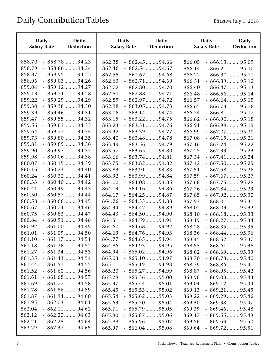| <b>Daily</b>       | <b>Daily</b>          | <b>Daily</b>       | <b>Daily</b>          | <b>Daily</b>       | <b>Daily</b>          |
|--------------------|-----------------------|--------------------|-----------------------|--------------------|-----------------------|
| <b>Salary Rate</b> | Deduction             | <b>Salary Rate</b> | Deduction             | <b>Salary Rate</b> | <b>Deduction</b>      |
| 858.70             | $-858.78$ 94.23       | 862.38             | $-862.45$ 94.66       | 866.05             | $-866.13$ 95.09       |
| 858.79             | $-858.86$ 94.24       | 862.46             | $-862.54$ 94.67       | 866.14             | $-866.21$ 95.10       |
| 858.87             | $-858.95$ 94.25       | 862.55             | $-862.62$ 94.68       | 866.22             | $-866.30$ 95.11       |
| 858.96             | $-859.03$ 94.26       | 862.63             | $-862.71$ 94.69       | 866.31             | $-866.39$ 95.12       |
| 859.04             | $-859.12$ 94.27       | 862.72             | $-862.80$ 94.70       | 866.40             | $-866.47$ 95.13       |
| 859.13             | $-859.21$ 94.28       | 862.81             | $-862.88$ 94.71       | 866.48             | $-866.56$ 95.14       |
| 859.22             | $-859.29$ 94.29       | 862.89             | $-862.97$ 94.72       | 866.57             | $-866.64$ 95.15       |
| 859.30             | $-859.38$ 94.30       | 862.98             | $-863.05$ 94.73       | 866.65             | $-866.73$ 95.16       |
| 859.39             | $-859.46$ 94.31       | 863.06             | $-863.14$ 94.74       | 866.74             | $-866.81$ 95.17       |
| 859.47             | $-859.55$ 94.32       | 863.15             | $-863.22$ 94.75       | 866.82             | $-866.90$ 95.18       |
| 859.56             | $-859.63$ 94.33       | 863.23             | $-863.31$ 94.76       | 866.91             | $-866.98 \dots 95.19$ |
| 859.64             | $-859.72$ 94.34       | 863.32             | $-863.39$ 94.77       | 866.99             | $-867.07$ 95.20       |
| 859.73             | $-859.80$ 94.35       | 863.40             | $-863.48$ 94.78       | 867.08             | $-867.15$ 95.21       |
| 859.81             | $-859.89$ 94.36       | 863.49             | $-863.56$ 94.79       | 867.16             | $-867.24$ 95.22       |
| 859.90             | $-859.97$ 94.37       | 863.57             | $-863.65$ 94.80       | 867.25             | $-867.33$ 95.23       |
| 859.98             | $-860.06$ 94.38       | 863.66             | $-863.74$ 94.81       | 867.34             | $-867.41$ 95.24       |
| 860.07             | $-860.15$ 94.39       | 863.75             | $-863.82$ 94.82       | 867.42             | $-867.50$ 95.25       |
| 860.16             | $-860.23$ 94.40       | 863.83             | $-863.91$ 94.83       | 867.51             | $-867.58$ 95.26       |
| 860.24             | $-860.32$ 94.41       | 863.92             | $-863.99$ 94.84       | 867.59             | $-867.67$ 95.27       |
| 860.33             | $-860.40$ 94.42       | 864.00             | $-864.08$ 94.85       | 867.68             | $-867.75$ 95.28       |
| 860.41             | $-860.49$ 94.43       | 864.09             | $-864.16$ 94.86       | 867.76             | $-867.84$ 95.29       |
| 860.50             | $-860.57$ 94.44       | 864.17             | $-864.25$ 94.87       | 867.85             | $-867.92$ 95.30       |
| 860.58             | $-860.66$ 94.45       | 864.26             | $-864.33$ 94.88       | 867.93             | $-868.01$ 95.31       |
| 860.67             | $-860.74$ 94.46       | 864.34             | $-864.42$ 94.89       | 868.02             | $-868.09$ 95.32       |
| 860.75             | $-860.83$ 94.47       | 864.43             | $-864.50$ 94.90       | 868.10             | $-868.18$ 95.33       |
| 860.84             | $-860.91$ 94.48       | 864.51             | $-864.59$ 94.91       | 868.19             | $-868.27$ 95.34       |
| 860.92             | $-861.00$ 94.49       | 864.60             | $-864.68$ 94.92       | 868.28             | $-868.35$ 95.35       |
| 861.01             | $-861.09 \dots 94.50$ | 864.69             | $-864.76$ 94.93       | 868.36             | $-868.44$ 95.36       |
| 861.10             | $-861.17$ 94.51       | 864.77             | $-864.85$ 94.94       | 868.45             | $-868.52$ 95.37       |
| 861.18             | $-861.26 \dots 94.52$ | 864.86             | $-864.93 \dots 94.95$ | 868.53             | $-868.61$ 95.38       |
| 861.27             | $-861.34$ 94.53       | 864.94             | $-865.02$ 94.96       | 868.62             | $-868.69$ 95.39       |
| 861.35             | $-861.43 \dots 94.54$ | 865.03             | $-865.10$ 94.97       | 868.70             | $-868.78 \dots 95.40$ |
| 861.44             | $-861.51$ 94.55       | 865.11             | $-865.19$ 94.98       | 868.79             | $-868.86$ 95.41       |
| 861.52             | $-861.60$ 94.56       | 865.20             | $-865.27$ 94.99       | 868.87             | $-868.95$ 95.42       |
| 861.61             | $-861.68$ 94.57       | 865.28             | $-865.36$ 95.00       | 868.96             | $-869.03 \dots 95.43$ |
| 861.69             | $-861.77$ 94.58       | 865.37             | $-865.44$ 95.01       | 869.04             | $-869.12 \dots 95.44$ |
| 861.78             | $-861.86$ 94.59       | 865.45             | $-865.53$ 95.02       | 869.13             | $-869.21$ 95.45       |
| 861.87             | $-861.94 \dots 94.60$ | 865.54             | $-865.62$ 95.03       | 869.22             | $-869.29 \dots 95.46$ |
| 861.95             | $-862.03 \dots 94.61$ | 865.63             | $-865.70$ 95.04       | 869.30             | $-869.38$ 95.47       |
| 862.04             | $-862.11$ 94.62       | 865.71             | $-865.79 \dots 95.05$ | 869.39             | $-869.46$ 95.48       |
| 862.12             | $-862.20$ 94.63       | 865.80             | $-865.87$ 95.06       | 869.47             | $-869.55$ 95.49       |
| 862.21             | $-862.28 \dots 94.64$ | 865.88             | $-865.96$ 95.07       | 869.56             | $-869.63$ 95.50       |
| 862.29             | $-862.37$ 94.65       | 865.97             | $-866.04$ 95.08       | 869.64             | $-869.72$ 95.51       |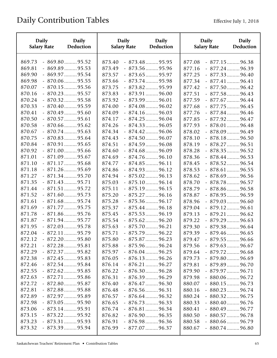| <b>Daily</b>                                   | <b>Daily</b>                                                                                | <b>Daily</b>                                   | <b>Daily</b>                                                                                | <b>Daily</b>                                   | <b>Daily</b>                                                                                      |
|------------------------------------------------|---------------------------------------------------------------------------------------------|------------------------------------------------|---------------------------------------------------------------------------------------------|------------------------------------------------|---------------------------------------------------------------------------------------------------|
| <b>Salary Rate</b>                             | Deduction                                                                                   | <b>Salary Rate</b>                             | Deduction                                                                                   | <b>Salary Rate</b>                             | <b>Deduction</b>                                                                                  |
| 869.73                                         | $-869.80$ 95.52                                                                             | 873.40                                         | $-873.48$ 95.95                                                                             | 877.08                                         | $-877.15$ 96.38                                                                                   |
| 869.81                                         | $-869.89$ 95.53                                                                             | 873.49                                         | $-873.56$ 95.96                                                                             | 877.16                                         | $-877.24$ 96.39                                                                                   |
| 869.90                                         | $-869.97 \dots 95.54$                                                                       | 873.57                                         | $-873.65$ 95.97                                                                             | 877.25                                         | $-877.33$ 96.40                                                                                   |
| 869.98                                         | $-870.06$ 95.55                                                                             | 873.66                                         | $-873.74$ 95.98                                                                             | 877.34                                         | $-877.41$ 96.41                                                                                   |
| 870.07                                         | $-870.15$ 95.56                                                                             | 873.75                                         | $-873.82$ 95.99                                                                             | 877.42                                         | $-877.50$ 96.42                                                                                   |
| 870.16                                         | $-870.23$ 95.57                                                                             | 873.83                                         | $-873.91$ 96.00                                                                             | 877.51                                         | $-877.58$ 96.43                                                                                   |
| 870.24                                         | $-870.32$ 95.58                                                                             | 873.92                                         | $-873.99$ 96.01                                                                             | 877.59                                         | $-877.67$ 96.44                                                                                   |
| 870.33                                         | $-870.40$ 95.59                                                                             | 874.00                                         | $-874.08$ 96.02                                                                             | 877.68                                         | $-877.75$ 96.45                                                                                   |
| 870.41                                         | $-870.49$ 95.60                                                                             | 874.09                                         | $-874.16$ 96.03                                                                             | 877.76                                         | $-877.84$ 96.46                                                                                   |
| 870.50                                         | $-870.57$ 95.61                                                                             | 874.17                                         | $-874.25$ 96.04                                                                             | 877.85                                         | $-877.92$ 96.47                                                                                   |
| 870.58                                         | $-870.66$ 95.62                                                                             | 874.26                                         | $-874.33$ 96.05                                                                             | 877.93                                         | $-878.01$ 96.48                                                                                   |
| 870.67                                         | $-870.74$ 95.63                                                                             | 874.34                                         | $-874.42$ 96.06                                                                             | 878.02                                         | $-878.09$ 96.49                                                                                   |
| 870.75                                         | $-870.83$ 95.64                                                                             | 874.43                                         | $-874.50$ 96.07                                                                             | 878.10                                         | $-878.18$ 96.50                                                                                   |
| 870.84                                         | $-870.91$ 95.65                                                                             | 874.51                                         | $-874.59$ 96.08                                                                             | 878.19                                         | $-878.27$ 96.51                                                                                   |
| 870.92                                         | $-871.00$ 95.66                                                                             | 874.60                                         | $-874.68$ 96.09                                                                             | 878.28                                         | $-878.35$ 96.52                                                                                   |
| 871.01                                         | $-871.09$ 95.67                                                                             | 874.69                                         | $-874.76$ 96.10                                                                             | 878.36                                         | $-878.44$ 96.53                                                                                   |
| 871.10                                         | $-871.17$ 95.68                                                                             | 874.77                                         | $-874.85$ 96.11                                                                             | 878.45                                         | $-878.52$ 96.54                                                                                   |
| 871.18                                         | $-871.26$ 95.69                                                                             | 874.86                                         | $-874.93$ 96.12                                                                             | 878.53                                         | $-878.61$ 96.55                                                                                   |
| 871.27                                         | $-871.34$ 95.70                                                                             | 874.94                                         | $-875.02$ 96.13                                                                             | 878.62                                         | $-878.69$ 96.56                                                                                   |
| 871.35                                         | $-871.43$ 95.71                                                                             | 875.03                                         | $-875.10$ 96.14                                                                             | 878.70                                         | $-878.78$ 96.57                                                                                   |
| 871.44                                         | $-871.51$ 95.72                                                                             | 875.11                                         | $-875.19$ 96.15                                                                             | 878.79                                         | $-878.86$ 96.58                                                                                   |
| 871.52<br>871.61<br>871.69<br>871.78           | $-871.60$ 95.73<br>$-871.68$ 95.74<br>$-871.77$ 95.75<br>$-871.86$ 95.76<br>$-871.94$ 95.77 | 875.20<br>875.28<br>875.37<br>875.45           | $-875.27$ 96.16<br>$-875.36$ 96.17<br>$-875.44$ 96.18<br>$-875.53$ 96.19                    | 878.87<br>878.96<br>879.04<br>879.13           | $-878.95$ 96.59<br>$-879.03$ 96.60<br>$-879.12$ 96.61<br>$-879.21$ 96.62                          |
| 871.87<br>871.95<br>872.04<br>872.12<br>872.21 | $-872.03$ 95.78<br>$-872.11$ 95.79<br>$-872.20$ 95.80<br>$-872.28$ 95.81                    | 875.54<br>875.63<br>875.71<br>875.80<br>875.88 | $-875.62$ 96.20<br>$-875.70$ 96.21<br>$-875.79$ 96.22<br>$-875.87$ 96.23<br>$-875.96$ 96.24 | 879.22<br>879.30<br>879.39<br>879.47<br>879.56 | $-879.29 \dots 96.63$<br>$-879.38$ 96.64<br>$-879.46$ 96.65<br>$-879.55$ 96.66<br>$-879.63$ 96.67 |
| 872.29                                         | $-872.37$ 95.82                                                                             | 875.97                                         | $-876.04$ 96.25                                                                             | 879.64                                         | $-879.72$ 96.68                                                                                   |
| 872.38                                         | $-872.45$ 95.83                                                                             | 876.05                                         | $-876.13$ 96.26                                                                             | 879.73                                         | $-879.80$ 96.69                                                                                   |
| 872.46                                         | $-872.54$ 95.84                                                                             | 876.14                                         | $-876.21$ 96.27                                                                             | 879.81                                         | $-879.89$ 96.70                                                                                   |
| 872.55                                         | $-872.62$ 95.85                                                                             | 876.22                                         | $-876.30$ 96.28                                                                             | 879.90                                         | $-879.97$ 96.71                                                                                   |
| 872.63                                         | $-872.71$ 95.86                                                                             | 876.31                                         | $-876.39$ 96.29                                                                             | 879.98                                         | $-880.06$ 96.72                                                                                   |
| 872.72                                         | $-872.80$ 95.87                                                                             | 876.40                                         | $-876.47$ 96.30                                                                             | 880.07                                         | $-880.15$ 96.73                                                                                   |
| 872.81                                         | $-872.88$ 95.88                                                                             | 876.48                                         | $-876.56$ 96.31                                                                             | 880.16                                         | $-880.23$ 96.74                                                                                   |
| 872.89                                         | $-872.97$ 95.89                                                                             | 876.57                                         | $-876.64$ 96.32                                                                             | 880.24                                         | $-880.32$ 96.75                                                                                   |
| 872.98                                         | $-873.05$ 95.90                                                                             | 876.65                                         | $-876.73$ 96.33                                                                             | 880.33                                         | $-880.40$ 96.76                                                                                   |
| 873.06                                         | $-873.14$ 95.91                                                                             | 876.74                                         | $-876.81$ 96.34                                                                             | 880.41                                         | $-880.49$ 96.77                                                                                   |
| 873.15                                         | $-873.22$ 95.92                                                                             | 876.82                                         | $-876.90$ 96.35                                                                             | 880.50                                         | $-880.57$ 96.78                                                                                   |
| 873.23                                         | $-873.31$ 95.93                                                                             | 876.91                                         | $-876.98$ 96.36                                                                             | 880.58                                         | $-880.66$ 96.79                                                                                   |
| 873.32                                         | $-873.39$ 95.94                                                                             | 876.99                                         | $-877.07$ 96.37                                                                             | 880.67                                         | $-880.74$ 96.80                                                                                   |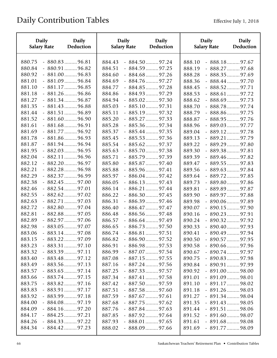| <b>Daily</b>                                   | <b>Daily</b>                                                                                                               | <b>Daily</b>                                   | <b>Daily</b>                                                                                | <b>Daily</b>                                   | <b>Daily</b>                                                                                      |
|------------------------------------------------|----------------------------------------------------------------------------------------------------------------------------|------------------------------------------------|---------------------------------------------------------------------------------------------|------------------------------------------------|---------------------------------------------------------------------------------------------------|
| <b>Salary Rate</b>                             | Deduction                                                                                                                  | <b>Salary Rate</b>                             | <b>Deduction</b>                                                                            | <b>Salary Rate</b>                             | <b>Deduction</b>                                                                                  |
| 880.75                                         | $-880.83$ 96.81                                                                                                            | 884.43                                         | $-884.50$ 97.24                                                                             | 888.10                                         | $-888.18$ 97.67                                                                                   |
| 880.84                                         | $-880.91$ 96.82                                                                                                            | 884.51                                         | $-884.59$ 97.25                                                                             | 888.19                                         | $-888.27$ 97.68                                                                                   |
| 880.92                                         | $-881.00$ 96.83                                                                                                            | 884.60                                         | $-884.68$ 97.26                                                                             | 888.28                                         | $-888.35$ 97.69                                                                                   |
| 881.01                                         | $-881.09$ 96.84                                                                                                            | 884.69                                         | $-884.76$ 97.27                                                                             | 888.36                                         | $-888.44$ 97.70                                                                                   |
| 881.10                                         | $-881.17$ 96.85                                                                                                            | 884.77                                         | $-884.85$ 97.28                                                                             | 888.45                                         | $-888.52$ 97.71                                                                                   |
| 881.18                                         | $-881.26$ 96.86                                                                                                            | 884.86                                         | $-884.93$ 97.29                                                                             | 888.53                                         | $-888.61$ 97.72                                                                                   |
| 881.27                                         | $-881.34$ 96.87                                                                                                            | 884.94                                         | $-885.02$ 97.30                                                                             | 888.62                                         | $-888.69$ 97.73                                                                                   |
| 881.35                                         | $-881.43$ 96.88                                                                                                            | 885.03                                         | $-885.10$ 97.31                                                                             | 888.70                                         | $-888.78$ 97.74                                                                                   |
| 881.44                                         | $-881.51$ 96.89                                                                                                            | 885.11                                         | $-885.19$ 97.32                                                                             | 888.79                                         | $-888.86$ 97.75                                                                                   |
| 881.52                                         | $-881.60$ 96.90                                                                                                            | 885.20                                         | $-885.27$ 97.33                                                                             | 888.87                                         | $-888.95$ 97.76                                                                                   |
| 881.61                                         | $-881.68$ 96.91                                                                                                            | 885.28                                         | $-885.36$ 97.34                                                                             | 888.96                                         | $-889.03$ 97.77                                                                                   |
| 881.69                                         | $-881.77$ 96.92                                                                                                            | 885.37                                         | $-885.44$ 97.35                                                                             | 889.04                                         | $-889.12$ 97.78                                                                                   |
| 881.78                                         | $-881.86$ 96.93                                                                                                            | 885.45                                         | $-885.53$ 97.36                                                                             | 889.13                                         | $-889.21$ 97.79                                                                                   |
| 881.87                                         | $-881.94$ 96.94                                                                                                            | 885.54                                         | $-885.62$ 97.37                                                                             | 889.22                                         | $-889.29$ 97.80                                                                                   |
| 881.95                                         | $-882.03$ 96.95                                                                                                            | 885.63                                         | $-885.70$ 97.38                                                                             | 889.30                                         | $-889.38$ 97.81                                                                                   |
| 882.04                                         | $-882.11$ 96.96                                                                                                            | 885.71                                         | $-885.79$ 97.39                                                                             | 889.39                                         | $-889.46$ 97.82                                                                                   |
| 882.12                                         | $-882.20$ 96.97                                                                                                            | 885.80                                         | $-885.87$ 97.40                                                                             | 889.47                                         | $-889.55$ 97.83                                                                                   |
| 882.21                                         | $-882.28$ 96.98                                                                                                            | 885.88                                         | $-885.96$ 97.41                                                                             | 889.56                                         | $-889.63$ 97.84                                                                                   |
| 882.29                                         | $-882.37$ 96.99                                                                                                            | 885.97                                         | $-886.04$ 97.42                                                                             | 889.64                                         | $-889.72$ 97.85                                                                                   |
| 882.38                                         | $-882.45$ 97.00                                                                                                            | 886.05                                         | $-886.13$ 97.43                                                                             | 889.73                                         | $-889.80$ 97.86                                                                                   |
| 882.46                                         | $-882.54$ 97.01                                                                                                            | 886.14                                         | $-886.21$ 97.44                                                                             | 889.81                                         | $-889.89$ 97.87                                                                                   |
| 882.55                                         | $-882.62$ 97.02                                                                                                            | 886.22                                         | $-886.30$ 97.45                                                                             | 889.90                                         | - 889.97  97.88                                                                                   |
| 882.63                                         | $-882.71$ 97.03                                                                                                            | 886.31                                         | $-886.39$ 97.46                                                                             | 889.98                                         | $-890.06$ 97.89                                                                                   |
| 882.72                                         | $-882.80$ 97.04                                                                                                            | 886.40                                         | $-886.47$ 97.47                                                                             | 890.07                                         | $-890.15$ 97.90                                                                                   |
| 882.81                                         | $-882.88$ 97.05                                                                                                            | 886.48                                         | $-886.56$ 97.48                                                                             | 890.16                                         | $-890.23$ 97.91                                                                                   |
| 882.89                                         | $-882.97$ 97.06                                                                                                            | 886.57                                         | $-886.64$ 97.49                                                                             | 890.24                                         | $-890.32$ 97.92                                                                                   |
| 882.98                                         | $-883.05$ 97.07                                                                                                            | 886.65                                         | $-886.73$ 97.50                                                                             | 890.33                                         | $-890.40$ 97.93                                                                                   |
| 883.06                                         | $-883.14$ 97.08                                                                                                            | 886.74                                         | $-886.81$ 97.51                                                                             | 890.41                                         | $-890.49$ 97.94                                                                                   |
| 883.15                                         | $-883.22$ 97.09                                                                                                            | 886.82                                         | $-886.90$ 97.52                                                                             | 890.50                                         | $-890.57$ 97.95                                                                                   |
| 883.23                                         | $-883.31$ 97.10                                                                                                            | 886.91                                         | $-886.98 \dots 97.53$                                                                       | 890.58                                         | $-890.66$ 97.96                                                                                   |
| 883.32                                         | $-883.39$ 97.11                                                                                                            | 886.99                                         | $-887.07$ 97.54                                                                             | 890.67                                         | $-890.74$ 97.97                                                                                   |
| 883.40                                         | $-883.48$ 97.12                                                                                                            | 887.08                                         | $-887.15$ 97.55                                                                             | 890.75                                         | $-890.83$ 97.98                                                                                   |
| 883.49                                         | $-883.56$ 97.13                                                                                                            | 887.16                                         | $-887.24$ 97.56                                                                             | 890.84                                         | $-890.91$ 97.99                                                                                   |
| 883.57                                         | $-883.65$ 97.14                                                                                                            | 887.25                                         | $-887.33$ 97.57                                                                             | 890.92                                         | $-891.00$ 98.00                                                                                   |
| 883.66<br>883.75<br>883.83<br>883.92<br>884.00 | $-883.74$ 97.15<br>$-883.82$ 97.16<br>$-883.91$ 97.17<br>$-883.99 \dots 97.18$<br>$-884.08 \dots 97.19$<br>$-884.16$ 97.20 | 887.34<br>887.42<br>887.51<br>887.59<br>887.68 | $-887.41$ 97.58<br>$-887.50$ 97.59<br>$-887.58$ 97.60<br>$-887.67$ 97.61<br>$-887.75$ 97.62 | 891.01<br>891.10<br>891.18<br>891.27<br>891.35 | $-891.09$ 98.01<br>$-891.17$ 98.02<br>$-891.26$ 98.03<br>$-891.34 \dots 98.04$<br>$-891.43$ 98.05 |
| 884.09<br>884.17<br>884.26<br>884.34           | $-884.25$ 97.21<br>$-884.33$ 97.22<br>$-884.42$ 97.23                                                                      | 887.76<br>887.85<br>887.93<br>888.02           | $-887.84$ 97.63<br>$-887.92$ 97.64<br>$-888.01$ 97.65<br>$-888.09$ 97.66                    | 891.44<br>891.52<br>891.61<br>891.69           | $-891.51$ 98.06<br>$-891.60$ 98.07<br>$-891.68$ 98.08<br>$-891.77$ 98.09                          |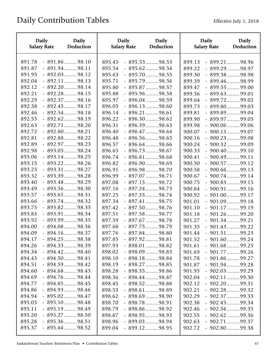| Daily              | <b>Daily</b>          | <b>Daily</b>       | <b>Daily</b>    | <b>Daily</b>       | <b>Daily</b>     |
|--------------------|-----------------------|--------------------|-----------------|--------------------|------------------|
| <b>Salary Rate</b> | Deduction             | <b>Salary Rate</b> | Deduction       | <b>Salary Rate</b> | <b>Deduction</b> |
| 891.78             | $-891.86$ 98.10       | 895.45             | $-895.53$ 98.53 | 899.13             | $-899.21$ 98.96  |
| 891.87             | $-891.94$ 98.11       | 895.54             | $-895.62$ 98.54 | 899.22             | $-899.29$ 98.97  |
| 891.95             | $-892.03$ 98.12       | 895.63             | - 895.70  98.55 | 899.30             | $-899.38$ 98.98  |
| 892.04             | $-892.11$ 98.13       | 895.71             | $-895.79$ 98.56 | 899.39             | $-899.46$ 98.99  |
| 892.12             | $-892.20$ 98.14       | 895.80             | $-895.87$ 98.57 | 899.47             | $-899.55$ 99.00  |
| 892.21             | $-892.28$ 98.15       | 895.88             | $-895.96$ 98.58 | 899.56             | $-899.63$ 99.01  |
| 892.29             | $-892.37$ 98.16       | 895.97             | $-896.04$ 98.59 | 899.64             | $-899.72$ 99.02  |
| 892.38             | $-892.45$ 98.17       | 896.05             | $-896.13$ 98.60 | 899.73             | $-899.80$ 99.03  |
| 892.46             | $-892.54$ 98.18       | 896.14             | $-896.21$ 98.61 | 899.81             | $-899.89$ 99.04  |
| 892.55             | $-892.62$ 98.19       | 896.22             | $-896.30$ 98.62 | 899.90             | $-899.97$ 99.05  |
| 892.63             | $-892.71$ 98.20       | 896.31             | $-896.39$ 98.63 | 899.98             | $-900.06$ 99.06  |
| 892.72             | $-892.80$ 98.21       | 896.40             | $-896.47$ 98.64 | 900.07             | $-900.15$ 99.07  |
| 892.81             | $-892.88$ 98.22       | 896.48             | $-896.56$ 98.65 | 900.16             | $-900.23$ 99.08  |
| 892.89             | $-892.97$ 98.23       | 896.57             | $-896.64$ 98.66 | 900.24             | $-900.32$ 99.09  |
| 892.98             | $-893.05$ 98.24       | 896.65             | $-896.73$ 98.67 | 900.33             | $-900.40$ 99.10  |
| 893.06             | $-893.14$ 98.25       | 896.74             | $-896.81$ 98.68 | 900.41             | $-900.49$ 99.11  |
| 893.15             | $-893.22$ 98.26       | 896.82             | $-896.90$ 98.69 | 900.50             | $-900.57$ 99.12  |
| 893.23             | $-893.31$ 98.27       | 896.91             | $-896.98$ 98.70 | 900.58             | $-900.66$ 99.13  |
| 893.32             | $-893.39$ 98.28       | 896.99             | $-897.07$ 98.71 | 900.67             | $-900.74$ 99.14  |
| 893.40             | $-893.48$ 98.29       | 897.08             | $-897.15$ 98.72 | 900.75             | $-900.83$ 99.15  |
| 893.49             | $-893.56$ 98.30       | 897.16             | $-897.24$ 98.73 | 900.84             | $-900.91$ 99.16  |
| 893.57             | $-893.65$ 98.31       | 897.25             | $-897.33$ 98.74 | 900.92             | $-901.00$ 99.17  |
| 893.66             | $-893.74$ 98.32       | 897.34             | $-897.41$ 98.75 | 901.01             | $-901.09$ 99.18  |
| 893.75             | $-893.82$ 98.33       | 897.42             | $-897.50$ 98.76 | 901.10             | $-901.17$ 99.19  |
| 893.83             | $-893.91$ 98.34       | 897.51             | $-897.58$ 98.77 | 901.18             | $-901.26$ 99.20  |
| 893.92             | $-893.99$ 98.35       | 897.59             | $-897.67$ 98.78 | 901.27             | $-901.34$ 99.21  |
| 894.00             | $-894.08$ 98.36       | 897.68             | $-897.75$ 98.79 | 901.35             | $-901.43$ 99.22  |
| 894.09             | $-894.16$ 98.37       | 897.76             | $-897.84$ 98.80 | 901.44             | $-901.51$ 99.23  |
| 894.17             | $-894.25 \dots 98.38$ | 897.85             | $-897.92$ 98.81 | 901.52             | $-901.60$ 99.24  |
| 894.26             | $-894.33$ 98.39       | 897.93             | $-898.01$ 98.82 | 901.61             | $-901.68$ 99.25  |
| 894.34             | $-894.42$ 98.40       | 898.02             | $-898.09$ 98.83 | 901.69             | $-901.77$ 99.26  |
| 894.43             | $-894.50$ 98.41       | 898.10             | $-898.18$ 98.84 | 901.78             | $-901.86$ 99.27  |
| 894.51             | $-894.59$ 98.42       | 898.19             | $-898.27$ 98.85 | 901.87             | $-901.94$ 99.28  |
| 894.60             | $-894.68$ 98.43       | 898.28             | $-898.35$ 98.86 | 901.95             | $-902.03$ 99.29  |
| 894.69             | $-894.76$ 98.44       | 898.36             | $-898.44$ 98.87 | 902.04             | $-902.11$ 99.30  |
| 894.77             | $-894.85$ 98.45       | 898.45             | $-898.52$ 98.88 | 902.12             | $-902.20$ 99.31  |
| 894.86             | $-894.93$ 98.46       | 898.53             | $-898.61$ 98.89 | 902.21             | $-902.28$ 99.32  |
| 894.94             | $-895.02 \dots 98.47$ | 898.62             | $-898.69$ 98.90 | 902.29             | $-902.37$ 99.33  |
| 895.03             | $-895.10$ 98.48       | 898.70             | $-898.78$ 98.91 | 902.38             | $-902.45$ 99.34  |
| 895.11             | $-895.19$ 98.49       | 898.79             | $-898.86$ 98.92 | 902.46             | $-902.54$ 99.35  |
| 895.20             | $-895.27$ 98.50       | 898.87             | $-898.95$ 98.93 | 902.55             | $-902.62$ 99.36  |
| 895.28             | $-895.36$ 98.51       | 898.96             | $-899.03$ 98.94 | 902.63             | $-902.71$ 99.37  |
| 895.37             | $-895.44$ 98.52       | 899.04             | $-899.12$ 98.95 | 902.72             | $-902.80$ 99.38  |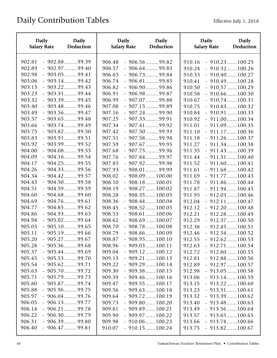| <b>Daily</b>       | <b>Daily</b>          | <b>Daily</b>       | <b>Daily</b>            | <b>Daily</b>       | <b>Daily</b>            |
|--------------------|-----------------------|--------------------|-------------------------|--------------------|-------------------------|
| <b>Salary Rate</b> | Deduction             | <b>Salary Rate</b> | <b>Deduction</b>        | <b>Salary Rate</b> | <b>Deduction</b>        |
| 902.81             | $-902.88$ 99.39       | 906.48             | $-906.56$ 99.82         | 910.16             | $-910.23$ 100.25        |
| 902.89             | $-902.97$ 99.40       | 906.57             | $-906.64$ 99.83         | 910.24             | $-910.32 \dots 100.26$  |
| 902.98             | $-903.05$ 99.41       | 906.65             | $-906.73$ 99.84         | 910.33             | $-910.40$ 100.27        |
| 903.06             | $-903.14$ 99.42       | 906.74             | $-906.81$ 99.85         | 910.41             | $-910.49$ 100.28        |
| 903.15             | $-903.22$ 99.43       | 906.82             | $-906.90$ 99.86         | 910.50             | $-910.57$ 100.29        |
| 903.23             | $-903.31$ 99.44       | 906.91             | $-906.98$ 99.87         | 910.58             | $-910.66$ 100.30        |
| 903.32             | $-903.39$ 99.45       | 906.99             | - 907.07  99.88         | 910.67             | $-910.74$ 100.31        |
| 903.40             | $-903.48$ 99.46       | 907.08             | $-907.15$ 99.89         | 910.75             | $-910.83$ 100.32        |
| 903.49             | $-903.56$ 99.47       | 907.16             | $-907.24$ 99.90         | 910.84             | $-910.91$ 100.33        |
| 903.57             | $-903.65$ 99.48       | 907.25             | $-907.33$ 99.91         | 910.92             | $-911.00 \dots 100.34$  |
| 903.66             | $-903.74$ 99.49       | 907.34             | $-907.41$ 99.92         | 911.01             | $-911.09 \dots 100.35$  |
| 903.75             | $-903.82$ 99.50       | 907.42             | $-907.50$ 99.93         | 911.10             | $-911.17\dots 100.36$   |
| 903.83             | $-903.91$ 99.51       | 907.51             | $-907.58$ 99.94         | 911.18             | $-911.26 \dots 100.37$  |
| 903.92             | $-903.99$ 99.52       | 907.59             | $-907.67$ 99.95         | 911.27             | $-911.34 \ldots 100.38$ |
| 904.00             | $-904.08$ 99.53       | 907.68             | $-907.75$ 99.96         | 911.35             | $-911.43$ 100.39        |
| 904.09             | $-904.16$ 99.54       | 907.76             | $-907.84$ 99.97         | 911.44             | $-911.51$ 100.40        |
| 904.17             | $-904.25 \dots 99.55$ | 907.85             | $-907.92$ 99.98         | 911.52             | $-911.60$ 100.41        |
| 904.26             | $-904.33$ 99.56       | 907.93             | $-908.01$ 99.99         | 911.61             | $-911.68 \dots 100.42$  |
| 904.34             | $-904.42$ 99.57       | 908.02             | $-908.09$ 100.00        | 911.69             | $-911.77$ 100.43        |
| 904.43             | $-904.50$ 99.58       | 908.10             | $-908.18\dots 100.01$   | 911.78             | $-911.86 \ldots 100.44$ |
| 904.51             | $-904.59$ 99.59       | 908.19             | $-908.27 \dots 100.02$  | 911.87             | $-911.94 \ldots 100.45$ |
| 904.60             | $-904.68$ 99.60       | 908.28             | $-908.35$ 100.03        | 911.95             | $-912.03$ 100.46        |
| 904.69             | $-904.76$ 99.61       | 908.36             | $-908.44$ 100.04        | 912.04             | $-912.11$ 100.47        |
| 904.77             | $-904.85$ 99.62       | 908.45             | $-908.52 \dots 100.05$  | 912.12             | $-912.20$ 100.48        |
| 904.86             | $-904.93$ 99.63       | 908.53             | $-908.61$ 100.06        | 912.21             | $-912.28$ 100.49        |
| 904.94             | $-905.02$ 99.64       | 908.62             | $-908.69$ 100.07        | 912.29             | $-912.37$ 100.50        |
| 905.03             | $-905.10$ 99.65       | 908.70             | $-908.78 \dots 100.08$  | 912.38             | $-912.45$ 100.51        |
| 905.11             | $-905.19$ 99.66       | 908.79             | $-908.86$ 100.09        | 912.46             | $-912.54$ 100.52        |
| 905.20             | $-905.27$ 99.67       | 908.87             | $-908.95 \dots 100.10$  | 912.55             | $-912.62 \dots 100.53$  |
| 905.28             | $-905.36$ 99.68       | 908.96             | $-909.03 \ldots 100.11$ | 912.63             | $-912.71$ 100.54        |
| 905.37             | $-905.44$ 99.69       | 909.04             | $-909.12$ 100.12        | 912.72             | $-912.80$ 100.55        |
| 905.45             | $-905.53$ 99.70       | 909.13             | $-909.21$ 100.13        | 912.81             | $-912.88 \dots 100.56$  |
| 905.54             | $-905.62$ 99.71       | 909.22             | $-909.29 \dots 100.14$  | 912.89             | $-912.97 \dots 100.57$  |
| 905.63             | $-905.70$ 99.72       | 909.30             | $-909.38 \dots 100.15$  | 912.98             | $-913.05$ 100.58        |
| 905.71             | $-905.79$ 99.73       | 909.39             | $-909.46$ 100.16        | 913.06             | $-913.14$ 100.59        |
| 905.80             | $-905.87$ 99.74       | 909.47             | $-909.55$ 100.17        | 913.15             | $-913.22 \dots 100.60$  |
| 905.88             | $-905.96$ 99.75       | 909.56             | $-909.63 \dots 100.18$  | 913.23             | $-913.31$ 100.61        |
| 905.97             | $-906.04$ 99.76       | 909.64             | $-909.72 \dots 100.19$  | 913.32             | $-913.39 \dots 100.62$  |
| 906.05             | $-906.13$ 99.77       | 909.73             | $-909.80$ 100.20        | 913.40             | $-913.48$ 100.63        |
| 906.14             | $-906.21$ 99.78       | 909.81             | $-909.89$ 100.21        | 913.49             | $-913.56$ 100.64        |
| 906.22             | $-906.30$ 99.79       | 909.90             | $-909.97 \dots 100.22$  | 913.57             | $-913.65$ 100.65        |
| 906.31             | $-906.39$ 99.80       | 909.98             | $-910.06$ 100.23        | 913.66             | $-913.74 \ldots 100.66$ |
| 906.40             | $-906.47$ 99.81       | 910.07             | $-910.15$ 100.24        | 913.75             | $-913.82 \dots 100.67$  |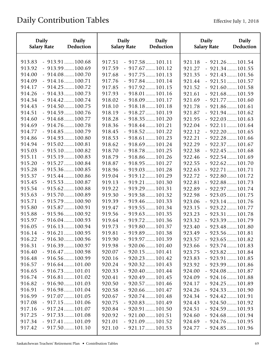| <b>Daily</b>       | <b>Daily</b>            | <b>Daily</b>       | <b>Daily</b>            | <b>Daily</b>       | <b>Daily</b>           |
|--------------------|-------------------------|--------------------|-------------------------|--------------------|------------------------|
| <b>Salary Rate</b> | Deduction               | <b>Salary Rate</b> | Deduction               | <b>Salary Rate</b> | Deduction              |
| 913.83             | $-913.91$ 100.68        | 917.51             | $-917.58$ 101.11        | 921.18             | $-921.26 \dots 101.54$ |
| 913.92             | $-913.99$ 100.69        | 917.59             | $-917.67$ 101.12        | 921.27             | $-921.34$ 101.55       |
| 914.00             | $-914.08 \dots 100.70$  | 917.68             | $-917.75$ 101.13        | 921.35             | $-921.43$ 101.56       |
| 914.09             | $-914.16$ 100.71        | 917.76             | $-917.84$ 101.14        | 921.44             | $-921.51$ 101.57       |
| 914.17             | $-914.25$ 100.72        | 917.85             | $-917.92 \dots 101.15$  | 921.52             | $-921.60 \dots 101.58$ |
| 914.26             | $-914.33$ 100.73        | 917.93             | $-918.01$ 101.16        | 921.61             | $-921.68 \dots 101.59$ |
| 914.34             | $-914.42$ 100.74        | 918.02             | $-918.09 \dots 101.17$  | 921.69             | $-921.77$ 101.60       |
| 914.43             | $-914.50$ 100.75        | 918.10             | $-918.18\dots 101.18$   | 921.78             | $-921.86$ 101.61       |
| 914.51             | $-914.59 \ldots 100.76$ | 918.19             | $-918.27 \dots 101.19$  | 921.87             | $-921.94 \dots 101.62$ |
| 914.60             | $-914.68$ 100.77        | 918.28             | $-918.35$ 101.20        | 921.95             | $-922.03$ 101.63       |
| 914.69             | $-914.76 \dots 100.78$  | 918.36             | $-918.44$ 101.21        | 922.04             | $-922.11$ 101.64       |
| 914.77             | $-914.85$ 100.79        | 918.45             | $-918.52 \dots 101.22$  | 922.12             | $-922.20$ 101.65       |
| 914.86             | $-914.93$ 100.80        | 918.53             | $-918.61$ 101.23        | 922.21             | $-922.28$ 101.66       |
| 914.94             | $-915.02 \dots 100.81$  | 918.62             | $-918.69$ 101.24        | 922.29             | $-922.37$ 101.67       |
| 915.03             | $-915.10$ 100.82        | 918.70             | $-918.78 \dots 101.25$  | 922.38             | $-922.45$ 101.68       |
| 915.11             | $-915.19$ 100.83        | 918.79             | $-918.86$ 101.26        | 922.46             | $-922.54$ 101.69       |
| 915.20             | $-915.27 \dots 100.84$  | 918.87             | $-918.95$ 101.27        | 922.55             | $-922.62$ 101.70       |
| 915.28             | $-915.36$ 100.85        | 918.96             | $-919.03 \dots 101.28$  | 922.63             | $-922.71$ 101.71       |
| 915.37             | $-915.44$ 100.86        | 919.04             | $-919.12$ 101.29        | 922.72             | $-922.80$ 101.72       |
| 915.45             | $-915.53$ 100.87        | 919.13             | $-919.21$ 101.30        | 922.81             | $-922.88$ 101.73       |
| 915.54             | $-915.62 \dots 100.88$  | 919.22             | $-919.29 \dots 101.31$  | 922.89             | $-922.97$ 101.74       |
| 915.63             | $-915.70$ 100.89        | 919.30             | $-919.38$ 101.32        | 922.98             | $-923.05$ 101.75       |
| 915.71             | $-915.79 \dots 100.90$  | 919.39             | $-919.46$ 101.33        | 923.06             | $-923.14$ 101.76       |
| 915.80             | $-915.87 \dots 100.91$  | 919.47             | $-919.55$ 101.34        | 923.15             | $-923.22 \dots 101.77$ |
| 915.88             | $-915.96$ 100.92        | 919.56             | $-919.63$ 101.35        | 923.23             | $-923.31$ 101.78       |
| 915.97             | $-916.04 \dots 100.93$  | 919.64             | $-919.72 \dots 101.36$  | 923.32             | $-923.39$ 101.79       |
| 916.05             | $-916.13\dots 100.94$   | 919.73             | $-919.80 \ldots 101.37$ | 923.40             | $-923.48$ 101.80       |
| 916.14             | $-916.21$ 100.95        | 919.81             | $-919.89$ 101.38        | 923.49             | $-923.56$ 101.81       |
| 916.22             | $-916.30$ 100.96        | 919.90             | $-919.97$ 101.39        | 923.57             | $-923.65$ 101.82       |
| 916.31             | $-916.39 \dots 100.97$  | 919.98             | $-920.06$ 101.40        | 923.66             | $-923.74$ 101.83       |
| 916.40             | $-916.47 \dots 100.98$  | 920.07             | $-920.15$ 101.41        | 923.75             | $-923.82$ 101.84       |
| 916.48             | $-916.56$ 100.99        | 920.16             | $-920.23$ 101.42        | 923.83             | $-923.91$ 101.85       |
| 916.57             | $-916.64 \dots 101.00$  | 920.24             | $-920.32$ 101.43        | 923.92             | $-923.99$ 101.86       |
| 916.65             | $-916.73 \dots 101.01$  | 920.33             | $-920.40$ 101.44        | 924.00             | $-924.08 \dots 101.87$ |
| 916.74             | $-916.81$ 101.02        | 920.41             | $-920.49$ 101.45        | 924.09             | $-924.16$ 101.88       |
| 916.82             | $-916.90 \dots 101.03$  | 920.50             | $-920.57$ 101.46        | 924.17             | $-924.25$ 101.89       |
| 916.91             | $-916.98 \dots 101.04$  | 920.58             | $-920.66$ 101.47        | 924.26             | $-924.33$ 101.90       |
| 916.99             | $-917.07$ 101.05        | 920.67             | $-920.74 \dots 101.48$  | 924.34             | $-924.42$ 101.91       |
| 917.08             | $-917.15$ 101.06        | 920.75             | $-920.83$ 101.49        | 924.43             | $-924.50$ 101.92       |
| 917.16             | $-917.24 \ldots 101.07$ | 920.84             | $-920.91$ 101.50        | 924.51             | $-924.59$ 101.93       |
| 917.25             | $-917.33$ 101.08        | 920.92             | $-921.00 \dots 101.51$  | 924.60             | $-924.68$ 101.94       |
| 917.34             | $-917.41$ 101.09        | 921.01             | $-921.09 \dots 101.52$  | 924.69             | $-924.76$ 101.95       |
| 917.42             | $-917.50$ 101.10        | 921.10             | $-921.17$ 101.53        | 924.77             | $-924.85$ 101.96       |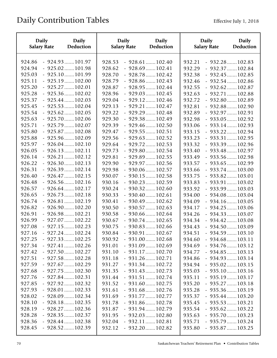| <b>Daily</b>       | <b>Daily</b>            | <b>Daily</b>       | <b>Daily</b>            | <b>Daily</b>       | <b>Daily</b>           |
|--------------------|-------------------------|--------------------|-------------------------|--------------------|------------------------|
| <b>Salary Rate</b> | Deduction               | <b>Salary Rate</b> | Deduction               | <b>Salary Rate</b> | Deduction              |
| 924.86             | $-924.93$ 101.97        | 928.53             | $-928.61$ 102.40        | 932.21             | $-932.28$ 102.83       |
| 924.94             | $-925.02 \dots 101.98$  | 928.62             | $-928.69$ 102.41        | 932.29             | $-932.37$ 102.84       |
| 925.03             | $-925.10$ 101.99        | 928.70             | $-928.78 \dots 102.42$  | 932.38             | $-932.45$ 102.85       |
| 925.11             | $-925.19$ 102.00        | 928.79             | $-928.86$ 102.43        | 932.46             | $-932.54$ 102.86       |
| 925.20             | $-925.27 \dots 102.01$  | 928.87             | $-928.95$ 102.44        | 932.55             | $-932.62$ 102.87       |
| 925.28             | $-925.36$ 102.02        | 928.96             | $-929.03 \ldots 102.45$ | 932.63             | $-932.71$ 102.88       |
| 925.37             | $-925.44$ 102.03        | 929.04             | $-929.12$ 102.46        | 932.72             | $-932.80$ 102.89       |
| 925.45             | $-925.53$ 102.04        | 929.13             | $-929.21$ 102.47        | 932.81             | $-932.88$ 102.90       |
| 925.54             | $-925.62 \dots 102.05$  | 929.22             | $-929.29\dots 102.48$   | 932.89             | $-932.97$ 102.91       |
| 925.63             | $-925.70$ 102.06        | 929.30             | $-929.38$ 102.49        | 932.98             | $-933.05$ 102.92       |
| 925.71             | $-925.79 \dots 102.07$  | 929.39             | $-929.46$ 102.50        | 933.06             | $-933.14$ 102.93       |
| 925.80             | $-925.87 \dots 102.08$  | 929.47             | $-929.55$ 102.51        | 933.15             | $-933.22$ 102.94       |
| 925.88             | $-925.96$ 102.09        | 929.56             | $-929.63$ 102.52        | 933.23             | $-933.31$ 102.95       |
| 925.97             | $-926.04 \dots 102.10$  | 929.64             | $-929.72 \dots 102.53$  | 933.32             | $-933.39$ 102.96       |
| 926.05             | $-926.13$ 102.11        | 929.73             | $-929.80$ 102.54        | 933.40             | $-933.48$ 102.97       |
| 926.14             | $-926.21$ 102.12        | 929.81             | $-929.89 \dots 102.55$  | 933.49             | $-933.56$ 102.98       |
| 926.22             | $-926.30$ 102.13        | 929.90             | $-929.97$ 102.56        | 933.57             | $-933.65$ 102.99       |
| 926.31             | $-926.39$ 102.14        | 929.98             | $-930.06$ 102.57        | 933.66             | $-933.74$ 103.00       |
| 926.40             | $-926.47$ 102.15        | 930.07             | $-930.15$ 102.58        | 933.75             | $-933.82$ 103.01       |
| 926.48             | $-926.56$ 102.16        | 930.16             | $-930.23$ 102.59        | 933.83             | $-933.91$ 103.02       |
| 926.57             | $-926.64 \ldots 102.17$ | 930.24             | $-930.32 \dots 102.60$  | 933.92             | $-933.99$ 103.03       |
| 926.65             | $-926.73 \ldots 102.18$ | 930.33             | $-930.40$ 102.61        | 934.00             | $-934.08 \dots 103.04$ |
| 926.74             | $-926.81$ 102.19        | 930.41             | $-930.49$ 102.62        | 934.09             | $-934.16$ 103.05       |
| 926.82             | $-926.90$ 102.20        | 930.50             | $-930.57$ 102.63        | 934.17             | $-934.25$ 103.06       |
| 926.91             | $-926.98$ 102.21        | 930.58             | $-930.66$ 102.64        | 934.26             | $-934.33$ 103.07       |
| 926.99             | $-927.07$ 102.22        | 930.67             | $-930.74$ 102.65        | 934.34             | $-934.42$ 103.08       |
| 927.08             | $-927.15$ 102.23        | 930.75             | $-930.83$ 102.66        | 934.43             | $-934.50$ 103.09       |
| 927.16             | $-927.24$ 102.24        | 930.84             | $-930.91$ 102.67        | 934.51             | $-934.59$ 103.10       |
| 927.25             | $-927.33$ 102.25        | 930.92             | $-931.00$ 102.68        | 934.60             | $-934.68$ 103.11       |
| 927.34             | $-927.41$ 102.26        | 931.01             | $-931.09$ 102.69        | 934.69             | $-934.76$ 103.12       |
| 927.42             | $-927.50$ 102.27        | 931.10             | $-931.17$ 102.70        | 934.77             | $-934.85$ 103.13       |
| 927.51             | $-927.58$ 102.28        | 931.18             | $-931.26$ 102.71        | 934.86             | $-934.93$ 103.14       |
| 927.59             | $-927.67$ 102.29        | 931.27             | $-931.34 \ldots 102.72$ | 934.94             | $-935.02 \dots 103.15$ |
| 927.68             | $-927.75$ 102.30        | 931.35             | $-931.43$ 102.73        | 935.03             | $-935.10$ 103.16       |
| 927.76             | $-927.84$ 102.31        | 931.44             | $-931.51$ 102.74        | 935.11             | $-935.19$ 103.17       |
| 927.85             | $-927.92 \dots 102.32$  | 931.52             | $-931.60$ 102.75        | 935.20             | $-935.27 \dots 103.18$ |
| 927.93             | $-928.01$ 102.33        | 931.61             | $-931.68$ 102.76        | 935.28             | $-935.36$ 103.19       |
| 928.02             | $-928.09$ 102.34        | 931.69             | $-931.77$ 102.77        | 935.37             | $-935.44$ 103.20       |
| 928.10             | $-928.18 \dots 102.35$  | 931.78             | $-931.86 \dots 102.78$  | 935.45             | $-935.53$ 103.21       |
| 928.19             | $-928.27 \dots 102.36$  | 931.87             | $-931.94$ 102.79        | 935.54             | $-935.62$ 103.22       |
| 928.28             | $-928.35$ 102.37        | 931.95             | $-932.03$ 102.80        | 935.63             | $-935.70$ 103.23       |
| 928.36             | $-928.44$ 102.38        | 932.04             | $-932.11$ 102.81        | 935.71             | $-935.79 \dots 103.24$ |
| 928.45             | $-928.52$ 102.39        | 932.12             | $-932.20$ 102.82        | 935.80             | $-935.87$ 103.25       |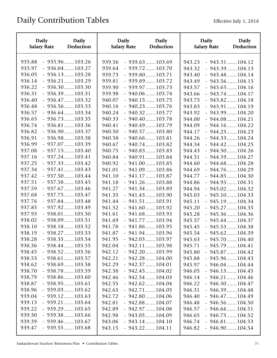| Daily              | <b>Daily</b>            | <b>Daily</b>       | Daily                   | Daily              | <b>Daily</b>            |
|--------------------|-------------------------|--------------------|-------------------------|--------------------|-------------------------|
| <b>Salary Rate</b> | <b>Deduction</b>        | <b>Salary Rate</b> | Deduction               | <b>Salary Rate</b> | Deduction               |
| 935.88             | $-935.96$ 103.26        | 939.56             | $-939.63$ 103.69        | 943.23             | $-943.31$ 104.12        |
| 935.97             | $-936.04$ 103.27        | 939.64             | $-939.72 \dots 103.70$  | 943.32             | $-943.39$ 104.13        |
| 936.05             | $-936.13$ 103.28        | 939.73             | $-939.80$ 103.71        | 943.40             | $-943.48$ 104.14        |
| 936.14             | $-936.21$ 103.29        | 939.81             | $-939.89$ 103.72        | 943.49             | $-943.56$ 104.15        |
| 936.22             | $-936.30$ 103.30        | 939.90             | $-939.97$ 103.73        | 943.57             | $-943.65$ 104.16        |
| 936.31             | $-936.39$ 103.31        | 939.98             | $-940.06$ 103.74        | 943.66             | $-943.74 \ldots 104.17$ |
| 936.40             | $-936.47$ 103.32        | 940.07             | $-940.15$ 103.75        | 943.75             | $-943.82 \ldots 104.18$ |
| 936.48             | $-936.56$ 103.33        | 940.16             | $-940.23$ 103.76        | 943.83             | $-943.91$ 104.19        |
| 936.57             | $-936.64$ 103.34        | 940.24             | $-940.32 \ldots 103.77$ | 943.92             | $-943.99 \dots 104.20$  |
| 936.65             | $-936.73$ 103.35        | 940.33             | $-940.40$ 103.78        | 944.00             | $-944.08 \ldots 104.21$ |
| 936.74             | $-936.81$ 103.36        | 940.41             | $-940.49$ 103.79        | 944.09             | $-944.16$ 104.22        |
| 936.82             | $-936.90$ 103.37        | 940.50             | $-940.57$ 103.80        | 944.17             | $-944.25$ 104.23        |
| 936.91             | $-936.98 \dots 103.38$  | 940.58             | $-940.66$ 103.81        | 944.26             | $-944.33$ 104.24        |
| 936.99             | $-937.07$ 103.39        | 940.67             | $-940.74 \ldots 103.82$ | 944.34             | $-944.42$ 104.25        |
| 937.08             | $-937.15$ 103.40        | 940.75             | $-940.83$ 103.83        | 944.43             | $-944.50$ 104.26        |
| 937.16             | $-937.24 \ldots 103.41$ | 940.84             | $-940.91$ 103.84        | 944.51             | $-944.59$ 104.27        |
| 937.25             | $-937.33$ 103.42        | 940.92             | $-941.00 \ldots 103.85$ | 944.60             | $-944.68 \dots 104.28$  |
| 937.34             | $-937.41$ 103.43        | 941.01             | $-941.09 \dots 103.86$  | 944.69             | $-944.76 \ldots 104.29$ |
| 937.42             | $-937.50$ 103.44        | 941.10             | $-941.17$ 103.87        | 944.77             | $-944.85$ 104.30        |
| 937.51             | $-937.58$ 103.45        | 941.18             | $-941.26 \dots 103.88$  | 944.86             | $-944.93$ 104.31        |
| 937.59             | $-937.67$ 103.46        | 941.27             | $-941.34$ 103.89        | 944.94             | $-945.02 \ldots 104.32$ |
| 937.68             | $-937.75$ 103.47        | 941.35             | $-941.43$ 103.90        | 945.03             | $-945.10$ 104.33        |
| 937.76             | $-937.84 \dots 103.48$  | 941.44             | $-941.51$ 103.91        | 945.11             | $-945.19 \dots 104.34$  |
| 937.85             | $-937.92 \dots 103.49$  | 941.52             | $-941.60$ 103.92        | 945.20             | $-945.27 \dots 104.35$  |
| 937.93             | $-938.01$ 103.50        | 941.61             | $-941.68$ 103.93        | 945.28             | $-945.36$ 104.36        |
| 938.02             | $-938.09$ 103.51        | 941.69             | $-941.77$ 103.94        | 945.37             | $-945.44$ 104.37        |
| 938.10             | $-938.18\dots 103.52$   | 941.78             | $-941.86$ 103.95        | 945.45             | $-945.53$ 104.38        |
| 938.19             | $-938.27 \dots 103.53$  | 941.87             | $-941.94 \dots 103.96$  | 945.54             | $-945.62 \ldots 104.39$ |
| 938.28             | $-938.35$ 103.54        | 941.95             | $-942.03$ 103.97        | 945.63             | $-945.70 \ldots 104.40$ |
| 938.36             | $-938.44$ 103.55        | 942.04             | $-942.11$ 103.98        | 945.71             | $-945.79 \ldots 104.41$ |
| 938.45             | $-938.52$ 103.56        | 942.12             | $-942.20$ 103.99        | 945.80             | $-945.87 \dots 104.42$  |
| 938.53             | $-938.61$ 103.57        | 942.21             | $-942.28 \dots 104.00$  | 945.88             | $-945.96 \ldots 104.43$ |
| 938.62             | $-938.69$ 103.58        | 942.29             | $-942.37$ 104.01        | 945.97             | $-946.04 \ldots 104.44$ |
| 938.70             | $-938.78 \dots 103.59$  | 942.38             | $-942.45$ 104.02        | 946.05             | $-946.13$ 104.45        |
| 938.79             | $-938.86$ 103.60        | 942.46             | $-942.54$ 104.03        | 946.14             | $-946.21$ 104.46        |
| 938.87             | $-938.95$ 103.61        | 942.55             | $-942.62 \ldots 104.04$ | 946.22             | $-946.30$ 104.47        |
| 938.96             | $-939.03$ 103.62        | 942.63             | $-942.71$ 104.05        | 946.31             | $-946.39$ 104.48        |
| 939.04             | $-939.12$ 103.63        | 942.72             | $-942.80$ 104.06        | 946.40             | $-946.47$ 104.49        |
| 939.13             | $-939.21$ 103.64        | 942.81             | $-942.88 \dots 104.07$  | 946.48             | $-946.56$ 104.50        |
| 939.22             | $-939.29 \dots 103.65$  | 942.89             | $-942.97 \dots 104.08$  | 946.57             | $-946.64$ 104.51        |
| 939.30             | $-939.38$ 103.66        | 942.98             | $-943.05$ 104.09        | 946.65             | $-946.73 \ldots 104.52$ |
| 939.39             | $-939.46$ 103.67        | 943.06             | $-943.14 \dots 104.10$  | 946.74             | $-946.81$ 104.53        |
| 939.47             | $-939.55$ 103.68        | 943.15             | $-943.22 \dots 104.11$  | 946.82             | $-946.90 \ldots 104.54$ |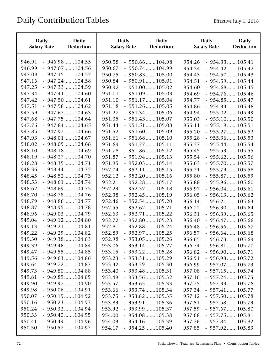| <b>Daily</b><br><b>Daily</b><br><b>Salary Rate</b><br>Deduction                                                                                                                                                                                                                                                                  | <b>Daily</b><br><b>Salary Rate</b>                                                               | <b>Daily</b><br>Deduction                                                                                                                                                                                              | <b>Daily</b><br><b>Salary Rate</b>                                                               | <b>Daily</b><br><b>Deduction</b>                                                                                                                                                                                                   |
|----------------------------------------------------------------------------------------------------------------------------------------------------------------------------------------------------------------------------------------------------------------------------------------------------------------------------------|--------------------------------------------------------------------------------------------------|------------------------------------------------------------------------------------------------------------------------------------------------------------------------------------------------------------------------|--------------------------------------------------------------------------------------------------|------------------------------------------------------------------------------------------------------------------------------------------------------------------------------------------------------------------------------------|
| $-946.98 \ldots 104.55$<br>946.91<br>$-947.07$ 104.56<br>946.99<br>$-947.15$ 104.57<br>947.08<br>947.16<br>$-947.24$ 104.58<br>947.25<br>$-947.33$ 104.59<br>947.34<br>$-947.41$ 104.60<br>947.42<br>$-947.50$ 104.61<br>947.51<br>$-947.58$ 104.62<br>$-947.67$ 104.63<br>947.59                                                | 950.58<br>950.67<br>950.75<br>950.84<br>950.92<br>951.01<br>951.10<br>951.18<br>951.27           | $-950.66$ 104.98<br>$-950.74$ 104.99<br>$-950.83$ 105.00<br>$-950.91$ 105.01<br>$-951.00 \dots 105.02$<br>$-951.09 \dots 105.03$<br>$-951.17$ 105.04<br>$-951.26 \dots 105.05$<br>$-951.34$ 105.06                     | 954.26<br>954.34<br>954.43<br>954.51<br>954.60<br>954.69<br>954.77<br>954.86<br>954.94           | $-954.33$ 105.41<br>$-954.42$ 105.42<br>$-954.50$ 105.43<br>$-954.59$ 105.44<br>$-954.68$ 105.45<br>$-954.76 \ldots 105.46$<br>$-954.85$ 105.47<br>$-954.93 \ldots 105.48$<br>$-955.02 \dots 105.49$                               |
| 947.68<br>$-947.75$ 104.64<br>947.76<br>$-947.84$ 104.65<br>947.85<br>$-947.92 \ldots 104.66$<br>947.93<br>$-948.01$ 104.67<br>948.02<br>$-948.09 \dots 104.68$<br>948.10<br>$-948.18$ 104.69<br>948.19<br>$-948.27 \dots 104.70$<br>948.28<br>$-948.35$ 104.71                                                                  | 951.35<br>951.44<br>951.52<br>951.61<br>951.69<br>951.78<br>951.87<br>951.95                     | $-951.43$ 105.07<br>$-951.51$ 105.08<br>$-951.60$ 105.09<br>$-951.68 \dots 105.10$<br>$-951.77$ 105.11<br>$-951.86 \dots 105.12$<br>$-951.94 \ldots 105.13$<br>$-952.03 \ldots 105.14$                                 | 955.03<br>955.11<br>955.20<br>955.28<br>955.37<br>955.45<br>955.54<br>955.63                     | $-955.10$ 105.50<br>$-955.19$ 105.51<br>$-955.27 \dots 105.52$<br>$-955.36$ 105.53<br>$-955.44$ 105.54<br>$-955.53$ 105.55<br>$-955.62 \dots 105.56$<br>$-955.70 \dots 105.57$                                                     |
| 948.36<br>$-948.44$ 104.72<br>948.45<br>$-948.52 \ldots 104.73$<br>948.53<br>$-948.61$ 104.74<br>$-948.69$ 104.75<br>948.62<br>948.70<br>$-948.78 \dots 104.76$<br>948.79<br>$-948.86$ 104.77<br>948.87<br>$-948.95$ 104.78<br>948.96<br>$-949.03$ 104.79                                                                        | 952.04<br>952.12<br>952.21<br>952.29<br>952.38<br>952.46<br>952.55<br>952.63                     | $-952.11$ 105.15<br>$-952.20$ 105.16<br>$-952.28 \dots 105.17$<br>$-952.37$ 105.18<br>$-952.45$ 105.19<br>$-952.54$ 105.20<br>$-952.62$ 105.21<br>$-952.71$ 105.22                                                     | 955.71<br>955.80<br>955.88<br>955.97<br>956.05<br>956.14<br>956.22<br>956.31                     | $-955.79 \dots 105.58$<br>$-955.87$ 105.59<br>$-955.96$ 105.60<br>$-956.04 \dots 105.61$<br>$-956.13 \dots 105.62$<br>$-956.21$ 105.63<br>$-956.30$ 105.64<br>$-956.39 \dots 105.65$                                               |
| 949.04<br>$-949.12$ 104.80<br>$-949.21$ 104.81<br>949.13<br>949.22<br>$-949.29$ 104.82<br>$-949.38 \dots 104.83$<br>949.30<br>$-949.46$ 104.84<br>949.39<br>$-949.55$ 104.85<br>949.47<br>$-949.63 \dots 104.86$<br>949.56<br>$-949.72 \dots 104.87$<br>949.64                                                                   | 952.72<br>952.81<br>952.89<br>952.98<br>953.06<br>953.15<br>953.23<br>953.32                     | $-952.80$ 105.23<br>$-952.88$ 105.24<br>$-952.97$ 105.25<br>$-953.05$ 105.26<br>$-953.14$ 105.27<br>$-953.22 \dots 105.28$<br>$-953.31$ 105.29<br>$-953.39 \dots 105.30$                                               | 956.40<br>956.48<br>956.57<br>956.65<br>956.74<br>956.82<br>956.91<br>956.99                     | $-956.47$ 105.66<br>$-956.56$ 105.67<br>$-956.64$ 105.68<br>$-956.73 \dots 105.69$<br>$-956.81$ 105.70<br>$-956.90$ 105.71<br>$-956.98 \dots 105.72$<br>$-957.07$ 105.73                                                           |
| $-949.80$ 104.88<br>949.73<br>949.81<br>$-949.89$ 104.89<br>$-949.97 \dots 104.90$<br>949.90<br>$-950.06 \dots 104.91$<br>949.98<br>950.07<br>$-950.15$ 104.92<br>$-950.23 \dots 104.93$<br>950.16<br>950.24<br>$-950.32 \dots 104.94$<br>$-950.40$ 104.95<br>950.33<br>950.41<br>$-950.49$ 104.96<br>$-950.57$ 104.97<br>950.50 | 953.40<br>953.49<br>953.57<br>953.66<br>953.75<br>953.83<br>953.92<br>954.00<br>954.09<br>954.17 | $-953.48$ 105.31<br>$-953.56$ 105.32<br>$-953.65$ 105.33<br>$-953.74 \dots 105.34$<br>$-953.82$ 105.35<br>$-953.91$ 105.36<br>$-953.99 \dots 105.37$<br>$-954.08 \dots 105.38$<br>$-954.16$ 105.39<br>$-954.25$ 105.40 | 957.08<br>957.16<br>957.25<br>957.34<br>957.42<br>957.51<br>957.59<br>957.68<br>957.76<br>957.85 | $-957.15$ 105.74<br>$-957.24 \dots 105.75$<br>$-957.33$ 105.76<br>$-957.41$ 105.77<br>$-957.50 \dots 105.78$<br>$-957.58 \dots 105.79$<br>$-957.67$ 105.80<br>$-957.75$ 105.81<br>$-957.84 \dots 105.82$<br>$-957.92 \dots 105.83$ |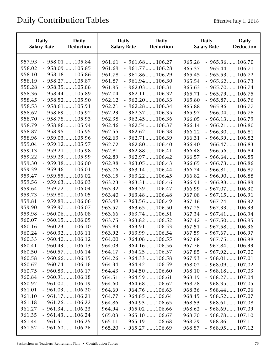| Daily              | Daily                   | <b>Daily</b>       | <b>Daily</b>            | <b>Daily</b>       | <b>Daily</b>            |
|--------------------|-------------------------|--------------------|-------------------------|--------------------|-------------------------|
| <b>Salary Rate</b> | Deduction               | <b>Salary Rate</b> | Deduction               | <b>Salary Rate</b> | <b>Deduction</b>        |
| 957.93             | $-958.01$ 105.84        | 961.61             | $-961.68 \dots 106.27$  | 965.28             | $-965.36$ 106.70        |
| 958.02             | $-958.09$ 105.85        | 961.69             | $-961.77$ 106.28        | 965.37             | $-965.44$ 106.71        |
| 958.10             | $-958.18\dots 105.86$   | 961.78             | $-961.86$ 106.29        | 965.45             | $-965.53$ 106.72        |
| 958.19             | $-958.27 \dots 105.87$  | 961.87             | $-961.94 \ldots 106.30$ | 965.54             | $-965.62 \dots 106.73$  |
| 958.28             | $-958.35$ 105.88        | 961.95             | $-962.03 \dots 106.31$  | 965.63             | $-965.70 \ldots 106.74$ |
| 958.36             | $-958.44$ 105.89        | 962.04             | $-962.11$ 106.32        | 965.71             | $-965.79 \dots 106.75$  |
| 958.45             | $-958.52$ 105.90        | 962.12             | $-962.20$ 106.33        | 965.80             | $-965.87 \dots 106.76$  |
| 958.53             | $-958.61$ 105.91        | 962.21             | $-962.28 \dots 106.34$  | 965.88             | $-965.96 \dots 106.77$  |
| 958.62             | $-958.69$ 105.92        | 962.29             | $-962.37$ 106.35        | 965.97             | $-966.04 \dots 106.78$  |
| 958.70             | $-958.78 \dots 105.93$  | 962.38             | $-962.45$ 106.36        | 966.05             | $-966.13$ 106.79        |
| 958.79             | $-958.86$ 105.94        | 962.46             | $-962.54$ 106.37        | 966.14             | $-966.21 \dots 106.80$  |
| 958.87             | $-958.95$ 105.95        | 962.55             | $-962.62$ 106.38        | 966.22             | $-966.30$ 106.81        |
| 958.96             | $-959.03 \dots 105.96$  | 962.63             | $-962.71$ 106.39        | 966.31             | $-966.39 \dots 106.82$  |
| 959.04             | $-959.12 \dots 105.97$  | 962.72             | $-962.80$ 106.40        | 966.40             | $-966.47$ 106.83        |
| 959.13             | $-959.21$ 105.98        | 962.81             | $-962.88 \dots 106.41$  | 966.48             | $-966.56$ 106.84        |
| 959.22             | $-959.29 \dots 105.99$  | 962.89             | $-962.97$ 106.42        | 966.57             | $-966.64 \dots 106.85$  |
| 959.30             | $-959.38 \dots 106.00$  | 962.98             | $-963.05$ 106.43        | 966.65             | $-966.73 \dots 106.86$  |
| 959.39             | $-959.46$ 106.01        | 963.06             | $-963.14 \ldots 106.44$ | 966.74             | $-966.81$ 106.87        |
| 959.47             | $-959.55$ 106.02        | 963.15             | $-963.22 \dots 106.45$  | 966.82             | $-966.90$ 106.88        |
| 959.56             | $-959.63$ 106.03        | 963.23             | $-963.31$ 106.46        | 966.91             | $-966.98 \dots 106.89$  |
| 959.64             | $-959.72 \dots 106.04$  | 963.32             | $-963.39 \dots 106.47$  | 966.99             | $-967.07$ 106.90        |
| 959.73             | $-959.80$ 106.05        | 963.40             | $-963.48$ 106.48        | 967.08             | $-967.15$ 106.91        |
| 959.81             | $-959.89 \dots 106.06$  | 963.49             | $-963.56$ 106.49        | 967.16             | $-967.24 \dots 106.92$  |
| 959.90             | $-959.97 \dots 106.07$  | 963.57             | $-963.65$ 106.50        | 967.25             | $-967.33$ 106.93        |
| 959.98             | $-960.06$ 106.08        | 963.66             | $-963.74 \ldots 106.51$ | 967.34             | $-967.41$ 106.94        |
| 960.07             | $-960.15$ 106.09        | 963.75             | $-963.82 \dots 106.52$  | 967.42             | $-967.50$ 106.95        |
| 960.16             | $-960.23 \dots 106.10$  | 963.83             | $-963.91$ 106.53        | 967.51             | $-967.58 \dots 106.96$  |
| 960.24             | $-960.32 \dots 106.11$  | 963.92             | $-963.99 \dots 106.54$  | 967.59             | $-967.67$ 106.97        |
| 960.33             | $-960.40$ 106.12        | 964.00             | $-964.08 \dots 106.55$  | 967.68             | $-967.75 \dots 106.98$  |
| 960.41             | $-960.49 \dots 106.13$  | 964.09             | $-964.16$ 106.56        | 967.76             | $-967.84 \dots 106.99$  |
| 960.50             | $-960.57 \dots 106.14$  | 964.17             | $-964.25$ 106.57        | 967.85             | $-967.92 \dots 107.00$  |
| 960.58             | $-960.66$ 106.15        | 964.26             | $-964.33 \ldots 106.58$ | 967.93             | $-968.01$ 107.01        |
| 960.67             | $-960.74 \dots 106.16$  | 964.34             | $-964.42$ 106.59        | 968.02             | $-968.09 \dots 107.02$  |
| 960.75             | $-960.83$ 106.17        | 964.43             | $-964.50$ 106.60        | 968.10             | $-968.18$ 107.03        |
| 960.84             | $-960.91$ 106.18        | 964.51             | $-964.59$ 106.61        | 968.19             | $-968.27 \dots 107.04$  |
| 960.92             | $-961.00 \dots 106.19$  | 964.60             | $-964.68 \dots 106.62$  | 968.28             | $-968.35$ 107.05        |
| 961.01             | $-961.09 \dots 106.20$  | 964.69             | $-964.76$ 106.63        | 968.36             | $-968.44$ 107.06        |
| 961.10             | $-961.17$ 106.21        | 964.77             | $-964.85 \ldots 106.64$ | 968.45             | $-968.52 \dots 107.07$  |
| 961.18             | $-961.26 \dots 106.22$  | 964.86             | $-964.93 \dots 106.65$  | 968.53             | $-968.61$ 107.08        |
| 961.27             | $-961.34 \ldots 106.23$ | 964.94             | $-965.02 \dots 106.66$  | 968.62             | $-968.69$ 107.09        |
| 961.35             | $-961.43 \ldots 106.24$ | 965.03             | $-965.10$ 106.67        | 968.70             | $-968.78 \dots 107.10$  |
| 961.44             | $-961.51$ 106.25        | 965.11             | $-965.19 \dots 106.68$  | 968.79             | $-968.86$ 107.11        |
| 961.52             | $-961.60$ 106.26        | 965.20             | $-965.27 \dots 106.69$  | 968.87             | $-968.95$ 107.12        |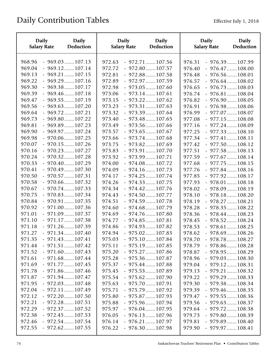| <b>Daily</b>       | <b>Daily</b>            | <b>Daily</b>       | <b>Daily</b>            | <b>Daily</b>       | <b>Daily</b>            |
|--------------------|-------------------------|--------------------|-------------------------|--------------------|-------------------------|
| <b>Salary Rate</b> | Deduction               | <b>Salary Rate</b> | Deduction               | <b>Salary Rate</b> | <b>Deduction</b>        |
| 968.96             | $-969.03$ 107.13        | 972.63             | $-972.71$ 107.56        | 976.31             | $-976.39$ 107.99        |
| 969.04             | $-969.12$ 107.14        | 972.72             | $-972.80$ 107.57        | 976.40             | $-976.47$ 108.00        |
| 969.13             | $-969.21$ 107.15        | 972.81             | $-972.88$ 107.58        | 976.48             | $-976.56$ 108.01        |
| 969.22             | $-969.29 \dots 107.16$  | 972.89             | $-972.97$ 107.59        | 976.57             | $-976.64$ 108.02        |
| 969.30             | $-969.38$ 107.17        | 972.98             | $-973.05$ 107.60        | 976.65             | $-976.73$ 108.03        |
| 969.39             | $-969.46$ 107.18        | 973.06             | $-973.14$ 107.61        | 976.74             | $-976.81$ 108.04        |
| 969.47             | $-969.55$ 107.19        | 973.15             | $-973.22 \dots 107.62$  | 976.82             | $-976.90$ 108.05        |
| 969.56             | $-969.63$ 107.20        | 973.23             | $-973.31$ 107.63        | 976.91             | $-976.98 \dots 108.06$  |
| 969.64             | $-969.72 \dots 107.21$  | 973.32             | $-973.39$ 107.64        | 976.99             | $-977.07$ 108.07        |
| 969.73             | $-969.80$ 107.22        | 973.40             | $-973.48$ 107.65        | 977.08             | $-977.15$ 108.08        |
| 969.81             | $-969.89$ 107.23        | 973.49             | $-973.56$ 107.66        | 977.16             | $-977.24$ 108.09        |
| 969.90             | $-969.97 \dots 107.24$  | 973.57             | $-973.65$ 107.67        | 977.25             | $-977.33$ 108.10        |
| 969.98             | $-970.06$ 107.25        | 973.66             | $-973.74 \ldots 107.68$ | 977.34             | $-977.41$ 108.11        |
| 970.07             | $-970.15$ 107.26        | 973.75             | $-973.82$ 107.69        | 977.42             | $-977.50$ 108.12        |
| 970.16             | $-970.23$ 107.27        | 973.83             | $-973.91$ 107.70        | 977.51             | $-977.58$ 108.13        |
| 970.24             | $-970.32 \dots 107.28$  | 973.92             | $-973.99$ 107.71        | 977.59             | $-977.67$ 108.14        |
| 970.33             | $-970.40$ 107.29        | 974.00             | $-974.08 \ldots 107.72$ | 977.68             | $-977.75$ 108.15        |
| 970.41             | $-970.49$ 107.30        | 974.09             | $-974.16$ 107.73        | 977.76             | $-977.84 \ldots 108.16$ |
| 970.50             | $-970.57$ 107.31        | 974.17             | $-974.25 \ldots 107.74$ | 977.85             | $-977.92 \dots 108.17$  |
| 970.58             | $-970.66$ 107.32        | 974.26             | $-974.33$ 107.75        | 977.93             | $-978.01$ 108.18        |
| 970.67             | $-970.74$ 107.33        | 974.34             | $-974.42$ 107.76        | 978.02             | $-978.09$ 108.19        |
| 970.75             | $-970.83$ 107.34        | 974.43             | $-974.50$ 107.77        | 978.10             | $-978.18$ 108.20        |
| 970.84             | $-970.91$ 107.35        | 974.51             | $-974.59$ 107.78        | 978.19             | $-978.27 \dots 108.21$  |
| 970.92             | $-971.00$ 107.36        | 974.60             | $-974.68$ 107.79        | 978.28             | $-978.35$ 108.22        |
| 971.01             | $-971.09$ 107.37        | 974.69             | $-974.76$ 107.80        | 978.36             | $-978.44$ 108.23        |
| 971.10             | $-971.17$ 107.38        | 974.77             | $-974.85$ 107.81        | 978.45             | $-978.52$ 108.24        |
| 971.18             | $-971.26$ 107.39        | 974.86             | $-974.93$ 107.82        | 978.53             | $-978.61$ 108.25        |
| 971.27             | $-971.34$ 107.40        | 974.94             | $-975.02 \dots 107.83$  | 978.62             | $-978.69$ 108.26        |
| 971.35             | $-971.43$ 107.41        | 975.03             | $-975.10$ 107.84        | 978.70             | $-978.78$ 108.27        |
| 971.44             | $-971.51$ 107.42        | 975.11             | $-975.19$ 107.85        | 978.79             | $-978.86$ 108.28        |
| 971.52             | $-971.60$ 107.43        | 975.20             | $-975.27 \dots 107.86$  | 978.87             | $-978.95$ 108.29        |
| 971.61             | $-971.68 \dots 107.44$  | 975.28             | $-975.36$ 107.87        | 978.96             | $-979.03$ 108.30        |
| 971.69             | $-971.77$ 107.45        | 975.37             | $-975.44$ 107.88        | 979.04             | $-979.12$ 108.31        |
| 971.78             | $-971.86$ 107.46        | 975.45             | $-975.53$ 107.89        | 979.13             | $-979.21$ 108.32        |
| 971.87             | $-971.94 \ldots 107.47$ | 975.54             | $-975.62$ 107.90        | 979.22             | $-979.29 \dots 108.33$  |
| 971.95             | $-972.03$ 107.48        | 975.63             | $-975.70 \dots 107.91$  | 979.30             | $-979.38$ 108.34        |
| 972.04             | $-972.11$ 107.49        | 975.71             | $-975.79$ 107.92        | 979.39             | $-979.46$ 108.35        |
| 972.12             | $-972.20$ 107.50        | 975.80             | $-975.87 \dots 107.93$  | 979.47             | $-979.55$ 108.36        |
| 972.21             | $-972.28 \dots 107.51$  | 975.88             | $-975.96$ 107.94        | 979.56             | $-979.63 \dots 108.37$  |
| 972.29             | $-972.37$ 107.52        | 975.97             | $-976.04 \dots 107.95$  | 979.64             | $-979.72 \dots 108.38$  |
| 972.38             | $-972.45$ 107.53        | 976.05             | $-976.13$ 107.96        | 979.73             | $-979.80$ 108.39        |
| 972.46             | $-972.54$ 107.54        | 976.14             | $-976.21$ 107.97        | 979.81             | $-979.89$ 108.40        |
| 972.55             | $-972.62$ 107.55        | 976.22             | $-976.30$ 107.98        | 979.90             | $-979.97$ 108.41        |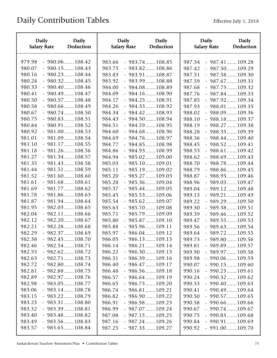| <b>Daily</b>                                   | <b>Daily</b>                                                                 | <b>Daily</b>                         | <b>Daily</b>                                                                                                 | <b>Daily</b>                                   | <b>Daily</b>                                                                                                       |
|------------------------------------------------|------------------------------------------------------------------------------|--------------------------------------|--------------------------------------------------------------------------------------------------------------|------------------------------------------------|--------------------------------------------------------------------------------------------------------------------|
| <b>Salary Rate</b>                             | Deduction                                                                    | <b>Salary Rate</b>                   | Deduction                                                                                                    | <b>Salary Rate</b>                             | Deduction                                                                                                          |
| 979.98<br>980.07<br>980.16                     | $-980.06$ 108.42<br>$-980.15$ 108.43<br>$-980.23$ 108.44<br>$-980.32$ 108.45 | 983.66<br>983.75<br>983.83<br>983.92 | $-983.74 \ldots 108.85$<br>$-983.82$ 108.86<br>$-983.91$ 108.87                                              | 987.34<br>987.42<br>987.51                     | $-987.41$ 109.28<br>$-987.50$ 109.29<br>$-987.58 \dots 109.30$                                                     |
| 980.24<br>980.33<br>980.41<br>980.50<br>980.58 | $-980.40$ 108.46<br>$-980.49$ 108.47<br>$-980.57$ 108.48<br>$-980.66$ 108.49 | 984.00<br>984.09<br>984.17<br>984.26 | $-983.99 \dots 108.88$<br>$-984.08 \dots 108.89$<br>$-984.16$ 108.90<br>$-984.25$ 108.91<br>$-984.33$ 108.92 | 987.59<br>987.68<br>987.76<br>987.85<br>987.93 | $-987.67$ 109.31<br>$-987.75 \dots 109.32$<br>$-987.84 \dots 109.33$<br>$-987.92 \dots 109.34$<br>$-988.01$ 109.35 |
| 980.67                                         | $-980.74 \dots 108.50$                                                       | 984.34                               | $-984.42$ 108.93                                                                                             | 988.02                                         | $-988.09 \dots 109.36$                                                                                             |
| 980.75                                         | $-980.83$ 108.51                                                             | 984.43                               | $-984.50$ 108.94                                                                                             | 988.10                                         | $-988.18$ 109.37                                                                                                   |
| 980.84                                         | $-980.91$ 108.52                                                             | 984.51                               | $-984.59$ 108.95                                                                                             | 988.19                                         | $-988.27 \dots 109.38$                                                                                             |
| 980.92                                         | $-981.00 \dots 108.53$                                                       | 984.60                               | $-984.68$ 108.96                                                                                             | 988.28                                         | $-988.35$ 109.39                                                                                                   |
| 981.01                                         | $-981.09 \dots 108.54$                                                       | 984.69                               | $-984.76$ 108.97                                                                                             | 988.36                                         | $-988.44$ 109.40                                                                                                   |
| 981.10                                         | $-981.17$ 108.55                                                             | 984.77                               | $-984.85$ 108.98                                                                                             | 988.45                                         | $-988.52 \dots 109.41$                                                                                             |
| 981.18                                         | $-981.26$ 108.56                                                             | 984.86                               | $-984.93$ 108.99                                                                                             | 988.53                                         | $-988.61$ 109.42                                                                                                   |
| 981.27                                         | $-981.34 \ldots 108.57$                                                      | 984.94                               | $-985.02 \dots 109.00$                                                                                       | 988.62                                         | $-988.69$ 109.43                                                                                                   |
| 981.35                                         | $-981.43$ 108.58                                                             | 985.03                               | $-985.10$ 109.01                                                                                             | 988.70                                         | $-988.78 \dots 109.44$                                                                                             |
| 981.44                                         | $-981.51$ 108.59                                                             | 985.11                               | $-985.19 \dots 109.02$                                                                                       | 988.79                                         | $-988.86$ 109.45                                                                                                   |
| 981.52                                         | $-981.60$ 108.60                                                             | 985.20                               | $-985.27 \dots 109.03$                                                                                       | 988.87                                         | $-988.95$ 109.46                                                                                                   |
| 981.61                                         | $-981.68 \dots 108.61$                                                       | 985.28                               | $-985.36$ 109.04                                                                                             | 988.96                                         | $-989.03 \ldots 109.47$                                                                                            |
| 981.69                                         | $-981.77$ 108.62                                                             | 985.37                               | $-985.44$ 109.05                                                                                             | 989.04                                         | $-989.12 \dots 109.48$                                                                                             |
| 981.78                                         | $-981.86$ 108.63                                                             | 985.45                               | $-985.53$ 109.06                                                                                             | 989.13                                         | $-989.21$ 109.49                                                                                                   |
| 981.87                                         | $-981.94 \ldots 108.64$                                                      | 985.54                               | $-985.62 \dots 109.07$                                                                                       | 989.22                                         | $-989.29 \dots 109.50$                                                                                             |
| 981.95                                         | $-982.03$ 108.65                                                             | 985.63                               | $-985.70 \dots 109.08$                                                                                       | 989.30                                         | $-989.38$ 109.51                                                                                                   |
| 982.04                                         | $-982.11$ 108.66                                                             | 985.71                               | $-985.79 \dots 109.09$                                                                                       | 989.39                                         | $-989.46$ 109.52                                                                                                   |
| 982.12                                         | $-982.20$ 108.67                                                             | 985.80                               | $-985.87 \dots 109.10$                                                                                       | 989.47                                         | $-989.55$ 109.53                                                                                                   |
| 982.21                                         | $-982.28 \dots 108.68$                                                       | 985.88                               | $-985.96 \dots 109.11$                                                                                       | 989.56                                         | $-989.63$ 109.54                                                                                                   |
| 982.29                                         | $-982.37$ 108.69                                                             | 985.97                               | $-986.04 \dots 109.12$                                                                                       | 989.64                                         | $-989.72 \dots 109.55$                                                                                             |
| 982.38                                         | $-982.45$ 108.70                                                             | 986.05                               | $-986.13$ 109.13                                                                                             | 989.73                                         | $-989.80$ 109.56                                                                                                   |
| 982.46                                         | $-982.54$ 108.71                                                             | 986.14                               | $-986.21$ 109.14                                                                                             | 989.81                                         | $-989.89$ 109.57                                                                                                   |
| 982.55                                         | $-982.62 \dots 108.72$                                                       | 986.22                               | $-986.30$ 109.15                                                                                             | 989.90                                         | $-989.97 \dots 109.58$                                                                                             |
| 982.63                                         | $-982.71 \dots 108.73$                                                       | 986.31                               | $-986.39 \dots 109.16$                                                                                       | 989.98                                         | $-990.06 \dots 109.59$                                                                                             |
| 982.72                                         | $-982.80$ 108.74                                                             | 986.40                               | $-986.47$ 109.17                                                                                             | 990.07                                         | $-990.15$ 109.60                                                                                                   |
| 982.81                                         | $-982.88$ 108.75                                                             | 986.48                               | $-986.56$ 109.18                                                                                             | 990.16                                         | $-990.23$ 109.61                                                                                                   |
| 982.89                                         | $-982.97 \dots 108.76$                                                       | 986.57                               | $-986.64 \dots 109.19$                                                                                       | 990.24                                         | $-990.32 \dots 109.62$                                                                                             |
| 982.98                                         | $-983.05$ 108.77                                                             | 986.65                               | $-986.73 \dots 109.20$                                                                                       | 990.33                                         | $-990.40$ 109.63                                                                                                   |
| 983.06                                         | $-983.14 \dots 108.78$                                                       | 986.74                               | $-986.81$ 109.21                                                                                             | 990.41                                         | $-990.49 \dots 109.64$                                                                                             |
| 983.15                                         | $-983.22 \dots 108.79$                                                       | 986.82                               | $-986.90 \dots 109.22$                                                                                       | 990.50                                         | $-990.57 \dots 109.65$                                                                                             |
| 983.23                                         | $-983.31$ 108.80                                                             | 986.91                               | $-986.98 \dots 109.23$                                                                                       | 990.58                                         | $-990.66$ 109.66                                                                                                   |
| 983.32                                         | $-983.39$ 108.81                                                             | 986.99                               | $-987.07 \dots 109.24$                                                                                       | 990.67                                         | $-990.74 \dots 109.67$                                                                                             |
| 983.40                                         | $-983.48$ 108.82                                                             | 987.08                               | $-987.15$ 109.25                                                                                             | 990.75                                         | $-990.83$ 109.68                                                                                                   |
| 983.49                                         | $-983.56$ 108.83                                                             | 987.16                               | $-987.24 \ldots 109.26$                                                                                      | 990.84                                         | $-990.91$ 109.69                                                                                                   |
| 983.57                                         | $-983.65$ 108.84                                                             | 987.25                               | $-987.33$ 109.27                                                                                             | 990.92                                         | $-991.00$ 109.70                                                                                                   |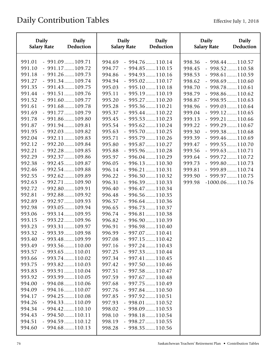| <b>Daily</b><br><b>Salary Rate</b>                                                                                                                                                                                                                                                                                                                                                                                               | <b>Daily</b><br><b>Deduction</b>                                                                                                                                                                                                                                                                                                                                                                                                                                                                                                                                                                                                                                                                                                                                                                                                                                                                         | <b>Daily</b><br><b>Salary Rate</b>                                                                                                                                                                                                                                                                                                                                                                                               | <b>Daily</b><br>Deduction                                                                                                                                                                                                                                                                                                                                                                                                                                                                                                                                                                                                                                                                                                                                                                                                                                                                                                                                      | <b>Daily</b><br><b>Salary Rate</b>                                                                                                                                                                   | <b>Daily</b><br>Deduction                                                                                                                                                                                                                                                                                                                                                                                                             |
|----------------------------------------------------------------------------------------------------------------------------------------------------------------------------------------------------------------------------------------------------------------------------------------------------------------------------------------------------------------------------------------------------------------------------------|----------------------------------------------------------------------------------------------------------------------------------------------------------------------------------------------------------------------------------------------------------------------------------------------------------------------------------------------------------------------------------------------------------------------------------------------------------------------------------------------------------------------------------------------------------------------------------------------------------------------------------------------------------------------------------------------------------------------------------------------------------------------------------------------------------------------------------------------------------------------------------------------------------|----------------------------------------------------------------------------------------------------------------------------------------------------------------------------------------------------------------------------------------------------------------------------------------------------------------------------------------------------------------------------------------------------------------------------------|----------------------------------------------------------------------------------------------------------------------------------------------------------------------------------------------------------------------------------------------------------------------------------------------------------------------------------------------------------------------------------------------------------------------------------------------------------------------------------------------------------------------------------------------------------------------------------------------------------------------------------------------------------------------------------------------------------------------------------------------------------------------------------------------------------------------------------------------------------------------------------------------------------------------------------------------------------------|------------------------------------------------------------------------------------------------------------------------------------------------------------------------------------------------------|---------------------------------------------------------------------------------------------------------------------------------------------------------------------------------------------------------------------------------------------------------------------------------------------------------------------------------------------------------------------------------------------------------------------------------------|
| 991.01<br>991.10<br>991.18<br>991.27<br>991.35<br>991.44<br>991.52<br>991.61<br>991.69<br>991.78<br>991.87<br>991.95<br>992.04<br>992.12<br>992.21<br>992.29<br>992.38<br>992.46<br>992.55<br>992.63<br>992.72<br>992.81<br>992.89<br>992.98<br>993.06<br>993.15<br>993.23<br>993.32<br>993.40<br>993.49<br>993.57<br>993.66<br>993.75<br>993.83<br>993.92<br>994.00<br>994.09<br>994.17<br>994.26<br>994.34<br>994.43<br>994.51 | $-991.09$ 109.71<br>$-991.17$ 109.72<br>$-991.26 \dots 109.73$<br>$-991.34$ 109.74<br>$-991.43$ 109.75<br>$-991.51$ 109.76<br>$-991.60$ 109.77<br>$-991.68 \dots 109.78$<br>$-991.77$ 109.79<br>$-991.86$ 109.80<br>$-991.94 \dots 109.81$<br>$-992.03$ 109.82<br>$-992.11$ 109.83<br>$-992.20$ 109.84<br>$-992.28 \dots 109.85$<br>$-992.37$ 109.86<br>$-992.45$ 109.87<br>$-992.54$ 109.88<br>$-992.62$ 109.89<br>$-992.71$ 109.90<br>$-992.80$ 109.91<br>$-992.88$ 109.92<br>$-992.97$ 109.93<br>$-993.05$ 109.94<br>$-993.14$ 109.95<br>$-993.22$ 109.96<br>$-993.31$ 109.97<br>$-993.39$ 109.98<br>$-993.48$ 109.99<br>$-993.56$ 110.00<br>$-993.65$ 110.01<br>$-993.74 \dots 110.02$<br>$-993.82$ 110.03<br>$-993.91$ 110.04<br>$-993.99$ 110.05<br>$-994.08 \dots 110.06$<br>$-994.16$ 110.07<br>$-994.25$ 110.08<br>$-994.33$ 110.09<br>$-994.42$ 110.10<br>$-994.50$ 110.11<br>$-994.59$ 110.12 | 994.69<br>994.77<br>994.86<br>994.94<br>995.03<br>995.11<br>995.20<br>995.28<br>995.37<br>995.45<br>995.54<br>995.63<br>995.71<br>995.80<br>995.88<br>995.97<br>996.05<br>996.14<br>996.22<br>996.31<br>996.40<br>996.48<br>996.57<br>996.65<br>996.74<br>996.82<br>996.91<br>996.99<br>997.08<br>997.16<br>997.25<br>997.34<br>997.42<br>997.51<br>997.59<br>997.68<br>997.76<br>997.85<br>997.93<br>998.02<br>998.10<br>998.19 | $-994.76$ 110.14<br>$-994.85$ 110.15<br>$-994.93$ 110.16<br>$-995.02 \dots 110.17$<br>$-995.10$ 110.18<br>$-995.19$ 110.19<br>$-995.27 \dots 110.20$<br>$-995.36$ 110.21<br>$-995.44$ 110.22<br>$-995.53$ 110.23<br>$-995.62 \dots 110.24$<br>$-995.70 \dots 110.25$<br>$-995.79 \dots 110.26$<br>$-995.87$ 110.27<br>$-995.96 \dots 110.28$<br>$-996.04 \dots 110.29$<br>$-996.13$ 110.30<br>$-996.21$ 110.31<br>$-996.30$ 110.32<br>$-996.39$ 110.33<br>$-996.47 \dots 110.34$<br>$-996.56$ 110.35<br>$-996.64$ 110.36<br>$-996.73$ 110.37<br>$-996.81$ 110.38<br>$-996.90$ 110.39<br>$-996.98 \dots 110.40$<br>$-997.07$ 110.41<br>$-997.15$ 110.42<br>$-997.24 \dots 110.43$<br>$-997.33$ 110.44<br>$-997.41$ 110.45<br>$-997.50$ 110.46<br>$-997.58$ 110.47<br>$-997.67 \dots 110.48$<br>$-997.75 \dots 110.49$<br>$-997.84$ 110.50<br>$-997.92 \dots 110.51$<br>$-998.01$ 110.52<br>$-998.09$ 110.53<br>$-998.18 \dots 110.54$<br>$-998.27 \dots 110.55$ | 998.36<br>998.45<br>998.53<br>998.62<br>998.70<br>998.79<br>998.87<br>998.96<br>999.04<br>999.13<br>999.22<br>999.30<br>999.39<br>999.47<br>999.56<br>999.64<br>999.73<br>999.81<br>999.90<br>999.98 | $-998.44$ 110.57<br>$-998.52$ 110.58<br>$-998.61$ 110.59<br>$-998.69$ 110.60<br>$-998.78 \dots 110.61$<br>$-998.86$ 110.62<br>$-998.95$ 110.63<br>$-999.03$ 110.64<br>$-999.12 \dots 110.65$<br>$-999.21$ 110.66<br>$-999.29 \dots 110.67$<br>$-999.38$ 110.68<br>$-999.46$ 110.69<br>$-999.55$ 110.70<br>$-999.63$ 110.71<br>$-999.72 \dots 110.72$<br>$-999.80$ 110.73<br>$-999.89$ 110.74<br>$-999.97$ 110.75<br>$-1000.06$ 110.76 |
| 994.60                                                                                                                                                                                                                                                                                                                                                                                                                           | $-994.68$ 110.13                                                                                                                                                                                                                                                                                                                                                                                                                                                                                                                                                                                                                                                                                                                                                                                                                                                                                         | 998.28                                                                                                                                                                                                                                                                                                                                                                                                                           | $-998.35$ 110.56                                                                                                                                                                                                                                                                                                                                                                                                                                                                                                                                                                                                                                                                                                                                                                                                                                                                                                                                               |                                                                                                                                                                                                      |                                                                                                                                                                                                                                                                                                                                                                                                                                       |